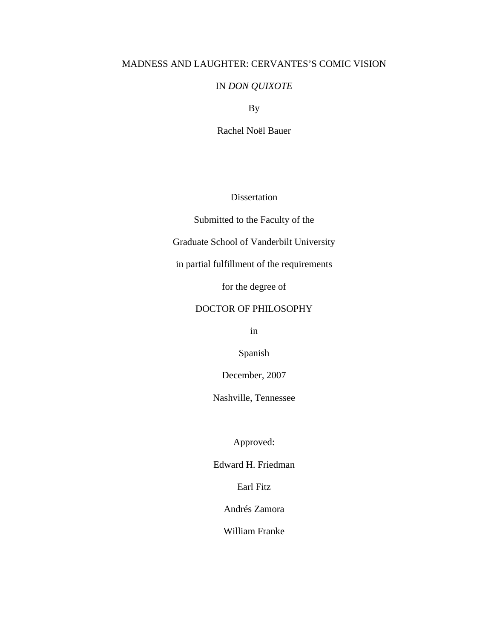## MADNESS AND LAUGHTER: CERVANTES'S COMIC VISION

## IN *DON QUIXOTE*

By

Rachel Noël Bauer

Dissertation

Submitted to the Faculty of the

Graduate School of Vanderbilt University

in partial fulfillment of the requirements

for the degree of

### DOCTOR OF PHILOSOPHY

in

Spanish

December, 2007

Nashville, Tennessee

Approved:

Edward H. Friedman

Earl Fitz

Andrés Zamora

William Franke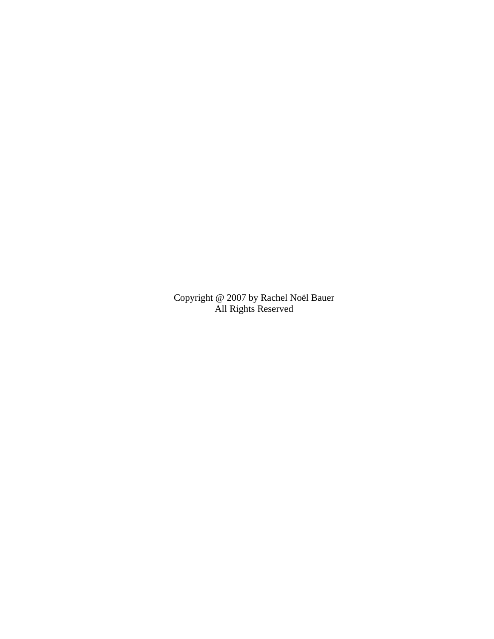Copyright @ 2007 by Rachel Noël Bauer All Rights Reserved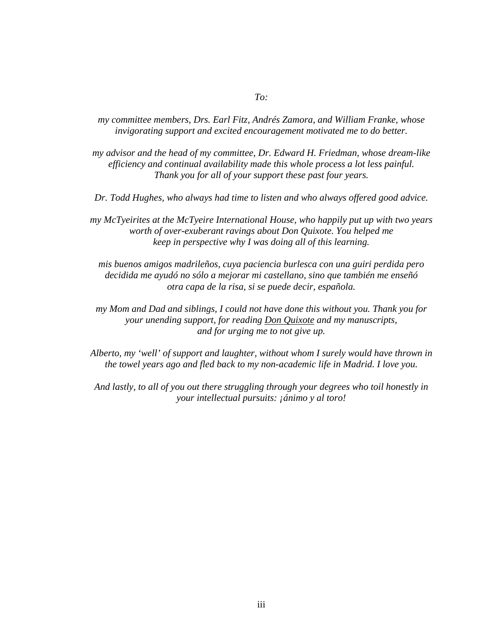*my committee members, Drs. Earl Fitz, Andrés Zamora, and William Franke, whose invigorating support and excited encouragement motivated me to do better.* 

*my advisor and the head of my committee, Dr. Edward H. Friedman, whose dream-like efficiency and continual availability made this whole process a lot less painful. Thank you for all of your support these past four years.* 

*Dr. Todd Hughes, who always had time to listen and who always offered good advice.* 

*my McTyeirites at the McTyeire International House, who happily put up with two years worth of over-exuberant ravings about Don Quixote. You helped me keep in perspective why I was doing all of this learning.* 

*mis buenos amigos madrileños, cuya paciencia burlesca con una guiri perdida pero decidida me ayudó no sólo a mejorar mi castellano, sino que también me enseñó otra capa de la risa, si se puede decir, española.* 

*my Mom and Dad and siblings, I could not have done this without you. Thank you for your unending support, for reading Don Quixote and my manuscripts, and for urging me to not give up.* 

*Alberto, my 'well' of support and laughter, without whom I surely would have thrown in the towel years ago and fled back to my non-academic life in Madrid. I love you.* 

*And lastly, to all of you out there struggling through your degrees who toil honestly in your intellectual pursuits: ¡ánimo y al toro!* 

*To:*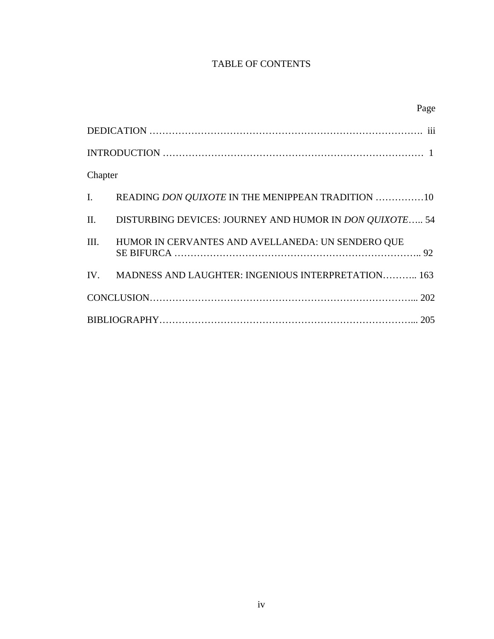# TABLE OF CONTENTS

|                | Page                                                               |
|----------------|--------------------------------------------------------------------|
|                |                                                                    |
|                |                                                                    |
| Chapter        |                                                                    |
| $\mathbf{I}$ . | READING DON QUIXOTE IN THE MENIPPEAN TRADITION 10                  |
|                | II. DISTURBING DEVICES: JOURNEY AND HUMOR IN <i>DON QUIXOTE</i> 54 |
| III.           | HUMOR IN CERVANTES AND AVELLANEDA: UN SENDERO QUE                  |
|                | IV. MADNESS AND LAUGHTER: INGENIOUS INTERPRETATION 163             |
|                |                                                                    |
|                |                                                                    |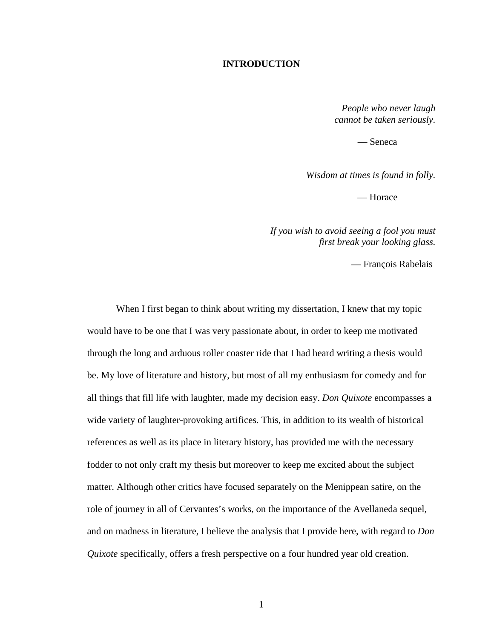#### **INTRODUCTION**

*People who never laugh cannot be taken seriously.* 

— Seneca

*Wisdom at times is found in folly.*

— Horace

*If you wish to avoid seeing a fool you must first break your looking glass.* 

— François Rabelais

 When I first began to think about writing my dissertation, I knew that my topic would have to be one that I was very passionate about, in order to keep me motivated through the long and arduous roller coaster ride that I had heard writing a thesis would be. My love of literature and history, but most of all my enthusiasm for comedy and for all things that fill life with laughter, made my decision easy. *Don Quixote* encompasses a wide variety of laughter-provoking artifices. This, in addition to its wealth of historical references as well as its place in literary history, has provided me with the necessary fodder to not only craft my thesis but moreover to keep me excited about the subject matter. Although other critics have focused separately on the Menippean satire, on the role of journey in all of Cervantes's works, on the importance of the Avellaneda sequel, and on madness in literature, I believe the analysis that I provide here, with regard to *Don Quixote* specifically, offers a fresh perspective on a four hundred year old creation.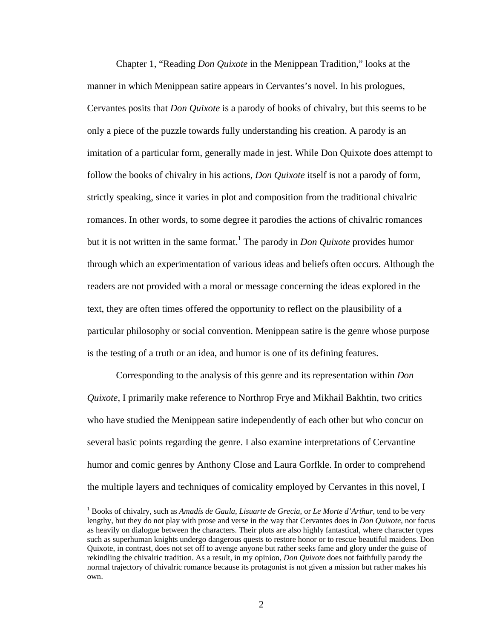Chapter 1, "Reading *Don Quixote* in the Menippean Tradition," looks at the manner in which Menippean satire appears in Cervantes's novel. In his prologues, Cervantes posits that *Don Quixote* is a parody of books of chivalry, but this seems to be only a piece of the puzzle towards fully understanding his creation. A parody is an imitation of a particular form, generally made in jest. While Don Quixote does attempt to follow the books of chivalry in his actions, *Don Quixote* itself is not a parody of form, strictly speaking, since it varies in plot and composition from the traditional chivalric romances. In other words, to some degree it parodies the actions of chivalric romances but it is not written in the same format.1 The parody in *Don Quixote* provides humor through which an experimentation of various ideas and beliefs often occurs. Although the readers are not provided with a moral or message concerning the ideas explored in the text, they are often times offered the opportunity to reflect on the plausibility of a particular philosophy or social convention. Menippean satire is the genre whose purpose is the testing of a truth or an idea, and humor is one of its defining features.

Corresponding to the analysis of this genre and its representation within *Don Quixote*, I primarily make reference to Northrop Frye and Mikhail Bakhtin, two critics who have studied the Menippean satire independently of each other but who concur on several basic points regarding the genre. I also examine interpretations of Cervantine humor and comic genres by Anthony Close and Laura Gorfkle. In order to comprehend the multiple layers and techniques of comicality employed by Cervantes in this novel, I

 $\overline{a}$ 

<sup>1</sup> Books of chivalry, such as *Amadís de Gaula*, *Lisuarte de Grecia*, or *Le Morte d'Arthur*, tend to be very lengthy, but they do not play with prose and verse in the way that Cervantes does in *Don Quixote*, nor focus as heavily on dialogue between the characters. Their plots are also highly fantastical, where character types such as superhuman knights undergo dangerous quests to restore honor or to rescue beautiful maidens. Don Quixote, in contrast, does not set off to avenge anyone but rather seeks fame and glory under the guise of rekindling the chivalric tradition. As a result, in my opinion, *Don Quixote* does not faithfully parody the normal trajectory of chivalric romance because its protagonist is not given a mission but rather makes his own.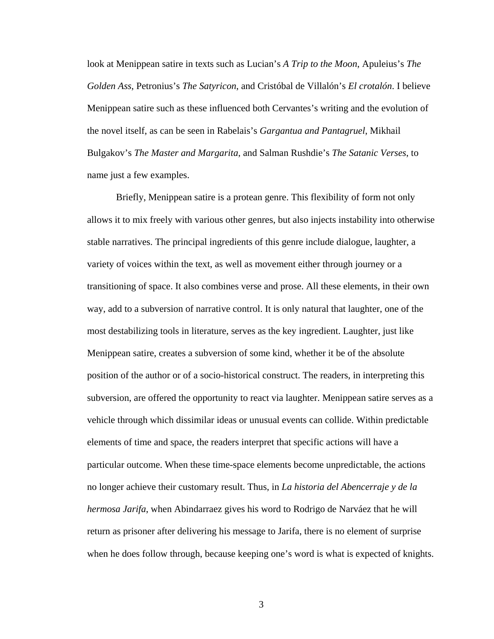look at Menippean satire in texts such as Lucian's *A Trip to the Moon*, Apuleius's *The Golden Ass*, Petronius's *The Satyricon*, and Cristóbal de Villalón's *El crotalón*. I believe Menippean satire such as these influenced both Cervantes's writing and the evolution of the novel itself, as can be seen in Rabelais's *Gargantua and Pantagruel*, Mikhail Bulgakov's *The Master and Margarita*, and Salman Rushdie's *The Satanic Verses*, to name just a few examples.

 Briefly, Menippean satire is a protean genre. This flexibility of form not only allows it to mix freely with various other genres, but also injects instability into otherwise stable narratives. The principal ingredients of this genre include dialogue, laughter, a variety of voices within the text, as well as movement either through journey or a transitioning of space. It also combines verse and prose. All these elements, in their own way, add to a subversion of narrative control. It is only natural that laughter, one of the most destabilizing tools in literature, serves as the key ingredient. Laughter, just like Menippean satire, creates a subversion of some kind, whether it be of the absolute position of the author or of a socio-historical construct. The readers, in interpreting this subversion, are offered the opportunity to react via laughter. Menippean satire serves as a vehicle through which dissimilar ideas or unusual events can collide. Within predictable elements of time and space, the readers interpret that specific actions will have a particular outcome. When these time-space elements become unpredictable, the actions no longer achieve their customary result. Thus, in *La historia del Abencerraje y de la hermosa Jarifa*, when Abindarraez gives his word to Rodrigo de Narváez that he will return as prisoner after delivering his message to Jarifa, there is no element of surprise when he does follow through, because keeping one's word is what is expected of knights.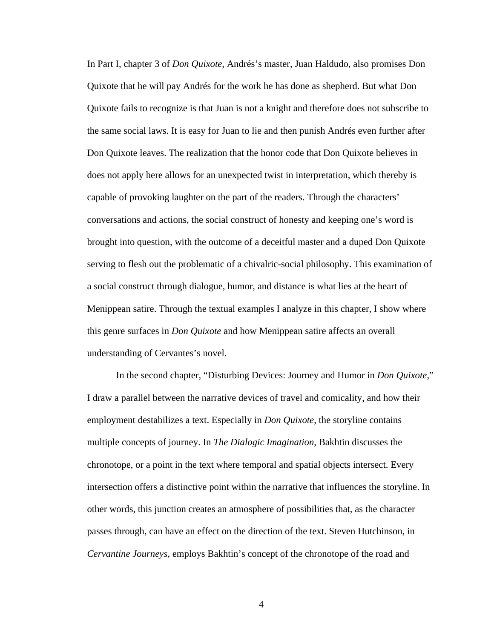In Part I, chapter 3 of *Don Quixote*, Andrés's master, Juan Haldudo, also promises Don Quixote that he will pay Andrés for the work he has done as shepherd. But what Don Quixote fails to recognize is that Juan is not a knight and therefore does not subscribe to the same social laws. It is easy for Juan to lie and then punish Andrés even further after Don Quixote leaves. The realization that the honor code that Don Quixote believes in does not apply here allows for an unexpected twist in interpretation, which thereby is capable of provoking laughter on the part of the readers. Through the characters' conversations and actions, the social construct of honesty and keeping one's word is brought into question, with the outcome of a deceitful master and a duped Don Quixote serving to flesh out the problematic of a chivalric-social philosophy. This examination of a social construct through dialogue, humor, and distance is what lies at the heart of Menippean satire. Through the textual examples I analyze in this chapter, I show where this genre surfaces in *Don Quixote* and how Menippean satire affects an overall understanding of Cervantes's novel.

In the second chapter, "Disturbing Devices: Journey and Humor in *Don Quixote*," I draw a parallel between the narrative devices of travel and comicality, and how their employment destabilizes a text. Especially in *Don Quixote*, the storyline contains multiple concepts of journey. In *The Dialogic Imagination*, Bakhtin discusses the chronotope, or a point in the text where temporal and spatial objects intersect. Every intersection offers a distinctive point within the narrative that influences the storyline. In other words, this junction creates an atmosphere of possibilities that, as the character passes through, can have an effect on the direction of the text. Steven Hutchinson, in *Cervantine Journeys*, employs Bakhtin's concept of the chronotope of the road and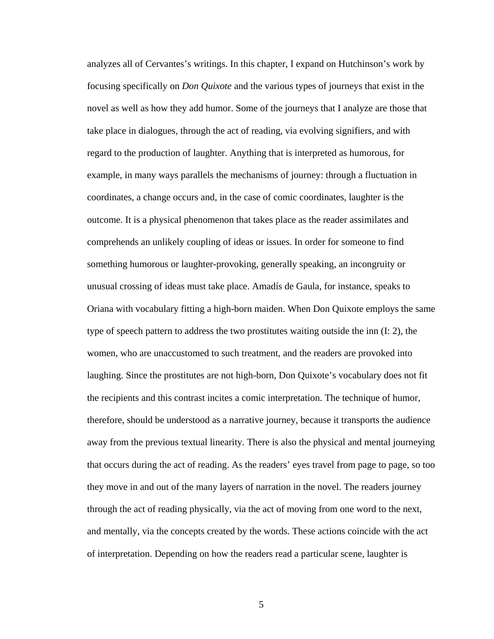analyzes all of Cervantes's writings. In this chapter, I expand on Hutchinson's work by focusing specifically on *Don Quixote* and the various types of journeys that exist in the novel as well as how they add humor. Some of the journeys that I analyze are those that take place in dialogues, through the act of reading, via evolving signifiers, and with regard to the production of laughter. Anything that is interpreted as humorous, for example, in many ways parallels the mechanisms of journey: through a fluctuation in coordinates, a change occurs and, in the case of comic coordinates, laughter is the outcome. It is a physical phenomenon that takes place as the reader assimilates and comprehends an unlikely coupling of ideas or issues. In order for someone to find something humorous or laughter-provoking, generally speaking, an incongruity or unusual crossing of ideas must take place. Amadís de Gaula, for instance, speaks to Oriana with vocabulary fitting a high-born maiden. When Don Quixote employs the same type of speech pattern to address the two prostitutes waiting outside the inn (I: 2), the women, who are unaccustomed to such treatment, and the readers are provoked into laughing. Since the prostitutes are not high-born, Don Quixote's vocabulary does not fit the recipients and this contrast incites a comic interpretation. The technique of humor, therefore, should be understood as a narrative journey, because it transports the audience away from the previous textual linearity. There is also the physical and mental journeying that occurs during the act of reading. As the readers' eyes travel from page to page, so too they move in and out of the many layers of narration in the novel. The readers journey through the act of reading physically, via the act of moving from one word to the next, and mentally, via the concepts created by the words. These actions coincide with the act of interpretation. Depending on how the readers read a particular scene, laughter is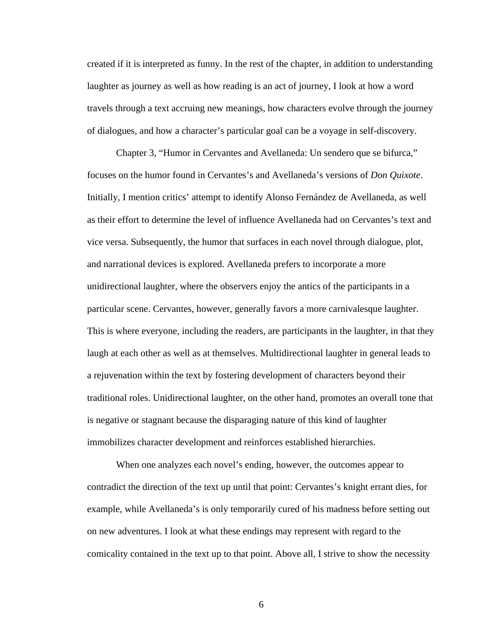created if it is interpreted as funny. In the rest of the chapter, in addition to understanding laughter as journey as well as how reading is an act of journey, I look at how a word travels through a text accruing new meanings, how characters evolve through the journey of dialogues, and how a character's particular goal can be a voyage in self-discovery.

Chapter 3, "Humor in Cervantes and Avellaneda: Un sendero que se bifurca," focuses on the humor found in Cervantes's and Avellaneda's versions of *Don Quixote*. Initially, I mention critics' attempt to identify Alonso Fernández de Avellaneda, as well as their effort to determine the level of influence Avellaneda had on Cervantes's text and vice versa. Subsequently, the humor that surfaces in each novel through dialogue, plot, and narrational devices is explored. Avellaneda prefers to incorporate a more unidirectional laughter, where the observers enjoy the antics of the participants in a particular scene. Cervantes, however, generally favors a more carnivalesque laughter. This is where everyone, including the readers, are participants in the laughter, in that they laugh at each other as well as at themselves. Multidirectional laughter in general leads to a rejuvenation within the text by fostering development of characters beyond their traditional roles. Unidirectional laughter, on the other hand, promotes an overall tone that is negative or stagnant because the disparaging nature of this kind of laughter immobilizes character development and reinforces established hierarchies.

When one analyzes each novel's ending, however, the outcomes appear to contradict the direction of the text up until that point: Cervantes's knight errant dies, for example, while Avellaneda's is only temporarily cured of his madness before setting out on new adventures. I look at what these endings may represent with regard to the comicality contained in the text up to that point. Above all, I strive to show the necessity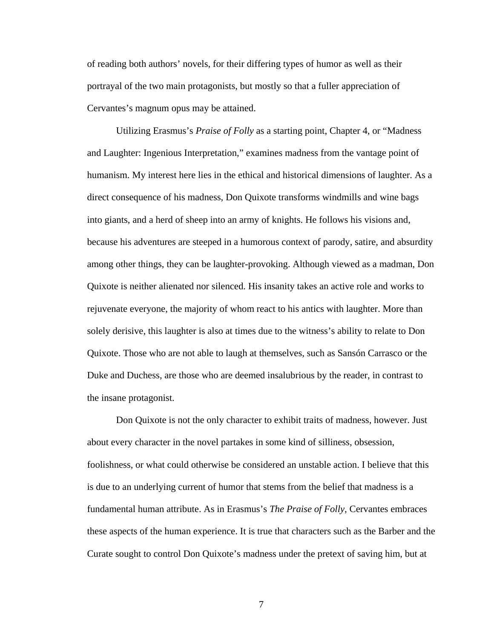of reading both authors' novels, for their differing types of humor as well as their portrayal of the two main protagonists, but mostly so that a fuller appreciation of Cervantes's magnum opus may be attained.

Utilizing Erasmus's *Praise of Folly* as a starting point, Chapter 4, or "Madness and Laughter: Ingenious Interpretation," examines madness from the vantage point of humanism. My interest here lies in the ethical and historical dimensions of laughter. As a direct consequence of his madness, Don Quixote transforms windmills and wine bags into giants, and a herd of sheep into an army of knights. He follows his visions and, because his adventures are steeped in a humorous context of parody, satire, and absurdity among other things, they can be laughter-provoking. Although viewed as a madman, Don Quixote is neither alienated nor silenced. His insanity takes an active role and works to rejuvenate everyone, the majority of whom react to his antics with laughter. More than solely derisive, this laughter is also at times due to the witness's ability to relate to Don Quixote. Those who are not able to laugh at themselves, such as Sansón Carrasco or the Duke and Duchess, are those who are deemed insalubrious by the reader, in contrast to the insane protagonist.

Don Quixote is not the only character to exhibit traits of madness, however. Just about every character in the novel partakes in some kind of silliness, obsession, foolishness, or what could otherwise be considered an unstable action. I believe that this is due to an underlying current of humor that stems from the belief that madness is a fundamental human attribute. As in Erasmus's *The Praise of Folly*, Cervantes embraces these aspects of the human experience. It is true that characters such as the Barber and the Curate sought to control Don Quixote's madness under the pretext of saving him, but at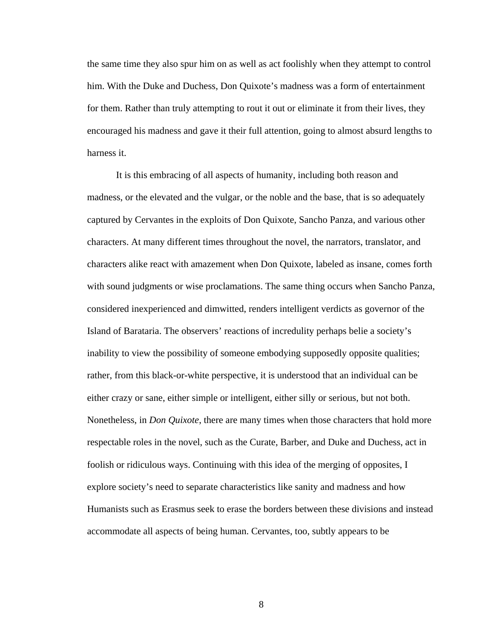the same time they also spur him on as well as act foolishly when they attempt to control him. With the Duke and Duchess, Don Quixote's madness was a form of entertainment for them. Rather than truly attempting to rout it out or eliminate it from their lives, they encouraged his madness and gave it their full attention, going to almost absurd lengths to harness it.

It is this embracing of all aspects of humanity, including both reason and madness, or the elevated and the vulgar, or the noble and the base, that is so adequately captured by Cervantes in the exploits of Don Quixote, Sancho Panza, and various other characters. At many different times throughout the novel, the narrators, translator, and characters alike react with amazement when Don Quixote, labeled as insane, comes forth with sound judgments or wise proclamations. The same thing occurs when Sancho Panza, considered inexperienced and dimwitted, renders intelligent verdicts as governor of the Island of Barataria. The observers' reactions of incredulity perhaps belie a society's inability to view the possibility of someone embodying supposedly opposite qualities; rather, from this black-or-white perspective, it is understood that an individual can be either crazy or sane, either simple or intelligent, either silly or serious, but not both. Nonetheless, in *Don Quixote*, there are many times when those characters that hold more respectable roles in the novel, such as the Curate, Barber, and Duke and Duchess, act in foolish or ridiculous ways. Continuing with this idea of the merging of opposites, I explore society's need to separate characteristics like sanity and madness and how Humanists such as Erasmus seek to erase the borders between these divisions and instead accommodate all aspects of being human. Cervantes, too, subtly appears to be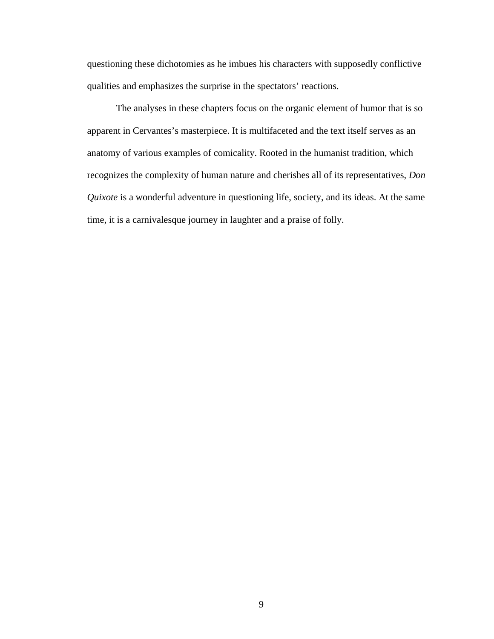questioning these dichotomies as he imbues his characters with supposedly conflictive qualities and emphasizes the surprise in the spectators' reactions.

The analyses in these chapters focus on the organic element of humor that is so apparent in Cervantes's masterpiece. It is multifaceted and the text itself serves as an anatomy of various examples of comicality. Rooted in the humanist tradition, which recognizes the complexity of human nature and cherishes all of its representatives, *Don Quixote* is a wonderful adventure in questioning life, society, and its ideas. At the same time, it is a carnivalesque journey in laughter and a praise of folly.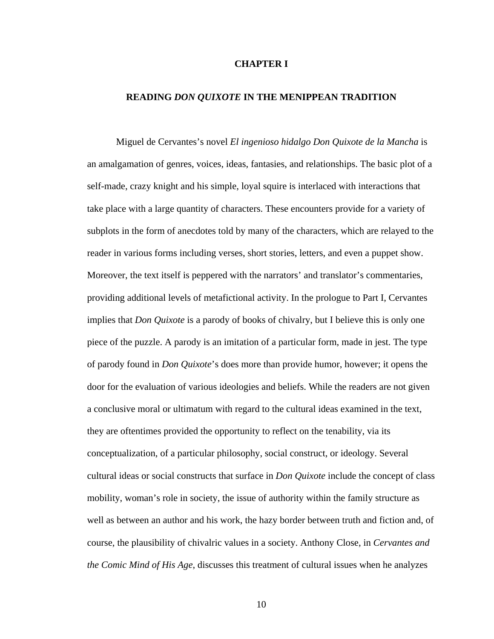### **CHAPTER I**

### **READING** *DON QUIXOTE* **IN THE MENIPPEAN TRADITION**

Miguel de Cervantes's novel *El ingenioso hidalgo Don Quixote de la Mancha* is an amalgamation of genres, voices, ideas, fantasies, and relationships. The basic plot of a self-made, crazy knight and his simple, loyal squire is interlaced with interactions that take place with a large quantity of characters. These encounters provide for a variety of subplots in the form of anecdotes told by many of the characters, which are relayed to the reader in various forms including verses, short stories, letters, and even a puppet show. Moreover, the text itself is peppered with the narrators' and translator's commentaries, providing additional levels of metafictional activity. In the prologue to Part I, Cervantes implies that *Don Quixote* is a parody of books of chivalry, but I believe this is only one piece of the puzzle. A parody is an imitation of a particular form, made in jest. The type of parody found in *Don Quixote*'s does more than provide humor, however; it opens the door for the evaluation of various ideologies and beliefs. While the readers are not given a conclusive moral or ultimatum with regard to the cultural ideas examined in the text, they are oftentimes provided the opportunity to reflect on the tenability, via its conceptualization, of a particular philosophy, social construct, or ideology. Several cultural ideas or social constructs that surface in *Don Quixote* include the concept of class mobility, woman's role in society, the issue of authority within the family structure as well as between an author and his work, the hazy border between truth and fiction and, of course, the plausibility of chivalric values in a society. Anthony Close, in *Cervantes and the Comic Mind of His Age*, discusses this treatment of cultural issues when he analyzes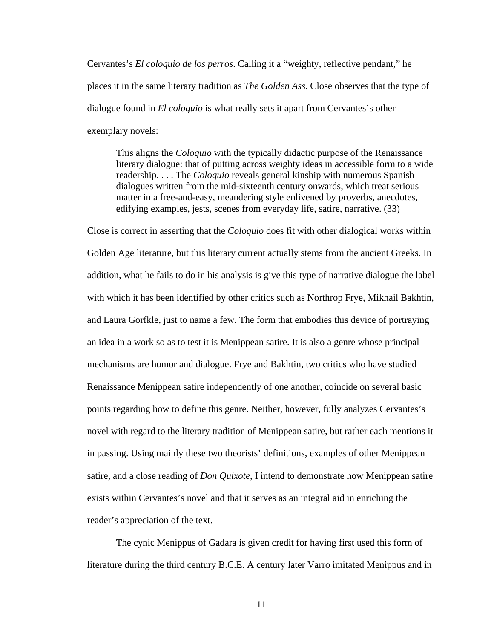Cervantes's *El coloquio de los perros*. Calling it a "weighty, reflective pendant," he places it in the same literary tradition as *The Golden Ass*. Close observes that the type of dialogue found in *El coloquio* is what really sets it apart from Cervantes's other exemplary novels:

This aligns the *Coloquio* with the typically didactic purpose of the Renaissance literary dialogue: that of putting across weighty ideas in accessible form to a wide readership. . . . The *Coloquio* reveals general kinship with numerous Spanish dialogues written from the mid-sixteenth century onwards, which treat serious matter in a free-and-easy, meandering style enlivened by proverbs, anecdotes, edifying examples, jests, scenes from everyday life, satire, narrative. (33)

Close is correct in asserting that the *Coloquio* does fit with other dialogical works within Golden Age literature, but this literary current actually stems from the ancient Greeks. In addition, what he fails to do in his analysis is give this type of narrative dialogue the label with which it has been identified by other critics such as Northrop Frye, Mikhail Bakhtin, and Laura Gorfkle, just to name a few. The form that embodies this device of portraying an idea in a work so as to test it is Menippean satire. It is also a genre whose principal mechanisms are humor and dialogue. Frye and Bakhtin, two critics who have studied Renaissance Menippean satire independently of one another, coincide on several basic points regarding how to define this genre. Neither, however, fully analyzes Cervantes's novel with regard to the literary tradition of Menippean satire, but rather each mentions it in passing. Using mainly these two theorists' definitions, examples of other Menippean satire, and a close reading of *Don Quixote*, I intend to demonstrate how Menippean satire exists within Cervantes's novel and that it serves as an integral aid in enriching the reader's appreciation of the text.

 The cynic Menippus of Gadara is given credit for having first used this form of literature during the third century B.C.E. A century later Varro imitated Menippus and in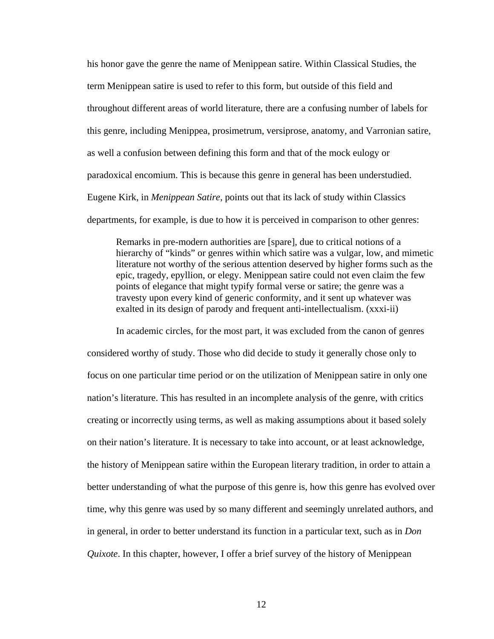his honor gave the genre the name of Menippean satire. Within Classical Studies, the term Menippean satire is used to refer to this form, but outside of this field and throughout different areas of world literature, there are a confusing number of labels for this genre, including Menippea, prosimetrum, versiprose, anatomy, and Varronian satire, as well a confusion between defining this form and that of the mock eulogy or paradoxical encomium. This is because this genre in general has been understudied. Eugene Kirk, in *Menippean Satire*, points out that its lack of study within Classics departments, for example, is due to how it is perceived in comparison to other genres:

Remarks in pre-modern authorities are [spare], due to critical notions of a hierarchy of "kinds" or genres within which satire was a vulgar, low, and mimetic literature not worthy of the serious attention deserved by higher forms such as the epic, tragedy, epyllion, or elegy. Menippean satire could not even claim the few points of elegance that might typify formal verse or satire; the genre was a travesty upon every kind of generic conformity, and it sent up whatever was exalted in its design of parody and frequent anti-intellectualism. (xxxi-ii)

In academic circles, for the most part, it was excluded from the canon of genres considered worthy of study. Those who did decide to study it generally chose only to focus on one particular time period or on the utilization of Menippean satire in only one nation's literature. This has resulted in an incomplete analysis of the genre, with critics creating or incorrectly using terms, as well as making assumptions about it based solely on their nation's literature. It is necessary to take into account, or at least acknowledge, the history of Menippean satire within the European literary tradition, in order to attain a better understanding of what the purpose of this genre is, how this genre has evolved over time, why this genre was used by so many different and seemingly unrelated authors, and in general, in order to better understand its function in a particular text, such as in *Don Quixote*. In this chapter, however, I offer a brief survey of the history of Menippean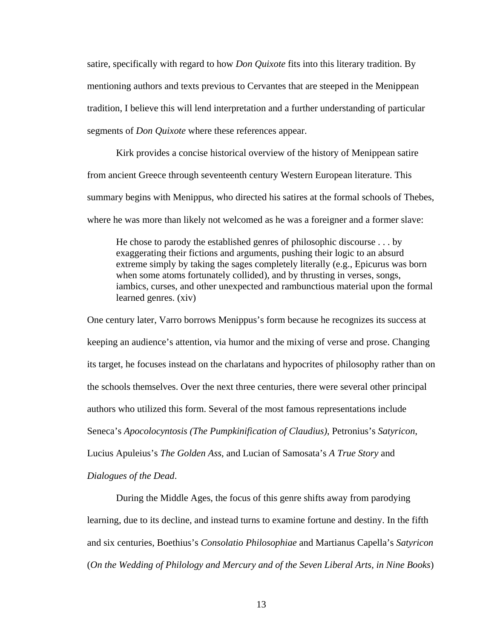satire, specifically with regard to how *Don Quixote* fits into this literary tradition. By mentioning authors and texts previous to Cervantes that are steeped in the Menippean tradition, I believe this will lend interpretation and a further understanding of particular segments of *Don Quixote* where these references appear.

 Kirk provides a concise historical overview of the history of Menippean satire from ancient Greece through seventeenth century Western European literature. This summary begins with Menippus, who directed his satires at the formal schools of Thebes, where he was more than likely not welcomed as he was a foreigner and a former slave:

He chose to parody the established genres of philosophic discourse . . . by exaggerating their fictions and arguments, pushing their logic to an absurd extreme simply by taking the sages completely literally (e.g., Epicurus was born when some atoms fortunately collided), and by thrusting in verses, songs, iambics, curses, and other unexpected and rambunctious material upon the formal learned genres. (xiv)

One century later, Varro borrows Menippus's form because he recognizes its success at keeping an audience's attention, via humor and the mixing of verse and prose. Changing its target, he focuses instead on the charlatans and hypocrites of philosophy rather than on the schools themselves. Over the next three centuries, there were several other principal authors who utilized this form. Several of the most famous representations include Seneca's *Apocolocyntosis (The Pumpkinification of Claudius)*, Petronius's *Satyricon*, Lucius Apuleius's *The Golden Ass*, and Lucian of Samosata's *A True Story* and *Dialogues of the Dead*.

During the Middle Ages, the focus of this genre shifts away from parodying learning, due to its decline, and instead turns to examine fortune and destiny. In the fifth and six centuries, Boethius's *Consolatio Philosophiae* and Martianus Capella's *Satyricon*  (*On the Wedding of Philology and Mercury and of the Seven Liberal Arts, in Nine Books*)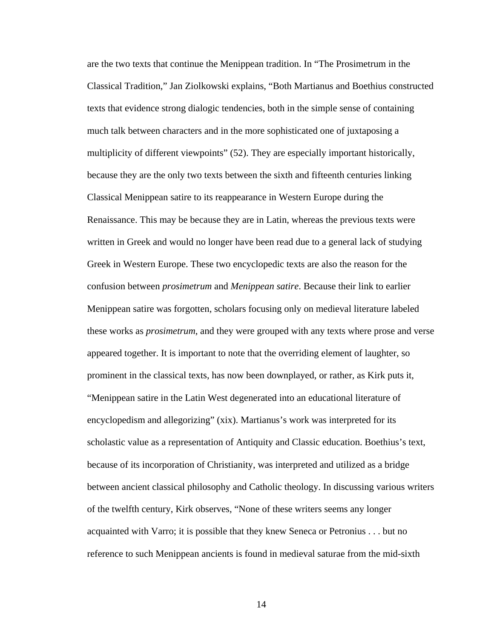are the two texts that continue the Menippean tradition. In "The Prosimetrum in the Classical Tradition," Jan Ziolkowski explains, "Both Martianus and Boethius constructed texts that evidence strong dialogic tendencies, both in the simple sense of containing much talk between characters and in the more sophisticated one of juxtaposing a multiplicity of different viewpoints" (52). They are especially important historically, because they are the only two texts between the sixth and fifteenth centuries linking Classical Menippean satire to its reappearance in Western Europe during the Renaissance. This may be because they are in Latin, whereas the previous texts were written in Greek and would no longer have been read due to a general lack of studying Greek in Western Europe. These two encyclopedic texts are also the reason for the confusion between *prosimetrum* and *Menippean satire*. Because their link to earlier Menippean satire was forgotten, scholars focusing only on medieval literature labeled these works as *prosimetrum*, and they were grouped with any texts where prose and verse appeared together. It is important to note that the overriding element of laughter, so prominent in the classical texts, has now been downplayed, or rather, as Kirk puts it, "Menippean satire in the Latin West degenerated into an educational literature of encyclopedism and allegorizing" (xix). Martianus's work was interpreted for its scholastic value as a representation of Antiquity and Classic education. Boethius's text, because of its incorporation of Christianity, was interpreted and utilized as a bridge between ancient classical philosophy and Catholic theology. In discussing various writers of the twelfth century, Kirk observes, "None of these writers seems any longer acquainted with Varro; it is possible that they knew Seneca or Petronius . . . but no reference to such Menippean ancients is found in medieval saturae from the mid-sixth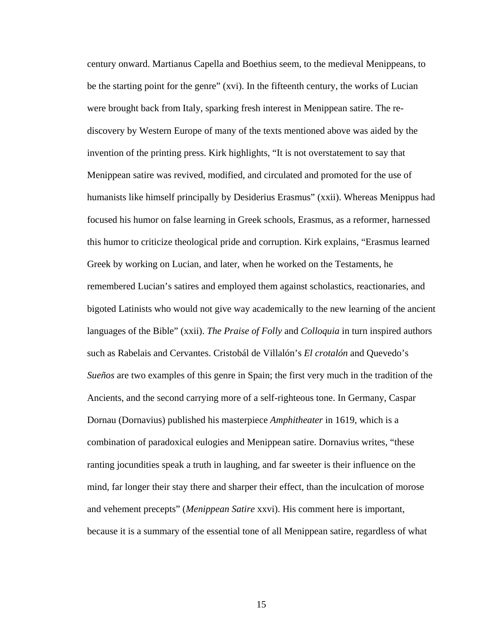century onward. Martianus Capella and Boethius seem, to the medieval Menippeans, to be the starting point for the genre" (xvi). In the fifteenth century, the works of Lucian were brought back from Italy, sparking fresh interest in Menippean satire. The rediscovery by Western Europe of many of the texts mentioned above was aided by the invention of the printing press. Kirk highlights, "It is not overstatement to say that Menippean satire was revived, modified, and circulated and promoted for the use of humanists like himself principally by Desiderius Erasmus" (xxii). Whereas Menippus had focused his humor on false learning in Greek schools, Erasmus, as a reformer, harnessed this humor to criticize theological pride and corruption. Kirk explains, "Erasmus learned Greek by working on Lucian, and later, when he worked on the Testaments, he remembered Lucian's satires and employed them against scholastics, reactionaries, and bigoted Latinists who would not give way academically to the new learning of the ancient languages of the Bible" (xxii). *The Praise of Folly* and *Colloquia* in turn inspired authors such as Rabelais and Cervantes. Cristobál de Villalón's *El crotalón* and Quevedo's *Sueños* are two examples of this genre in Spain; the first very much in the tradition of the Ancients, and the second carrying more of a self-righteous tone. In Germany, Caspar Dornau (Dornavius) published his masterpiece *Amphitheater* in 1619, which is a combination of paradoxical eulogies and Menippean satire. Dornavius writes, "these ranting jocundities speak a truth in laughing, and far sweeter is their influence on the mind, far longer their stay there and sharper their effect, than the inculcation of morose and vehement precepts" (*Menippean Satire* xxvi). His comment here is important, because it is a summary of the essential tone of all Menippean satire, regardless of what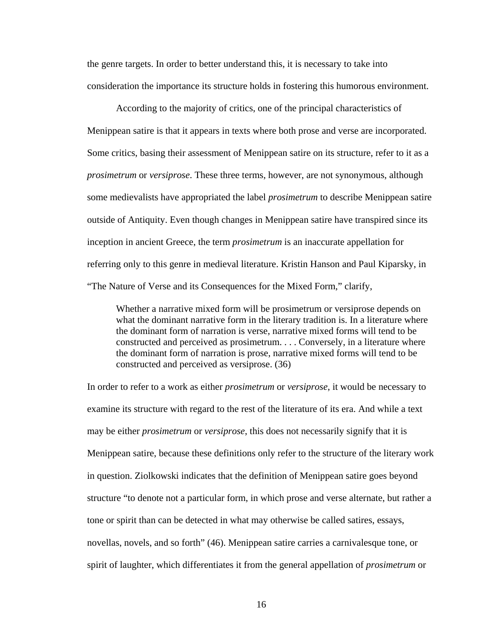the genre targets. In order to better understand this, it is necessary to take into consideration the importance its structure holds in fostering this humorous environment.

According to the majority of critics, one of the principal characteristics of Menippean satire is that it appears in texts where both prose and verse are incorporated. Some critics, basing their assessment of Menippean satire on its structure, refer to it as a *prosimetrum* or *versiprose*. These three terms, however, are not synonymous, although some medievalists have appropriated the label *prosimetrum* to describe Menippean satire outside of Antiquity. Even though changes in Menippean satire have transpired since its inception in ancient Greece, the term *prosimetrum* is an inaccurate appellation for referring only to this genre in medieval literature. Kristin Hanson and Paul Kiparsky, in "The Nature of Verse and its Consequences for the Mixed Form," clarify,

Whether a narrative mixed form will be prosimetrum or versiprose depends on what the dominant narrative form in the literary tradition is. In a literature where the dominant form of narration is verse, narrative mixed forms will tend to be constructed and perceived as prosimetrum. . . . Conversely, in a literature where the dominant form of narration is prose, narrative mixed forms will tend to be constructed and perceived as versiprose. (36)

In order to refer to a work as either *prosimetrum* or *versiprose*, it would be necessary to examine its structure with regard to the rest of the literature of its era. And while a text may be either *prosimetrum* or *versiprose*, this does not necessarily signify that it is Menippean satire, because these definitions only refer to the structure of the literary work in question. Ziolkowski indicates that the definition of Menippean satire goes beyond structure "to denote not a particular form, in which prose and verse alternate, but rather a tone or spirit than can be detected in what may otherwise be called satires, essays, novellas, novels, and so forth" (46). Menippean satire carries a carnivalesque tone, or spirit of laughter, which differentiates it from the general appellation of *prosimetrum* or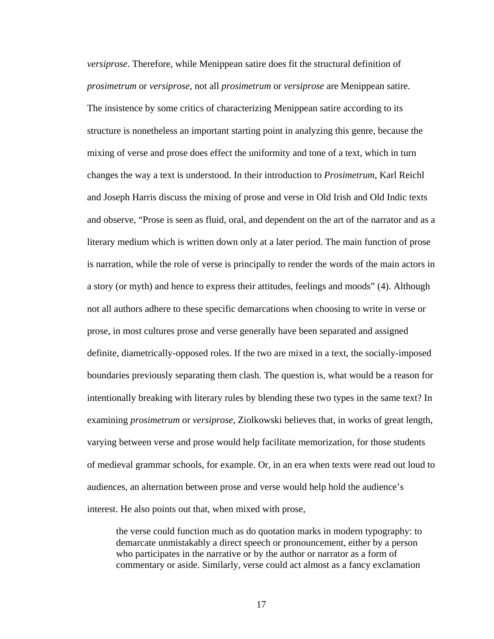*versiprose*. Therefore, while Menippean satire does fit the structural definition of *prosimetrum* or *versiprose*, not all *prosimetrum* or *versiprose* are Menippean satire. The insistence by some critics of characterizing Menippean satire according to its structure is nonetheless an important starting point in analyzing this genre, because the mixing of verse and prose does effect the uniformity and tone of a text, which in turn changes the way a text is understood. In their introduction to *Prosimetrum*, Karl Reichl and Joseph Harris discuss the mixing of prose and verse in Old Irish and Old Indic texts and observe, "Prose is seen as fluid, oral, and dependent on the art of the narrator and as a literary medium which is written down only at a later period. The main function of prose is narration, while the role of verse is principally to render the words of the main actors in a story (or myth) and hence to express their attitudes, feelings and moods" (4). Although not all authors adhere to these specific demarcations when choosing to write in verse or prose, in most cultures prose and verse generally have been separated and assigned definite, diametrically-opposed roles. If the two are mixed in a text, the socially-imposed boundaries previously separating them clash. The question is, what would be a reason for intentionally breaking with literary rules by blending these two types in the same text? In examining *prosimetrum* or *versiprose*, Ziolkowski believes that, in works of great length, varying between verse and prose would help facilitate memorization, for those students of medieval grammar schools, for example. Or, in an era when texts were read out loud to audiences, an alternation between prose and verse would help hold the audience's interest. He also points out that, when mixed with prose,

the verse could function much as do quotation marks in modern typography: to demarcate unmistakably a direct speech or pronouncement, either by a person who participates in the narrative or by the author or narrator as a form of commentary or aside. Similarly, verse could act almost as a fancy exclamation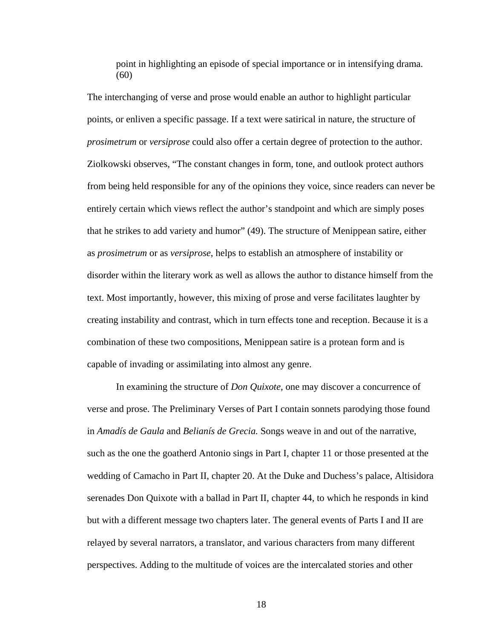point in highlighting an episode of special importance or in intensifying drama. (60)

The interchanging of verse and prose would enable an author to highlight particular points, or enliven a specific passage. If a text were satirical in nature, the structure of *prosimetrum* or *versiprose* could also offer a certain degree of protection to the author. Ziolkowski observes, "The constant changes in form, tone, and outlook protect authors from being held responsible for any of the opinions they voice, since readers can never be entirely certain which views reflect the author's standpoint and which are simply poses that he strikes to add variety and humor" (49). The structure of Menippean satire, either as *prosimetrum* or as *versiprose*, helps to establish an atmosphere of instability or disorder within the literary work as well as allows the author to distance himself from the text. Most importantly, however, this mixing of prose and verse facilitates laughter by creating instability and contrast, which in turn effects tone and reception. Because it is a combination of these two compositions, Menippean satire is a protean form and is capable of invading or assimilating into almost any genre.

In examining the structure of *Don Quixote*, one may discover a concurrence of verse and prose. The Preliminary Verses of Part I contain sonnets parodying those found in *Amadís de Gaula* and *Belianís de Grecia.* Songs weave in and out of the narrative, such as the one the goatherd Antonio sings in Part I, chapter 11 or those presented at the wedding of Camacho in Part II, chapter 20. At the Duke and Duchess's palace, Altisidora serenades Don Quixote with a ballad in Part II, chapter 44, to which he responds in kind but with a different message two chapters later. The general events of Parts I and II are relayed by several narrators, a translator, and various characters from many different perspectives. Adding to the multitude of voices are the intercalated stories and other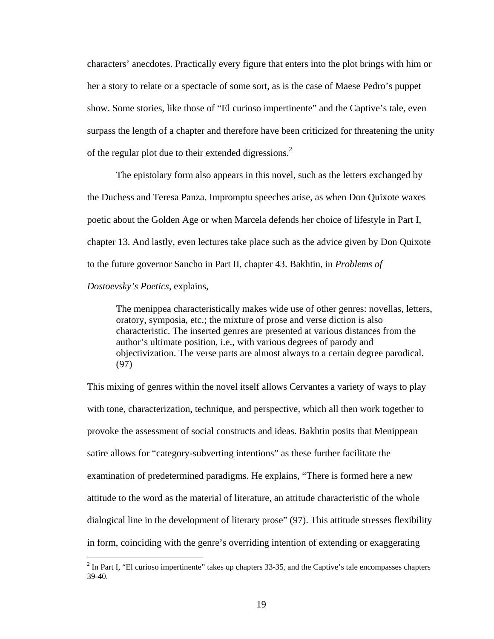characters' anecdotes. Practically every figure that enters into the plot brings with him or her a story to relate or a spectacle of some sort, as is the case of Maese Pedro's puppet show. Some stories, like those of "El curioso impertinente" and the Captive's tale, even surpass the length of a chapter and therefore have been criticized for threatening the unity of the regular plot due to their extended digressions. $^{2}$ 

The epistolary form also appears in this novel, such as the letters exchanged by the Duchess and Teresa Panza. Impromptu speeches arise, as when Don Quixote waxes poetic about the Golden Age or when Marcela defends her choice of lifestyle in Part I, chapter 13. And lastly, even lectures take place such as the advice given by Don Quixote to the future governor Sancho in Part II, chapter 43. Bakhtin, in *Problems of Dostoevsky's Poetics*, explains,

The menippea characteristically makes wide use of other genres: novellas, letters, oratory, symposia, etc.; the mixture of prose and verse diction is also characteristic. The inserted genres are presented at various distances from the author's ultimate position, i.e., with various degrees of parody and objectivization. The verse parts are almost always to a certain degree parodical. (97)

This mixing of genres within the novel itself allows Cervantes a variety of ways to play with tone, characterization, technique, and perspective, which all then work together to provoke the assessment of social constructs and ideas. Bakhtin posits that Menippean satire allows for "category-subverting intentions" as these further facilitate the examination of predetermined paradigms. He explains, "There is formed here a new attitude to the word as the material of literature, an attitude characteristic of the whole dialogical line in the development of literary prose" (97). This attitude stresses flexibility in form, coinciding with the genre's overriding intention of extending or exaggerating

 $\overline{a}$ 

 $2$  In Part I, "El curioso impertinente" takes up chapters 33-35, and the Captive's tale encompasses chapters 39-40.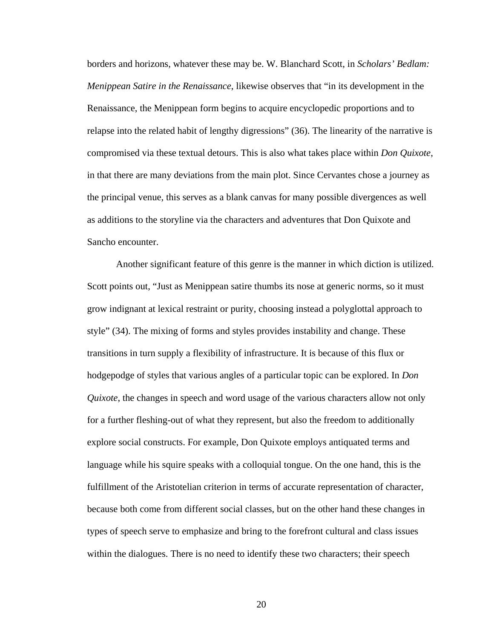borders and horizons, whatever these may be. W. Blanchard Scott, in *Scholars' Bedlam: Menippean Satire in the Renaissance*, likewise observes that "in its development in the Renaissance, the Menippean form begins to acquire encyclopedic proportions and to relapse into the related habit of lengthy digressions" (36). The linearity of the narrative is compromised via these textual detours. This is also what takes place within *Don Quixote*, in that there are many deviations from the main plot. Since Cervantes chose a journey as the principal venue, this serves as a blank canvas for many possible divergences as well as additions to the storyline via the characters and adventures that Don Quixote and Sancho encounter.

Another significant feature of this genre is the manner in which diction is utilized. Scott points out, "Just as Menippean satire thumbs its nose at generic norms, so it must grow indignant at lexical restraint or purity, choosing instead a polyglottal approach to style" (34). The mixing of forms and styles provides instability and change. These transitions in turn supply a flexibility of infrastructure. It is because of this flux or hodgepodge of styles that various angles of a particular topic can be explored. In *Don Quixote*, the changes in speech and word usage of the various characters allow not only for a further fleshing-out of what they represent, but also the freedom to additionally explore social constructs. For example, Don Quixote employs antiquated terms and language while his squire speaks with a colloquial tongue. On the one hand, this is the fulfillment of the Aristotelian criterion in terms of accurate representation of character, because both come from different social classes, but on the other hand these changes in types of speech serve to emphasize and bring to the forefront cultural and class issues within the dialogues. There is no need to identify these two characters; their speech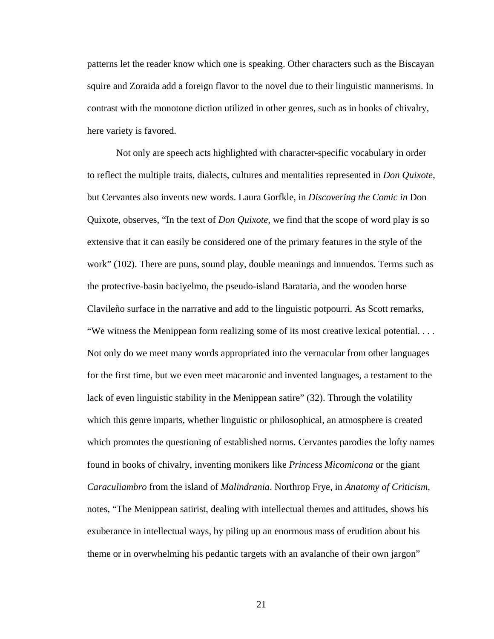patterns let the reader know which one is speaking. Other characters such as the Biscayan squire and Zoraida add a foreign flavor to the novel due to their linguistic mannerisms. In contrast with the monotone diction utilized in other genres, such as in books of chivalry, here variety is favored.

Not only are speech acts highlighted with character-specific vocabulary in order to reflect the multiple traits, dialects, cultures and mentalities represented in *Don Quixote*, but Cervantes also invents new words. Laura Gorfkle, in *Discovering the Comic in* Don Quixote, observes, "In the text of *Don Quixote*, we find that the scope of word play is so extensive that it can easily be considered one of the primary features in the style of the work" (102). There are puns, sound play, double meanings and innuendos. Terms such as the protective-basin baciyelmo, the pseudo-island Barataria, and the wooden horse Clavileño surface in the narrative and add to the linguistic potpourri. As Scott remarks, "We witness the Menippean form realizing some of its most creative lexical potential. . . . Not only do we meet many words appropriated into the vernacular from other languages for the first time, but we even meet macaronic and invented languages, a testament to the lack of even linguistic stability in the Menippean satire" (32). Through the volatility which this genre imparts, whether linguistic or philosophical, an atmosphere is created which promotes the questioning of established norms. Cervantes parodies the lofty names found in books of chivalry, inventing monikers like *Princess Micomicona* or the giant *Caraculiambro* from the island of *Malindrania*. Northrop Frye, in *Anatomy of Criticism*, notes, "The Menippean satirist, dealing with intellectual themes and attitudes, shows his exuberance in intellectual ways, by piling up an enormous mass of erudition about his theme or in overwhelming his pedantic targets with an avalanche of their own jargon"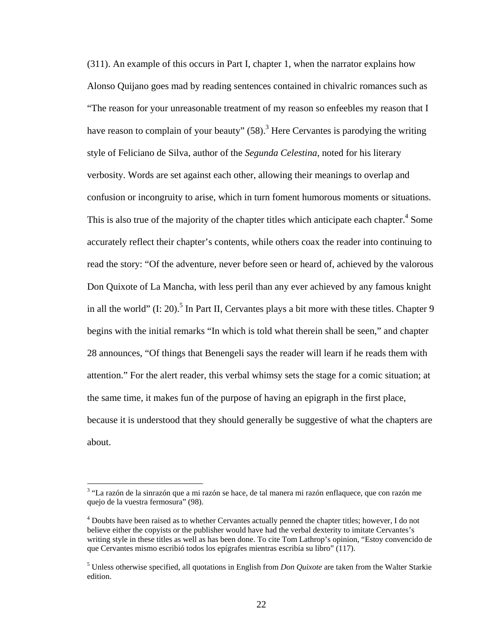(311). An example of this occurs in Part I, chapter 1, when the narrator explains how Alonso Quijano goes mad by reading sentences contained in chivalric romances such as "The reason for your unreasonable treatment of my reason so enfeebles my reason that I have reason to complain of your beauty"  $(58)$ .<sup>3</sup> Here Cervantes is parodying the writing style of Feliciano de Silva, author of the *Segunda Celestina*, noted for his literary verbosity. Words are set against each other, allowing their meanings to overlap and confusion or incongruity to arise, which in turn foment humorous moments or situations. This is also true of the majority of the chapter titles which anticipate each chapter.<sup>4</sup> Some accurately reflect their chapter's contents, while others coax the reader into continuing to read the story: "Of the adventure, never before seen or heard of, achieved by the valorous Don Quixote of La Mancha, with less peril than any ever achieved by any famous knight in all the world" (I: 20).<sup>5</sup> In Part II, Cervantes plays a bit more with these titles. Chapter 9 begins with the initial remarks "In which is told what therein shall be seen," and chapter 28 announces, "Of things that Benengeli says the reader will learn if he reads them with attention." For the alert reader, this verbal whimsy sets the stage for a comic situation; at the same time, it makes fun of the purpose of having an epigraph in the first place, because it is understood that they should generally be suggestive of what the chapters are about.

 $\overline{a}$ 

<sup>&</sup>lt;sup>3</sup> "La razón de la sinrazón que a mi razón se hace, de tal manera mi razón enflaquece, que con razón me quejo de la vuestra fermosura" (98).

<sup>&</sup>lt;sup>4</sup> Doubts have been raised as to whether Cervantes actually penned the chapter titles; however, I do not believe either the copyists or the publisher would have had the verbal dexterity to imitate Cervantes's writing style in these titles as well as has been done. To cite Tom Lathrop's opinion, "Estoy convencido de que Cervantes mismo escribió todos los epígrafes mientras escribía su libro" (117).

<sup>5</sup> Unless otherwise specified, all quotations in English from *Don Quixote* are taken from the Walter Starkie edition.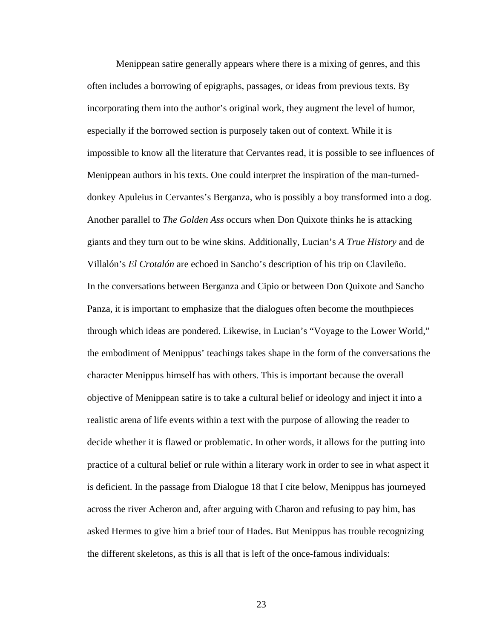Menippean satire generally appears where there is a mixing of genres, and this often includes a borrowing of epigraphs, passages, or ideas from previous texts. By incorporating them into the author's original work, they augment the level of humor, especially if the borrowed section is purposely taken out of context. While it is impossible to know all the literature that Cervantes read, it is possible to see influences of Menippean authors in his texts. One could interpret the inspiration of the man-turneddonkey Apuleius in Cervantes's Berganza, who is possibly a boy transformed into a dog. Another parallel to *The Golden Ass* occurs when Don Quixote thinks he is attacking giants and they turn out to be wine skins. Additionally, Lucian's *A True History* and de Villalón's *El Crotalón* are echoed in Sancho's description of his trip on Clavileño. In the conversations between Berganza and Cipio or between Don Quixote and Sancho Panza, it is important to emphasize that the dialogues often become the mouthpieces through which ideas are pondered. Likewise, in Lucian's "Voyage to the Lower World," the embodiment of Menippus' teachings takes shape in the form of the conversations the character Menippus himself has with others. This is important because the overall objective of Menippean satire is to take a cultural belief or ideology and inject it into a realistic arena of life events within a text with the purpose of allowing the reader to decide whether it is flawed or problematic. In other words, it allows for the putting into practice of a cultural belief or rule within a literary work in order to see in what aspect it is deficient. In the passage from Dialogue 18 that I cite below, Menippus has journeyed across the river Acheron and, after arguing with Charon and refusing to pay him, has asked Hermes to give him a brief tour of Hades. But Menippus has trouble recognizing the different skeletons, as this is all that is left of the once-famous individuals: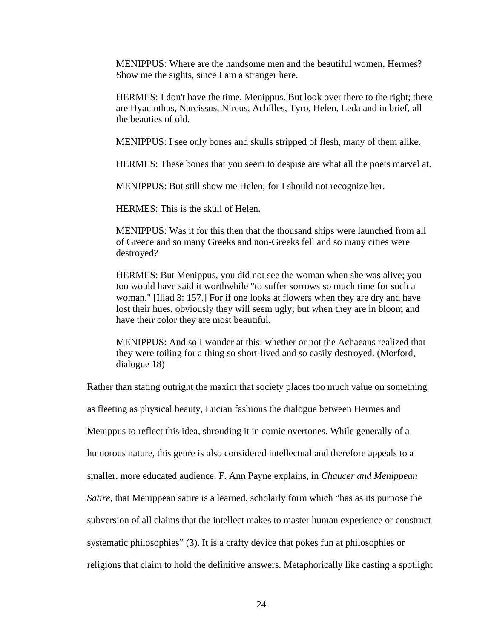MENIPPUS: Where are the handsome men and the beautiful women, Hermes? Show me the sights, since I am a stranger here.

HERMES: I don't have the time, Menippus. But look over there to the right; there are Hyacinthus, Narcissus, Nireus, Achilles, Tyro, Helen, Leda and in brief, all the beauties of old.

MENIPPUS: I see only bones and skulls stripped of flesh, many of them alike.

HERMES: These bones that you seem to despise are what all the poets marvel at.

MENIPPUS: But still show me Helen; for I should not recognize her.

HERMES: This is the skull of Helen.

MENIPPUS: Was it for this then that the thousand ships were launched from all of Greece and so many Greeks and non-Greeks fell and so many cities were destroyed?

HERMES: But Menippus, you did not see the woman when she was alive; you too would have said it worthwhile "to suffer sorrows so much time for such a woman." [Iliad 3: 157.] For if one looks at flowers when they are dry and have lost their hues, obviously they will seem ugly; but when they are in bloom and have their color they are most beautiful.

MENIPPUS: And so I wonder at this: whether or not the Achaeans realized that they were toiling for a thing so short-lived and so easily destroyed. (Morford, dialogue 18)

Rather than stating outright the maxim that society places too much value on something

as fleeting as physical beauty, Lucian fashions the dialogue between Hermes and

Menippus to reflect this idea, shrouding it in comic overtones. While generally of a

humorous nature, this genre is also considered intellectual and therefore appeals to a

smaller, more educated audience. F. Ann Payne explains, in *Chaucer and Menippean* 

*Satire*, that Menippean satire is a learned, scholarly form which "has as its purpose the

subversion of all claims that the intellect makes to master human experience or construct

systematic philosophies" (3). It is a crafty device that pokes fun at philosophies or

religions that claim to hold the definitive answers. Metaphorically like casting a spotlight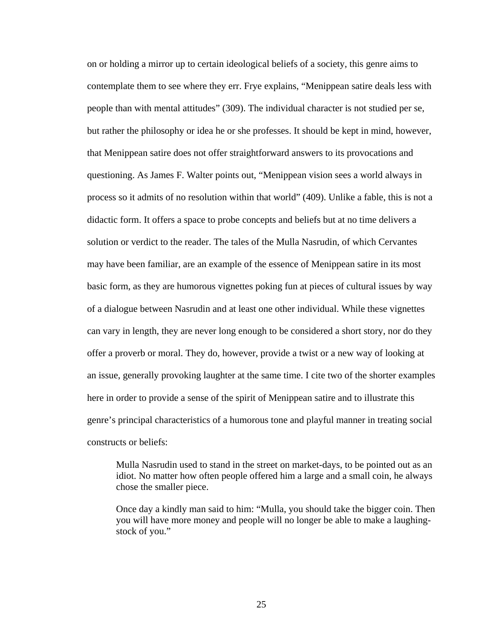on or holding a mirror up to certain ideological beliefs of a society, this genre aims to contemplate them to see where they err. Frye explains, "Menippean satire deals less with people than with mental attitudes" (309). The individual character is not studied per se, but rather the philosophy or idea he or she professes. It should be kept in mind, however, that Menippean satire does not offer straightforward answers to its provocations and questioning. As James F. Walter points out, "Menippean vision sees a world always in process so it admits of no resolution within that world" (409). Unlike a fable, this is not a didactic form. It offers a space to probe concepts and beliefs but at no time delivers a solution or verdict to the reader. The tales of the Mulla Nasrudin, of which Cervantes may have been familiar, are an example of the essence of Menippean satire in its most basic form, as they are humorous vignettes poking fun at pieces of cultural issues by way of a dialogue between Nasrudin and at least one other individual. While these vignettes can vary in length, they are never long enough to be considered a short story, nor do they offer a proverb or moral. They do, however, provide a twist or a new way of looking at an issue, generally provoking laughter at the same time. I cite two of the shorter examples here in order to provide a sense of the spirit of Menippean satire and to illustrate this genre's principal characteristics of a humorous tone and playful manner in treating social constructs or beliefs:

Mulla Nasrudin used to stand in the street on market-days, to be pointed out as an idiot. No matter how often people offered him a large and a small coin, he always chose the smaller piece.

Once day a kindly man said to him: "Mulla, you should take the bigger coin. Then you will have more money and people will no longer be able to make a laughingstock of you."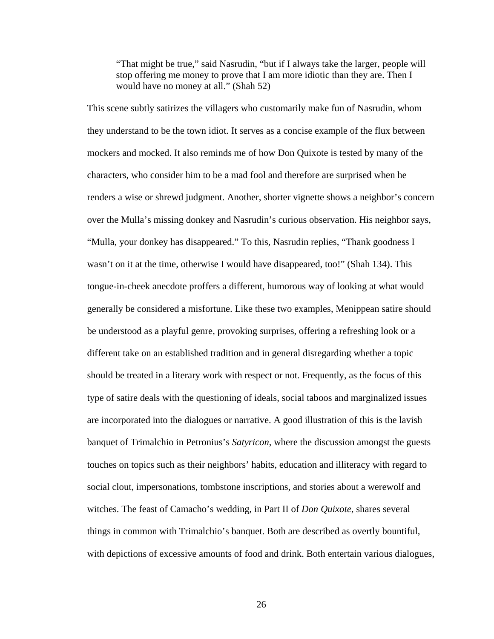"That might be true," said Nasrudin, "but if I always take the larger, people will stop offering me money to prove that I am more idiotic than they are. Then I would have no money at all." (Shah 52)

This scene subtly satirizes the villagers who customarily make fun of Nasrudin, whom they understand to be the town idiot. It serves as a concise example of the flux between mockers and mocked. It also reminds me of how Don Quixote is tested by many of the characters, who consider him to be a mad fool and therefore are surprised when he renders a wise or shrewd judgment. Another, shorter vignette shows a neighbor's concern over the Mulla's missing donkey and Nasrudin's curious observation. His neighbor says, "Mulla, your donkey has disappeared." To this, Nasrudin replies, "Thank goodness I wasn't on it at the time, otherwise I would have disappeared, too!" (Shah 134). This tongue-in-cheek anecdote proffers a different, humorous way of looking at what would generally be considered a misfortune. Like these two examples, Menippean satire should be understood as a playful genre, provoking surprises, offering a refreshing look or a different take on an established tradition and in general disregarding whether a topic should be treated in a literary work with respect or not. Frequently, as the focus of this type of satire deals with the questioning of ideals, social taboos and marginalized issues are incorporated into the dialogues or narrative. A good illustration of this is the lavish banquet of Trimalchio in Petronius's *Satyricon*, where the discussion amongst the guests touches on topics such as their neighbors' habits, education and illiteracy with regard to social clout, impersonations, tombstone inscriptions, and stories about a werewolf and witches. The feast of Camacho's wedding, in Part II of *Don Quixote*, shares several things in common with Trimalchio's banquet. Both are described as overtly bountiful, with depictions of excessive amounts of food and drink. Both entertain various dialogues,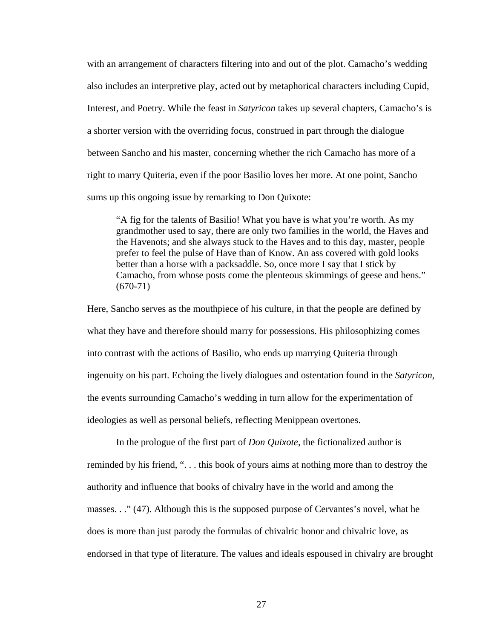with an arrangement of characters filtering into and out of the plot. Camacho's wedding also includes an interpretive play, acted out by metaphorical characters including Cupid, Interest, and Poetry. While the feast in *Satyricon* takes up several chapters, Camacho's is a shorter version with the overriding focus, construed in part through the dialogue between Sancho and his master, concerning whether the rich Camacho has more of a right to marry Quiteria, even if the poor Basilio loves her more. At one point, Sancho sums up this ongoing issue by remarking to Don Quixote:

"A fig for the talents of Basilio! What you have is what you're worth. As my grandmother used to say, there are only two families in the world, the Haves and the Havenots; and she always stuck to the Haves and to this day, master, people prefer to feel the pulse of Have than of Know. An ass covered with gold looks better than a horse with a packsaddle. So, once more I say that I stick by Camacho, from whose posts come the plenteous skimmings of geese and hens."  $(670-71)$ 

Here, Sancho serves as the mouthpiece of his culture, in that the people are defined by what they have and therefore should marry for possessions. His philosophizing comes into contrast with the actions of Basilio, who ends up marrying Quiteria through ingenuity on his part. Echoing the lively dialogues and ostentation found in the *Satyricon*, the events surrounding Camacho's wedding in turn allow for the experimentation of ideologies as well as personal beliefs, reflecting Menippean overtones.

 In the prologue of the first part of *Don Quixote*, the fictionalized author is reminded by his friend, ". . . this book of yours aims at nothing more than to destroy the authority and influence that books of chivalry have in the world and among the masses. . ." (47). Although this is the supposed purpose of Cervantes's novel, what he does is more than just parody the formulas of chivalric honor and chivalric love, as endorsed in that type of literature. The values and ideals espoused in chivalry are brought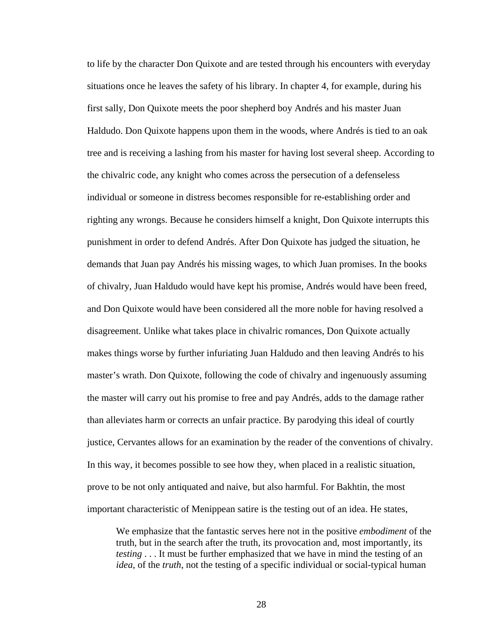to life by the character Don Quixote and are tested through his encounters with everyday situations once he leaves the safety of his library. In chapter 4, for example, during his first sally, Don Quixote meets the poor shepherd boy Andrés and his master Juan Haldudo. Don Quixote happens upon them in the woods, where Andrés is tied to an oak tree and is receiving a lashing from his master for having lost several sheep. According to the chivalric code, any knight who comes across the persecution of a defenseless individual or someone in distress becomes responsible for re-establishing order and righting any wrongs. Because he considers himself a knight, Don Quixote interrupts this punishment in order to defend Andrés. After Don Quixote has judged the situation, he demands that Juan pay Andrés his missing wages, to which Juan promises. In the books of chivalry, Juan Haldudo would have kept his promise, Andrés would have been freed, and Don Quixote would have been considered all the more noble for having resolved a disagreement. Unlike what takes place in chivalric romances, Don Quixote actually makes things worse by further infuriating Juan Haldudo and then leaving Andrés to his master's wrath. Don Quixote, following the code of chivalry and ingenuously assuming the master will carry out his promise to free and pay Andrés, adds to the damage rather than alleviates harm or corrects an unfair practice. By parodying this ideal of courtly justice, Cervantes allows for an examination by the reader of the conventions of chivalry. In this way, it becomes possible to see how they, when placed in a realistic situation, prove to be not only antiquated and naive, but also harmful. For Bakhtin, the most important characteristic of Menippean satire is the testing out of an idea. He states,

We emphasize that the fantastic serves here not in the positive *embodiment* of the truth, but in the search after the truth, its provocation and, most importantly, its *testing* . . . It must be further emphasized that we have in mind the testing of an *idea*, of the *truth*, not the testing of a specific individual or social-typical human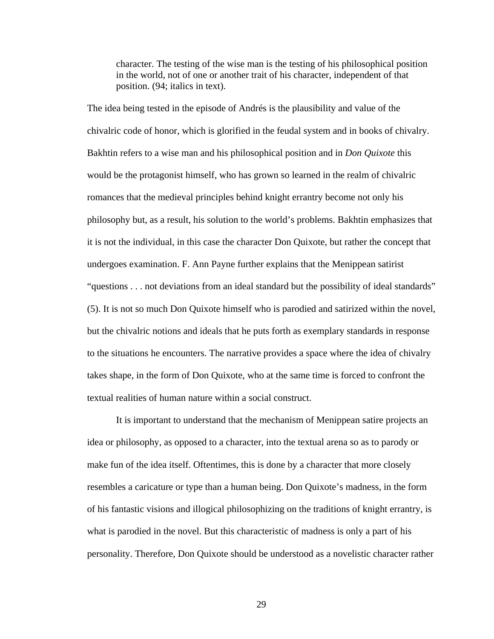character. The testing of the wise man is the testing of his philosophical position in the world, not of one or another trait of his character, independent of that position. (94; italics in text).

The idea being tested in the episode of Andrés is the plausibility and value of the chivalric code of honor, which is glorified in the feudal system and in books of chivalry. Bakhtin refers to a wise man and his philosophical position and in *Don Quixote* this would be the protagonist himself, who has grown so learned in the realm of chivalric romances that the medieval principles behind knight errantry become not only his philosophy but, as a result, his solution to the world's problems. Bakhtin emphasizes that it is not the individual, in this case the character Don Quixote, but rather the concept that undergoes examination. F. Ann Payne further explains that the Menippean satirist "questions . . . not deviations from an ideal standard but the possibility of ideal standards" (5). It is not so much Don Quixote himself who is parodied and satirized within the novel, but the chivalric notions and ideals that he puts forth as exemplary standards in response to the situations he encounters. The narrative provides a space where the idea of chivalry takes shape, in the form of Don Quixote, who at the same time is forced to confront the textual realities of human nature within a social construct.

It is important to understand that the mechanism of Menippean satire projects an idea or philosophy, as opposed to a character, into the textual arena so as to parody or make fun of the idea itself. Oftentimes, this is done by a character that more closely resembles a caricature or type than a human being. Don Quixote's madness, in the form of his fantastic visions and illogical philosophizing on the traditions of knight errantry, is what is parodied in the novel. But this characteristic of madness is only a part of his personality. Therefore, Don Quixote should be understood as a novelistic character rather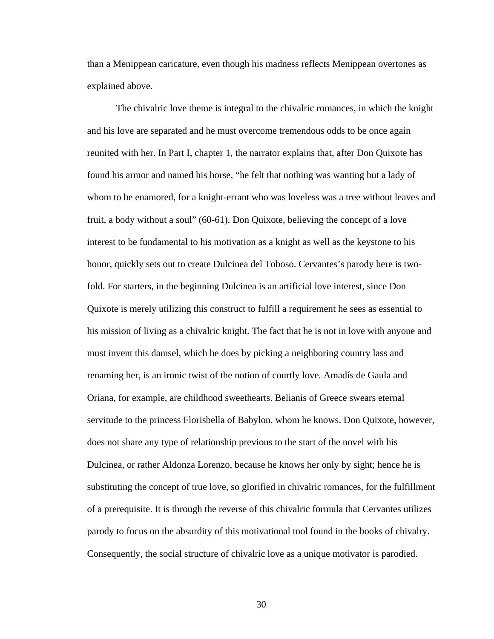than a Menippean caricature, even though his madness reflects Menippean overtones as explained above.

 The chivalric love theme is integral to the chivalric romances, in which the knight and his love are separated and he must overcome tremendous odds to be once again reunited with her. In Part I, chapter 1, the narrator explains that, after Don Quixote has found his armor and named his horse, "he felt that nothing was wanting but a lady of whom to be enamored, for a knight-errant who was loveless was a tree without leaves and fruit, a body without a soul" (60-61). Don Quixote, believing the concept of a love interest to be fundamental to his motivation as a knight as well as the keystone to his honor, quickly sets out to create Dulcinea del Toboso. Cervantes's parody here is twofold. For starters, in the beginning Dulcinea is an artificial love interest, since Don Quixote is merely utilizing this construct to fulfill a requirement he sees as essential to his mission of living as a chivalric knight. The fact that he is not in love with anyone and must invent this damsel, which he does by picking a neighboring country lass and renaming her, is an ironic twist of the notion of courtly love*.* Amadís de Gaula and Oriana, for example, are childhood sweethearts. Belianis of Greece swears eternal servitude to the princess Florisbella of Babylon, whom he knows. Don Quixote, however, does not share any type of relationship previous to the start of the novel with his Dulcinea, or rather Aldonza Lorenzo, because he knows her only by sight; hence he is substituting the concept of true love, so glorified in chivalric romances, for the fulfillment of a prerequisite. It is through the reverse of this chivalric formula that Cervantes utilizes parody to focus on the absurdity of this motivational tool found in the books of chivalry. Consequently, the social structure of chivalric love as a unique motivator is parodied.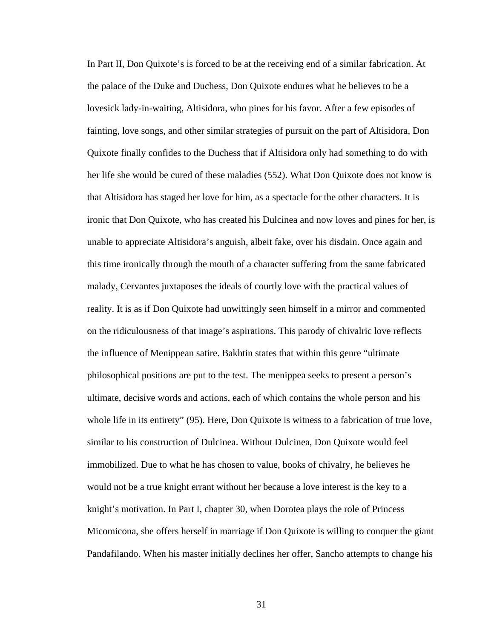In Part II, Don Quixote's is forced to be at the receiving end of a similar fabrication. At the palace of the Duke and Duchess, Don Quixote endures what he believes to be a lovesick lady-in-waiting, Altisidora, who pines for his favor. After a few episodes of fainting, love songs, and other similar strategies of pursuit on the part of Altisidora, Don Quixote finally confides to the Duchess that if Altisidora only had something to do with her life she would be cured of these maladies (552). What Don Quixote does not know is that Altisidora has staged her love for him, as a spectacle for the other characters. It is ironic that Don Quixote, who has created his Dulcinea and now loves and pines for her, is unable to appreciate Altisidora's anguish, albeit fake, over his disdain. Once again and this time ironically through the mouth of a character suffering from the same fabricated malady, Cervantes juxtaposes the ideals of courtly love with the practical values of reality. It is as if Don Quixote had unwittingly seen himself in a mirror and commented on the ridiculousness of that image's aspirations. This parody of chivalric love reflects the influence of Menippean satire. Bakhtin states that within this genre "ultimate philosophical positions are put to the test. The menippea seeks to present a person's ultimate, decisive words and actions, each of which contains the whole person and his whole life in its entirety" (95). Here, Don Quixote is witness to a fabrication of true love, similar to his construction of Dulcinea. Without Dulcinea, Don Quixote would feel immobilized. Due to what he has chosen to value, books of chivalry, he believes he would not be a true knight errant without her because a love interest is the key to a knight's motivation. In Part I, chapter 30, when Dorotea plays the role of Princess Micomicona, she offers herself in marriage if Don Quixote is willing to conquer the giant Pandafilando. When his master initially declines her offer, Sancho attempts to change his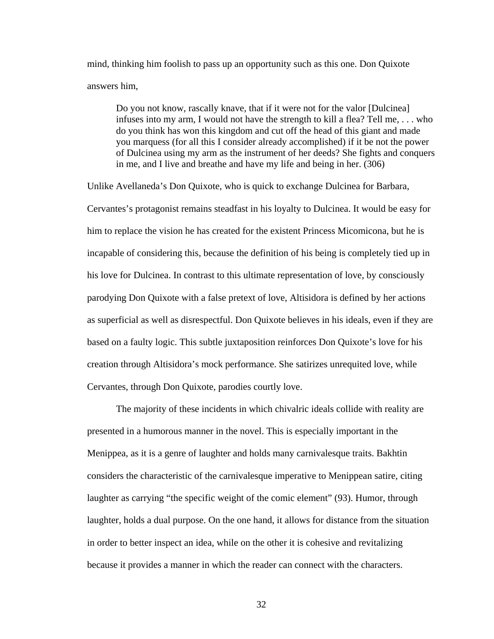mind, thinking him foolish to pass up an opportunity such as this one. Don Quixote answers him,

Do you not know, rascally knave, that if it were not for the valor [Dulcinea] infuses into my arm, I would not have the strength to kill a flea? Tell me, . . . who do you think has won this kingdom and cut off the head of this giant and made you marquess (for all this I consider already accomplished) if it be not the power of Dulcinea using my arm as the instrument of her deeds? She fights and conquers in me, and I live and breathe and have my life and being in her. (306)

Unlike Avellaneda's Don Quixote, who is quick to exchange Dulcinea for Barbara, Cervantes's protagonist remains steadfast in his loyalty to Dulcinea. It would be easy for him to replace the vision he has created for the existent Princess Micomicona, but he is incapable of considering this, because the definition of his being is completely tied up in his love for Dulcinea. In contrast to this ultimate representation of love, by consciously parodying Don Quixote with a false pretext of love, Altisidora is defined by her actions as superficial as well as disrespectful. Don Quixote believes in his ideals, even if they are based on a faulty logic. This subtle juxtaposition reinforces Don Quixote's love for his creation through Altisidora's mock performance. She satirizes unrequited love, while Cervantes, through Don Quixote, parodies courtly love.

 The majority of these incidents in which chivalric ideals collide with reality are presented in a humorous manner in the novel. This is especially important in the Menippea, as it is a genre of laughter and holds many carnivalesque traits. Bakhtin considers the characteristic of the carnivalesque imperative to Menippean satire, citing laughter as carrying "the specific weight of the comic element" (93). Humor, through laughter, holds a dual purpose. On the one hand, it allows for distance from the situation in order to better inspect an idea, while on the other it is cohesive and revitalizing because it provides a manner in which the reader can connect with the characters.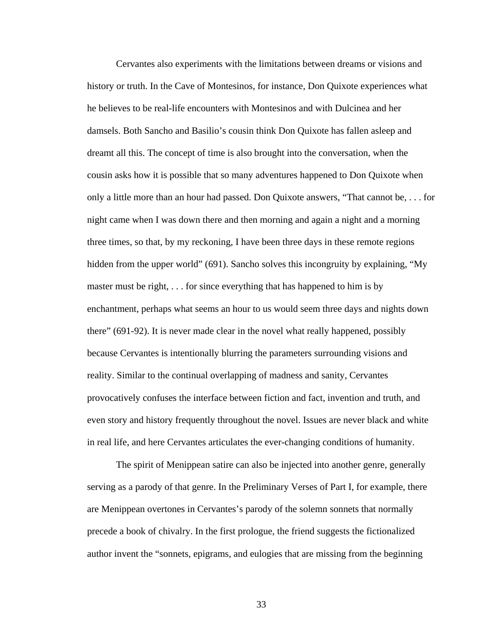Cervantes also experiments with the limitations between dreams or visions and history or truth. In the Cave of Montesinos, for instance, Don Quixote experiences what he believes to be real-life encounters with Montesinos and with Dulcinea and her damsels. Both Sancho and Basilio's cousin think Don Quixote has fallen asleep and dreamt all this. The concept of time is also brought into the conversation, when the cousin asks how it is possible that so many adventures happened to Don Quixote when only a little more than an hour had passed. Don Quixote answers, "That cannot be, . . . for night came when I was down there and then morning and again a night and a morning three times, so that, by my reckoning, I have been three days in these remote regions hidden from the upper world" (691). Sancho solves this incongruity by explaining, "My master must be right, . . . for since everything that has happened to him is by enchantment, perhaps what seems an hour to us would seem three days and nights down there" (691-92). It is never made clear in the novel what really happened, possibly because Cervantes is intentionally blurring the parameters surrounding visions and reality. Similar to the continual overlapping of madness and sanity, Cervantes provocatively confuses the interface between fiction and fact, invention and truth, and even story and history frequently throughout the novel. Issues are never black and white in real life, and here Cervantes articulates the ever-changing conditions of humanity.

The spirit of Menippean satire can also be injected into another genre, generally serving as a parody of that genre. In the Preliminary Verses of Part I, for example, there are Menippean overtones in Cervantes's parody of the solemn sonnets that normally precede a book of chivalry. In the first prologue, the friend suggests the fictionalized author invent the "sonnets, epigrams, and eulogies that are missing from the beginning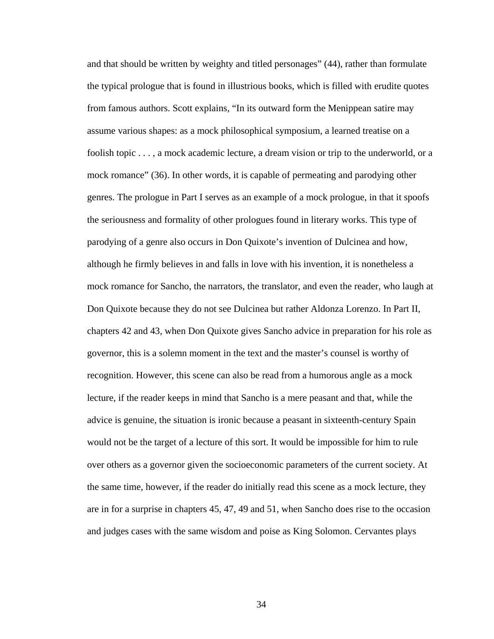and that should be written by weighty and titled personages" (44), rather than formulate the typical prologue that is found in illustrious books, which is filled with erudite quotes from famous authors. Scott explains, "In its outward form the Menippean satire may assume various shapes: as a mock philosophical symposium, a learned treatise on a foolish topic . . . , a mock academic lecture, a dream vision or trip to the underworld, or a mock romance" (36). In other words, it is capable of permeating and parodying other genres. The prologue in Part I serves as an example of a mock prologue, in that it spoofs the seriousness and formality of other prologues found in literary works. This type of parodying of a genre also occurs in Don Quixote's invention of Dulcinea and how, although he firmly believes in and falls in love with his invention, it is nonetheless a mock romance for Sancho, the narrators, the translator, and even the reader, who laugh at Don Quixote because they do not see Dulcinea but rather Aldonza Lorenzo. In Part II, chapters 42 and 43, when Don Quixote gives Sancho advice in preparation for his role as governor, this is a solemn moment in the text and the master's counsel is worthy of recognition. However, this scene can also be read from a humorous angle as a mock lecture, if the reader keeps in mind that Sancho is a mere peasant and that, while the advice is genuine, the situation is ironic because a peasant in sixteenth-century Spain would not be the target of a lecture of this sort. It would be impossible for him to rule over others as a governor given the socioeconomic parameters of the current society. At the same time, however, if the reader do initially read this scene as a mock lecture, they are in for a surprise in chapters 45, 47, 49 and 51, when Sancho does rise to the occasion and judges cases with the same wisdom and poise as King Solomon. Cervantes plays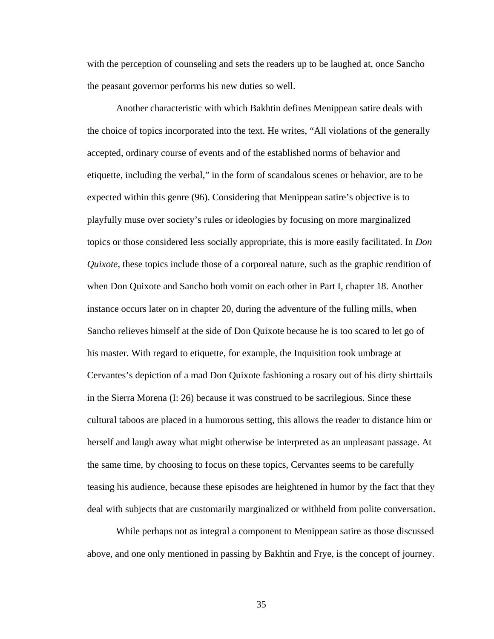with the perception of counseling and sets the readers up to be laughed at, once Sancho the peasant governor performs his new duties so well.

Another characteristic with which Bakhtin defines Menippean satire deals with the choice of topics incorporated into the text. He writes, "All violations of the generally accepted, ordinary course of events and of the established norms of behavior and etiquette, including the verbal," in the form of scandalous scenes or behavior, are to be expected within this genre (96). Considering that Menippean satire's objective is to playfully muse over society's rules or ideologies by focusing on more marginalized topics or those considered less socially appropriate, this is more easily facilitated. In *Don Quixote*, these topics include those of a corporeal nature, such as the graphic rendition of when Don Quixote and Sancho both vomit on each other in Part I, chapter 18. Another instance occurs later on in chapter 20, during the adventure of the fulling mills, when Sancho relieves himself at the side of Don Quixote because he is too scared to let go of his master. With regard to etiquette, for example, the Inquisition took umbrage at Cervantes's depiction of a mad Don Quixote fashioning a rosary out of his dirty shirttails in the Sierra Morena (I: 26) because it was construed to be sacrilegious. Since these cultural taboos are placed in a humorous setting, this allows the reader to distance him or herself and laugh away what might otherwise be interpreted as an unpleasant passage. At the same time, by choosing to focus on these topics, Cervantes seems to be carefully teasing his audience, because these episodes are heightened in humor by the fact that they deal with subjects that are customarily marginalized or withheld from polite conversation.

 While perhaps not as integral a component to Menippean satire as those discussed above, and one only mentioned in passing by Bakhtin and Frye, is the concept of journey.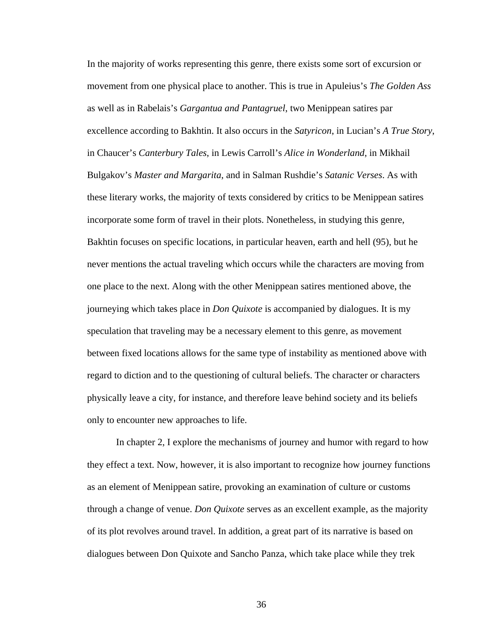In the majority of works representing this genre, there exists some sort of excursion or movement from one physical place to another. This is true in Apuleius's *The Golden Ass* as well as in Rabelais's *Gargantua and Pantagruel*, two Menippean satires par excellence according to Bakhtin. It also occurs in the *Satyricon*, in Lucian's *A True Story*, in Chaucer's *Canterbury Tales*, in Lewis Carroll's *Alice in Wonderland*, in Mikhail Bulgakov's *Master and Margarita*, and in Salman Rushdie's *Satanic Verses*. As with these literary works, the majority of texts considered by critics to be Menippean satires incorporate some form of travel in their plots. Nonetheless, in studying this genre, Bakhtin focuses on specific locations, in particular heaven, earth and hell (95), but he never mentions the actual traveling which occurs while the characters are moving from one place to the next. Along with the other Menippean satires mentioned above, the journeying which takes place in *Don Quixote* is accompanied by dialogues. It is my speculation that traveling may be a necessary element to this genre, as movement between fixed locations allows for the same type of instability as mentioned above with regard to diction and to the questioning of cultural beliefs. The character or characters physically leave a city, for instance, and therefore leave behind society and its beliefs only to encounter new approaches to life.

In chapter 2, I explore the mechanisms of journey and humor with regard to how they effect a text. Now, however, it is also important to recognize how journey functions as an element of Menippean satire, provoking an examination of culture or customs through a change of venue. *Don Quixote* serves as an excellent example, as the majority of its plot revolves around travel. In addition, a great part of its narrative is based on dialogues between Don Quixote and Sancho Panza, which take place while they trek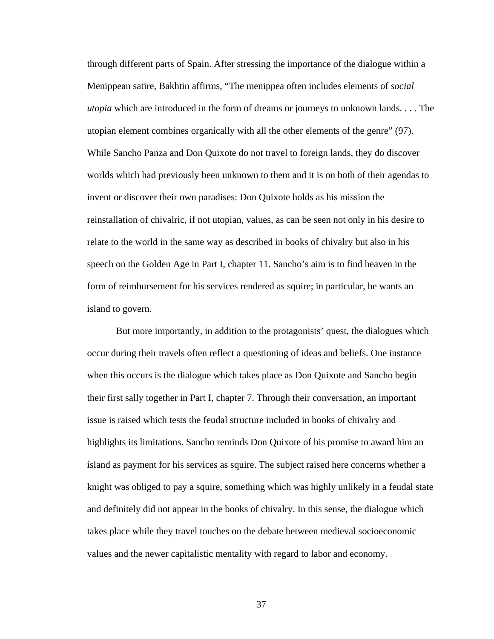through different parts of Spain. After stressing the importance of the dialogue within a Menippean satire, Bakhtin affirms, "The menippea often includes elements of *social utopia* which are introduced in the form of dreams or journeys to unknown lands. . . . The utopian element combines organically with all the other elements of the genre" (97). While Sancho Panza and Don Quixote do not travel to foreign lands, they do discover worlds which had previously been unknown to them and it is on both of their agendas to invent or discover their own paradises: Don Quixote holds as his mission the reinstallation of chivalric, if not utopian, values, as can be seen not only in his desire to relate to the world in the same way as described in books of chivalry but also in his speech on the Golden Age in Part I, chapter 11. Sancho's aim is to find heaven in the form of reimbursement for his services rendered as squire; in particular, he wants an island to govern.

But more importantly, in addition to the protagonists' quest, the dialogues which occur during their travels often reflect a questioning of ideas and beliefs. One instance when this occurs is the dialogue which takes place as Don Quixote and Sancho begin their first sally together in Part I, chapter 7. Through their conversation, an important issue is raised which tests the feudal structure included in books of chivalry and highlights its limitations. Sancho reminds Don Quixote of his promise to award him an island as payment for his services as squire. The subject raised here concerns whether a knight was obliged to pay a squire, something which was highly unlikely in a feudal state and definitely did not appear in the books of chivalry. In this sense, the dialogue which takes place while they travel touches on the debate between medieval socioeconomic values and the newer capitalistic mentality with regard to labor and economy.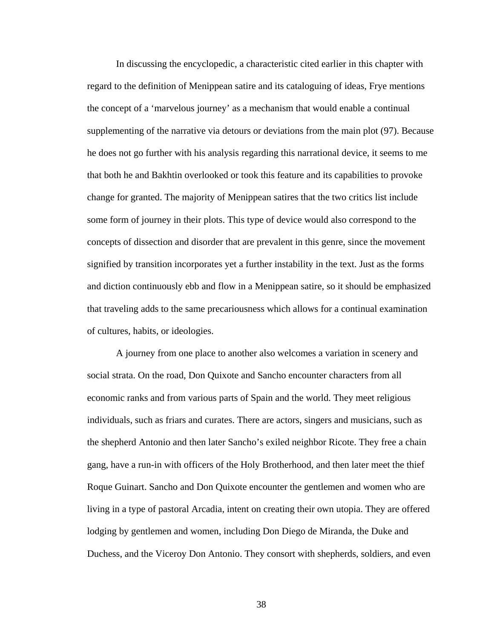In discussing the encyclopedic, a characteristic cited earlier in this chapter with regard to the definition of Menippean satire and its cataloguing of ideas, Frye mentions the concept of a 'marvelous journey' as a mechanism that would enable a continual supplementing of the narrative via detours or deviations from the main plot (97). Because he does not go further with his analysis regarding this narrational device, it seems to me that both he and Bakhtin overlooked or took this feature and its capabilities to provoke change for granted. The majority of Menippean satires that the two critics list include some form of journey in their plots. This type of device would also correspond to the concepts of dissection and disorder that are prevalent in this genre, since the movement signified by transition incorporates yet a further instability in the text. Just as the forms and diction continuously ebb and flow in a Menippean satire, so it should be emphasized that traveling adds to the same precariousness which allows for a continual examination of cultures, habits, or ideologies.

A journey from one place to another also welcomes a variation in scenery and social strata. On the road, Don Quixote and Sancho encounter characters from all economic ranks and from various parts of Spain and the world. They meet religious individuals, such as friars and curates. There are actors, singers and musicians, such as the shepherd Antonio and then later Sancho's exiled neighbor Ricote. They free a chain gang, have a run-in with officers of the Holy Brotherhood, and then later meet the thief Roque Guinart. Sancho and Don Quixote encounter the gentlemen and women who are living in a type of pastoral Arcadia, intent on creating their own utopia. They are offered lodging by gentlemen and women, including Don Diego de Miranda, the Duke and Duchess, and the Viceroy Don Antonio. They consort with shepherds, soldiers, and even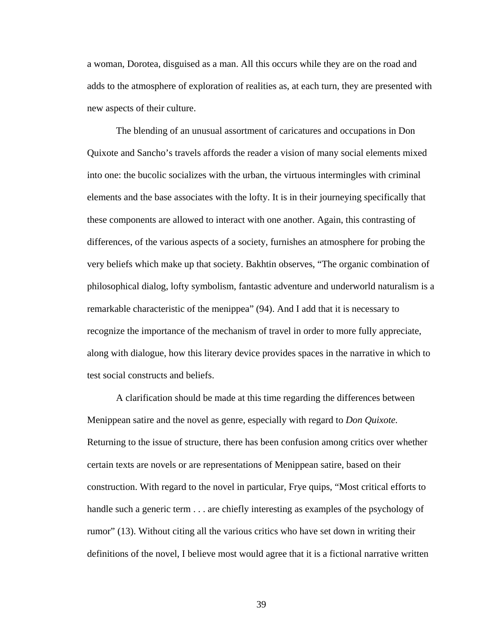a woman, Dorotea, disguised as a man. All this occurs while they are on the road and adds to the atmosphere of exploration of realities as, at each turn, they are presented with new aspects of their culture.

The blending of an unusual assortment of caricatures and occupations in Don Quixote and Sancho's travels affords the reader a vision of many social elements mixed into one: the bucolic socializes with the urban, the virtuous intermingles with criminal elements and the base associates with the lofty. It is in their journeying specifically that these components are allowed to interact with one another. Again, this contrasting of differences, of the various aspects of a society, furnishes an atmosphere for probing the very beliefs which make up that society. Bakhtin observes, "The organic combination of philosophical dialog, lofty symbolism, fantastic adventure and underworld naturalism is a remarkable characteristic of the menippea" (94). And I add that it is necessary to recognize the importance of the mechanism of travel in order to more fully appreciate, along with dialogue, how this literary device provides spaces in the narrative in which to test social constructs and beliefs.

A clarification should be made at this time regarding the differences between Menippean satire and the novel as genre, especially with regard to *Don Quixote.*  Returning to the issue of structure, there has been confusion among critics over whether certain texts are novels or are representations of Menippean satire, based on their construction. With regard to the novel in particular, Frye quips, "Most critical efforts to handle such a generic term  $\dots$  are chiefly interesting as examples of the psychology of rumor" (13). Without citing all the various critics who have set down in writing their definitions of the novel, I believe most would agree that it is a fictional narrative written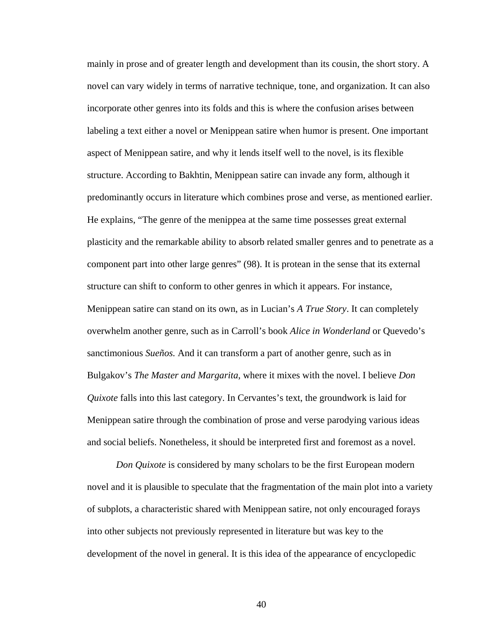mainly in prose and of greater length and development than its cousin, the short story. A novel can vary widely in terms of narrative technique, tone, and organization. It can also incorporate other genres into its folds and this is where the confusion arises between labeling a text either a novel or Menippean satire when humor is present. One important aspect of Menippean satire, and why it lends itself well to the novel, is its flexible structure. According to Bakhtin, Menippean satire can invade any form, although it predominantly occurs in literature which combines prose and verse, as mentioned earlier. He explains, "The genre of the menippea at the same time possesses great external plasticity and the remarkable ability to absorb related smaller genres and to penetrate as a component part into other large genres" (98). It is protean in the sense that its external structure can shift to conform to other genres in which it appears. For instance, Menippean satire can stand on its own, as in Lucian's *A True Story*. It can completely overwhelm another genre, such as in Carroll's book *Alice in Wonderland* or Quevedo's sanctimonious *Sueños.* And it can transform a part of another genre, such as in Bulgakov's *The Master and Margarita*, where it mixes with the novel. I believe *Don Quixote* falls into this last category. In Cervantes's text, the groundwork is laid for Menippean satire through the combination of prose and verse parodying various ideas and social beliefs. Nonetheless, it should be interpreted first and foremost as a novel.

 *Don Quixote* is considered by many scholars to be the first European modern novel and it is plausible to speculate that the fragmentation of the main plot into a variety of subplots, a characteristic shared with Menippean satire, not only encouraged forays into other subjects not previously represented in literature but was key to the development of the novel in general. It is this idea of the appearance of encyclopedic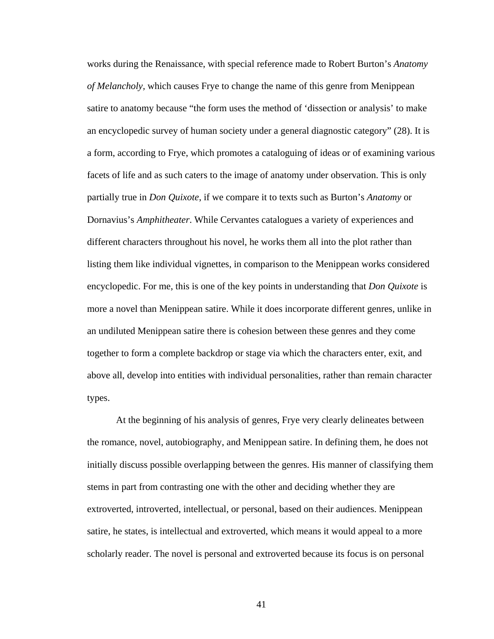works during the Renaissance, with special reference made to Robert Burton's *Anatomy of Melancholy,* which causes Frye to change the name of this genre from Menippean satire to anatomy because "the form uses the method of 'dissection or analysis' to make an encyclopedic survey of human society under a general diagnostic category" (28). It is a form, according to Frye, which promotes a cataloguing of ideas or of examining various facets of life and as such caters to the image of anatomy under observation. This is only partially true in *Don Quixote*, if we compare it to texts such as Burton's *Anatomy* or Dornavius's *Amphitheater*. While Cervantes catalogues a variety of experiences and different characters throughout his novel, he works them all into the plot rather than listing them like individual vignettes, in comparison to the Menippean works considered encyclopedic. For me, this is one of the key points in understanding that *Don Quixote* is more a novel than Menippean satire. While it does incorporate different genres, unlike in an undiluted Menippean satire there is cohesion between these genres and they come together to form a complete backdrop or stage via which the characters enter, exit, and above all, develop into entities with individual personalities, rather than remain character types.

At the beginning of his analysis of genres, Frye very clearly delineates between the romance, novel, autobiography, and Menippean satire. In defining them, he does not initially discuss possible overlapping between the genres. His manner of classifying them stems in part from contrasting one with the other and deciding whether they are extroverted, introverted, intellectual, or personal, based on their audiences. Menippean satire, he states, is intellectual and extroverted, which means it would appeal to a more scholarly reader. The novel is personal and extroverted because its focus is on personal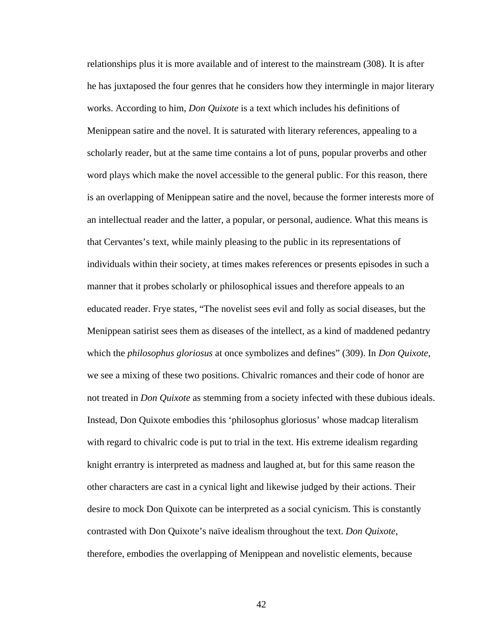relationships plus it is more available and of interest to the mainstream (308). It is after he has juxtaposed the four genres that he considers how they intermingle in major literary works. According to him, *Don Quixote* is a text which includes his definitions of Menippean satire and the novel. It is saturated with literary references, appealing to a scholarly reader, but at the same time contains a lot of puns, popular proverbs and other word plays which make the novel accessible to the general public. For this reason, there is an overlapping of Menippean satire and the novel, because the former interests more of an intellectual reader and the latter, a popular, or personal, audience. What this means is that Cervantes's text, while mainly pleasing to the public in its representations of individuals within their society, at times makes references or presents episodes in such a manner that it probes scholarly or philosophical issues and therefore appeals to an educated reader. Frye states, "The novelist sees evil and folly as social diseases, but the Menippean satirist sees them as diseases of the intellect, as a kind of maddened pedantry which the *philosophus gloriosus* at once symbolizes and defines" (309). In *Don Quixote*, we see a mixing of these two positions. Chivalric romances and their code of honor are not treated in *Don Quixote* as stemming from a society infected with these dubious ideals. Instead, Don Quixote embodies this 'philosophus gloriosus' whose madcap literalism with regard to chivalric code is put to trial in the text. His extreme idealism regarding knight errantry is interpreted as madness and laughed at, but for this same reason the other characters are cast in a cynical light and likewise judged by their actions. Their desire to mock Don Quixote can be interpreted as a social cynicism. This is constantly contrasted with Don Quixote's naïve idealism throughout the text. *Don Quixote*, therefore, embodies the overlapping of Menippean and novelistic elements, because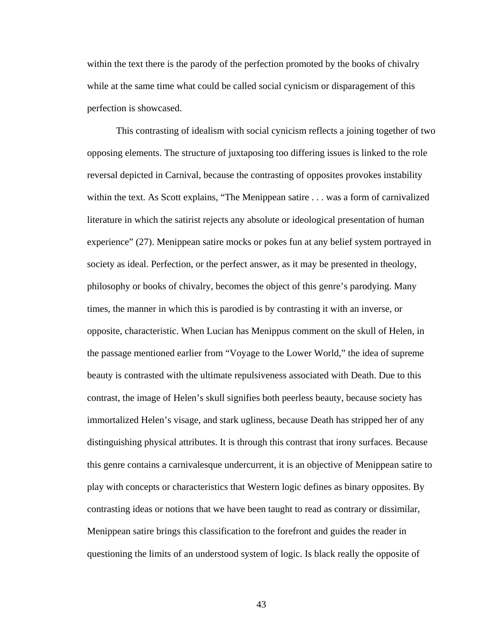within the text there is the parody of the perfection promoted by the books of chivalry while at the same time what could be called social cynicism or disparagement of this perfection is showcased.

This contrasting of idealism with social cynicism reflects a joining together of two opposing elements. The structure of juxtaposing too differing issues is linked to the role reversal depicted in Carnival, because the contrasting of opposites provokes instability within the text. As Scott explains, "The Menippean satire . . . was a form of carnivalized literature in which the satirist rejects any absolute or ideological presentation of human experience" (27). Menippean satire mocks or pokes fun at any belief system portrayed in society as ideal. Perfection, or the perfect answer, as it may be presented in theology, philosophy or books of chivalry, becomes the object of this genre's parodying. Many times, the manner in which this is parodied is by contrasting it with an inverse, or opposite, characteristic. When Lucian has Menippus comment on the skull of Helen, in the passage mentioned earlier from "Voyage to the Lower World," the idea of supreme beauty is contrasted with the ultimate repulsiveness associated with Death. Due to this contrast, the image of Helen's skull signifies both peerless beauty, because society has immortalized Helen's visage, and stark ugliness, because Death has stripped her of any distinguishing physical attributes. It is through this contrast that irony surfaces. Because this genre contains a carnivalesque undercurrent, it is an objective of Menippean satire to play with concepts or characteristics that Western logic defines as binary opposites. By contrasting ideas or notions that we have been taught to read as contrary or dissimilar, Menippean satire brings this classification to the forefront and guides the reader in questioning the limits of an understood system of logic. Is black really the opposite of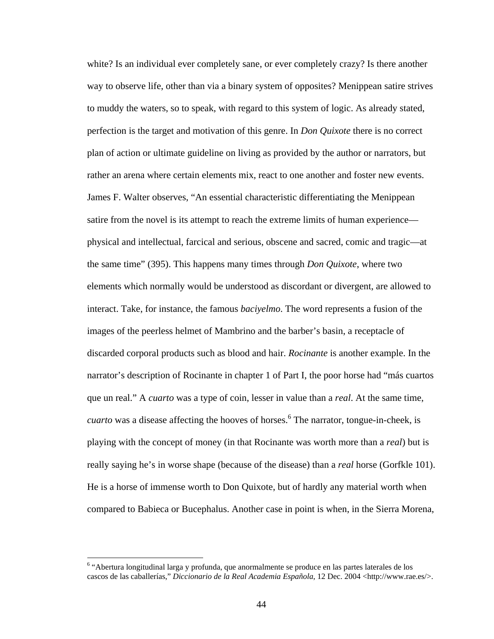white? Is an individual ever completely sane, or ever completely crazy? Is there another way to observe life, other than via a binary system of opposites? Menippean satire strives to muddy the waters, so to speak, with regard to this system of logic. As already stated, perfection is the target and motivation of this genre. In *Don Quixote* there is no correct plan of action or ultimate guideline on living as provided by the author or narrators, but rather an arena where certain elements mix, react to one another and foster new events. James F. Walter observes, "An essential characteristic differentiating the Menippean satire from the novel is its attempt to reach the extreme limits of human experience physical and intellectual, farcical and serious, obscene and sacred, comic and tragic—at the same time" (395). This happens many times through *Don Quixote*, where two elements which normally would be understood as discordant or divergent, are allowed to interact. Take, for instance, the famous *baciyelmo*. The word represents a fusion of the images of the peerless helmet of Mambrino and the barber's basin, a receptacle of discarded corporal products such as blood and hair. *Rocinante* is another example. In the narrator's description of Rocinante in chapter 1 of Part I, the poor horse had "más cuartos que un real." A *cuarto* was a type of coin, lesser in value than a *real*. At the same time, *cuarto* was a disease affecting the hooves of horses.<sup>6</sup> The narrator, tongue-in-cheek, is playing with the concept of money (in that Rocinante was worth more than a *real*) but is really saying he's in worse shape (because of the disease) than a *real* horse (Gorfkle 101). He is a horse of immense worth to Don Quixote, but of hardly any material worth when compared to Babieca or Bucephalus. Another case in point is when, in the Sierra Morena,

 $\overline{a}$ 

<sup>&</sup>lt;sup>6</sup> "Abertura longitudinal larga y profunda, que anormalmente se produce en las partes laterales de los cascos de las caballerías," *Diccionario de la Real Academia Española*, 12 Dec. 2004 <http://www.rae.es/>.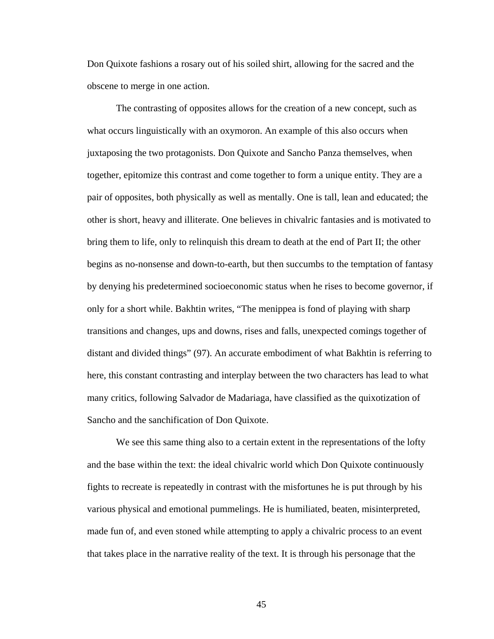Don Quixote fashions a rosary out of his soiled shirt, allowing for the sacred and the obscene to merge in one action.

The contrasting of opposites allows for the creation of a new concept, such as what occurs linguistically with an oxymoron. An example of this also occurs when juxtaposing the two protagonists. Don Quixote and Sancho Panza themselves, when together, epitomize this contrast and come together to form a unique entity. They are a pair of opposites, both physically as well as mentally. One is tall, lean and educated; the other is short, heavy and illiterate. One believes in chivalric fantasies and is motivated to bring them to life, only to relinquish this dream to death at the end of Part II; the other begins as no-nonsense and down-to-earth, but then succumbs to the temptation of fantasy by denying his predetermined socioeconomic status when he rises to become governor, if only for a short while. Bakhtin writes, "The menippea is fond of playing with sharp transitions and changes, ups and downs, rises and falls, unexpected comings together of distant and divided things" (97). An accurate embodiment of what Bakhtin is referring to here, this constant contrasting and interplay between the two characters has lead to what many critics, following Salvador de Madariaga, have classified as the quixotization of Sancho and the sanchification of Don Quixote.

We see this same thing also to a certain extent in the representations of the lofty and the base within the text: the ideal chivalric world which Don Quixote continuously fights to recreate is repeatedly in contrast with the misfortunes he is put through by his various physical and emotional pummelings. He is humiliated, beaten, misinterpreted, made fun of, and even stoned while attempting to apply a chivalric process to an event that takes place in the narrative reality of the text. It is through his personage that the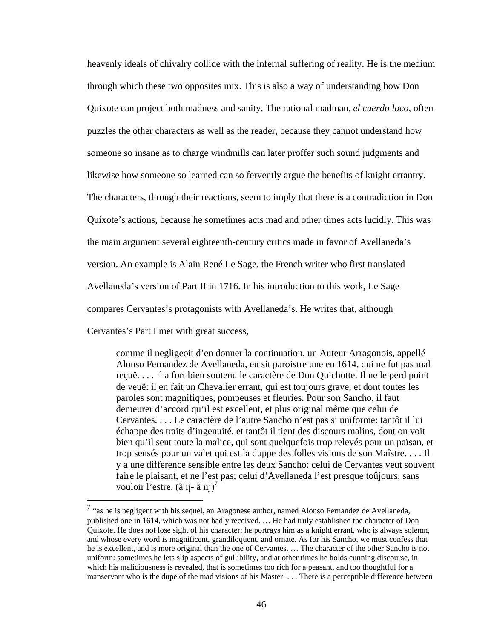heavenly ideals of chivalry collide with the infernal suffering of reality. He is the medium through which these two opposites mix. This is also a way of understanding how Don Quixote can project both madness and sanity. The rational madman, *el cuerdo loco*, often puzzles the other characters as well as the reader, because they cannot understand how someone so insane as to charge windmills can later proffer such sound judgments and likewise how someone so learned can so fervently argue the benefits of knight errantry. The characters, through their reactions, seem to imply that there is a contradiction in Don Quixote's actions, because he sometimes acts mad and other times acts lucidly. This was the main argument several eighteenth-century critics made in favor of Avellaneda's version. An example is Alain René Le Sage, the French writer who first translated Avellaneda's version of Part II in 1716. In his introduction to this work, Le Sage compares Cervantes's protagonists with Avellaneda's. He writes that, although Cervantes's Part I met with great success,

comme il negligeoit d'en donner la continuation, un Auteur Arragonois, appellé Alonso Fernandez de Avellaneda, en sit paroistre une en 1614, qui ne fut pas mal reçuë. . . . Il a fort bien soutenu le caractère de Don Quichotte. Il ne le perd point de veuë: il en fait un Chevalier errant, qui est toujours grave, et dont toutes les paroles sont magnifiques, pompeuses et fleuries. Pour son Sancho, il faut demeurer d'accord qu'il est excellent, et plus original même que celui de Cervantes. . . . Le caractère de l'autre Sancho n'est pas si uniforme: tantôt il lui échappe des traits d'ingenuité, et tantôt il tient des discours malins, dont on voit bien qu'il sent toute la malice, qui sont quelquefois trop relevés pour un païsan, et trop sensés pour un valet qui est la duppe des folles visions de son Maîstre. . . . Il y a une difference sensible entre les deux Sancho: celui de Cervantes veut souvent faire le plaisant, et ne l'est pas; celui d'Avellaneda l'est presque toûjours, sans vouloir l'estre. ( $\tilde{a}$  ij- $\tilde{a}$  iij)<sup>7</sup>

 $\overline{a}$ 

 $<sup>7</sup>$  "as he is negligent with his sequel, an Aragonese author, named Alonso Fernandez de Avellaneda,</sup> published one in 1614, which was not badly received. … He had truly established the character of Don Quixote. He does not lose sight of his character: he portrays him as a knight errant, who is always solemn, and whose every word is magnificent, grandiloquent, and ornate. As for his Sancho, we must confess that he is excellent, and is more original than the one of Cervantes. … The character of the other Sancho is not uniform: sometimes he lets slip aspects of gullibility, and at other times he holds cunning discourse, in which his maliciousness is revealed, that is sometimes too rich for a peasant, and too thoughtful for a manservant who is the dupe of the mad visions of his Master. . . . There is a perceptible difference between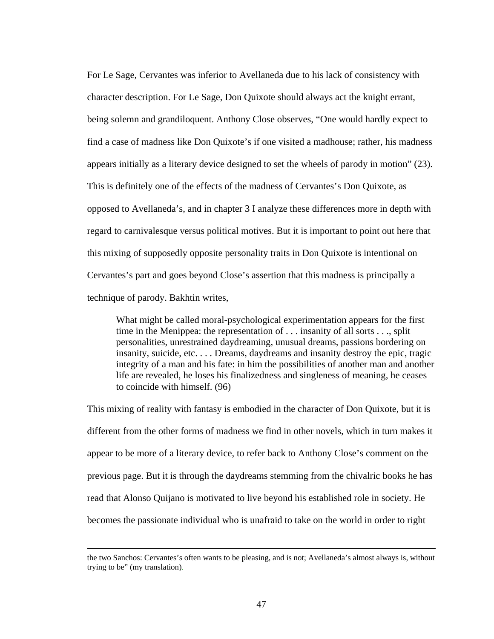For Le Sage, Cervantes was inferior to Avellaneda due to his lack of consistency with character description. For Le Sage, Don Quixote should always act the knight errant, being solemn and grandiloquent. Anthony Close observes, "One would hardly expect to find a case of madness like Don Quixote's if one visited a madhouse; rather, his madness appears initially as a literary device designed to set the wheels of parody in motion" (23). This is definitely one of the effects of the madness of Cervantes's Don Quixote, as opposed to Avellaneda's, and in chapter 3 I analyze these differences more in depth with regard to carnivalesque versus political motives. But it is important to point out here that this mixing of supposedly opposite personality traits in Don Quixote is intentional on Cervantes's part and goes beyond Close's assertion that this madness is principally a technique of parody. Bakhtin writes,

What might be called moral-psychological experimentation appears for the first time in the Menippea: the representation of . . . insanity of all sorts . . ., split personalities, unrestrained daydreaming, unusual dreams, passions bordering on insanity, suicide, etc. . . . Dreams, daydreams and insanity destroy the epic, tragic integrity of a man and his fate: in him the possibilities of another man and another life are revealed, he loses his finalizedness and singleness of meaning, he ceases to coincide with himself. (96)

This mixing of reality with fantasy is embodied in the character of Don Quixote, but it is different from the other forms of madness we find in other novels, which in turn makes it appear to be more of a literary device, to refer back to Anthony Close's comment on the previous page. But it is through the daydreams stemming from the chivalric books he has read that Alonso Quijano is motivated to live beyond his established role in society. He becomes the passionate individual who is unafraid to take on the world in order to right

the two Sanchos: Cervantes's often wants to be pleasing, and is not; Avellaneda's almost always is, without trying to be" (my translation).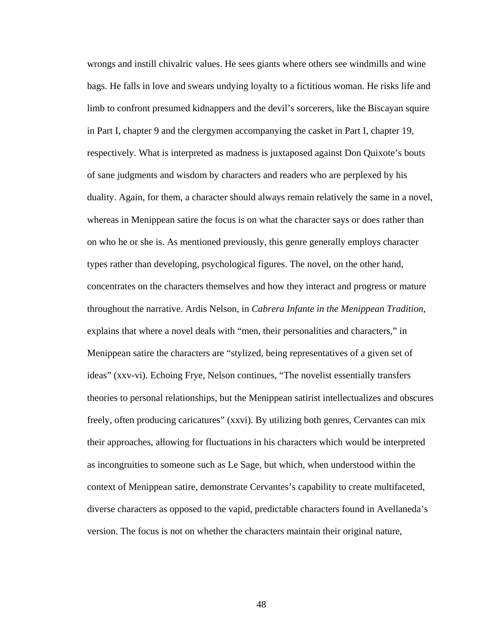wrongs and instill chivalric values. He sees giants where others see windmills and wine bags. He falls in love and swears undying loyalty to a fictitious woman. He risks life and limb to confront presumed kidnappers and the devil's sorcerers, like the Biscayan squire in Part I, chapter 9 and the clergymen accompanying the casket in Part I, chapter 19, respectively. What is interpreted as madness is juxtaposed against Don Quixote's bouts of sane judgments and wisdom by characters and readers who are perplexed by his duality. Again, for them, a character should always remain relatively the same in a novel, whereas in Menippean satire the focus is on what the character says or does rather than on who he or she is. As mentioned previously, this genre generally employs character types rather than developing, psychological figures. The novel, on the other hand, concentrates on the characters themselves and how they interact and progress or mature throughout the narrative. Ardis Nelson, in *Cabrera Infante in the Menippean Tradition*, explains that where a novel deals with "men, their personalities and characters," in Menippean satire the characters are "stylized, being representatives of a given set of ideas" (xxv-vi). Echoing Frye, Nelson continues, "The novelist essentially transfers theories to personal relationships, but the Menippean satirist intellectualizes and obscures freely, often producing caricatures" (xxvi). By utilizing both genres, Cervantes can mix their approaches, allowing for fluctuations in his characters which would be interpreted as incongruities to someone such as Le Sage, but which, when understood within the context of Menippean satire, demonstrate Cervantes's capability to create multifaceted, diverse characters as opposed to the vapid, predictable characters found in Avellaneda's version. The focus is not on whether the characters maintain their original nature,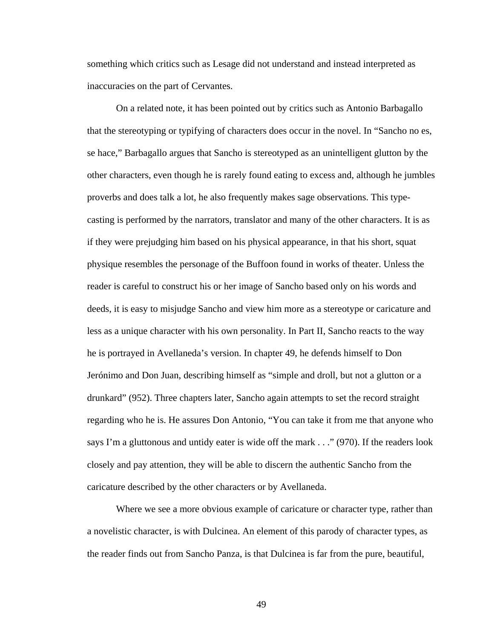something which critics such as Lesage did not understand and instead interpreted as inaccuracies on the part of Cervantes.

 On a related note, it has been pointed out by critics such as Antonio Barbagallo that the stereotyping or typifying of characters does occur in the novel. In "Sancho no es, se hace," Barbagallo argues that Sancho is stereotyped as an unintelligent glutton by the other characters, even though he is rarely found eating to excess and, although he jumbles proverbs and does talk a lot, he also frequently makes sage observations. This typecasting is performed by the narrators, translator and many of the other characters. It is as if they were prejudging him based on his physical appearance, in that his short, squat physique resembles the personage of the Buffoon found in works of theater. Unless the reader is careful to construct his or her image of Sancho based only on his words and deeds, it is easy to misjudge Sancho and view him more as a stereotype or caricature and less as a unique character with his own personality. In Part II, Sancho reacts to the way he is portrayed in Avellaneda's version. In chapter 49, he defends himself to Don Jerónimo and Don Juan, describing himself as "simple and droll, but not a glutton or a drunkard" (952). Three chapters later, Sancho again attempts to set the record straight regarding who he is. He assures Don Antonio, "You can take it from me that anyone who says I'm a gluttonous and untidy eater is wide off the mark . . ." (970). If the readers look closely and pay attention, they will be able to discern the authentic Sancho from the caricature described by the other characters or by Avellaneda.

Where we see a more obvious example of caricature or character type, rather than a novelistic character, is with Dulcinea. An element of this parody of character types, as the reader finds out from Sancho Panza, is that Dulcinea is far from the pure, beautiful,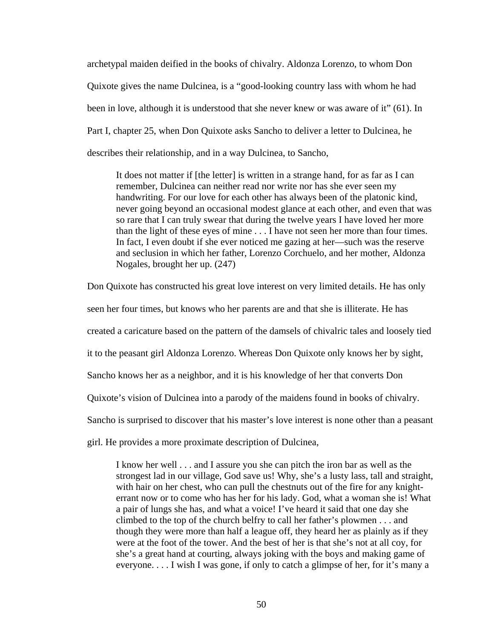archetypal maiden deified in the books of chivalry. Aldonza Lorenzo, to whom Don Quixote gives the name Dulcinea, is a "good-looking country lass with whom he had been in love, although it is understood that she never knew or was aware of it" (61). In Part I, chapter 25, when Don Quixote asks Sancho to deliver a letter to Dulcinea, he describes their relationship, and in a way Dulcinea, to Sancho,

It does not matter if [the letter] is written in a strange hand, for as far as I can remember, Dulcinea can neither read nor write nor has she ever seen my handwriting. For our love for each other has always been of the platonic kind, never going beyond an occasional modest glance at each other, and even that was so rare that I can truly swear that during the twelve years I have loved her more than the light of these eyes of mine . . . I have not seen her more than four times. In fact, I even doubt if she ever noticed me gazing at her—such was the reserve and seclusion in which her father, Lorenzo Corchuelo, and her mother, Aldonza Nogales, brought her up. (247)

Don Quixote has constructed his great love interest on very limited details. He has only seen her four times, but knows who her parents are and that she is illiterate. He has created a caricature based on the pattern of the damsels of chivalric tales and loosely tied it to the peasant girl Aldonza Lorenzo. Whereas Don Quixote only knows her by sight, Sancho knows her as a neighbor, and it is his knowledge of her that converts Don Quixote's vision of Dulcinea into a parody of the maidens found in books of chivalry. Sancho is surprised to discover that his master's love interest is none other than a peasant girl. He provides a more proximate description of Dulcinea,

I know her well . . . and I assure you she can pitch the iron bar as well as the strongest lad in our village, God save us! Why, she's a lusty lass, tall and straight, with hair on her chest, who can pull the chestnuts out of the fire for any knighterrant now or to come who has her for his lady. God, what a woman she is! What a pair of lungs she has, and what a voice! I've heard it said that one day she climbed to the top of the church belfry to call her father's plowmen . . . and though they were more than half a league off, they heard her as plainly as if they were at the foot of the tower. And the best of her is that she's not at all coy, for she's a great hand at courting, always joking with the boys and making game of everyone. . . . I wish I was gone, if only to catch a glimpse of her, for it's many a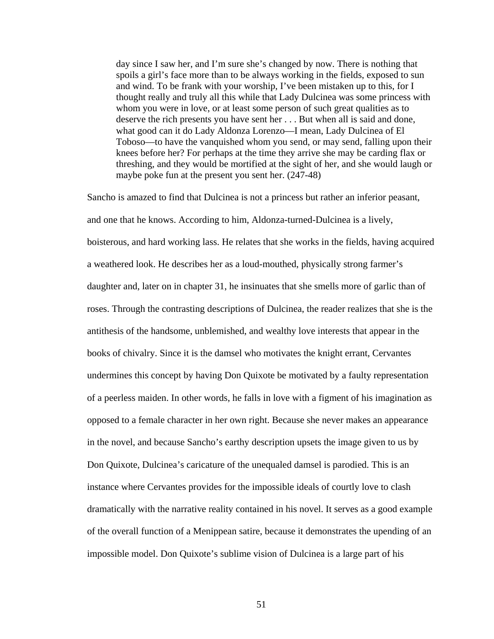day since I saw her, and I'm sure she's changed by now. There is nothing that spoils a girl's face more than to be always working in the fields, exposed to sun and wind. To be frank with your worship, I've been mistaken up to this, for I thought really and truly all this while that Lady Dulcinea was some princess with whom you were in love, or at least some person of such great qualities as to deserve the rich presents you have sent her . . . But when all is said and done, what good can it do Lady Aldonza Lorenzo—I mean, Lady Dulcinea of El Toboso—to have the vanquished whom you send, or may send, falling upon their knees before her? For perhaps at the time they arrive she may be carding flax or threshing, and they would be mortified at the sight of her, and she would laugh or maybe poke fun at the present you sent her. (247-48)

Sancho is amazed to find that Dulcinea is not a princess but rather an inferior peasant, and one that he knows. According to him, Aldonza-turned-Dulcinea is a lively, boisterous, and hard working lass. He relates that she works in the fields, having acquired a weathered look. He describes her as a loud-mouthed, physically strong farmer's daughter and, later on in chapter 31, he insinuates that she smells more of garlic than of roses. Through the contrasting descriptions of Dulcinea, the reader realizes that she is the antithesis of the handsome, unblemished, and wealthy love interests that appear in the books of chivalry. Since it is the damsel who motivates the knight errant, Cervantes undermines this concept by having Don Quixote be motivated by a faulty representation of a peerless maiden. In other words, he falls in love with a figment of his imagination as opposed to a female character in her own right. Because she never makes an appearance in the novel, and because Sancho's earthy description upsets the image given to us by Don Quixote, Dulcinea's caricature of the unequaled damsel is parodied. This is an instance where Cervantes provides for the impossible ideals of courtly love to clash dramatically with the narrative reality contained in his novel. It serves as a good example of the overall function of a Menippean satire, because it demonstrates the upending of an impossible model. Don Quixote's sublime vision of Dulcinea is a large part of his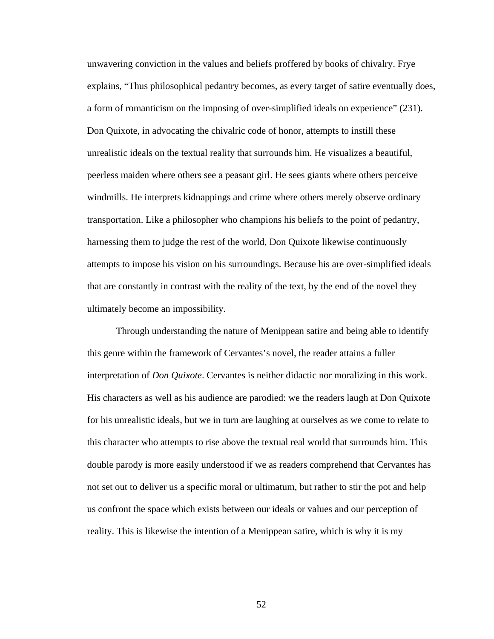unwavering conviction in the values and beliefs proffered by books of chivalry. Frye explains, "Thus philosophical pedantry becomes, as every target of satire eventually does, a form of romanticism on the imposing of over-simplified ideals on experience" (231). Don Quixote, in advocating the chivalric code of honor, attempts to instill these unrealistic ideals on the textual reality that surrounds him. He visualizes a beautiful, peerless maiden where others see a peasant girl. He sees giants where others perceive windmills. He interprets kidnappings and crime where others merely observe ordinary transportation. Like a philosopher who champions his beliefs to the point of pedantry, harnessing them to judge the rest of the world, Don Quixote likewise continuously attempts to impose his vision on his surroundings. Because his are over-simplified ideals that are constantly in contrast with the reality of the text, by the end of the novel they ultimately become an impossibility.

Through understanding the nature of Menippean satire and being able to identify this genre within the framework of Cervantes's novel, the reader attains a fuller interpretation of *Don Quixote*. Cervantes is neither didactic nor moralizing in this work. His characters as well as his audience are parodied: we the readers laugh at Don Quixote for his unrealistic ideals, but we in turn are laughing at ourselves as we come to relate to this character who attempts to rise above the textual real world that surrounds him. This double parody is more easily understood if we as readers comprehend that Cervantes has not set out to deliver us a specific moral or ultimatum, but rather to stir the pot and help us confront the space which exists between our ideals or values and our perception of reality. This is likewise the intention of a Menippean satire, which is why it is my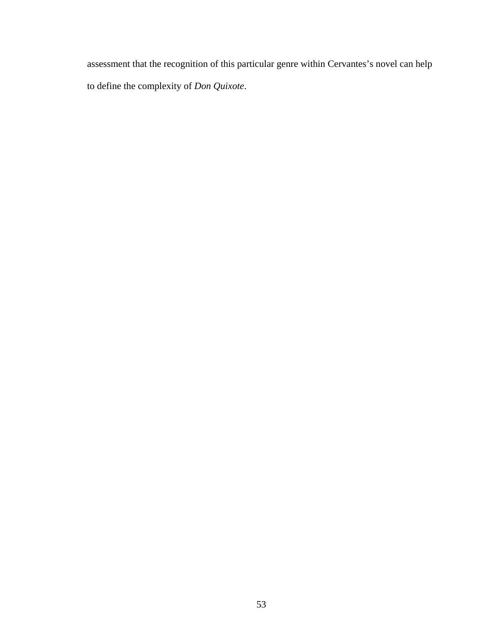assessment that the recognition of this particular genre within Cervantes's novel can help to define the complexity of *Don Quixote*.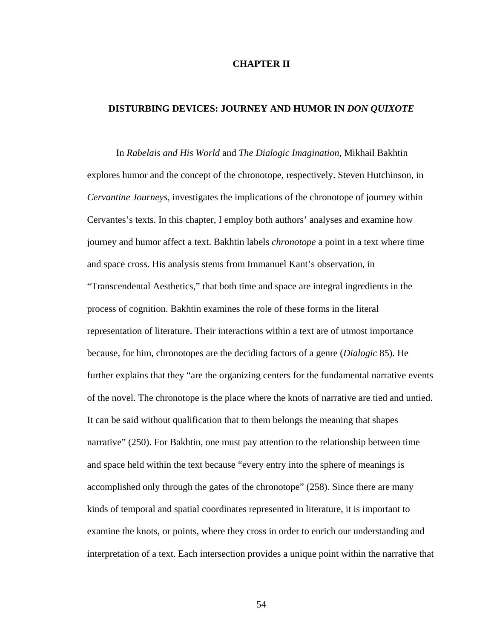## **CHAPTER II**

## **DISTURBING DEVICES: JOURNEY AND HUMOR IN** *DON QUIXOTE*

In *Rabelais and His World* and *The Dialogic Imagination*, Mikhail Bakhtin explores humor and the concept of the chronotope, respectively. Steven Hutchinson, in *Cervantine Journeys*, investigates the implications of the chronotope of journey within Cervantes's texts. In this chapter, I employ both authors' analyses and examine how journey and humor affect a text. Bakhtin labels *chronotope* a point in a text where time and space cross. His analysis stems from Immanuel Kant's observation, in "Transcendental Aesthetics," that both time and space are integral ingredients in the process of cognition. Bakhtin examines the role of these forms in the literal representation of literature. Their interactions within a text are of utmost importance because, for him, chronotopes are the deciding factors of a genre (*Dialogic* 85). He further explains that they "are the organizing centers for the fundamental narrative events of the novel. The chronotope is the place where the knots of narrative are tied and untied. It can be said without qualification that to them belongs the meaning that shapes narrative" (250). For Bakhtin, one must pay attention to the relationship between time and space held within the text because "every entry into the sphere of meanings is accomplished only through the gates of the chronotope" (258). Since there are many kinds of temporal and spatial coordinates represented in literature, it is important to examine the knots, or points, where they cross in order to enrich our understanding and interpretation of a text. Each intersection provides a unique point within the narrative that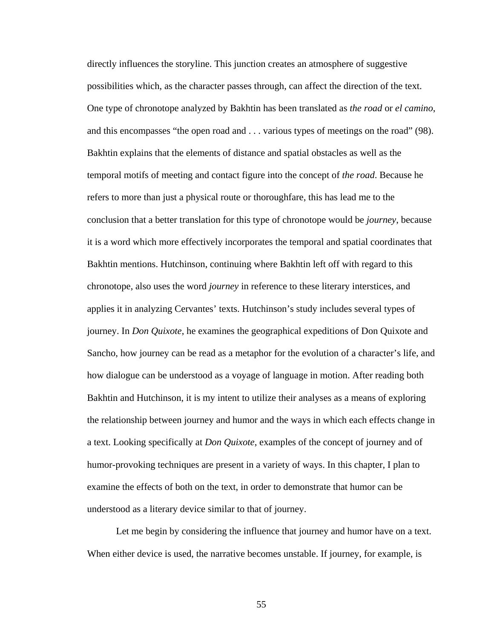directly influences the storyline. This junction creates an atmosphere of suggestive possibilities which, as the character passes through, can affect the direction of the text. One type of chronotope analyzed by Bakhtin has been translated as *the road* or *el camino*, and this encompasses "the open road and . . . various types of meetings on the road" (98). Bakhtin explains that the elements of distance and spatial obstacles as well as the temporal motifs of meeting and contact figure into the concept of *the road*. Because he refers to more than just a physical route or thoroughfare, this has lead me to the conclusion that a better translation for this type of chronotope would be *journey*, because it is a word which more effectively incorporates the temporal and spatial coordinates that Bakhtin mentions. Hutchinson, continuing where Bakhtin left off with regard to this chronotope, also uses the word *journey* in reference to these literary interstices, and applies it in analyzing Cervantes' texts. Hutchinson's study includes several types of journey. In *Don Quixote*, he examines the geographical expeditions of Don Quixote and Sancho, how journey can be read as a metaphor for the evolution of a character's life, and how dialogue can be understood as a voyage of language in motion. After reading both Bakhtin and Hutchinson, it is my intent to utilize their analyses as a means of exploring the relationship between journey and humor and the ways in which each effects change in a text. Looking specifically at *Don Quixote*, examples of the concept of journey and of humor-provoking techniques are present in a variety of ways. In this chapter, I plan to examine the effects of both on the text, in order to demonstrate that humor can be understood as a literary device similar to that of journey.

Let me begin by considering the influence that journey and humor have on a text. When either device is used, the narrative becomes unstable. If journey, for example, is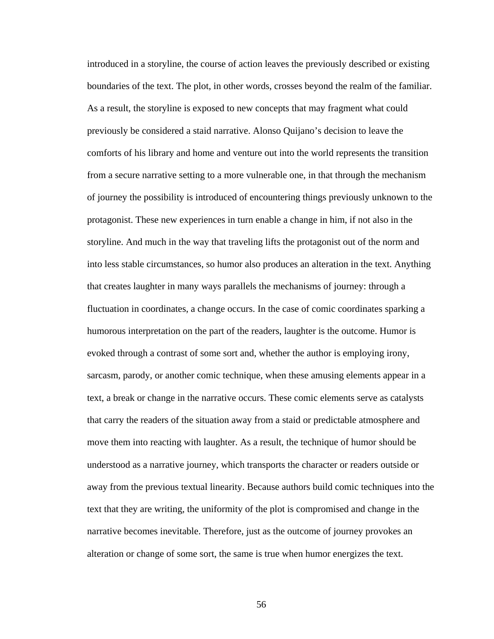introduced in a storyline, the course of action leaves the previously described or existing boundaries of the text. The plot, in other words, crosses beyond the realm of the familiar. As a result, the storyline is exposed to new concepts that may fragment what could previously be considered a staid narrative. Alonso Quijano's decision to leave the comforts of his library and home and venture out into the world represents the transition from a secure narrative setting to a more vulnerable one, in that through the mechanism of journey the possibility is introduced of encountering things previously unknown to the protagonist. These new experiences in turn enable a change in him, if not also in the storyline. And much in the way that traveling lifts the protagonist out of the norm and into less stable circumstances, so humor also produces an alteration in the text. Anything that creates laughter in many ways parallels the mechanisms of journey: through a fluctuation in coordinates, a change occurs. In the case of comic coordinates sparking a humorous interpretation on the part of the readers, laughter is the outcome. Humor is evoked through a contrast of some sort and, whether the author is employing irony, sarcasm, parody, or another comic technique, when these amusing elements appear in a text, a break or change in the narrative occurs. These comic elements serve as catalysts that carry the readers of the situation away from a staid or predictable atmosphere and move them into reacting with laughter. As a result, the technique of humor should be understood as a narrative journey, which transports the character or readers outside or away from the previous textual linearity. Because authors build comic techniques into the text that they are writing, the uniformity of the plot is compromised and change in the narrative becomes inevitable. Therefore, just as the outcome of journey provokes an alteration or change of some sort, the same is true when humor energizes the text.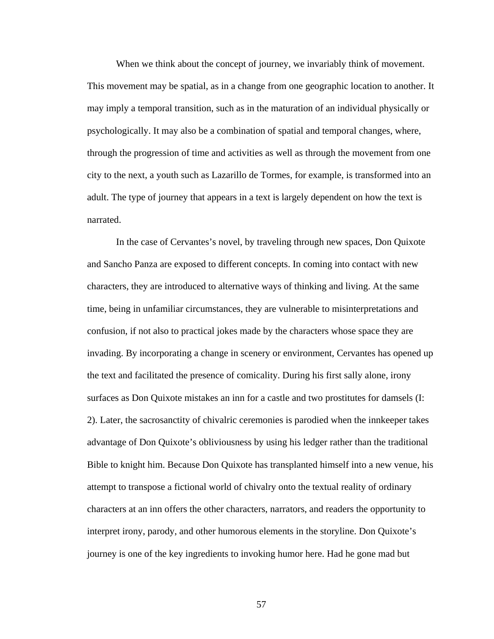When we think about the concept of journey, we invariably think of movement. This movement may be spatial, as in a change from one geographic location to another. It may imply a temporal transition, such as in the maturation of an individual physically or psychologically. It may also be a combination of spatial and temporal changes, where, through the progression of time and activities as well as through the movement from one city to the next, a youth such as Lazarillo de Tormes, for example, is transformed into an adult. The type of journey that appears in a text is largely dependent on how the text is narrated.

In the case of Cervantes's novel, by traveling through new spaces, Don Quixote and Sancho Panza are exposed to different concepts. In coming into contact with new characters, they are introduced to alternative ways of thinking and living. At the same time, being in unfamiliar circumstances, they are vulnerable to misinterpretations and confusion, if not also to practical jokes made by the characters whose space they are invading. By incorporating a change in scenery or environment, Cervantes has opened up the text and facilitated the presence of comicality. During his first sally alone, irony surfaces as Don Quixote mistakes an inn for a castle and two prostitutes for damsels (I: 2). Later, the sacrosanctity of chivalric ceremonies is parodied when the innkeeper takes advantage of Don Quixote's obliviousness by using his ledger rather than the traditional Bible to knight him. Because Don Quixote has transplanted himself into a new venue, his attempt to transpose a fictional world of chivalry onto the textual reality of ordinary characters at an inn offers the other characters, narrators, and readers the opportunity to interpret irony, parody, and other humorous elements in the storyline. Don Quixote's journey is one of the key ingredients to invoking humor here. Had he gone mad but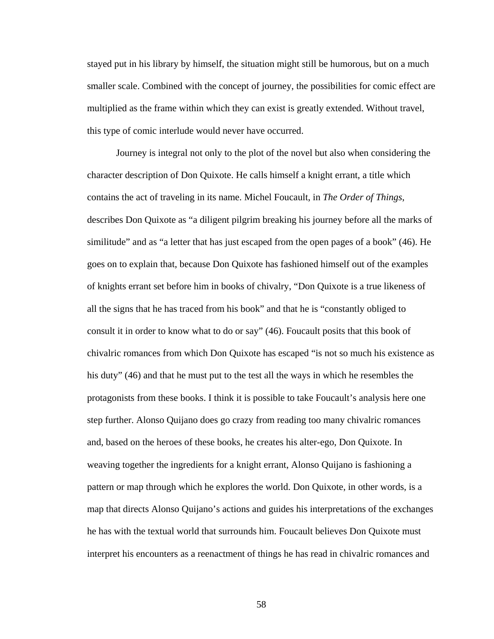stayed put in his library by himself, the situation might still be humorous, but on a much smaller scale. Combined with the concept of journey, the possibilities for comic effect are multiplied as the frame within which they can exist is greatly extended. Without travel, this type of comic interlude would never have occurred.

Journey is integral not only to the plot of the novel but also when considering the character description of Don Quixote. He calls himself a knight errant, a title which contains the act of traveling in its name. Michel Foucault, in *The Order of Things*, describes Don Quixote as "a diligent pilgrim breaking his journey before all the marks of similitude" and as "a letter that has just escaped from the open pages of a book" (46). He goes on to explain that, because Don Quixote has fashioned himself out of the examples of knights errant set before him in books of chivalry, "Don Quixote is a true likeness of all the signs that he has traced from his book" and that he is "constantly obliged to consult it in order to know what to do or say" (46). Foucault posits that this book of chivalric romances from which Don Quixote has escaped "is not so much his existence as his duty" (46) and that he must put to the test all the ways in which he resembles the protagonists from these books. I think it is possible to take Foucault's analysis here one step further. Alonso Quijano does go crazy from reading too many chivalric romances and, based on the heroes of these books, he creates his alter-ego, Don Quixote. In weaving together the ingredients for a knight errant, Alonso Quijano is fashioning a pattern or map through which he explores the world. Don Quixote, in other words, is a map that directs Alonso Quijano's actions and guides his interpretations of the exchanges he has with the textual world that surrounds him. Foucault believes Don Quixote must interpret his encounters as a reenactment of things he has read in chivalric romances and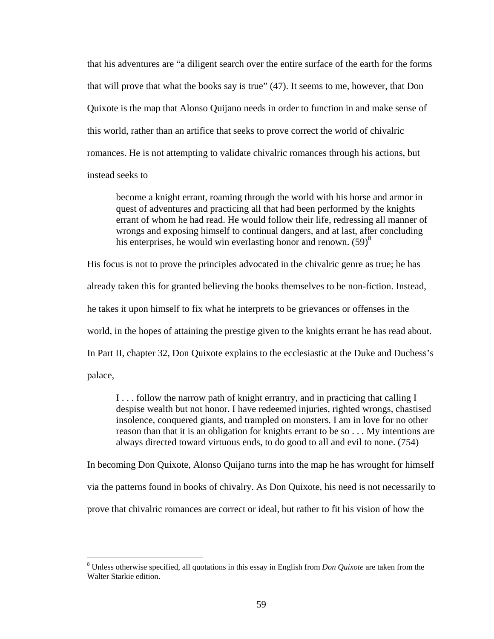that his adventures are "a diligent search over the entire surface of the earth for the forms that will prove that what the books say is true" (47). It seems to me, however, that Don Quixote is the map that Alonso Quijano needs in order to function in and make sense of this world, rather than an artifice that seeks to prove correct the world of chivalric romances. He is not attempting to validate chivalric romances through his actions, but instead seeks to

become a knight errant, roaming through the world with his horse and armor in quest of adventures and practicing all that had been performed by the knights errant of whom he had read. He would follow their life, redressing all manner of wrongs and exposing himself to continual dangers, and at last, after concluding his enterprises, he would win everlasting honor and renown.  $(59)^8$ 

His focus is not to prove the principles advocated in the chivalric genre as true; he has already taken this for granted believing the books themselves to be non-fiction. Instead, he takes it upon himself to fix what he interprets to be grievances or offenses in the world, in the hopes of attaining the prestige given to the knights errant he has read about. In Part II, chapter 32, Don Quixote explains to the ecclesiastic at the Duke and Duchess's palace,

I . . . follow the narrow path of knight errantry, and in practicing that calling I despise wealth but not honor. I have redeemed injuries, righted wrongs, chastised insolence, conquered giants, and trampled on monsters. I am in love for no other reason than that it is an obligation for knights errant to be so . . . My intentions are always directed toward virtuous ends, to do good to all and evil to none. (754)

In becoming Don Quixote, Alonso Quijano turns into the map he has wrought for himself via the patterns found in books of chivalry. As Don Quixote, his need is not necessarily to prove that chivalric romances are correct or ideal, but rather to fit his vision of how the

 $\overline{a}$ 

<sup>8</sup> Unless otherwise specified, all quotations in this essay in English from *Don Quixote* are taken from the Walter Starkie edition.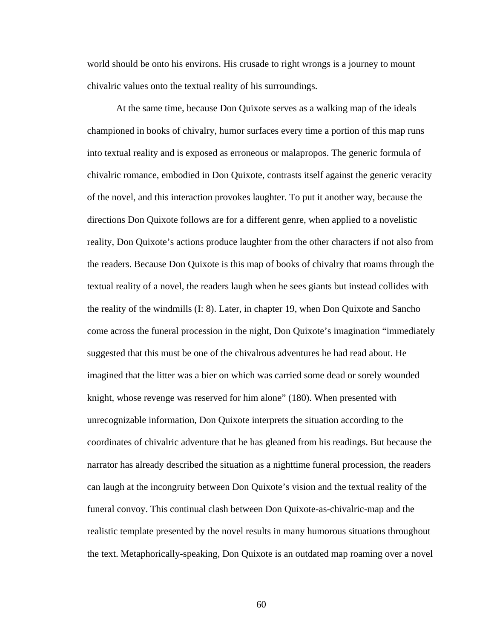world should be onto his environs. His crusade to right wrongs is a journey to mount chivalric values onto the textual reality of his surroundings.

At the same time, because Don Quixote serves as a walking map of the ideals championed in books of chivalry, humor surfaces every time a portion of this map runs into textual reality and is exposed as erroneous or malapropos. The generic formula of chivalric romance, embodied in Don Quixote, contrasts itself against the generic veracity of the novel, and this interaction provokes laughter. To put it another way, because the directions Don Quixote follows are for a different genre, when applied to a novelistic reality, Don Quixote's actions produce laughter from the other characters if not also from the readers. Because Don Quixote is this map of books of chivalry that roams through the textual reality of a novel, the readers laugh when he sees giants but instead collides with the reality of the windmills (I: 8). Later, in chapter 19, when Don Quixote and Sancho come across the funeral procession in the night, Don Quixote's imagination "immediately suggested that this must be one of the chivalrous adventures he had read about. He imagined that the litter was a bier on which was carried some dead or sorely wounded knight, whose revenge was reserved for him alone" (180). When presented with unrecognizable information, Don Quixote interprets the situation according to the coordinates of chivalric adventure that he has gleaned from his readings. But because the narrator has already described the situation as a nighttime funeral procession, the readers can laugh at the incongruity between Don Quixote's vision and the textual reality of the funeral convoy. This continual clash between Don Quixote-as-chivalric-map and the realistic template presented by the novel results in many humorous situations throughout the text. Metaphorically-speaking, Don Quixote is an outdated map roaming over a novel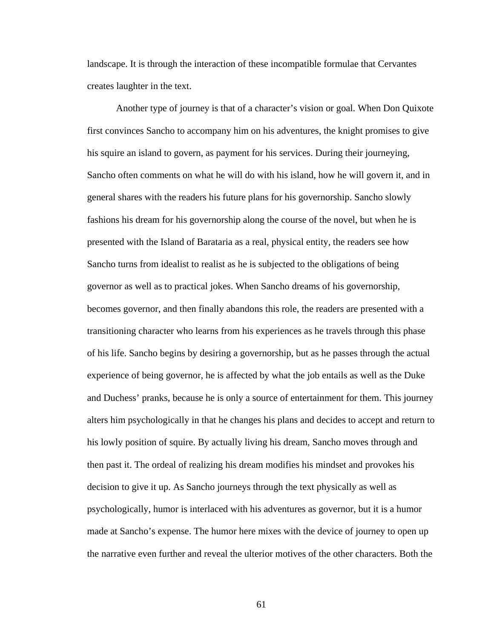landscape. It is through the interaction of these incompatible formulae that Cervantes creates laughter in the text.

 Another type of journey is that of a character's vision or goal. When Don Quixote first convinces Sancho to accompany him on his adventures, the knight promises to give his squire an island to govern, as payment for his services. During their journeying, Sancho often comments on what he will do with his island, how he will govern it, and in general shares with the readers his future plans for his governorship. Sancho slowly fashions his dream for his governorship along the course of the novel, but when he is presented with the Island of Barataria as a real, physical entity, the readers see how Sancho turns from idealist to realist as he is subjected to the obligations of being governor as well as to practical jokes. When Sancho dreams of his governorship, becomes governor, and then finally abandons this role, the readers are presented with a transitioning character who learns from his experiences as he travels through this phase of his life. Sancho begins by desiring a governorship, but as he passes through the actual experience of being governor, he is affected by what the job entails as well as the Duke and Duchess' pranks, because he is only a source of entertainment for them. This journey alters him psychologically in that he changes his plans and decides to accept and return to his lowly position of squire. By actually living his dream, Sancho moves through and then past it. The ordeal of realizing his dream modifies his mindset and provokes his decision to give it up. As Sancho journeys through the text physically as well as psychologically, humor is interlaced with his adventures as governor, but it is a humor made at Sancho's expense. The humor here mixes with the device of journey to open up the narrative even further and reveal the ulterior motives of the other characters. Both the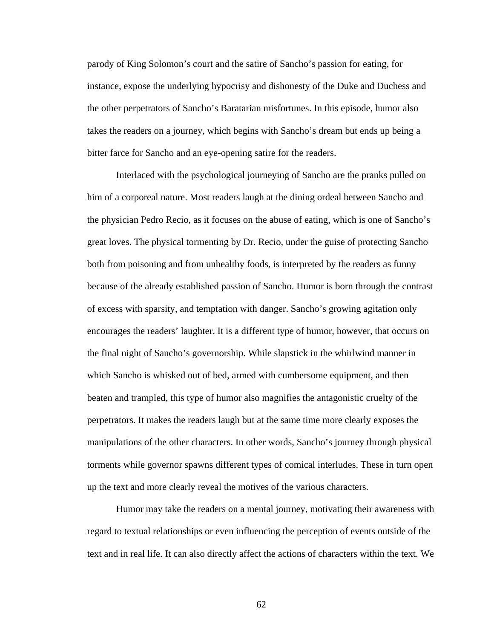parody of King Solomon's court and the satire of Sancho's passion for eating, for instance, expose the underlying hypocrisy and dishonesty of the Duke and Duchess and the other perpetrators of Sancho's Baratarian misfortunes. In this episode, humor also takes the readers on a journey, which begins with Sancho's dream but ends up being a bitter farce for Sancho and an eye-opening satire for the readers.

 Interlaced with the psychological journeying of Sancho are the pranks pulled on him of a corporeal nature. Most readers laugh at the dining ordeal between Sancho and the physician Pedro Recio, as it focuses on the abuse of eating, which is one of Sancho's great loves. The physical tormenting by Dr. Recio, under the guise of protecting Sancho both from poisoning and from unhealthy foods, is interpreted by the readers as funny because of the already established passion of Sancho. Humor is born through the contrast of excess with sparsity, and temptation with danger. Sancho's growing agitation only encourages the readers' laughter. It is a different type of humor, however, that occurs on the final night of Sancho's governorship. While slapstick in the whirlwind manner in which Sancho is whisked out of bed, armed with cumbersome equipment, and then beaten and trampled, this type of humor also magnifies the antagonistic cruelty of the perpetrators. It makes the readers laugh but at the same time more clearly exposes the manipulations of the other characters. In other words, Sancho's journey through physical torments while governor spawns different types of comical interludes. These in turn open up the text and more clearly reveal the motives of the various characters.

Humor may take the readers on a mental journey, motivating their awareness with regard to textual relationships or even influencing the perception of events outside of the text and in real life. It can also directly affect the actions of characters within the text. We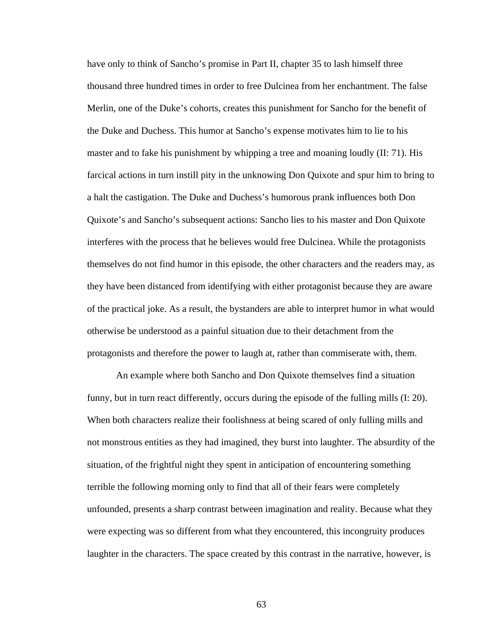have only to think of Sancho's promise in Part II, chapter 35 to lash himself three thousand three hundred times in order to free Dulcinea from her enchantment. The false Merlin, one of the Duke's cohorts, creates this punishment for Sancho for the benefit of the Duke and Duchess. This humor at Sancho's expense motivates him to lie to his master and to fake his punishment by whipping a tree and moaning loudly (II: 71). His farcical actions in turn instill pity in the unknowing Don Quixote and spur him to bring to a halt the castigation. The Duke and Duchess's humorous prank influences both Don Quixote's and Sancho's subsequent actions: Sancho lies to his master and Don Quixote interferes with the process that he believes would free Dulcinea. While the protagonists themselves do not find humor in this episode, the other characters and the readers may, as they have been distanced from identifying with either protagonist because they are aware of the practical joke. As a result, the bystanders are able to interpret humor in what would otherwise be understood as a painful situation due to their detachment from the protagonists and therefore the power to laugh at, rather than commiserate with, them.

 An example where both Sancho and Don Quixote themselves find a situation funny, but in turn react differently, occurs during the episode of the fulling mills (I: 20). When both characters realize their foolishness at being scared of only fulling mills and not monstrous entities as they had imagined, they burst into laughter. The absurdity of the situation, of the frightful night they spent in anticipation of encountering something terrible the following morning only to find that all of their fears were completely unfounded, presents a sharp contrast between imagination and reality. Because what they were expecting was so different from what they encountered, this incongruity produces laughter in the characters. The space created by this contrast in the narrative, however, is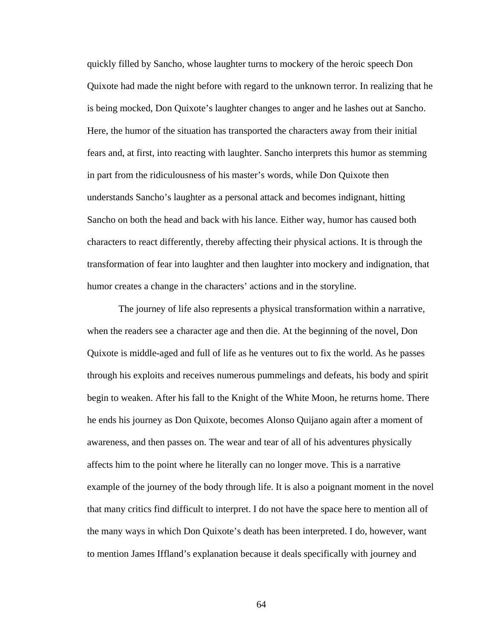quickly filled by Sancho, whose laughter turns to mockery of the heroic speech Don Quixote had made the night before with regard to the unknown terror. In realizing that he is being mocked, Don Quixote's laughter changes to anger and he lashes out at Sancho. Here, the humor of the situation has transported the characters away from their initial fears and, at first, into reacting with laughter. Sancho interprets this humor as stemming in part from the ridiculousness of his master's words, while Don Quixote then understands Sancho's laughter as a personal attack and becomes indignant, hitting Sancho on both the head and back with his lance. Either way, humor has caused both characters to react differently, thereby affecting their physical actions. It is through the transformation of fear into laughter and then laughter into mockery and indignation, that humor creates a change in the characters' actions and in the storyline.

 The journey of life also represents a physical transformation within a narrative, when the readers see a character age and then die. At the beginning of the novel, Don Quixote is middle-aged and full of life as he ventures out to fix the world. As he passes through his exploits and receives numerous pummelings and defeats, his body and spirit begin to weaken. After his fall to the Knight of the White Moon, he returns home. There he ends his journey as Don Quixote, becomes Alonso Quijano again after a moment of awareness, and then passes on. The wear and tear of all of his adventures physically affects him to the point where he literally can no longer move. This is a narrative example of the journey of the body through life. It is also a poignant moment in the novel that many critics find difficult to interpret. I do not have the space here to mention all of the many ways in which Don Quixote's death has been interpreted. I do, however, want to mention James Iffland's explanation because it deals specifically with journey and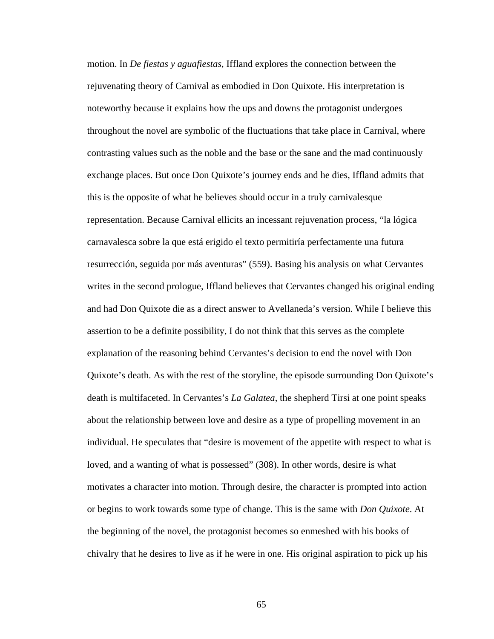motion. In *De fiestas y aguafiestas*, Iffland explores the connection between the rejuvenating theory of Carnival as embodied in Don Quixote. His interpretation is noteworthy because it explains how the ups and downs the protagonist undergoes throughout the novel are symbolic of the fluctuations that take place in Carnival, where contrasting values such as the noble and the base or the sane and the mad continuously exchange places. But once Don Quixote's journey ends and he dies, Iffland admits that this is the opposite of what he believes should occur in a truly carnivalesque representation. Because Carnival ellicits an incessant rejuvenation process, "la lógica carnavalesca sobre la que está erigido el texto permitiría perfectamente una futura resurrección, seguida por más aventuras" (559). Basing his analysis on what Cervantes writes in the second prologue, Iffland believes that Cervantes changed his original ending and had Don Quixote die as a direct answer to Avellaneda's version. While I believe this assertion to be a definite possibility, I do not think that this serves as the complete explanation of the reasoning behind Cervantes's decision to end the novel with Don Quixote's death. As with the rest of the storyline, the episode surrounding Don Quixote's death is multifaceted. In Cervantes's *La Galatea*, the shepherd Tirsi at one point speaks about the relationship between love and desire as a type of propelling movement in an individual. He speculates that "desire is movement of the appetite with respect to what is loved, and a wanting of what is possessed" (308). In other words, desire is what motivates a character into motion. Through desire, the character is prompted into action or begins to work towards some type of change. This is the same with *Don Quixote*. At the beginning of the novel, the protagonist becomes so enmeshed with his books of chivalry that he desires to live as if he were in one. His original aspiration to pick up his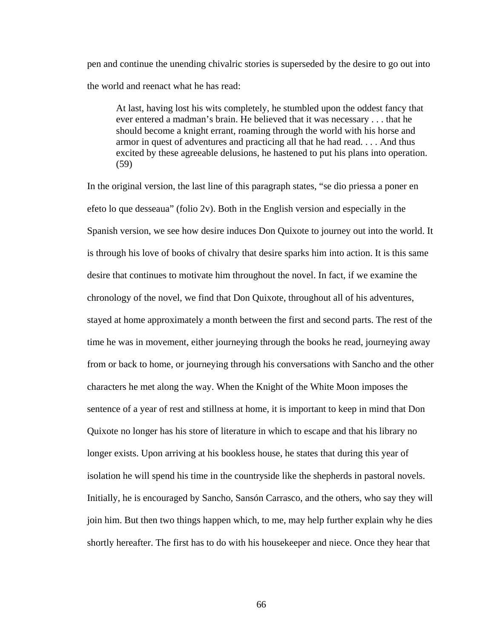pen and continue the unending chivalric stories is superseded by the desire to go out into the world and reenact what he has read:

At last, having lost his wits completely, he stumbled upon the oddest fancy that ever entered a madman's brain. He believed that it was necessary . . . that he should become a knight errant, roaming through the world with his horse and armor in quest of adventures and practicing all that he had read. . . . And thus excited by these agreeable delusions, he hastened to put his plans into operation. (59)

In the original version, the last line of this paragraph states, "se dio priessa a poner en efeto lo que desseaua" (folio 2v). Both in the English version and especially in the Spanish version, we see how desire induces Don Quixote to journey out into the world. It is through his love of books of chivalry that desire sparks him into action. It is this same desire that continues to motivate him throughout the novel. In fact, if we examine the chronology of the novel, we find that Don Quixote, throughout all of his adventures, stayed at home approximately a month between the first and second parts. The rest of the time he was in movement, either journeying through the books he read, journeying away from or back to home, or journeying through his conversations with Sancho and the other characters he met along the way. When the Knight of the White Moon imposes the sentence of a year of rest and stillness at home, it is important to keep in mind that Don Quixote no longer has his store of literature in which to escape and that his library no longer exists. Upon arriving at his bookless house, he states that during this year of isolation he will spend his time in the countryside like the shepherds in pastoral novels. Initially, he is encouraged by Sancho, Sansón Carrasco, and the others, who say they will join him. But then two things happen which, to me, may help further explain why he dies shortly hereafter. The first has to do with his housekeeper and niece. Once they hear that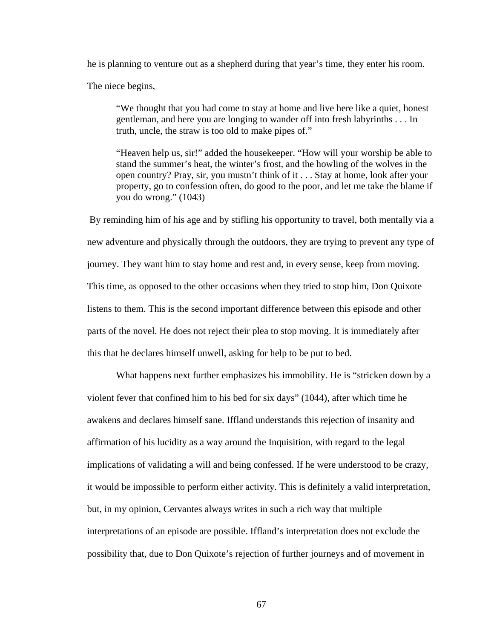he is planning to venture out as a shepherd during that year's time, they enter his room.

The niece begins,

"We thought that you had come to stay at home and live here like a quiet, honest gentleman, and here you are longing to wander off into fresh labyrinths . . . In truth, uncle, the straw is too old to make pipes of."

"Heaven help us, sir!" added the housekeeper. "How will your worship be able to stand the summer's heat, the winter's frost, and the howling of the wolves in the open country? Pray, sir, you mustn't think of it . . . Stay at home, look after your property, go to confession often, do good to the poor, and let me take the blame if you do wrong." (1043)

 By reminding him of his age and by stifling his opportunity to travel, both mentally via a new adventure and physically through the outdoors, they are trying to prevent any type of journey. They want him to stay home and rest and, in every sense, keep from moving. This time, as opposed to the other occasions when they tried to stop him, Don Quixote listens to them. This is the second important difference between this episode and other parts of the novel. He does not reject their plea to stop moving. It is immediately after this that he declares himself unwell, asking for help to be put to bed.

 What happens next further emphasizes his immobility. He is "stricken down by a violent fever that confined him to his bed for six days" (1044), after which time he awakens and declares himself sane. Iffland understands this rejection of insanity and affirmation of his lucidity as a way around the Inquisition, with regard to the legal implications of validating a will and being confessed. If he were understood to be crazy, it would be impossible to perform either activity. This is definitely a valid interpretation, but, in my opinion, Cervantes always writes in such a rich way that multiple interpretations of an episode are possible. Iffland's interpretation does not exclude the possibility that, due to Don Quixote's rejection of further journeys and of movement in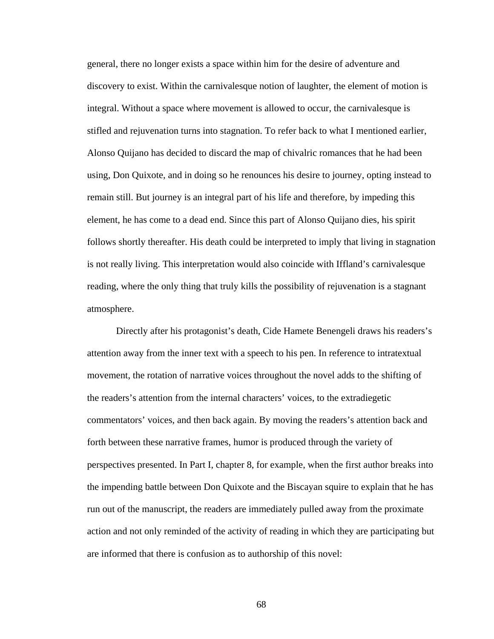general, there no longer exists a space within him for the desire of adventure and discovery to exist. Within the carnivalesque notion of laughter, the element of motion is integral. Without a space where movement is allowed to occur, the carnivalesque is stifled and rejuvenation turns into stagnation. To refer back to what I mentioned earlier, Alonso Quijano has decided to discard the map of chivalric romances that he had been using, Don Quixote, and in doing so he renounces his desire to journey, opting instead to remain still. But journey is an integral part of his life and therefore, by impeding this element, he has come to a dead end. Since this part of Alonso Quijano dies, his spirit follows shortly thereafter. His death could be interpreted to imply that living in stagnation is not really living. This interpretation would also coincide with Iffland's carnivalesque reading, where the only thing that truly kills the possibility of rejuvenation is a stagnant atmosphere.

Directly after his protagonist's death, Cide Hamete Benengeli draws his readers's attention away from the inner text with a speech to his pen. In reference to intratextual movement, the rotation of narrative voices throughout the novel adds to the shifting of the readers's attention from the internal characters' voices, to the extradiegetic commentators' voices, and then back again. By moving the readers's attention back and forth between these narrative frames, humor is produced through the variety of perspectives presented. In Part I, chapter 8, for example, when the first author breaks into the impending battle between Don Quixote and the Biscayan squire to explain that he has run out of the manuscript, the readers are immediately pulled away from the proximate action and not only reminded of the activity of reading in which they are participating but are informed that there is confusion as to authorship of this novel: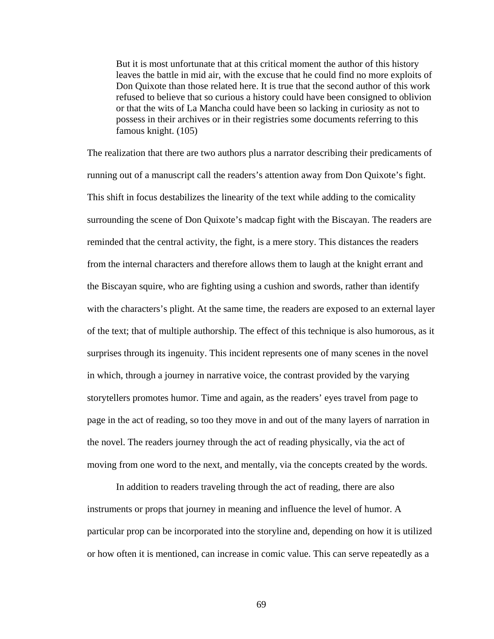But it is most unfortunate that at this critical moment the author of this history leaves the battle in mid air, with the excuse that he could find no more exploits of Don Quixote than those related here. It is true that the second author of this work refused to believe that so curious a history could have been consigned to oblivion or that the wits of La Mancha could have been so lacking in curiosity as not to possess in their archives or in their registries some documents referring to this famous knight. (105)

The realization that there are two authors plus a narrator describing their predicaments of running out of a manuscript call the readers's attention away from Don Quixote's fight. This shift in focus destabilizes the linearity of the text while adding to the comicality surrounding the scene of Don Quixote's madcap fight with the Biscayan. The readers are reminded that the central activity, the fight, is a mere story. This distances the readers from the internal characters and therefore allows them to laugh at the knight errant and the Biscayan squire, who are fighting using a cushion and swords, rather than identify with the characters's plight. At the same time, the readers are exposed to an external layer of the text; that of multiple authorship. The effect of this technique is also humorous, as it surprises through its ingenuity. This incident represents one of many scenes in the novel in which, through a journey in narrative voice, the contrast provided by the varying storytellers promotes humor. Time and again, as the readers' eyes travel from page to page in the act of reading, so too they move in and out of the many layers of narration in the novel. The readers journey through the act of reading physically, via the act of moving from one word to the next, and mentally, via the concepts created by the words.

In addition to readers traveling through the act of reading, there are also instruments or props that journey in meaning and influence the level of humor. A particular prop can be incorporated into the storyline and, depending on how it is utilized or how often it is mentioned, can increase in comic value. This can serve repeatedly as a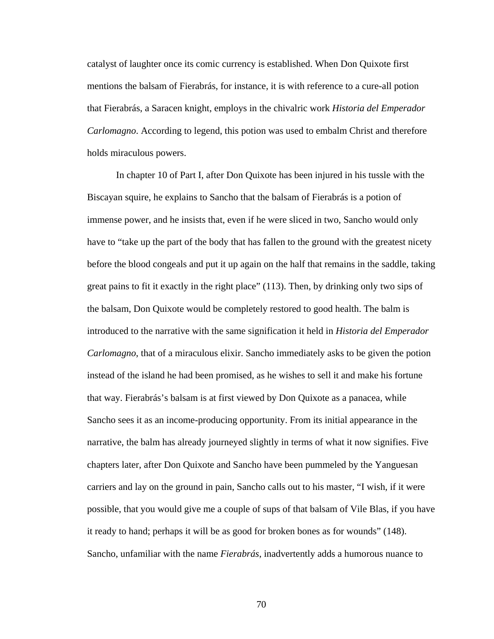catalyst of laughter once its comic currency is established. When Don Quixote first mentions the balsam of Fierabrás, for instance, it is with reference to a cure-all potion that Fierabrás, a Saracen knight, employs in the chivalric work *Historia del Emperador Carlomagno*. According to legend, this potion was used to embalm Christ and therefore holds miraculous powers.

In chapter 10 of Part I, after Don Quixote has been injured in his tussle with the Biscayan squire, he explains to Sancho that the balsam of Fierabrás is a potion of immense power, and he insists that, even if he were sliced in two, Sancho would only have to "take up the part of the body that has fallen to the ground with the greatest nicety before the blood congeals and put it up again on the half that remains in the saddle, taking great pains to fit it exactly in the right place" (113). Then, by drinking only two sips of the balsam, Don Quixote would be completely restored to good health. The balm is introduced to the narrative with the same signification it held in *Historia del Emperador Carlomagno*, that of a miraculous elixir. Sancho immediately asks to be given the potion instead of the island he had been promised, as he wishes to sell it and make his fortune that way. Fierabrás's balsam is at first viewed by Don Quixote as a panacea, while Sancho sees it as an income-producing opportunity. From its initial appearance in the narrative, the balm has already journeyed slightly in terms of what it now signifies. Five chapters later, after Don Quixote and Sancho have been pummeled by the Yanguesan carriers and lay on the ground in pain, Sancho calls out to his master, "I wish, if it were possible, that you would give me a couple of sups of that balsam of Vile Blas, if you have it ready to hand; perhaps it will be as good for broken bones as for wounds" (148). Sancho, unfamiliar with the name *Fierabrás*, inadvertently adds a humorous nuance to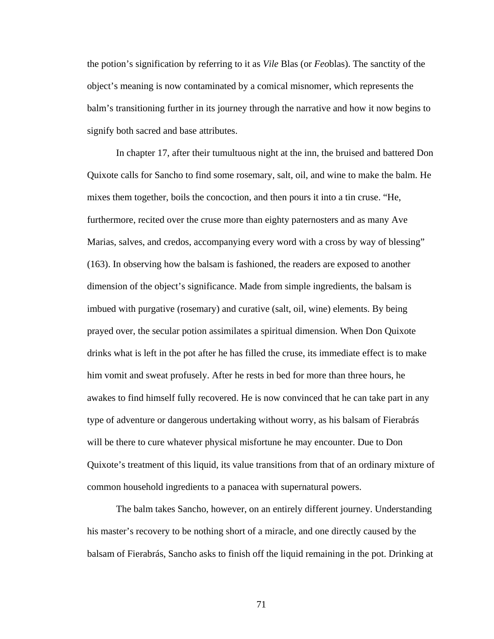the potion's signification by referring to it as *Vile* Blas (or *Feo*blas). The sanctity of the object's meaning is now contaminated by a comical misnomer, which represents the balm's transitioning further in its journey through the narrative and how it now begins to signify both sacred and base attributes.

In chapter 17, after their tumultuous night at the inn, the bruised and battered Don Quixote calls for Sancho to find some rosemary, salt, oil, and wine to make the balm. He mixes them together, boils the concoction, and then pours it into a tin cruse. "He, furthermore, recited over the cruse more than eighty paternosters and as many Ave Marias, salves, and credos, accompanying every word with a cross by way of blessing" (163). In observing how the balsam is fashioned, the readers are exposed to another dimension of the object's significance. Made from simple ingredients, the balsam is imbued with purgative (rosemary) and curative (salt, oil, wine) elements. By being prayed over, the secular potion assimilates a spiritual dimension. When Don Quixote drinks what is left in the pot after he has filled the cruse, its immediate effect is to make him vomit and sweat profusely. After he rests in bed for more than three hours, he awakes to find himself fully recovered. He is now convinced that he can take part in any type of adventure or dangerous undertaking without worry, as his balsam of Fierabrás will be there to cure whatever physical misfortune he may encounter. Due to Don Quixote's treatment of this liquid, its value transitions from that of an ordinary mixture of common household ingredients to a panacea with supernatural powers.

The balm takes Sancho, however, on an entirely different journey. Understanding his master's recovery to be nothing short of a miracle, and one directly caused by the balsam of Fierabrás, Sancho asks to finish off the liquid remaining in the pot. Drinking at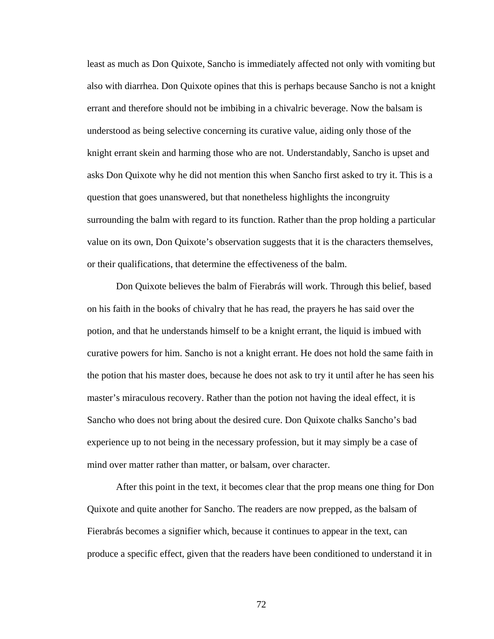least as much as Don Quixote, Sancho is immediately affected not only with vomiting but also with diarrhea. Don Quixote opines that this is perhaps because Sancho is not a knight errant and therefore should not be imbibing in a chivalric beverage. Now the balsam is understood as being selective concerning its curative value, aiding only those of the knight errant skein and harming those who are not. Understandably, Sancho is upset and asks Don Quixote why he did not mention this when Sancho first asked to try it. This is a question that goes unanswered, but that nonetheless highlights the incongruity surrounding the balm with regard to its function. Rather than the prop holding a particular value on its own, Don Quixote's observation suggests that it is the characters themselves, or their qualifications, that determine the effectiveness of the balm.

Don Quixote believes the balm of Fierabrás will work. Through this belief, based on his faith in the books of chivalry that he has read, the prayers he has said over the potion, and that he understands himself to be a knight errant, the liquid is imbued with curative powers for him. Sancho is not a knight errant. He does not hold the same faith in the potion that his master does, because he does not ask to try it until after he has seen his master's miraculous recovery. Rather than the potion not having the ideal effect, it is Sancho who does not bring about the desired cure. Don Quixote chalks Sancho's bad experience up to not being in the necessary profession, but it may simply be a case of mind over matter rather than matter, or balsam, over character.

After this point in the text, it becomes clear that the prop means one thing for Don Quixote and quite another for Sancho. The readers are now prepped, as the balsam of Fierabrás becomes a signifier which, because it continues to appear in the text, can produce a specific effect, given that the readers have been conditioned to understand it in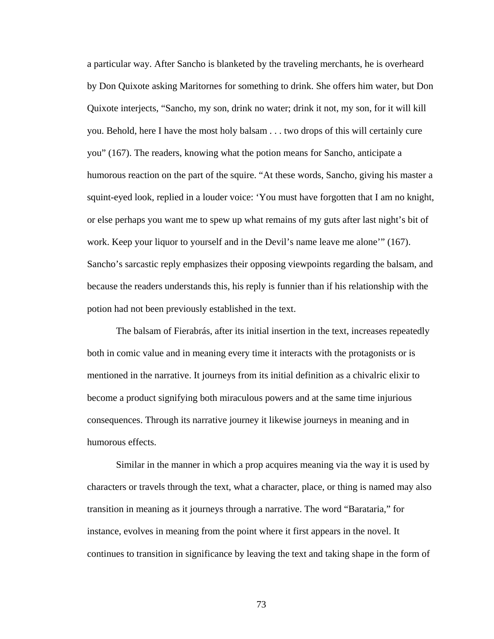a particular way. After Sancho is blanketed by the traveling merchants, he is overheard by Don Quixote asking Maritornes for something to drink. She offers him water, but Don Quixote interjects, "Sancho, my son, drink no water; drink it not, my son, for it will kill you. Behold, here I have the most holy balsam . . . two drops of this will certainly cure you" (167). The readers, knowing what the potion means for Sancho, anticipate a humorous reaction on the part of the squire. "At these words, Sancho, giving his master a squint-eyed look, replied in a louder voice: 'You must have forgotten that I am no knight, or else perhaps you want me to spew up what remains of my guts after last night's bit of work. Keep your liquor to yourself and in the Devil's name leave me alone'" (167). Sancho's sarcastic reply emphasizes their opposing viewpoints regarding the balsam, and because the readers understands this, his reply is funnier than if his relationship with the potion had not been previously established in the text.

The balsam of Fierabrás, after its initial insertion in the text, increases repeatedly both in comic value and in meaning every time it interacts with the protagonists or is mentioned in the narrative. It journeys from its initial definition as a chivalric elixir to become a product signifying both miraculous powers and at the same time injurious consequences. Through its narrative journey it likewise journeys in meaning and in humorous effects.

Similar in the manner in which a prop acquires meaning via the way it is used by characters or travels through the text, what a character, place, or thing is named may also transition in meaning as it journeys through a narrative. The word "Barataria," for instance, evolves in meaning from the point where it first appears in the novel. It continues to transition in significance by leaving the text and taking shape in the form of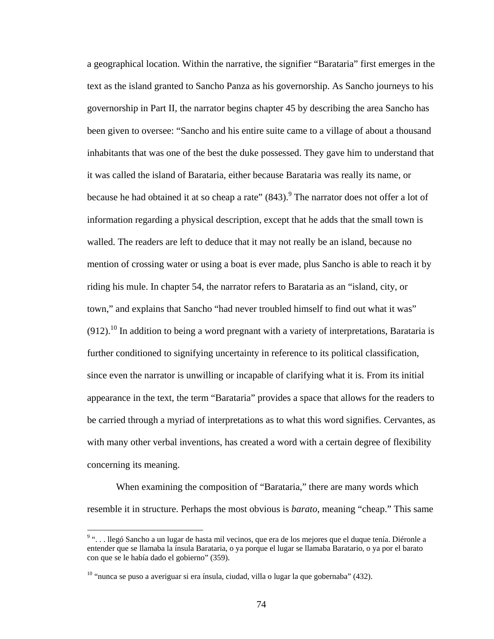a geographical location. Within the narrative, the signifier "Barataria" first emerges in the text as the island granted to Sancho Panza as his governorship. As Sancho journeys to his governorship in Part II, the narrator begins chapter 45 by describing the area Sancho has been given to oversee: "Sancho and his entire suite came to a village of about a thousand inhabitants that was one of the best the duke possessed. They gave him to understand that it was called the island of Barataria, either because Barataria was really its name, or because he had obtained it at so cheap a rate"  $(843)$ . The narrator does not offer a lot of information regarding a physical description, except that he adds that the small town is walled. The readers are left to deduce that it may not really be an island, because no mention of crossing water or using a boat is ever made, plus Sancho is able to reach it by riding his mule. In chapter 54, the narrator refers to Barataria as an "island, city, or town," and explains that Sancho "had never troubled himself to find out what it was"  $(912)$ .<sup>10</sup> In addition to being a word pregnant with a variety of interpretations, Barataria is further conditioned to signifying uncertainty in reference to its political classification, since even the narrator is unwilling or incapable of clarifying what it is. From its initial appearance in the text, the term "Barataria" provides a space that allows for the readers to be carried through a myriad of interpretations as to what this word signifies. Cervantes, as with many other verbal inventions, has created a word with a certain degree of flexibility concerning its meaning.

When examining the composition of "Barataria," there are many words which resemble it in structure. Perhaps the most obvious is *barato*, meaning "cheap." This same

<sup>&</sup>lt;sup>9</sup> "... llegó Sancho a un lugar de hasta mil vecinos, que era de los mejores que el duque tenía. Diéronle a entender que se llamaba la ínsula Barataria, o ya porque el lugar se llamaba Baratario, o ya por el barato con que se le había dado el gobierno" (359).

 $10$  "nunca se puso a averiguar si era ínsula, ciudad, villa o lugar la que gobernaba" (432).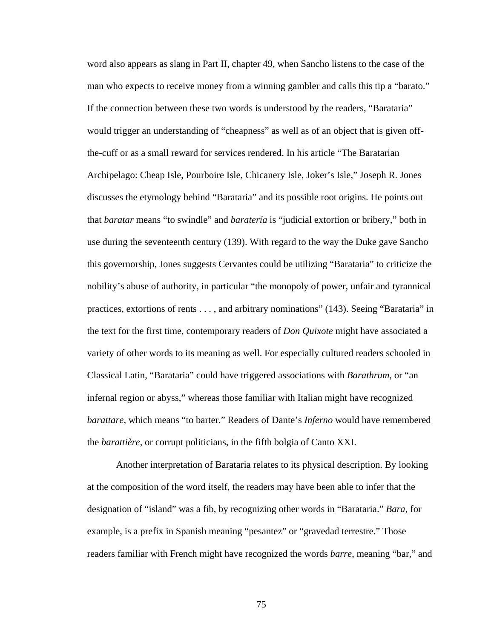word also appears as slang in Part II, chapter 49, when Sancho listens to the case of the man who expects to receive money from a winning gambler and calls this tip a "barato." If the connection between these two words is understood by the readers, "Barataria" would trigger an understanding of "cheapness" as well as of an object that is given offthe-cuff or as a small reward for services rendered. In his article "The Baratarian Archipelago: Cheap Isle, Pourboire Isle, Chicanery Isle, Joker's Isle," Joseph R. Jones discusses the etymology behind "Barataria" and its possible root origins. He points out that *baratar* means "to swindle" and *baratería* is "judicial extortion or bribery," both in use during the seventeenth century (139). With regard to the way the Duke gave Sancho this governorship, Jones suggests Cervantes could be utilizing "Barataria" to criticize the nobility's abuse of authority, in particular "the monopoly of power, unfair and tyrannical practices, extortions of rents . . . , and arbitrary nominations" (143). Seeing "Barataria" in the text for the first time, contemporary readers of *Don Quixote* might have associated a variety of other words to its meaning as well. For especially cultured readers schooled in Classical Latin, "Barataria" could have triggered associations with *Barathrum*, or "an infernal region or abyss," whereas those familiar with Italian might have recognized *barattare*, which means "to barter." Readers of Dante's *Inferno* would have remembered the *barattière*, or corrupt politicians, in the fifth bolgia of Canto XXI.

Another interpretation of Barataria relates to its physical description. By looking at the composition of the word itself, the readers may have been able to infer that the designation of "island" was a fib, by recognizing other words in "Barataria." *Bara*, for example, is a prefix in Spanish meaning "pesantez" or "gravedad terrestre." Those readers familiar with French might have recognized the words *barre*, meaning "bar," and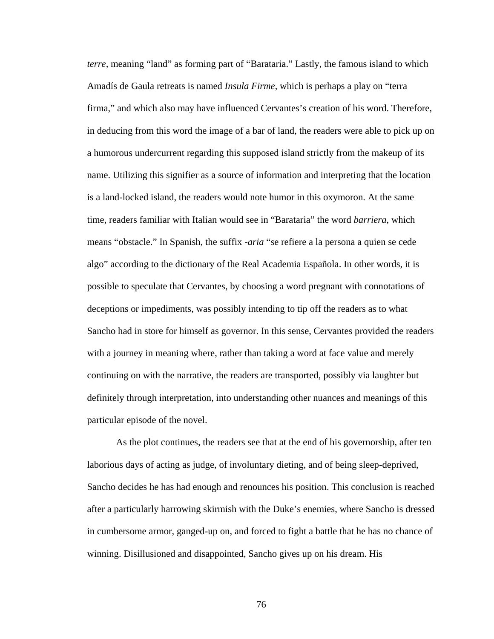*terre,* meaning "land" as forming part of "Barataria." Lastly, the famous island to which Amadís de Gaula retreats is named *Insula Firme*, which is perhaps a play on "terra firma," and which also may have influenced Cervantes's creation of his word. Therefore, in deducing from this word the image of a bar of land, the readers were able to pick up on a humorous undercurrent regarding this supposed island strictly from the makeup of its name. Utilizing this signifier as a source of information and interpreting that the location is a land-locked island, the readers would note humor in this oxymoron. At the same time, readers familiar with Italian would see in "Barataria" the word *barriera*, which means "obstacle." In Spanish, the suffix -*aria* "se refiere a la persona a quien se cede algo" according to the dictionary of the Real Academia Española. In other words, it is possible to speculate that Cervantes, by choosing a word pregnant with connotations of deceptions or impediments, was possibly intending to tip off the readers as to what Sancho had in store for himself as governor. In this sense, Cervantes provided the readers with a journey in meaning where, rather than taking a word at face value and merely continuing on with the narrative, the readers are transported, possibly via laughter but definitely through interpretation, into understanding other nuances and meanings of this particular episode of the novel.

As the plot continues, the readers see that at the end of his governorship, after ten laborious days of acting as judge, of involuntary dieting, and of being sleep-deprived, Sancho decides he has had enough and renounces his position. This conclusion is reached after a particularly harrowing skirmish with the Duke's enemies, where Sancho is dressed in cumbersome armor, ganged-up on, and forced to fight a battle that he has no chance of winning. Disillusioned and disappointed, Sancho gives up on his dream. His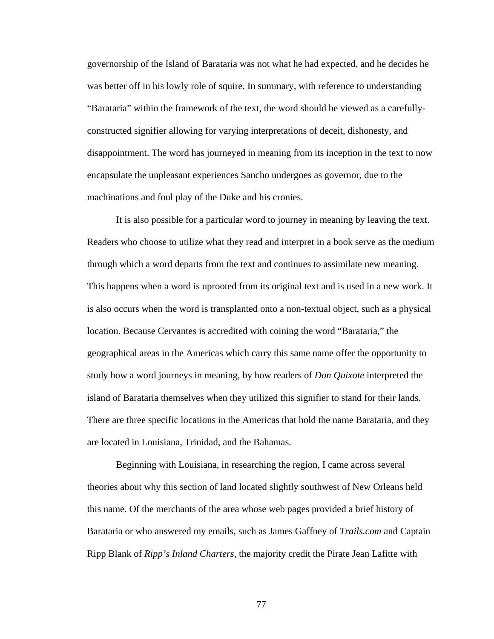governorship of the Island of Barataria was not what he had expected, and he decides he was better off in his lowly role of squire. In summary, with reference to understanding "Barataria" within the framework of the text, the word should be viewed as a carefullyconstructed signifier allowing for varying interpretations of deceit, dishonesty, and disappointment. The word has journeyed in meaning from its inception in the text to now encapsulate the unpleasant experiences Sancho undergoes as governor, due to the machinations and foul play of the Duke and his cronies.

It is also possible for a particular word to journey in meaning by leaving the text. Readers who choose to utilize what they read and interpret in a book serve as the medium through which a word departs from the text and continues to assimilate new meaning. This happens when a word is uprooted from its original text and is used in a new work. It is also occurs when the word is transplanted onto a non-textual object, such as a physical location. Because Cervantes is accredited with coining the word "Barataria," the geographical areas in the Americas which carry this same name offer the opportunity to study how a word journeys in meaning, by how readers of *Don Quixote* interpreted the island of Barataria themselves when they utilized this signifier to stand for their lands. There are three specific locations in the Americas that hold the name Barataria, and they are located in Louisiana, Trinidad, and the Bahamas.

Beginning with Louisiana, in researching the region, I came across several theories about why this section of land located slightly southwest of New Orleans held this name. Of the merchants of the area whose web pages provided a brief history of Barataria or who answered my emails, such as James Gaffney of *Trails.com* and Captain Ripp Blank of *Ripp's Inland Charters*, the majority credit the Pirate Jean Lafitte with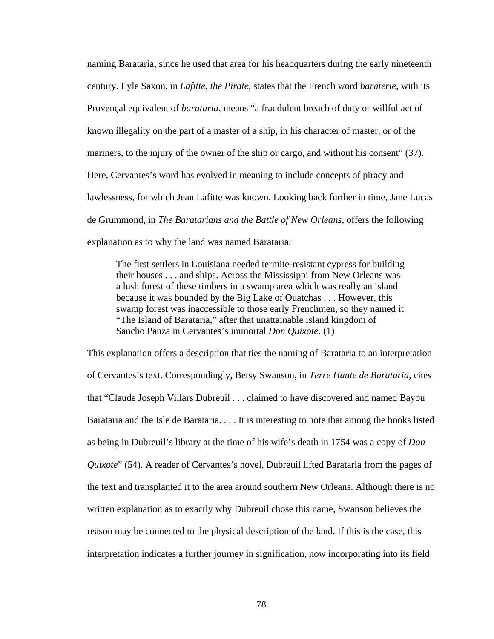naming Barataria, since he used that area for his headquarters during the early nineteenth century. Lyle Saxon, in *Lafitte, the Pirate*, states that the French word *baraterie*, with its Provençal equivalent of *barataria*, means "a fraudulent breach of duty or willful act of known illegality on the part of a master of a ship, in his character of master, or of the mariners, to the injury of the owner of the ship or cargo, and without his consent" (37). Here, Cervantes's word has evolved in meaning to include concepts of piracy and lawlessness, for which Jean Lafitte was known. Looking back further in time, Jane Lucas de Grummond, in *The Baratarians and the Battle of New Orleans*, offers the following explanation as to why the land was named Barataria:

The first settlers in Louisiana needed termite-resistant cypress for building their houses . . . and ships. Across the Mississippi from New Orleans was a lush forest of these timbers in a swamp area which was really an island because it was bounded by the Big Lake of Ouatchas . . . However, this swamp forest was inaccessible to those early Frenchmen, so they named it "The Island of Barataria," after that unattainable island kingdom of Sancho Panza in Cervantes's immortal *Don Quixote.* (1)

This explanation offers a description that ties the naming of Barataria to an interpretation of Cervantes's text. Correspondingly, Betsy Swanson, in *Terre Haute de Barataria,* cites that "Claude Joseph Villars Dubreuil . . . claimed to have discovered and named Bayou Barataria and the Isle de Barataria. . . . It is interesting to note that among the books listed as being in Dubreuil's library at the time of his wife's death in 1754 was a copy of *Don Quixote*" (54). A reader of Cervantes's novel, Dubreuil lifted Barataria from the pages of the text and transplanted it to the area around southern New Orleans. Although there is no written explanation as to exactly why Dubreuil chose this name, Swanson believes the reason may be connected to the physical description of the land. If this is the case, this interpretation indicates a further journey in signification, now incorporating into its field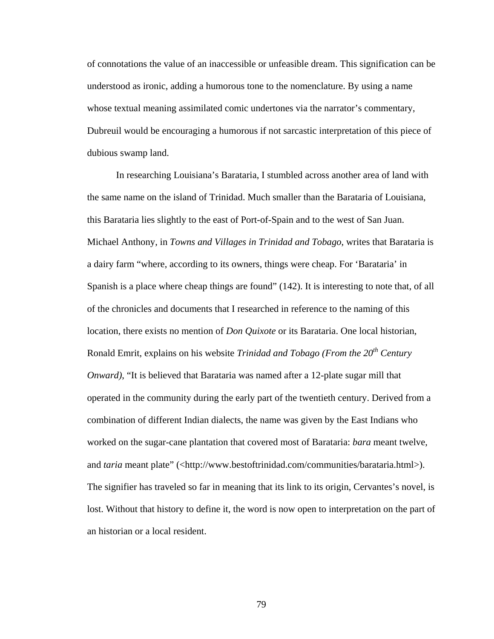of connotations the value of an inaccessible or unfeasible dream. This signification can be understood as ironic, adding a humorous tone to the nomenclature. By using a name whose textual meaning assimilated comic undertones via the narrator's commentary, Dubreuil would be encouraging a humorous if not sarcastic interpretation of this piece of dubious swamp land.

In researching Louisiana's Barataria, I stumbled across another area of land with the same name on the island of Trinidad. Much smaller than the Barataria of Louisiana, this Barataria lies slightly to the east of Port-of-Spain and to the west of San Juan. Michael Anthony, in *Towns and Villages in Trinidad and Tobago*, writes that Barataria is a dairy farm "where, according to its owners, things were cheap. For 'Barataria' in Spanish is a place where cheap things are found" (142). It is interesting to note that, of all of the chronicles and documents that I researched in reference to the naming of this location, there exists no mention of *Don Quixote* or its Barataria. One local historian, Ronald Emrit, explains on his website *Trinidad and Tobago (From the 20th Century Onward)*, "It is believed that Barataria was named after a 12-plate sugar mill that operated in the community during the early part of the twentieth century. Derived from a combination of different Indian dialects, the name was given by the East Indians who worked on the sugar-cane plantation that covered most of Barataria: *bara* meant twelve, and *taria* meant plate" (<http://www.bestoftrinidad.com/communities/barataria.html>). The signifier has traveled so far in meaning that its link to its origin, Cervantes's novel, is lost. Without that history to define it, the word is now open to interpretation on the part of an historian or a local resident.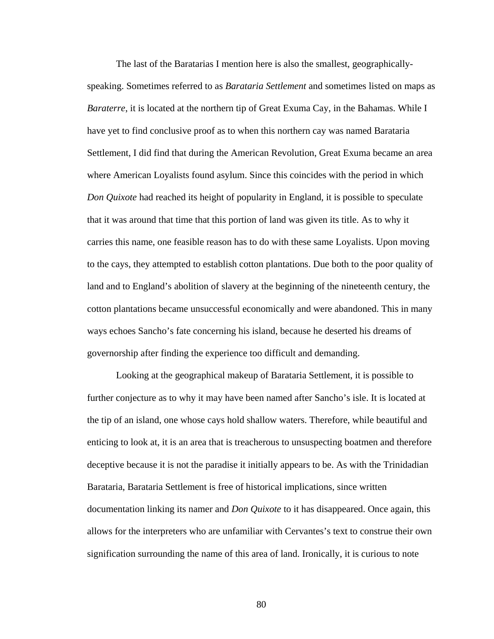The last of the Baratarias I mention here is also the smallest, geographicallyspeaking. Sometimes referred to as *Barataria Settlement* and sometimes listed on maps as *Baraterre*, it is located at the northern tip of Great Exuma Cay, in the Bahamas. While I have yet to find conclusive proof as to when this northern cay was named Barataria Settlement, I did find that during the American Revolution, Great Exuma became an area where American Loyalists found asylum. Since this coincides with the period in which *Don Quixote* had reached its height of popularity in England, it is possible to speculate that it was around that time that this portion of land was given its title. As to why it carries this name, one feasible reason has to do with these same Loyalists. Upon moving to the cays, they attempted to establish cotton plantations. Due both to the poor quality of land and to England's abolition of slavery at the beginning of the nineteenth century, the cotton plantations became unsuccessful economically and were abandoned. This in many ways echoes Sancho's fate concerning his island, because he deserted his dreams of governorship after finding the experience too difficult and demanding.

Looking at the geographical makeup of Barataria Settlement, it is possible to further conjecture as to why it may have been named after Sancho's isle. It is located at the tip of an island, one whose cays hold shallow waters. Therefore, while beautiful and enticing to look at, it is an area that is treacherous to unsuspecting boatmen and therefore deceptive because it is not the paradise it initially appears to be. As with the Trinidadian Barataria, Barataria Settlement is free of historical implications, since written documentation linking its namer and *Don Quixote* to it has disappeared. Once again, this allows for the interpreters who are unfamiliar with Cervantes's text to construe their own signification surrounding the name of this area of land. Ironically, it is curious to note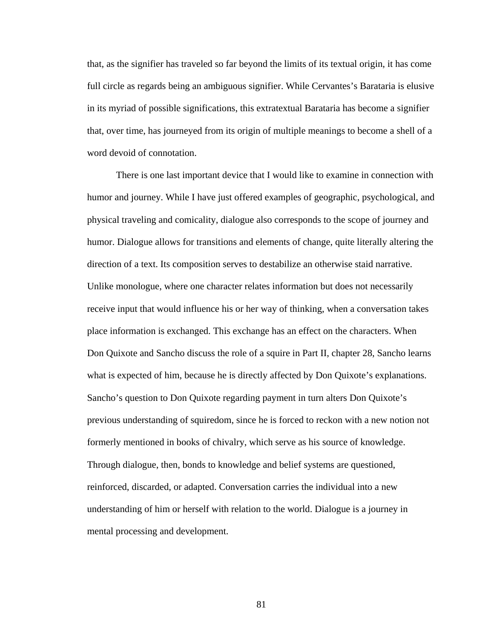that, as the signifier has traveled so far beyond the limits of its textual origin, it has come full circle as regards being an ambiguous signifier. While Cervantes's Barataria is elusive in its myriad of possible significations, this extratextual Barataria has become a signifier that, over time, has journeyed from its origin of multiple meanings to become a shell of a word devoid of connotation.

 There is one last important device that I would like to examine in connection with humor and journey. While I have just offered examples of geographic, psychological, and physical traveling and comicality, dialogue also corresponds to the scope of journey and humor. Dialogue allows for transitions and elements of change, quite literally altering the direction of a text. Its composition serves to destabilize an otherwise staid narrative. Unlike monologue, where one character relates information but does not necessarily receive input that would influence his or her way of thinking, when a conversation takes place information is exchanged. This exchange has an effect on the characters. When Don Quixote and Sancho discuss the role of a squire in Part II, chapter 28, Sancho learns what is expected of him, because he is directly affected by Don Quixote's explanations. Sancho's question to Don Quixote regarding payment in turn alters Don Quixote's previous understanding of squiredom, since he is forced to reckon with a new notion not formerly mentioned in books of chivalry, which serve as his source of knowledge. Through dialogue, then, bonds to knowledge and belief systems are questioned, reinforced, discarded, or adapted. Conversation carries the individual into a new understanding of him or herself with relation to the world. Dialogue is a journey in mental processing and development.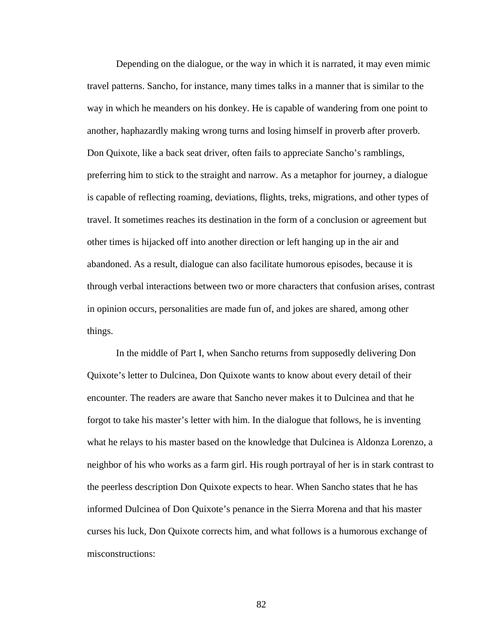Depending on the dialogue, or the way in which it is narrated, it may even mimic travel patterns. Sancho, for instance, many times talks in a manner that is similar to the way in which he meanders on his donkey. He is capable of wandering from one point to another, haphazardly making wrong turns and losing himself in proverb after proverb. Don Quixote, like a back seat driver, often fails to appreciate Sancho's ramblings, preferring him to stick to the straight and narrow. As a metaphor for journey, a dialogue is capable of reflecting roaming, deviations, flights, treks, migrations, and other types of travel. It sometimes reaches its destination in the form of a conclusion or agreement but other times is hijacked off into another direction or left hanging up in the air and abandoned. As a result, dialogue can also facilitate humorous episodes, because it is through verbal interactions between two or more characters that confusion arises, contrast in opinion occurs, personalities are made fun of, and jokes are shared, among other things.

In the middle of Part I, when Sancho returns from supposedly delivering Don Quixote's letter to Dulcinea, Don Quixote wants to know about every detail of their encounter. The readers are aware that Sancho never makes it to Dulcinea and that he forgot to take his master's letter with him. In the dialogue that follows, he is inventing what he relays to his master based on the knowledge that Dulcinea is Aldonza Lorenzo, a neighbor of his who works as a farm girl. His rough portrayal of her is in stark contrast to the peerless description Don Quixote expects to hear. When Sancho states that he has informed Dulcinea of Don Quixote's penance in the Sierra Morena and that his master curses his luck, Don Quixote corrects him, and what follows is a humorous exchange of misconstructions: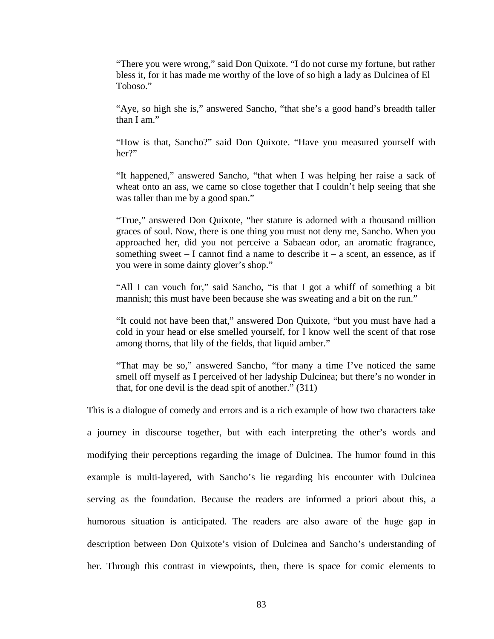"There you were wrong," said Don Quixote. "I do not curse my fortune, but rather bless it, for it has made me worthy of the love of so high a lady as Dulcinea of El Toboso."

"Aye, so high she is," answered Sancho, "that she's a good hand's breadth taller than I am."

"How is that, Sancho?" said Don Quixote. "Have you measured yourself with her?"

"It happened," answered Sancho, "that when I was helping her raise a sack of wheat onto an ass, we came so close together that I couldn't help seeing that she was taller than me by a good span."

"True," answered Don Quixote, "her stature is adorned with a thousand million graces of soul. Now, there is one thing you must not deny me, Sancho. When you approached her, did you not perceive a Sabaean odor, an aromatic fragrance, something sweet  $-$  I cannot find a name to describe it  $-$  a scent, an essence, as if you were in some dainty glover's shop."

"All I can vouch for," said Sancho, "is that I got a whiff of something a bit mannish; this must have been because she was sweating and a bit on the run."

"It could not have been that," answered Don Quixote, "but you must have had a cold in your head or else smelled yourself, for I know well the scent of that rose among thorns, that lily of the fields, that liquid amber."

"That may be so," answered Sancho, "for many a time I've noticed the same smell off myself as I perceived of her ladyship Dulcinea; but there's no wonder in that, for one devil is the dead spit of another." (311)

This is a dialogue of comedy and errors and is a rich example of how two characters take a journey in discourse together, but with each interpreting the other's words and modifying their perceptions regarding the image of Dulcinea. The humor found in this example is multi-layered, with Sancho's lie regarding his encounter with Dulcinea serving as the foundation. Because the readers are informed a priori about this, a humorous situation is anticipated. The readers are also aware of the huge gap in description between Don Quixote's vision of Dulcinea and Sancho's understanding of her. Through this contrast in viewpoints, then, there is space for comic elements to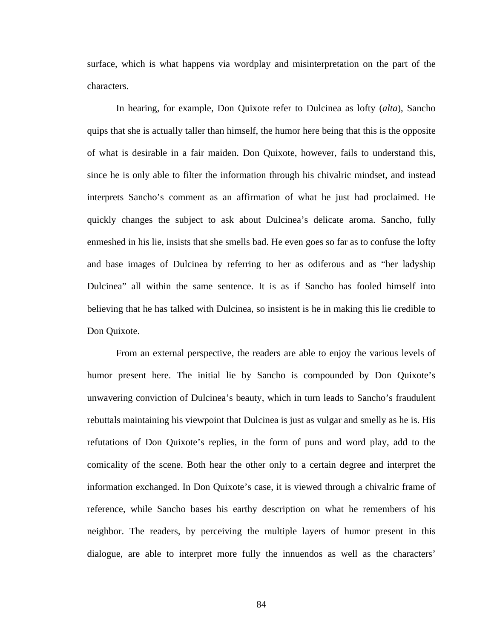surface, which is what happens via wordplay and misinterpretation on the part of the characters.

 In hearing, for example, Don Quixote refer to Dulcinea as lofty (*alta*), Sancho quips that she is actually taller than himself, the humor here being that this is the opposite of what is desirable in a fair maiden. Don Quixote, however, fails to understand this, since he is only able to filter the information through his chivalric mindset, and instead interprets Sancho's comment as an affirmation of what he just had proclaimed. He quickly changes the subject to ask about Dulcinea's delicate aroma. Sancho, fully enmeshed in his lie, insists that she smells bad. He even goes so far as to confuse the lofty and base images of Dulcinea by referring to her as odiferous and as "her ladyship Dulcinea" all within the same sentence. It is as if Sancho has fooled himself into believing that he has talked with Dulcinea, so insistent is he in making this lie credible to Don Quixote.

 From an external perspective, the readers are able to enjoy the various levels of humor present here. The initial lie by Sancho is compounded by Don Quixote's unwavering conviction of Dulcinea's beauty, which in turn leads to Sancho's fraudulent rebuttals maintaining his viewpoint that Dulcinea is just as vulgar and smelly as he is. His refutations of Don Quixote's replies, in the form of puns and word play, add to the comicality of the scene. Both hear the other only to a certain degree and interpret the information exchanged. In Don Quixote's case, it is viewed through a chivalric frame of reference, while Sancho bases his earthy description on what he remembers of his neighbor. The readers, by perceiving the multiple layers of humor present in this dialogue, are able to interpret more fully the innuendos as well as the characters'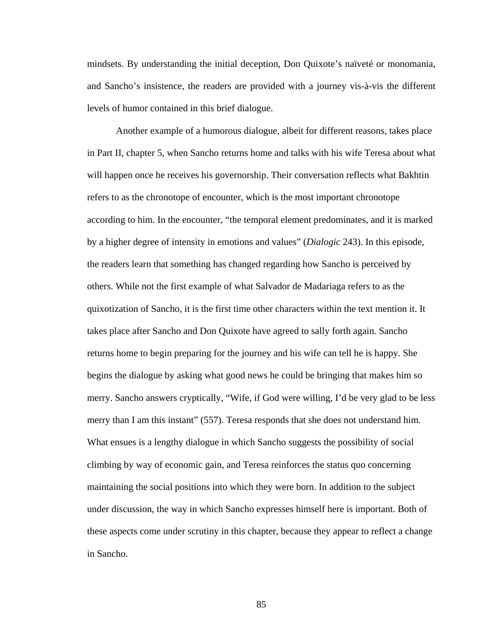mindsets. By understanding the initial deception, Don Quixote's naïveté or monomania, and Sancho's insistence, the readers are provided with a journey vis-à-vis the different levels of humor contained in this brief dialogue.

Another example of a humorous dialogue, albeit for different reasons, takes place in Part II, chapter 5, when Sancho returns home and talks with his wife Teresa about what will happen once he receives his governorship. Their conversation reflects what Bakhtin refers to as the chronotope of encounter, which is the most important chronotope according to him. In the encounter, "the temporal element predominates, and it is marked by a higher degree of intensity in emotions and values" (*Dialogic* 243). In this episode, the readers learn that something has changed regarding how Sancho is perceived by others. While not the first example of what Salvador de Madariaga refers to as the quixotization of Sancho, it is the first time other characters within the text mention it. It takes place after Sancho and Don Quixote have agreed to sally forth again. Sancho returns home to begin preparing for the journey and his wife can tell he is happy. She begins the dialogue by asking what good news he could be bringing that makes him so merry. Sancho answers cryptically, "Wife, if God were willing, I'd be very glad to be less merry than I am this instant" (557). Teresa responds that she does not understand him. What ensues is a lengthy dialogue in which Sancho suggests the possibility of social climbing by way of economic gain, and Teresa reinforces the status quo concerning maintaining the social positions into which they were born. In addition to the subject under discussion, the way in which Sancho expresses himself here is important. Both of these aspects come under scrutiny in this chapter, because they appear to reflect a change in Sancho.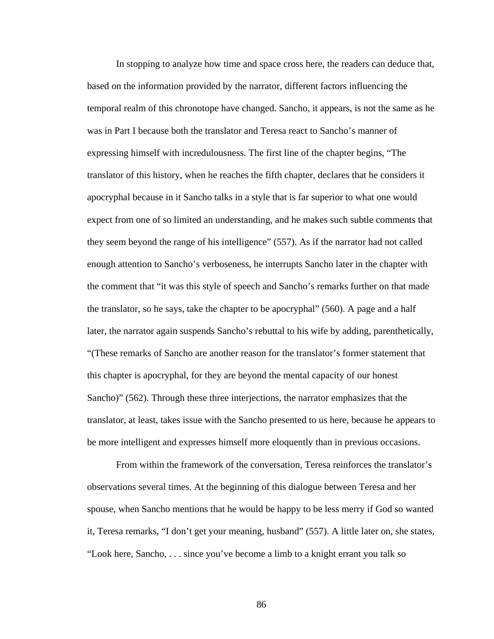In stopping to analyze how time and space cross here, the readers can deduce that, based on the information provided by the narrator, different factors influencing the temporal realm of this chronotope have changed. Sancho, it appears, is not the same as he was in Part I because both the translator and Teresa react to Sancho's manner of expressing himself with incredulousness. The first line of the chapter begins, "The translator of this history, when he reaches the fifth chapter, declares that he considers it apocryphal because in it Sancho talks in a style that is far superior to what one would expect from one of so limited an understanding, and he makes such subtle comments that they seem beyond the range of his intelligence" (557). As if the narrator had not called enough attention to Sancho's verboseness, he interrupts Sancho later in the chapter with the comment that "it was this style of speech and Sancho's remarks further on that made the translator, so he says, take the chapter to be apocryphal" (560). A page and a half later, the narrator again suspends Sancho's rebuttal to his wife by adding, parenthetically, "(These remarks of Sancho are another reason for the translator's former statement that this chapter is apocryphal, for they are beyond the mental capacity of our honest Sancho)" (562). Through these three interjections, the narrator emphasizes that the translator, at least, takes issue with the Sancho presented to us here, because he appears to be more intelligent and expresses himself more eloquently than in previous occasions.

From within the framework of the conversation, Teresa reinforces the translator's observations several times. At the beginning of this dialogue between Teresa and her spouse, when Sancho mentions that he would be happy to be less merry if God so wanted it, Teresa remarks, "I don't get your meaning, husband" (557). A little later on, she states, "Look here, Sancho, . . . since you've become a limb to a knight errant you talk so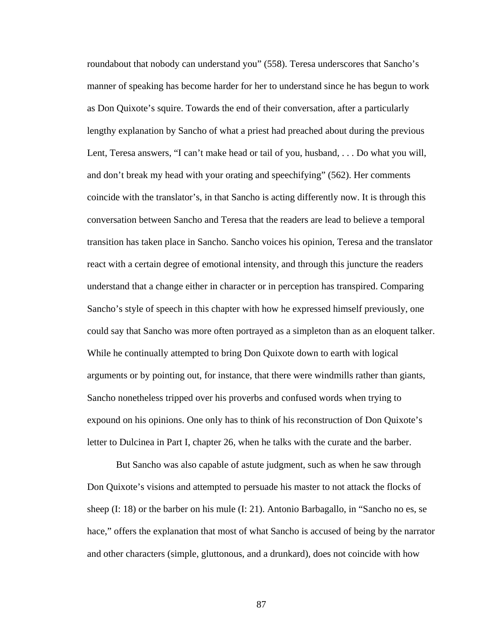roundabout that nobody can understand you" (558). Teresa underscores that Sancho's manner of speaking has become harder for her to understand since he has begun to work as Don Quixote's squire. Towards the end of their conversation, after a particularly lengthy explanation by Sancho of what a priest had preached about during the previous Lent, Teresa answers, "I can't make head or tail of you, husband, . . . Do what you will, and don't break my head with your orating and speechifying" (562). Her comments coincide with the translator's, in that Sancho is acting differently now. It is through this conversation between Sancho and Teresa that the readers are lead to believe a temporal transition has taken place in Sancho. Sancho voices his opinion, Teresa and the translator react with a certain degree of emotional intensity, and through this juncture the readers understand that a change either in character or in perception has transpired. Comparing Sancho's style of speech in this chapter with how he expressed himself previously, one could say that Sancho was more often portrayed as a simpleton than as an eloquent talker. While he continually attempted to bring Don Quixote down to earth with logical arguments or by pointing out, for instance, that there were windmills rather than giants, Sancho nonetheless tripped over his proverbs and confused words when trying to expound on his opinions. One only has to think of his reconstruction of Don Quixote's letter to Dulcinea in Part I, chapter 26, when he talks with the curate and the barber.

But Sancho was also capable of astute judgment, such as when he saw through Don Quixote's visions and attempted to persuade his master to not attack the flocks of sheep (I: 18) or the barber on his mule (I: 21). Antonio Barbagallo, in "Sancho no es, se hace," offers the explanation that most of what Sancho is accused of being by the narrator and other characters (simple, gluttonous, and a drunkard), does not coincide with how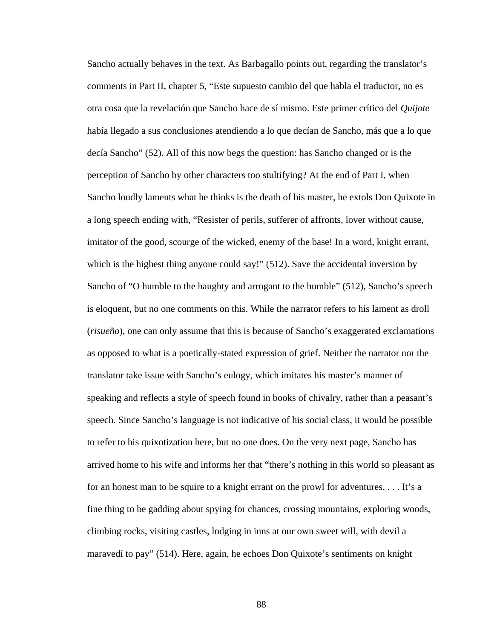Sancho actually behaves in the text. As Barbagallo points out, regarding the translator's comments in Part II, chapter 5, "Este supuesto cambio del que habla el traductor, no es otra cosa que la revelación que Sancho hace de sí mismo. Este primer crítico del *Quijote*  había llegado a sus conclusiones atendiendo a lo que decían de Sancho, más que a lo que decía Sancho" (52). All of this now begs the question: has Sancho changed or is the perception of Sancho by other characters too stultifying? At the end of Part I, when Sancho loudly laments what he thinks is the death of his master, he extols Don Quixote in a long speech ending with, "Resister of perils, sufferer of affronts, lover without cause, imitator of the good, scourge of the wicked, enemy of the base! In a word, knight errant, which is the highest thing anyone could say!" (512). Save the accidental inversion by Sancho of "O humble to the haughty and arrogant to the humble" (512), Sancho's speech is eloquent, but no one comments on this. While the narrator refers to his lament as droll (*risueño*), one can only assume that this is because of Sancho's exaggerated exclamations as opposed to what is a poetically-stated expression of grief. Neither the narrator nor the translator take issue with Sancho's eulogy, which imitates his master's manner of speaking and reflects a style of speech found in books of chivalry, rather than a peasant's speech. Since Sancho's language is not indicative of his social class, it would be possible to refer to his quixotization here, but no one does. On the very next page, Sancho has arrived home to his wife and informs her that "there's nothing in this world so pleasant as for an honest man to be squire to a knight errant on the prowl for adventures. . . . It's a fine thing to be gadding about spying for chances, crossing mountains, exploring woods, climbing rocks, visiting castles, lodging in inns at our own sweet will, with devil a maravedí to pay" (514). Here, again, he echoes Don Quixote's sentiments on knight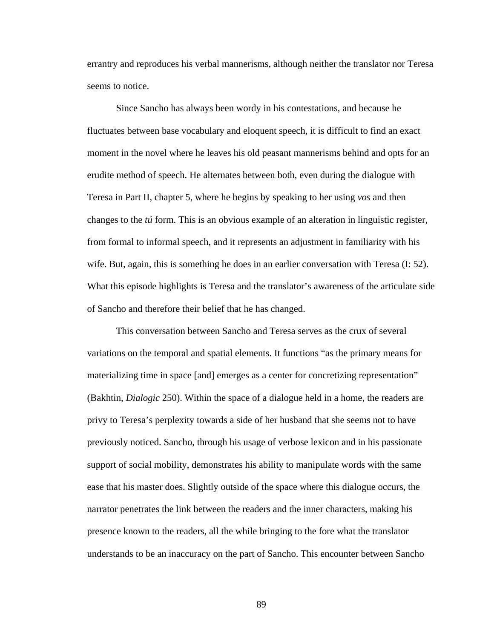errantry and reproduces his verbal mannerisms, although neither the translator nor Teresa seems to notice.

 Since Sancho has always been wordy in his contestations, and because he fluctuates between base vocabulary and eloquent speech, it is difficult to find an exact moment in the novel where he leaves his old peasant mannerisms behind and opts for an erudite method of speech. He alternates between both, even during the dialogue with Teresa in Part II, chapter 5, where he begins by speaking to her using *vos* and then changes to the *tú* form. This is an obvious example of an alteration in linguistic register, from formal to informal speech, and it represents an adjustment in familiarity with his wife. But, again, this is something he does in an earlier conversation with Teresa (I: 52). What this episode highlights is Teresa and the translator's awareness of the articulate side of Sancho and therefore their belief that he has changed.

 This conversation between Sancho and Teresa serves as the crux of several variations on the temporal and spatial elements. It functions "as the primary means for materializing time in space [and] emerges as a center for concretizing representation" (Bakhtin, *Dialogic* 250). Within the space of a dialogue held in a home, the readers are privy to Teresa's perplexity towards a side of her husband that she seems not to have previously noticed. Sancho, through his usage of verbose lexicon and in his passionate support of social mobility, demonstrates his ability to manipulate words with the same ease that his master does. Slightly outside of the space where this dialogue occurs, the narrator penetrates the link between the readers and the inner characters, making his presence known to the readers, all the while bringing to the fore what the translator understands to be an inaccuracy on the part of Sancho. This encounter between Sancho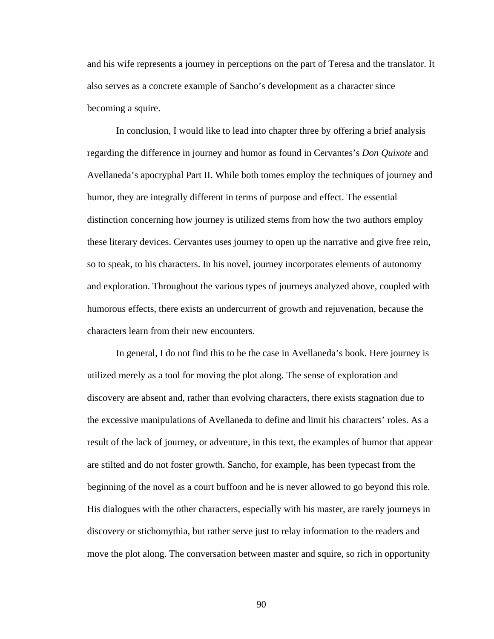and his wife represents a journey in perceptions on the part of Teresa and the translator. It also serves as a concrete example of Sancho's development as a character since becoming a squire.

In conclusion, I would like to lead into chapter three by offering a brief analysis regarding the difference in journey and humor as found in Cervantes's *Don Quixote* and Avellaneda's apocryphal Part II. While both tomes employ the techniques of journey and humor, they are integrally different in terms of purpose and effect. The essential distinction concerning how journey is utilized stems from how the two authors employ these literary devices. Cervantes uses journey to open up the narrative and give free rein, so to speak, to his characters. In his novel, journey incorporates elements of autonomy and exploration. Throughout the various types of journeys analyzed above, coupled with humorous effects, there exists an undercurrent of growth and rejuvenation, because the characters learn from their new encounters.

 In general, I do not find this to be the case in Avellaneda's book. Here journey is utilized merely as a tool for moving the plot along. The sense of exploration and discovery are absent and, rather than evolving characters, there exists stagnation due to the excessive manipulations of Avellaneda to define and limit his characters' roles. As a result of the lack of journey, or adventure, in this text, the examples of humor that appear are stilted and do not foster growth. Sancho, for example, has been typecast from the beginning of the novel as a court buffoon and he is never allowed to go beyond this role. His dialogues with the other characters, especially with his master, are rarely journeys in discovery or stichomythia, but rather serve just to relay information to the readers and move the plot along. The conversation between master and squire, so rich in opportunity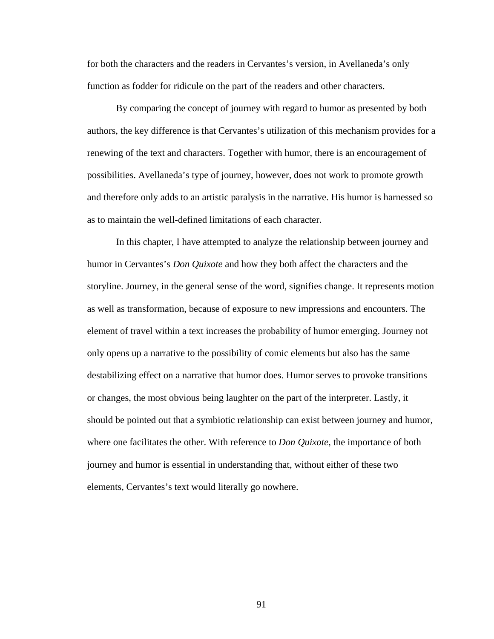for both the characters and the readers in Cervantes's version, in Avellaneda's only function as fodder for ridicule on the part of the readers and other characters.

 By comparing the concept of journey with regard to humor as presented by both authors, the key difference is that Cervantes's utilization of this mechanism provides for a renewing of the text and characters. Together with humor, there is an encouragement of possibilities. Avellaneda's type of journey, however, does not work to promote growth and therefore only adds to an artistic paralysis in the narrative. His humor is harnessed so as to maintain the well-defined limitations of each character.

In this chapter, I have attempted to analyze the relationship between journey and humor in Cervantes's *Don Quixote* and how they both affect the characters and the storyline. Journey, in the general sense of the word, signifies change. It represents motion as well as transformation, because of exposure to new impressions and encounters. The element of travel within a text increases the probability of humor emerging. Journey not only opens up a narrative to the possibility of comic elements but also has the same destabilizing effect on a narrative that humor does. Humor serves to provoke transitions or changes, the most obvious being laughter on the part of the interpreter. Lastly, it should be pointed out that a symbiotic relationship can exist between journey and humor, where one facilitates the other. With reference to *Don Quixote*, the importance of both journey and humor is essential in understanding that, without either of these two elements, Cervantes's text would literally go nowhere.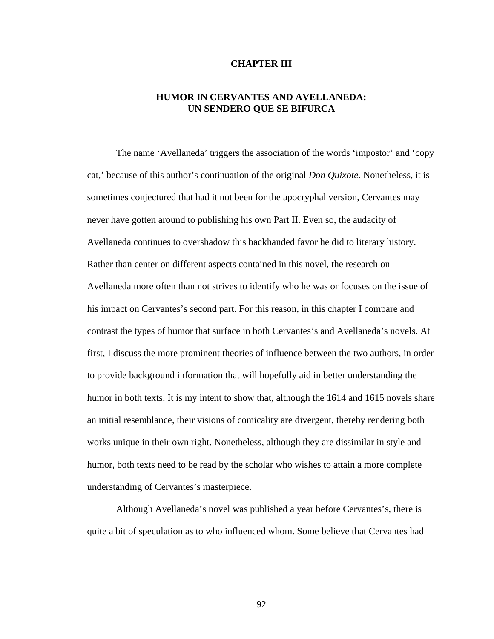## **CHAPTER III**

## **HUMOR IN CERVANTES AND AVELLANEDA: UN SENDERO QUE SE BIFURCA**

The name 'Avellaneda' triggers the association of the words 'impostor' and 'copy cat,' because of this author's continuation of the original *Don Quixote*. Nonetheless, it is sometimes conjectured that had it not been for the apocryphal version, Cervantes may never have gotten around to publishing his own Part II. Even so, the audacity of Avellaneda continues to overshadow this backhanded favor he did to literary history. Rather than center on different aspects contained in this novel, the research on Avellaneda more often than not strives to identify who he was or focuses on the issue of his impact on Cervantes's second part. For this reason, in this chapter I compare and contrast the types of humor that surface in both Cervantes's and Avellaneda's novels. At first, I discuss the more prominent theories of influence between the two authors, in order to provide background information that will hopefully aid in better understanding the humor in both texts. It is my intent to show that, although the 1614 and 1615 novels share an initial resemblance, their visions of comicality are divergent, thereby rendering both works unique in their own right. Nonetheless, although they are dissimilar in style and humor, both texts need to be read by the scholar who wishes to attain a more complete understanding of Cervantes's masterpiece.

Although Avellaneda's novel was published a year before Cervantes's, there is quite a bit of speculation as to who influenced whom. Some believe that Cervantes had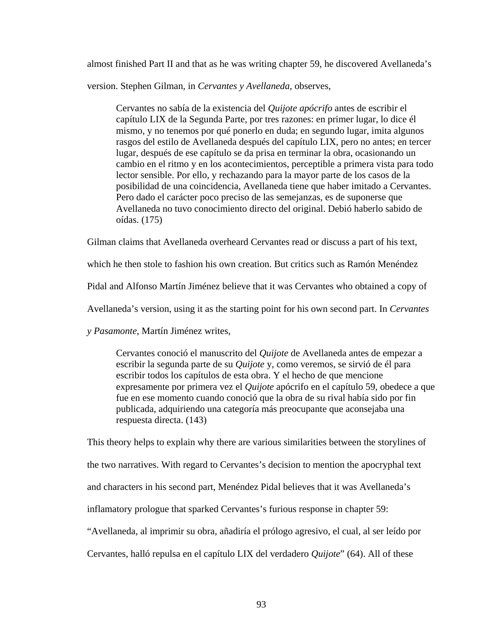almost finished Part II and that as he was writing chapter 59, he discovered Avellaneda's

version. Stephen Gilman, in *Cervantes y Avellaneda*, observes,

Cervantes no sabía de la existencia del *Quijote apócrifo* antes de escribir el capítulo LIX de la Segunda Parte, por tres razones: en primer lugar, lo dice él mismo, y no tenemos por qué ponerlo en duda; en segundo lugar, imita algunos rasgos del estilo de Avellaneda después del capítulo LIX, pero no antes; en tercer lugar, después de ese capítulo se da prisa en terminar la obra, ocasionando un cambio en el ritmo y en los acontecimientos, perceptible a primera vista para todo lector sensible. Por ello, y rechazando para la mayor parte de los casos de la posibilidad de una coincidencia, Avellaneda tiene que haber imitado a Cervantes. Pero dado el carácter poco preciso de las semejanzas, es de suponerse que Avellaneda no tuvo conocimiento directo del original. Debió haberlo sabido de oídas. (175)

Gilman claims that Avellaneda overheard Cervantes read or discuss a part of his text,

which he then stole to fashion his own creation. But critics such as Ramón Menéndez

Pidal and Alfonso Martín Jiménez believe that it was Cervantes who obtained a copy of

Avellaneda's version, using it as the starting point for his own second part. In *Cervantes* 

*y Pasamonte*, Martín Jiménez writes,

Cervantes conoció el manuscrito del *Quijote* de Avellaneda antes de empezar a escribir la segunda parte de su *Quijote* y, como veremos, se sirvió de él para escribir todos los capítulos de esta obra. Y el hecho de que mencione expresamente por primera vez el *Quijote* apócrifo en el capítulo 59, obedece a que fue en ese momento cuando conoció que la obra de su rival había sido por fin publicada, adquiriendo una categoría más preocupante que aconsejaba una respuesta directa. (143)

This theory helps to explain why there are various similarities between the storylines of the two narratives. With regard to Cervantes's decision to mention the apocryphal text and characters in his second part, Menéndez Pidal believes that it was Avellaneda's inflamatory prologue that sparked Cervantes's furious response in chapter 59: "Avellaneda, al imprimir su obra, añadiría el prólogo agresivo, el cual, al ser leído por Cervantes, halló repulsa en el capítulo LIX del verdadero *Quijote*" (64). All of these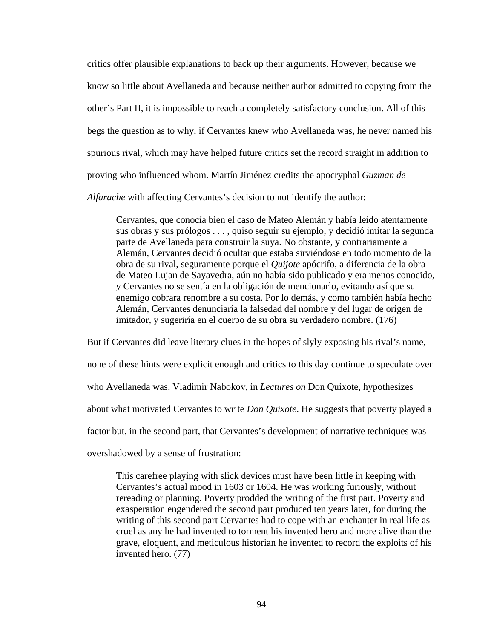critics offer plausible explanations to back up their arguments. However, because we know so little about Avellaneda and because neither author admitted to copying from the other's Part II, it is impossible to reach a completely satisfactory conclusion. All of this begs the question as to why, if Cervantes knew who Avellaneda was, he never named his spurious rival, which may have helped future critics set the record straight in addition to proving who influenced whom. Martín Jiménez credits the apocryphal *Guzman de Alfarache* with affecting Cervantes's decision to not identify the author:

Cervantes, que conocía bien el caso de Mateo Alemán y había leído atentamente sus obras y sus prólogos . . . , quiso seguir su ejemplo, y decidió imitar la segunda parte de Avellaneda para construir la suya. No obstante, y contrariamente a Alemán, Cervantes decidió ocultar que estaba sirviéndose en todo momento de la obra de su rival, seguramente porque el *Quijote* apócrifo, a diferencia de la obra de Mateo Lujan de Sayavedra, aún no había sido publicado y era menos conocido, y Cervantes no se sentía en la obligación de mencionarlo, evitando así que su enemigo cobrara renombre a su costa. Por lo demás, y como también había hecho Alemán, Cervantes denunciaría la falsedad del nombre y del lugar de origen de imitador, y sugeriría en el cuerpo de su obra su verdadero nombre. (176)

But if Cervantes did leave literary clues in the hopes of slyly exposing his rival's name, none of these hints were explicit enough and critics to this day continue to speculate over who Avellaneda was. Vladimir Nabokov, in *Lectures on* Don Quixote, hypothesizes about what motivated Cervantes to write *Don Quixote*. He suggests that poverty played a factor but, in the second part, that Cervantes's development of narrative techniques was overshadowed by a sense of frustration:

This carefree playing with slick devices must have been little in keeping with Cervantes's actual mood in 1603 or 1604. He was working furiously, without rereading or planning. Poverty prodded the writing of the first part. Poverty and exasperation engendered the second part produced ten years later, for during the writing of this second part Cervantes had to cope with an enchanter in real life as cruel as any he had invented to torment his invented hero and more alive than the grave, eloquent, and meticulous historian he invented to record the exploits of his invented hero. (77)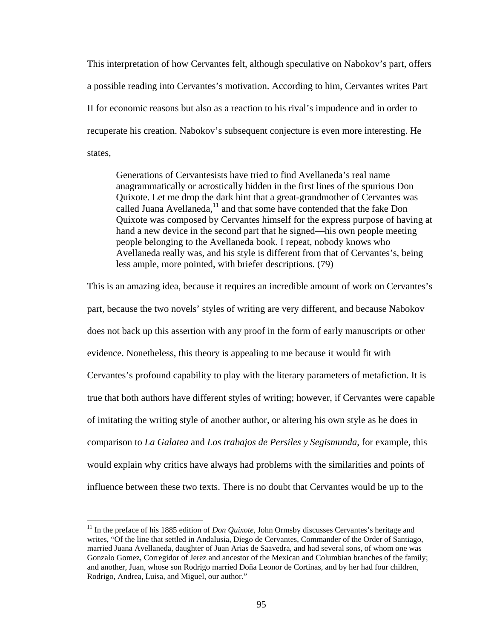This interpretation of how Cervantes felt, although speculative on Nabokov's part, offers a possible reading into Cervantes's motivation. According to him, Cervantes writes Part II for economic reasons but also as a reaction to his rival's impudence and in order to recuperate his creation. Nabokov's subsequent conjecture is even more interesting. He states,

Generations of Cervantesists have tried to find Avellaneda's real name anagrammatically or acrostically hidden in the first lines of the spurious Don Quixote. Let me drop the dark hint that a great-grandmother of Cervantes was called Juana Avellaneda, $11$  and that some have contended that the fake Don Quixote was composed by Cervantes himself for the express purpose of having at hand a new device in the second part that he signed—his own people meeting people belonging to the Avellaneda book. I repeat, nobody knows who Avellaneda really was, and his style is different from that of Cervantes's, being less ample, more pointed, with briefer descriptions. (79)

This is an amazing idea, because it requires an incredible amount of work on Cervantes's part, because the two novels' styles of writing are very different, and because Nabokov does not back up this assertion with any proof in the form of early manuscripts or other evidence. Nonetheless, this theory is appealing to me because it would fit with Cervantes's profound capability to play with the literary parameters of metafiction. It is true that both authors have different styles of writing; however, if Cervantes were capable of imitating the writing style of another author, or altering his own style as he does in comparison to *La Galatea* and *Los trabajos de Persiles y Segismunda*, for example, this would explain why critics have always had problems with the similarities and points of influence between these two texts. There is no doubt that Cervantes would be up to the

 $\overline{a}$ 

<sup>&</sup>lt;sup>11</sup> In the preface of his 1885 edition of *Don Quixote*, John Ormsby discusses Cervantes's heritage and writes, "Of the line that settled in Andalusia, Diego de Cervantes, Commander of the Order of Santiago, married Juana Avellaneda, daughter of Juan Arias de Saavedra, and had several sons, of whom one was Gonzalo Gomez, Corregidor of Jerez and ancestor of the Mexican and Columbian branches of the family; and another, Juan, whose son Rodrigo married Doña Leonor de Cortinas, and by her had four children, Rodrigo, Andrea, Luisa, and Miguel, our author."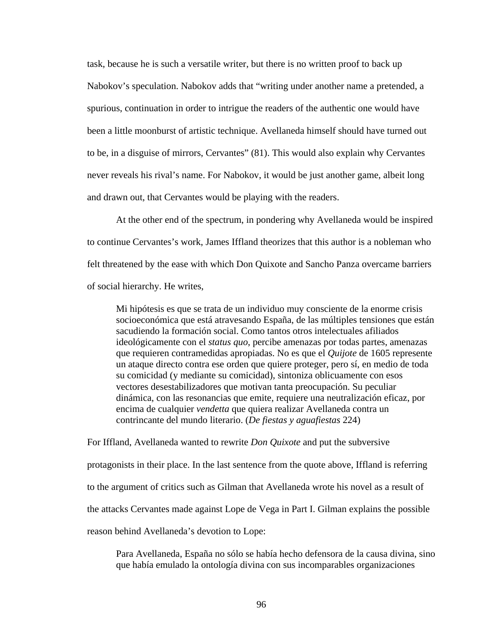task, because he is such a versatile writer, but there is no written proof to back up Nabokov's speculation. Nabokov adds that "writing under another name a pretended, a spurious, continuation in order to intrigue the readers of the authentic one would have been a little moonburst of artistic technique. Avellaneda himself should have turned out to be, in a disguise of mirrors, Cervantes" (81). This would also explain why Cervantes never reveals his rival's name. For Nabokov, it would be just another game, albeit long and drawn out, that Cervantes would be playing with the readers.

 At the other end of the spectrum, in pondering why Avellaneda would be inspired to continue Cervantes's work, James Iffland theorizes that this author is a nobleman who felt threatened by the ease with which Don Quixote and Sancho Panza overcame barriers of social hierarchy. He writes,

Mi hipótesis es que se trata de un individuo muy consciente de la enorme crisis socioeconómica que está atravesando España, de las múltiples tensiones que están sacudiendo la formación social. Como tantos otros intelectuales afiliados ideológicamente con el *status quo*, percibe amenazas por todas partes, amenazas que requieren contramedidas apropiadas. No es que el *Quijote* de 1605 represente un ataque directo contra ese orden que quiere proteger, pero sí, en medio de toda su comicidad (y mediante su comicidad), sintoniza oblicuamente con esos vectores desestabilizadores que motivan tanta preocupación. Su peculiar dinámica, con las resonancias que emite, requiere una neutralización eficaz, por encima de cualquier *vendetta* que quiera realizar Avellaneda contra un contrincante del mundo literario. (*De fiestas y aguafiestas* 224)

For Iffland, Avellaneda wanted to rewrite *Don Quixote* and put the subversive protagonists in their place. In the last sentence from the quote above, Iffland is referring to the argument of critics such as Gilman that Avellaneda wrote his novel as a result of the attacks Cervantes made against Lope de Vega in Part I. Gilman explains the possible reason behind Avellaneda's devotion to Lope:

Para Avellaneda, España no sólo se había hecho defensora de la causa divina, sino que había emulado la ontología divina con sus incomparables organizaciones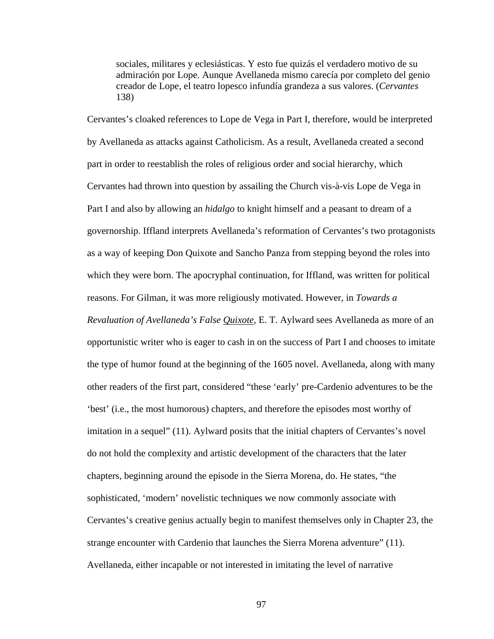sociales, militares y eclesiásticas. Y esto fue quizás el verdadero motivo de su admiración por Lope. Aunque Avellaneda mismo carecía por completo del genio creador de Lope, el teatro lopesco infundía grandeza a sus valores. (*Cervantes*  138)

Cervantes's cloaked references to Lope de Vega in Part I, therefore, would be interpreted by Avellaneda as attacks against Catholicism. As a result, Avellaneda created a second part in order to reestablish the roles of religious order and social hierarchy, which Cervantes had thrown into question by assailing the Church vis-à-vis Lope de Vega in Part I and also by allowing an *hidalgo* to knight himself and a peasant to dream of a governorship. Iffland interprets Avellaneda's reformation of Cervantes's two protagonists as a way of keeping Don Quixote and Sancho Panza from stepping beyond the roles into which they were born. The apocryphal continuation, for Iffland, was written for political reasons. For Gilman, it was more religiously motivated. However, in *Towards a Revaluation of Avellaneda's False Quixote*, E. T. Aylward sees Avellaneda as more of an opportunistic writer who is eager to cash in on the success of Part I and chooses to imitate the type of humor found at the beginning of the 1605 novel. Avellaneda, along with many other readers of the first part, considered "these 'early' pre-Cardenio adventures to be the 'best' (i.e., the most humorous) chapters, and therefore the episodes most worthy of imitation in a sequel" (11). Aylward posits that the initial chapters of Cervantes's novel do not hold the complexity and artistic development of the characters that the later chapters, beginning around the episode in the Sierra Morena, do. He states, "the sophisticated, 'modern' novelistic techniques we now commonly associate with Cervantes's creative genius actually begin to manifest themselves only in Chapter 23, the strange encounter with Cardenio that launches the Sierra Morena adventure" (11). Avellaneda, either incapable or not interested in imitating the level of narrative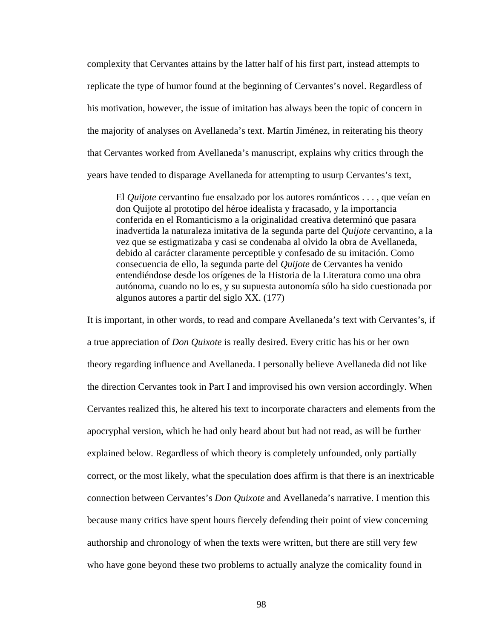complexity that Cervantes attains by the latter half of his first part, instead attempts to replicate the type of humor found at the beginning of Cervantes's novel. Regardless of his motivation, however, the issue of imitation has always been the topic of concern in the majority of analyses on Avellaneda's text. Martín Jiménez, in reiterating his theory that Cervantes worked from Avellaneda's manuscript, explains why critics through the years have tended to disparage Avellaneda for attempting to usurp Cervantes's text,

El *Quijote* cervantino fue ensalzado por los autores románticos . . . , que veían en don Quijote al prototipo del héroe idealista y fracasado, y la importancia conferida en el Romanticismo a la originalidad creativa determinó que pasara inadvertida la naturaleza imitativa de la segunda parte del *Quijote* cervantino, a la vez que se estigmatizaba y casi se condenaba al olvido la obra de Avellaneda, debido al carácter claramente perceptible y confesado de su imitación. Como consecuencia de ello, la segunda parte del *Quijote* de Cervantes ha venido entendiéndose desde los orígenes de la Historia de la Literatura como una obra autónoma, cuando no lo es, y su supuesta autonomía sólo ha sido cuestionada por algunos autores a partir del siglo XX. (177)

It is important, in other words, to read and compare Avellaneda's text with Cervantes's, if a true appreciation of *Don Quixote* is really desired. Every critic has his or her own theory regarding influence and Avellaneda. I personally believe Avellaneda did not like the direction Cervantes took in Part I and improvised his own version accordingly. When Cervantes realized this, he altered his text to incorporate characters and elements from the apocryphal version, which he had only heard about but had not read, as will be further explained below. Regardless of which theory is completely unfounded, only partially correct, or the most likely, what the speculation does affirm is that there is an inextricable connection between Cervantes's *Don Quixote* and Avellaneda's narrative. I mention this because many critics have spent hours fiercely defending their point of view concerning authorship and chronology of when the texts were written, but there are still very few who have gone beyond these two problems to actually analyze the comicality found in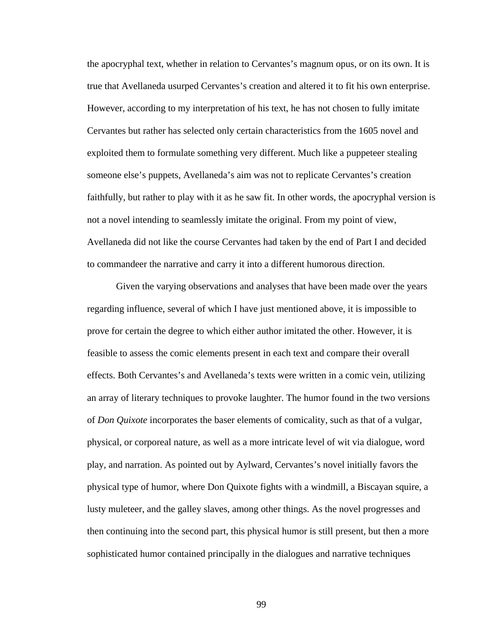the apocryphal text, whether in relation to Cervantes's magnum opus, or on its own. It is true that Avellaneda usurped Cervantes's creation and altered it to fit his own enterprise. However, according to my interpretation of his text, he has not chosen to fully imitate Cervantes but rather has selected only certain characteristics from the 1605 novel and exploited them to formulate something very different. Much like a puppeteer stealing someone else's puppets, Avellaneda's aim was not to replicate Cervantes's creation faithfully, but rather to play with it as he saw fit. In other words, the apocryphal version is not a novel intending to seamlessly imitate the original. From my point of view, Avellaneda did not like the course Cervantes had taken by the end of Part I and decided to commandeer the narrative and carry it into a different humorous direction.

 Given the varying observations and analyses that have been made over the years regarding influence, several of which I have just mentioned above, it is impossible to prove for certain the degree to which either author imitated the other. However, it is feasible to assess the comic elements present in each text and compare their overall effects. Both Cervantes's and Avellaneda's texts were written in a comic vein, utilizing an array of literary techniques to provoke laughter. The humor found in the two versions of *Don Quixote* incorporates the baser elements of comicality, such as that of a vulgar, physical, or corporeal nature, as well as a more intricate level of wit via dialogue, word play, and narration. As pointed out by Aylward, Cervantes's novel initially favors the physical type of humor, where Don Quixote fights with a windmill, a Biscayan squire, a lusty muleteer, and the galley slaves, among other things. As the novel progresses and then continuing into the second part, this physical humor is still present, but then a more sophisticated humor contained principally in the dialogues and narrative techniques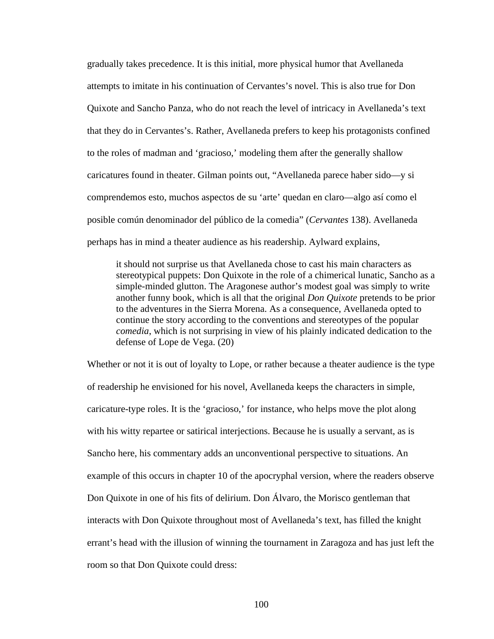gradually takes precedence. It is this initial, more physical humor that Avellaneda attempts to imitate in his continuation of Cervantes's novel. This is also true for Don Quixote and Sancho Panza, who do not reach the level of intricacy in Avellaneda's text that they do in Cervantes's. Rather, Avellaneda prefers to keep his protagonists confined to the roles of madman and 'gracioso,' modeling them after the generally shallow caricatures found in theater. Gilman points out, "Avellaneda parece haber sido—y si comprendemos esto, muchos aspectos de su 'arte' quedan en claro—algo así como el posible común denominador del público de la comedia" (*Cervantes* 138). Avellaneda perhaps has in mind a theater audience as his readership. Aylward explains,

it should not surprise us that Avellaneda chose to cast his main characters as stereotypical puppets: Don Quixote in the role of a chimerical lunatic, Sancho as a simple-minded glutton. The Aragonese author's modest goal was simply to write another funny book, which is all that the original *Don Quixote* pretends to be prior to the adventures in the Sierra Morena. As a consequence, Avellaneda opted to continue the story according to the conventions and stereotypes of the popular *comedia*, which is not surprising in view of his plainly indicated dedication to the defense of Lope de Vega. (20)

Whether or not it is out of loyalty to Lope, or rather because a theater audience is the type of readership he envisioned for his novel, Avellaneda keeps the characters in simple, caricature-type roles. It is the 'gracioso,' for instance, who helps move the plot along with his witty repartee or satirical interjections. Because he is usually a servant, as is Sancho here, his commentary adds an unconventional perspective to situations. An example of this occurs in chapter 10 of the apocryphal version, where the readers observe Don Quixote in one of his fits of delirium. Don Álvaro, the Morisco gentleman that interacts with Don Quixote throughout most of Avellaneda's text, has filled the knight errant's head with the illusion of winning the tournament in Zaragoza and has just left the room so that Don Quixote could dress: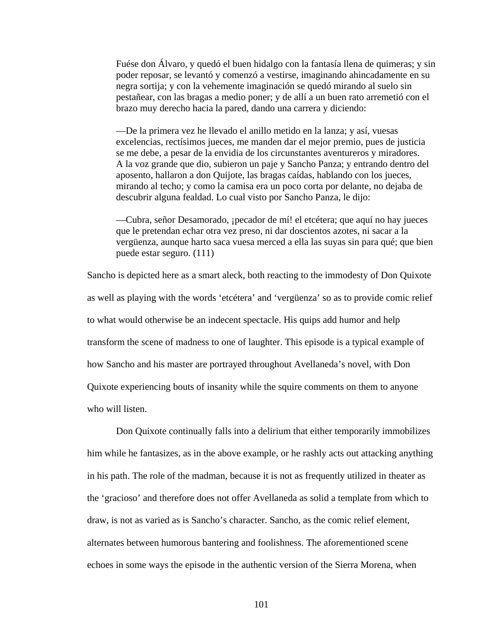Fuése don Álvaro, y quedó el buen hidalgo con la fantasía llena de quimeras; y sin poder reposar, se levantó y comenzó a vestirse, imaginando ahincadamente en su negra sortija; y con la vehemente imaginación se quedó mirando al suelo sin pestañear, con las bragas a medio poner; y de allí a un buen rato arremetió con el brazo muy derecho hacia la pared, dando una carrera y diciendo:

—De la primera vez he llevado el anillo metido en la lanza; y así, vuesas excelencias, rectísimos jueces, me manden dar el mejor premio, pues de justicia se me debe, a pesar de la envidia de los circunstantes aventureros y miradores. A la voz grande que dio, subieron un paje y Sancho Panza; y entrando dentro del aposento, hallaron a don Quijote, las bragas caídas, hablando con los jueces, mirando al techo; y como la camisa era un poco corta por delante, no dejaba de descubrir alguna fealdad. Lo cual visto por Sancho Panza, le dijo:

—Cubra, señor Desamorado, ¡pecador de mí! el etcétera; que aquí no hay jueces que le pretendan echar otra vez preso, ni dar doscientos azotes, ni sacar a la vergüenza, aunque harto saca vuesa merced a ella las suyas sin para qué; que bien puede estar seguro. (111)

Sancho is depicted here as a smart aleck, both reacting to the immodesty of Don Quixote as well as playing with the words 'etcétera' and 'vergüenza' so as to provide comic relief to what would otherwise be an indecent spectacle. His quips add humor and help transform the scene of madness to one of laughter. This episode is a typical example of how Sancho and his master are portrayed throughout Avellaneda's novel, with Don Quixote experiencing bouts of insanity while the squire comments on them to anyone who will listen.

Don Quixote continually falls into a delirium that either temporarily immobilizes him while he fantasizes, as in the above example, or he rashly acts out attacking anything in his path. The role of the madman, because it is not as frequently utilized in theater as the 'gracioso' and therefore does not offer Avellaneda as solid a template from which to draw, is not as varied as is Sancho's character. Sancho, as the comic relief element, alternates between humorous bantering and foolishness. The aforementioned scene echoes in some ways the episode in the authentic version of the Sierra Morena, when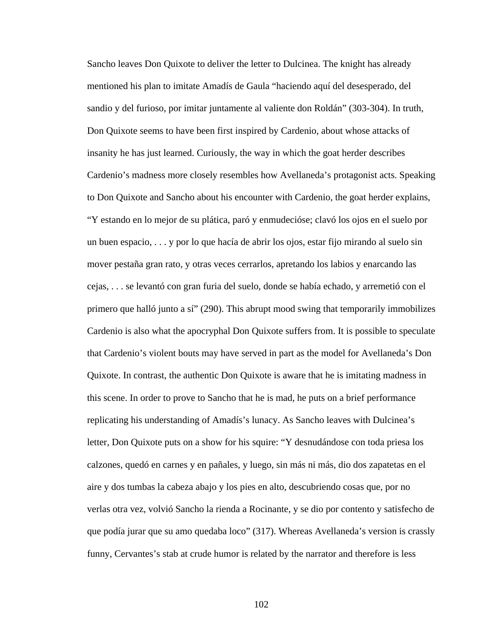Sancho leaves Don Quixote to deliver the letter to Dulcinea. The knight has already mentioned his plan to imitate Amadís de Gaula "haciendo aquí del desesperado, del sandio y del furioso, por imitar juntamente al valiente don Roldán" (303-304). In truth, Don Quixote seems to have been first inspired by Cardenio, about whose attacks of insanity he has just learned. Curiously, the way in which the goat herder describes Cardenio's madness more closely resembles how Avellaneda's protagonist acts. Speaking to Don Quixote and Sancho about his encounter with Cardenio, the goat herder explains, "Y estando en lo mejor de su plática, paró y enmudecióse; clavó los ojos en el suelo por un buen espacio, . . . y por lo que hacía de abrir los ojos, estar fijo mirando al suelo sin mover pestaña gran rato, y otras veces cerrarlos, apretando los labios y enarcando las cejas, . . . se levantó con gran furia del suelo, donde se había echado, y arremetió con el primero que halló junto a sí" (290). This abrupt mood swing that temporarily immobilizes Cardenio is also what the apocryphal Don Quixote suffers from. It is possible to speculate that Cardenio's violent bouts may have served in part as the model for Avellaneda's Don Quixote. In contrast, the authentic Don Quixote is aware that he is imitating madness in this scene. In order to prove to Sancho that he is mad, he puts on a brief performance replicating his understanding of Amadís's lunacy. As Sancho leaves with Dulcinea's letter, Don Quixote puts on a show for his squire: "Y desnudándose con toda priesa los calzones, quedó en carnes y en pañales, y luego, sin más ni más, dio dos zapatetas en el aire y dos tumbas la cabeza abajo y los pies en alto, descubriendo cosas que, por no verlas otra vez, volvió Sancho la rienda a Rocinante, y se dio por contento y satisfecho de que podía jurar que su amo quedaba loco" (317). Whereas Avellaneda's version is crassly funny, Cervantes's stab at crude humor is related by the narrator and therefore is less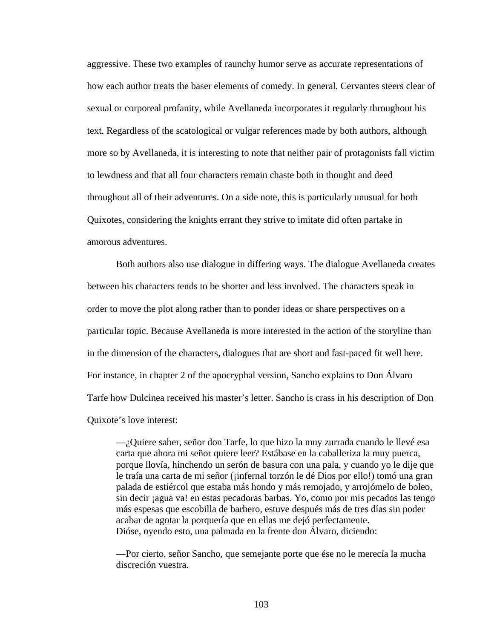aggressive. These two examples of raunchy humor serve as accurate representations of how each author treats the baser elements of comedy. In general, Cervantes steers clear of sexual or corporeal profanity, while Avellaneda incorporates it regularly throughout his text. Regardless of the scatological or vulgar references made by both authors, although more so by Avellaneda, it is interesting to note that neither pair of protagonists fall victim to lewdness and that all four characters remain chaste both in thought and deed throughout all of their adventures. On a side note, this is particularly unusual for both Quixotes, considering the knights errant they strive to imitate did often partake in amorous adventures.

Both authors also use dialogue in differing ways. The dialogue Avellaneda creates between his characters tends to be shorter and less involved. The characters speak in order to move the plot along rather than to ponder ideas or share perspectives on a particular topic. Because Avellaneda is more interested in the action of the storyline than in the dimension of the characters, dialogues that are short and fast-paced fit well here. For instance, in chapter 2 of the apocryphal version, Sancho explains to Don Álvaro Tarfe how Dulcinea received his master's letter. Sancho is crass in his description of Don Quixote's love interest:

 $-$ ¿Quiere saber, señor don Tarfe, lo que hizo la muy zurrada cuando le llevé esa carta que ahora mi señor quiere leer? Estábase en la caballeriza la muy puerca, porque llovía, hinchendo un serón de basura con una pala, y cuando yo le dije que le traía una carta de mi señor (¡infernal torzón le dé Dios por ello!) tomó una gran palada de estiércol que estaba más hondo y más remojado, y arrojómelo de boleo, sin decir ¡agua va! en estas pecadoras barbas. Yo, como por mis pecados las tengo más espesas que escobilla de barbero, estuve después más de tres días sin poder acabar de agotar la porquería que en ellas me dejó perfectamente. Dióse, oyendo esto, una palmada en la frente don Álvaro, diciendo:

—Por cierto, señor Sancho, que semejante porte que ése no le merecía la mucha discreción vuestra.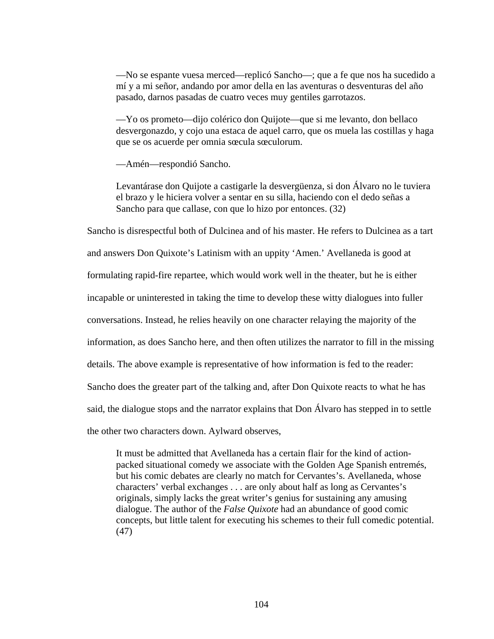—No se espante vuesa merced—replicó Sancho—; que a fe que nos ha sucedido a mí y a mi señor, andando por amor della en las aventuras o desventuras del año pasado, darnos pasadas de cuatro veces muy gentiles garrotazos.

—Yo os prometo—dijo colérico don Quijote—que si me levanto, don bellaco desvergonazdo, y cojo una estaca de aquel carro, que os muela las costillas y haga que se os acuerde per omnia sœcula sœculorum.

—Amén—respondió Sancho.

Levantárase don Quijote a castigarle la desvergüenza, si don Álvaro no le tuviera el brazo y le hiciera volver a sentar en su silla, haciendo con el dedo señas a Sancho para que callase, con que lo hizo por entonces. (32)

Sancho is disrespectful both of Dulcinea and of his master. He refers to Dulcinea as a tart and answers Don Quixote's Latinism with an uppity 'Amen.' Avellaneda is good at formulating rapid-fire repartee, which would work well in the theater, but he is either incapable or uninterested in taking the time to develop these witty dialogues into fuller conversations. Instead, he relies heavily on one character relaying the majority of the information, as does Sancho here, and then often utilizes the narrator to fill in the missing details. The above example is representative of how information is fed to the reader: Sancho does the greater part of the talking and, after Don Quixote reacts to what he has said, the dialogue stops and the narrator explains that Don Álvaro has stepped in to settle the other two characters down. Aylward observes,

It must be admitted that Avellaneda has a certain flair for the kind of actionpacked situational comedy we associate with the Golden Age Spanish entremés, but his comic debates are clearly no match for Cervantes's. Avellaneda, whose characters' verbal exchanges . . . are only about half as long as Cervantes's originals, simply lacks the great writer's genius for sustaining any amusing dialogue. The author of the *False Quixote* had an abundance of good comic concepts, but little talent for executing his schemes to their full comedic potential. (47)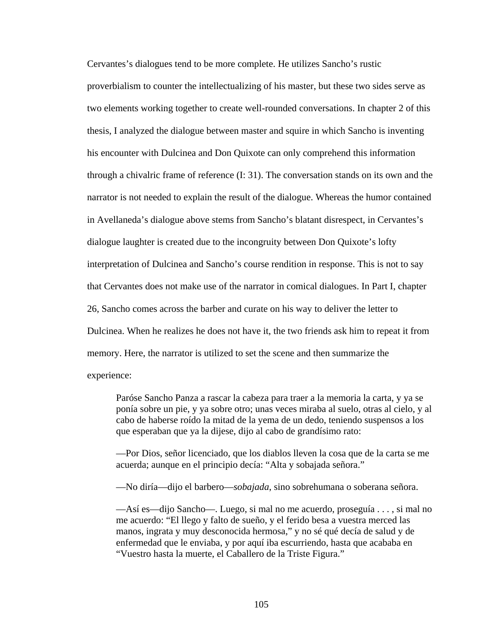Cervantes's dialogues tend to be more complete. He utilizes Sancho's rustic proverbialism to counter the intellectualizing of his master, but these two sides serve as two elements working together to create well-rounded conversations. In chapter 2 of this thesis, I analyzed the dialogue between master and squire in which Sancho is inventing his encounter with Dulcinea and Don Quixote can only comprehend this information through a chivalric frame of reference (I: 31). The conversation stands on its own and the narrator is not needed to explain the result of the dialogue. Whereas the humor contained in Avellaneda's dialogue above stems from Sancho's blatant disrespect, in Cervantes's dialogue laughter is created due to the incongruity between Don Quixote's lofty interpretation of Dulcinea and Sancho's course rendition in response. This is not to say that Cervantes does not make use of the narrator in comical dialogues. In Part I, chapter 26, Sancho comes across the barber and curate on his way to deliver the letter to Dulcinea. When he realizes he does not have it, the two friends ask him to repeat it from memory. Here, the narrator is utilized to set the scene and then summarize the experience:

Paróse Sancho Panza a rascar la cabeza para traer a la memoria la carta, y ya se ponía sobre un pie, y ya sobre otro; unas veces miraba al suelo, otras al cielo, y al cabo de haberse roído la mitad de la yema de un dedo, teniendo suspensos a los que esperaban que ya la dijese, dijo al cabo de grandísimo rato:

—Por Dios, señor licenciado, que los diablos lleven la cosa que de la carta se me acuerda; aunque en el principio decía: "Alta y sobajada señora."

—No diría—dijo el barbero—*sobajada*, sino sobrehumana o soberana señora.

—Así es—dijo Sancho—. Luego, si mal no me acuerdo, proseguía . . . , si mal no me acuerdo: "El llego y falto de sueño, y el ferido besa a vuestra merced las manos, ingrata y muy desconocida hermosa," y no sé qué decía de salud y de enfermedad que le enviaba, y por aquí iba escurriendo, hasta que acababa en "Vuestro hasta la muerte, el Caballero de la Triste Figura."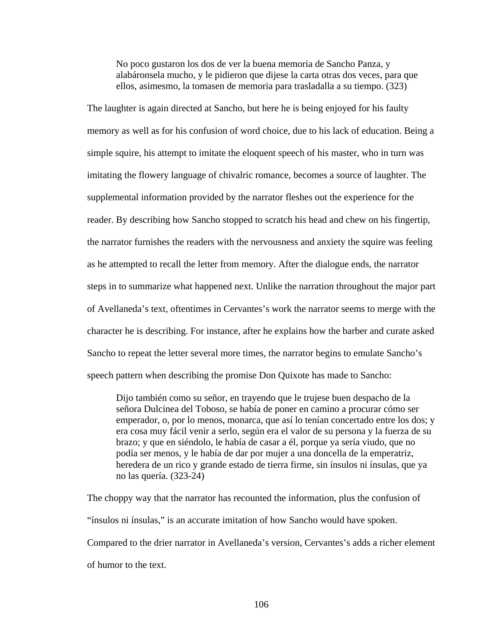No poco gustaron los dos de ver la buena memoria de Sancho Panza, y alabáronsela mucho, y le pidieron que dijese la carta otras dos veces, para que ellos, asimesmo, la tomasen de memoria para trasladalla a su tiempo. (323)

The laughter is again directed at Sancho, but here he is being enjoyed for his faulty memory as well as for his confusion of word choice, due to his lack of education. Being a simple squire, his attempt to imitate the eloquent speech of his master, who in turn was imitating the flowery language of chivalric romance, becomes a source of laughter. The supplemental information provided by the narrator fleshes out the experience for the reader. By describing how Sancho stopped to scratch his head and chew on his fingertip, the narrator furnishes the readers with the nervousness and anxiety the squire was feeling as he attempted to recall the letter from memory. After the dialogue ends, the narrator steps in to summarize what happened next. Unlike the narration throughout the major part of Avellaneda's text, oftentimes in Cervantes's work the narrator seems to merge with the character he is describing. For instance, after he explains how the barber and curate asked Sancho to repeat the letter several more times, the narrator begins to emulate Sancho's speech pattern when describing the promise Don Quixote has made to Sancho:

Dijo también como su señor, en trayendo que le trujese buen despacho de la señora Dulcinea del Toboso, se había de poner en camino a procurar cómo ser emperador, o, por lo menos, monarca, que así lo tenían concertado entre los dos; y era cosa muy fácil venir a serlo, según era el valor de su persona y la fuerza de su brazo; y que en siéndolo, le había de casar a él, porque ya sería viudo, que no podía ser menos, y le había de dar por mujer a una doncella de la emperatriz, heredera de un rico y grande estado de tierra firme, sin ínsulos ni ínsulas, que ya no las quería. (323-24)

The choppy way that the narrator has recounted the information, plus the confusion of "ínsulos ni ínsulas," is an accurate imitation of how Sancho would have spoken. Compared to the drier narrator in Avellaneda's version, Cervantes's adds a richer element of humor to the text.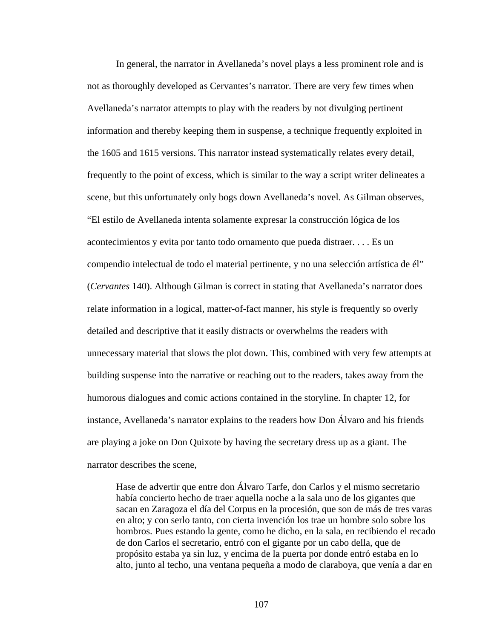In general, the narrator in Avellaneda's novel plays a less prominent role and is not as thoroughly developed as Cervantes's narrator. There are very few times when Avellaneda's narrator attempts to play with the readers by not divulging pertinent information and thereby keeping them in suspense, a technique frequently exploited in the 1605 and 1615 versions. This narrator instead systematically relates every detail, frequently to the point of excess, which is similar to the way a script writer delineates a scene, but this unfortunately only bogs down Avellaneda's novel. As Gilman observes, "El estilo de Avellaneda intenta solamente expresar la construcción lógica de los acontecimientos y evita por tanto todo ornamento que pueda distraer. . . . Es un compendio intelectual de todo el material pertinente, y no una selección artística de él" (*Cervantes* 140). Although Gilman is correct in stating that Avellaneda's narrator does relate information in a logical, matter-of-fact manner, his style is frequently so overly detailed and descriptive that it easily distracts or overwhelms the readers with unnecessary material that slows the plot down. This, combined with very few attempts at building suspense into the narrative or reaching out to the readers, takes away from the humorous dialogues and comic actions contained in the storyline. In chapter 12, for instance, Avellaneda's narrator explains to the readers how Don Álvaro and his friends are playing a joke on Don Quixote by having the secretary dress up as a giant. The narrator describes the scene,

Hase de advertir que entre don Álvaro Tarfe, don Carlos y el mismo secretario había concierto hecho de traer aquella noche a la sala uno de los gigantes que sacan en Zaragoza el día del Corpus en la procesión, que son de más de tres varas en alto; y con serlo tanto, con cierta invención los trae un hombre solo sobre los hombros. Pues estando la gente, como he dicho, en la sala, en recibiendo el recado de don Carlos el secretario, entró con el gigante por un cabo della, que de propósito estaba ya sin luz, y encima de la puerta por donde entró estaba en lo alto, junto al techo, una ventana pequeña a modo de claraboya, que venía a dar en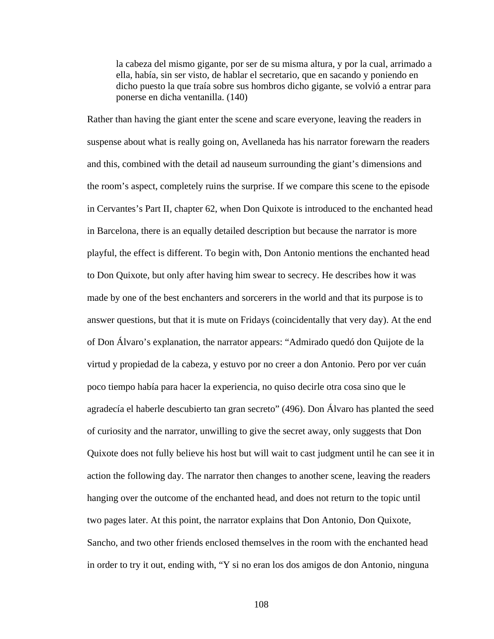la cabeza del mismo gigante, por ser de su misma altura, y por la cual, arrimado a ella, había, sin ser visto, de hablar el secretario, que en sacando y poniendo en dicho puesto la que traía sobre sus hombros dicho gigante, se volvió a entrar para ponerse en dicha ventanilla. (140)

Rather than having the giant enter the scene and scare everyone, leaving the readers in suspense about what is really going on, Avellaneda has his narrator forewarn the readers and this, combined with the detail ad nauseum surrounding the giant's dimensions and the room's aspect, completely ruins the surprise. If we compare this scene to the episode in Cervantes's Part II, chapter 62, when Don Quixote is introduced to the enchanted head in Barcelona, there is an equally detailed description but because the narrator is more playful, the effect is different. To begin with, Don Antonio mentions the enchanted head to Don Quixote, but only after having him swear to secrecy. He describes how it was made by one of the best enchanters and sorcerers in the world and that its purpose is to answer questions, but that it is mute on Fridays (coincidentally that very day). At the end of Don Álvaro's explanation, the narrator appears: "Admirado quedó don Quijote de la virtud y propiedad de la cabeza, y estuvo por no creer a don Antonio. Pero por ver cuán poco tiempo había para hacer la experiencia, no quiso decirle otra cosa sino que le agradecía el haberle descubierto tan gran secreto" (496). Don Álvaro has planted the seed of curiosity and the narrator, unwilling to give the secret away, only suggests that Don Quixote does not fully believe his host but will wait to cast judgment until he can see it in action the following day. The narrator then changes to another scene, leaving the readers hanging over the outcome of the enchanted head, and does not return to the topic until two pages later. At this point, the narrator explains that Don Antonio, Don Quixote, Sancho, and two other friends enclosed themselves in the room with the enchanted head in order to try it out, ending with, "Y si no eran los dos amigos de don Antonio, ninguna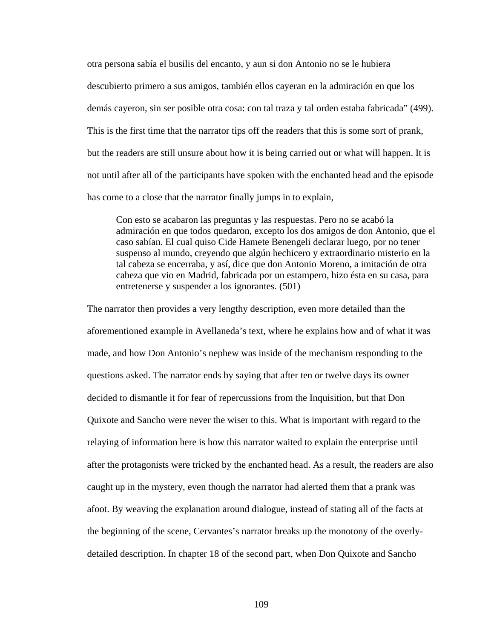otra persona sabía el busilis del encanto, y aun si don Antonio no se le hubiera descubierto primero a sus amigos, también ellos cayeran en la admiración en que los demás cayeron, sin ser posible otra cosa: con tal traza y tal orden estaba fabricada" (499). This is the first time that the narrator tips off the readers that this is some sort of prank, but the readers are still unsure about how it is being carried out or what will happen. It is not until after all of the participants have spoken with the enchanted head and the episode has come to a close that the narrator finally jumps in to explain,

Con esto se acabaron las preguntas y las respuestas. Pero no se acabó la admiración en que todos quedaron, excepto los dos amigos de don Antonio, que el caso sabían. El cual quiso Cide Hamete Benengeli declarar luego, por no tener suspenso al mundo, creyendo que algún hechicero y extraordinario misterio en la tal cabeza se encerraba, y así, dice que don Antonio Moreno, a imitación de otra cabeza que vio en Madrid, fabricada por un estampero, hizo ésta en su casa, para entretenerse y suspender a los ignorantes. (501)

The narrator then provides a very lengthy description, even more detailed than the aforementioned example in Avellaneda's text, where he explains how and of what it was made, and how Don Antonio's nephew was inside of the mechanism responding to the questions asked. The narrator ends by saying that after ten or twelve days its owner decided to dismantle it for fear of repercussions from the Inquisition, but that Don Quixote and Sancho were never the wiser to this. What is important with regard to the relaying of information here is how this narrator waited to explain the enterprise until after the protagonists were tricked by the enchanted head. As a result, the readers are also caught up in the mystery, even though the narrator had alerted them that a prank was afoot. By weaving the explanation around dialogue, instead of stating all of the facts at the beginning of the scene, Cervantes's narrator breaks up the monotony of the overlydetailed description. In chapter 18 of the second part, when Don Quixote and Sancho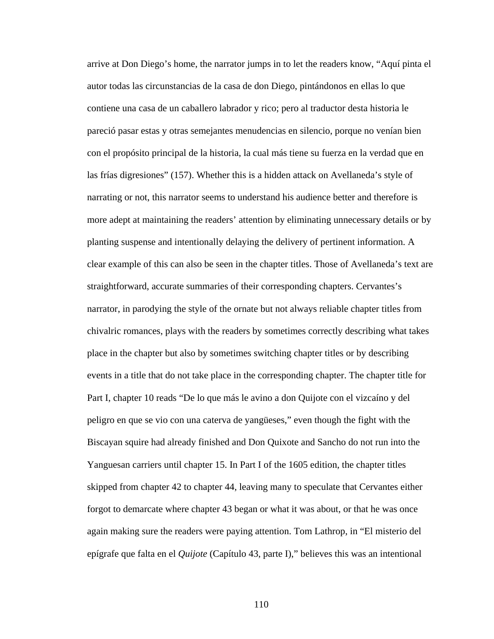arrive at Don Diego's home, the narrator jumps in to let the readers know, "Aquí pinta el autor todas las circunstancias de la casa de don Diego, pintándonos en ellas lo que contiene una casa de un caballero labrador y rico; pero al traductor desta historia le pareció pasar estas y otras semejantes menudencias en silencio, porque no venían bien con el propósito principal de la historia, la cual más tiene su fuerza en la verdad que en las frías digresiones" (157). Whether this is a hidden attack on Avellaneda's style of narrating or not, this narrator seems to understand his audience better and therefore is more adept at maintaining the readers' attention by eliminating unnecessary details or by planting suspense and intentionally delaying the delivery of pertinent information. A clear example of this can also be seen in the chapter titles. Those of Avellaneda's text are straightforward, accurate summaries of their corresponding chapters. Cervantes's narrator, in parodying the style of the ornate but not always reliable chapter titles from chivalric romances, plays with the readers by sometimes correctly describing what takes place in the chapter but also by sometimes switching chapter titles or by describing events in a title that do not take place in the corresponding chapter. The chapter title for Part I, chapter 10 reads "De lo que más le avino a don Quijote con el vizcaíno y del peligro en que se vio con una caterva de yangüeses," even though the fight with the Biscayan squire had already finished and Don Quixote and Sancho do not run into the Yanguesan carriers until chapter 15. In Part I of the 1605 edition, the chapter titles skipped from chapter 42 to chapter 44, leaving many to speculate that Cervantes either forgot to demarcate where chapter 43 began or what it was about, or that he was once again making sure the readers were paying attention. Tom Lathrop, in "El misterio del epígrafe que falta en el *Quijote* (Capítulo 43, parte I)," believes this was an intentional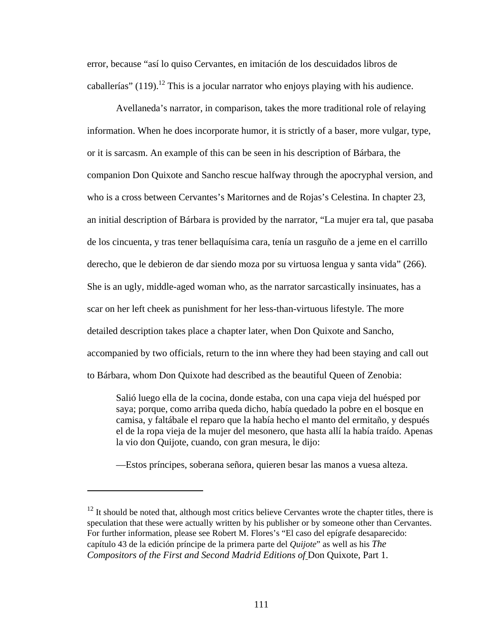error, because "así lo quiso Cervantes, en imitación de los descuidados libros de caballerías"  $(119)^{12}$ . This is a jocular narrator who enjoys playing with his audience.

Avellaneda's narrator, in comparison, takes the more traditional role of relaying information. When he does incorporate humor, it is strictly of a baser, more vulgar, type, or it is sarcasm. An example of this can be seen in his description of Bárbara, the companion Don Quixote and Sancho rescue halfway through the apocryphal version, and who is a cross between Cervantes's Maritornes and de Rojas's Celestina. In chapter 23, an initial description of Bárbara is provided by the narrator, "La mujer era tal, que pasaba de los cincuenta, y tras tener bellaquísima cara, tenía un rasguño de a jeme en el carrillo derecho, que le debieron de dar siendo moza por su virtuosa lengua y santa vida" (266). She is an ugly, middle-aged woman who, as the narrator sarcastically insinuates, has a scar on her left cheek as punishment for her less-than-virtuous lifestyle. The more detailed description takes place a chapter later, when Don Quixote and Sancho, accompanied by two officials, return to the inn where they had been staying and call out to Bárbara, whom Don Quixote had described as the beautiful Queen of Zenobia:

Salió luego ella de la cocina, donde estaba, con una capa vieja del huésped por saya; porque, como arriba queda dicho, había quedado la pobre en el bosque en camisa, y faltábale el reparo que la había hecho el manto del ermitaño, y después el de la ropa vieja de la mujer del mesonero, que hasta allí la había traído. Apenas la vio don Quijote, cuando, con gran mesura, le dijo:

—Estos príncipes, soberana señora, quieren besar las manos a vuesa alteza.

 $\overline{a}$ 

 $12$  It should be noted that, although most critics believe Cervantes wrote the chapter titles, there is speculation that these were actually written by his publisher or by someone other than Cervantes. For further information, please see Robert M. Flores's "El caso del epígrafe desaparecido: capítulo 43 de la edición príncipe de la primera parte del *Quijote*" as well as his *The Compositors of the First and Second Madrid Editions of* Don Quixote, Part 1.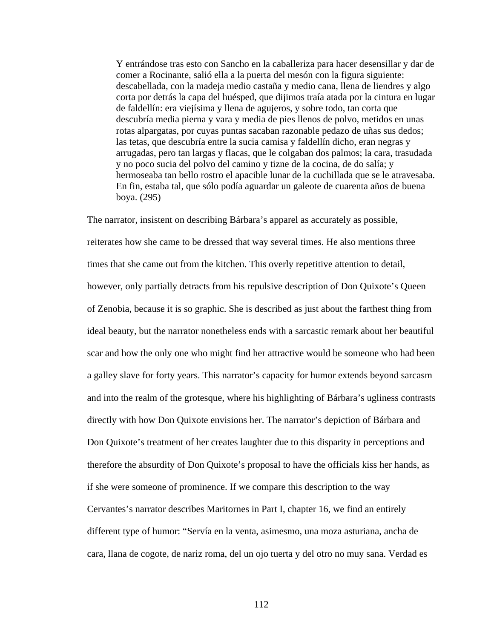Y entrándose tras esto con Sancho en la caballeriza para hacer desensillar y dar de comer a Rocinante, salió ella a la puerta del mesón con la figura siguiente: descabellada, con la madeja medio castaña y medio cana, llena de liendres y algo corta por detrás la capa del huésped, que dijimos traía atada por la cintura en lugar de faldellín: era viejísima y llena de agujeros, y sobre todo, tan corta que descubría media pierna y vara y media de pies llenos de polvo, metidos en unas rotas alpargatas, por cuyas puntas sacaban razonable pedazo de uñas sus dedos; las tetas, que descubría entre la sucia camisa y faldellín dicho, eran negras y arrugadas, pero tan largas y flacas, que le colgaban dos palmos; la cara, trasudada y no poco sucia del polvo del camino y tizne de la cocina, de do salía; y hermoseaba tan bello rostro el apacible lunar de la cuchillada que se le atravesaba. En fin, estaba tal, que sólo podía aguardar un galeote de cuarenta años de buena boya. (295)

The narrator, insistent on describing Bárbara's apparel as accurately as possible, reiterates how she came to be dressed that way several times. He also mentions three times that she came out from the kitchen. This overly repetitive attention to detail, however, only partially detracts from his repulsive description of Don Quixote's Queen of Zenobia, because it is so graphic. She is described as just about the farthest thing from ideal beauty, but the narrator nonetheless ends with a sarcastic remark about her beautiful scar and how the only one who might find her attractive would be someone who had been a galley slave for forty years. This narrator's capacity for humor extends beyond sarcasm and into the realm of the grotesque, where his highlighting of Bárbara's ugliness contrasts directly with how Don Quixote envisions her. The narrator's depiction of Bárbara and Don Quixote's treatment of her creates laughter due to this disparity in perceptions and therefore the absurdity of Don Quixote's proposal to have the officials kiss her hands, as if she were someone of prominence. If we compare this description to the way Cervantes's narrator describes Maritornes in Part I, chapter 16, we find an entirely different type of humor: "Servía en la venta, asimesmo, una moza asturiana, ancha de cara, llana de cogote, de nariz roma, del un ojo tuerta y del otro no muy sana. Verdad es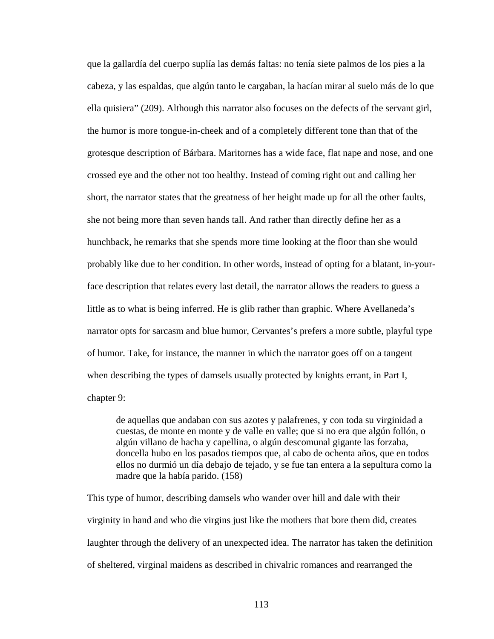que la gallardía del cuerpo suplía las demás faltas: no tenía siete palmos de los pies a la cabeza, y las espaldas, que algún tanto le cargaban, la hacían mirar al suelo más de lo que ella quisiera" (209). Although this narrator also focuses on the defects of the servant girl, the humor is more tongue-in-cheek and of a completely different tone than that of the grotesque description of Bárbara. Maritornes has a wide face, flat nape and nose, and one crossed eye and the other not too healthy. Instead of coming right out and calling her short, the narrator states that the greatness of her height made up for all the other faults, she not being more than seven hands tall. And rather than directly define her as a hunchback, he remarks that she spends more time looking at the floor than she would probably like due to her condition. In other words, instead of opting for a blatant, in-yourface description that relates every last detail, the narrator allows the readers to guess a little as to what is being inferred. He is glib rather than graphic. Where Avellaneda's narrator opts for sarcasm and blue humor, Cervantes's prefers a more subtle, playful type of humor. Take, for instance, the manner in which the narrator goes off on a tangent when describing the types of damsels usually protected by knights errant, in Part I, chapter 9:

de aquellas que andaban con sus azotes y palafrenes, y con toda su virginidad a cuestas, de monte en monte y de valle en valle; que si no era que algún follón, o algún villano de hacha y capellina, o algún descomunal gigante las forzaba, doncella hubo en los pasados tiempos que, al cabo de ochenta años, que en todos ellos no durmió un día debajo de tejado, y se fue tan entera a la sepultura como la madre que la había parido. (158)

This type of humor, describing damsels who wander over hill and dale with their virginity in hand and who die virgins just like the mothers that bore them did, creates laughter through the delivery of an unexpected idea. The narrator has taken the definition of sheltered, virginal maidens as described in chivalric romances and rearranged the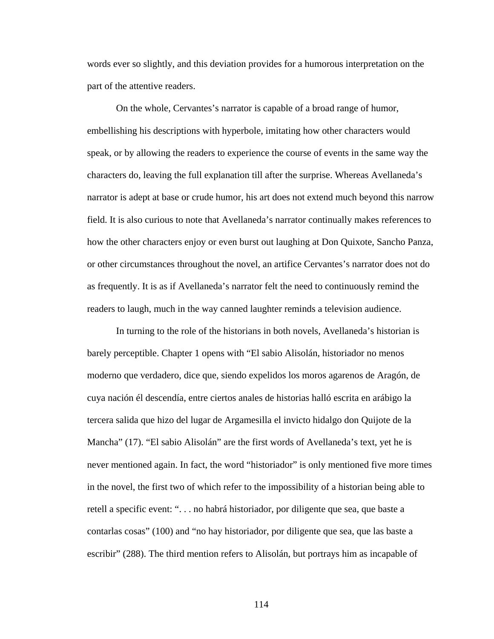words ever so slightly, and this deviation provides for a humorous interpretation on the part of the attentive readers.

On the whole, Cervantes's narrator is capable of a broad range of humor, embellishing his descriptions with hyperbole, imitating how other characters would speak, or by allowing the readers to experience the course of events in the same way the characters do, leaving the full explanation till after the surprise. Whereas Avellaneda's narrator is adept at base or crude humor, his art does not extend much beyond this narrow field. It is also curious to note that Avellaneda's narrator continually makes references to how the other characters enjoy or even burst out laughing at Don Quixote, Sancho Panza, or other circumstances throughout the novel, an artifice Cervantes's narrator does not do as frequently. It is as if Avellaneda's narrator felt the need to continuously remind the readers to laugh, much in the way canned laughter reminds a television audience.

 In turning to the role of the historians in both novels, Avellaneda's historian is barely perceptible. Chapter 1 opens with "El sabio Alisolán, historiador no menos moderno que verdadero, dice que, siendo expelidos los moros agarenos de Aragón, de cuya nación él descendía, entre ciertos anales de historias halló escrita en arábigo la tercera salida que hizo del lugar de Argamesilla el invicto hidalgo don Quijote de la Mancha" (17). "El sabio Alisolán" are the first words of Avellaneda's text, yet he is never mentioned again. In fact, the word "historiador" is only mentioned five more times in the novel, the first two of which refer to the impossibility of a historian being able to retell a specific event: ". . . no habrá historiador, por diligente que sea, que baste a contarlas cosas" (100) and "no hay historiador, por diligente que sea, que las baste a escribir" (288). The third mention refers to Alisolán, but portrays him as incapable of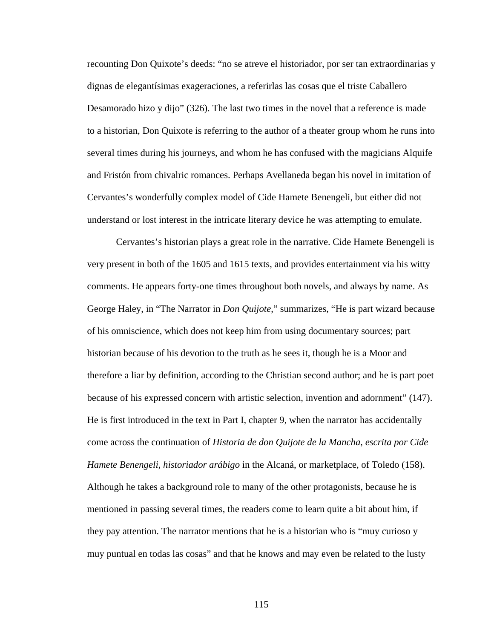recounting Don Quixote's deeds: "no se atreve el historiador, por ser tan extraordinarias y dignas de elegantísimas exageraciones, a referirlas las cosas que el triste Caballero Desamorado hizo y dijo" (326). The last two times in the novel that a reference is made to a historian, Don Quixote is referring to the author of a theater group whom he runs into several times during his journeys, and whom he has confused with the magicians Alquife and Fristón from chivalric romances. Perhaps Avellaneda began his novel in imitation of Cervantes's wonderfully complex model of Cide Hamete Benengeli, but either did not understand or lost interest in the intricate literary device he was attempting to emulate.

Cervantes's historian plays a great role in the narrative. Cide Hamete Benengeli is very present in both of the 1605 and 1615 texts, and provides entertainment via his witty comments. He appears forty-one times throughout both novels, and always by name. As George Haley, in "The Narrator in *Don Quijote*," summarizes, "He is part wizard because of his omniscience, which does not keep him from using documentary sources; part historian because of his devotion to the truth as he sees it, though he is a Moor and therefore a liar by definition, according to the Christian second author; and he is part poet because of his expressed concern with artistic selection, invention and adornment" (147). He is first introduced in the text in Part I, chapter 9, when the narrator has accidentally come across the continuation of *Historia de don Quijote de la Mancha, escrita por Cide Hamete Benengeli, historiador arábigo* in the Alcaná, or marketplace, of Toledo (158). Although he takes a background role to many of the other protagonists, because he is mentioned in passing several times, the readers come to learn quite a bit about him, if they pay attention. The narrator mentions that he is a historian who is "muy curioso y muy puntual en todas las cosas" and that he knows and may even be related to the lusty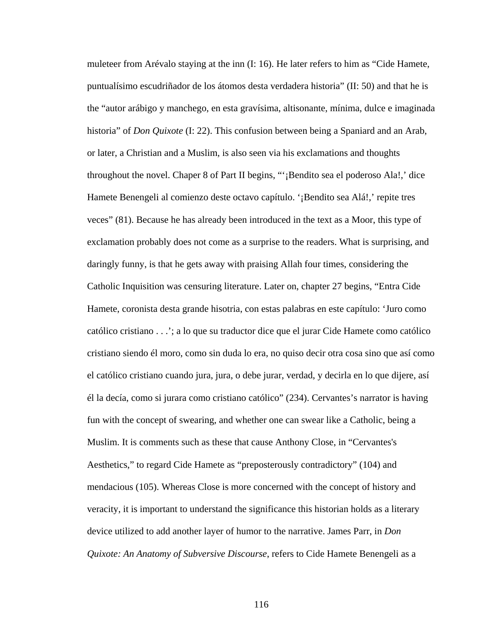muleteer from Arévalo staying at the inn (I: 16). He later refers to him as "Cide Hamete, puntualísimo escudriñador de los átomos desta verdadera historia" (II: 50) and that he is the "autor arábigo y manchego, en esta gravísima, altisonante, mínima, dulce e imaginada historia" of *Don Quixote* (I: 22). This confusion between being a Spaniard and an Arab, or later, a Christian and a Muslim, is also seen via his exclamations and thoughts throughout the novel. Chaper 8 of Part II begins, "'¡Bendito sea el poderoso Ala!,' dice Hamete Benengeli al comienzo deste octavo capítulo. '¡Bendito sea Alá!,' repite tres veces" (81). Because he has already been introduced in the text as a Moor, this type of exclamation probably does not come as a surprise to the readers. What is surprising, and daringly funny, is that he gets away with praising Allah four times, considering the Catholic Inquisition was censuring literature. Later on, chapter 27 begins, "Entra Cide Hamete, coronista desta grande hisotria, con estas palabras en este capítulo: 'Juro como católico cristiano . . .'; a lo que su traductor dice que el jurar Cide Hamete como católico cristiano siendo él moro, como sin duda lo era, no quiso decir otra cosa sino que así como el católico cristiano cuando jura, jura, o debe jurar, verdad, y decirla en lo que dijere, así él la decía, como si jurara como cristiano católico" (234). Cervantes's narrator is having fun with the concept of swearing, and whether one can swear like a Catholic, being a Muslim. It is comments such as these that cause Anthony Close, in "Cervantes's Aesthetics," to regard Cide Hamete as "preposterously contradictory" (104) and mendacious (105). Whereas Close is more concerned with the concept of history and veracity, it is important to understand the significance this historian holds as a literary device utilized to add another layer of humor to the narrative. James Parr, in *Don Quixote: An Anatomy of Subversive Discourse*, refers to Cide Hamete Benengeli as a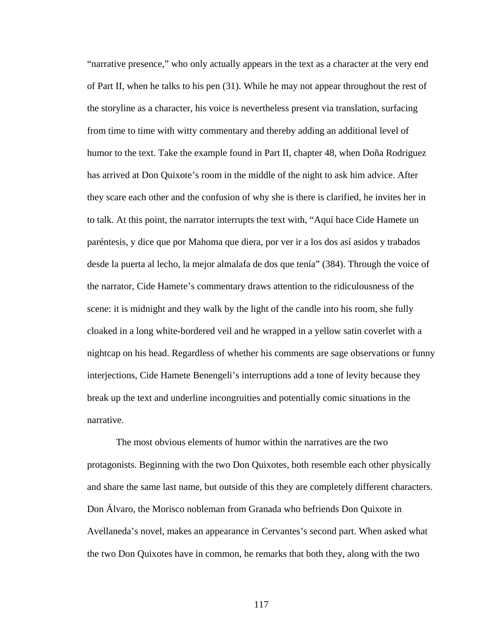"narrative presence," who only actually appears in the text as a character at the very end of Part II, when he talks to his pen (31). While he may not appear throughout the rest of the storyline as a character, his voice is nevertheless present via translation, surfacing from time to time with witty commentary and thereby adding an additional level of humor to the text. Take the example found in Part II, chapter 48, when Doña Rodriguez has arrived at Don Quixote's room in the middle of the night to ask him advice. After they scare each other and the confusion of why she is there is clarified, he invites her in to talk. At this point, the narrator interrupts the text with, "Aquí hace Cide Hamete un paréntesis, y dice que por Mahoma que diera, por ver ir a los dos así asidos y trabados desde la puerta al lecho, la mejor almalafa de dos que tenía" (384). Through the voice of the narrator, Cide Hamete's commentary draws attention to the ridiculousness of the scene: it is midnight and they walk by the light of the candle into his room, she fully cloaked in a long white-bordered veil and he wrapped in a yellow satin coverlet with a nightcap on his head. Regardless of whether his comments are sage observations or funny interjections, Cide Hamete Benengeli's interruptions add a tone of levity because they break up the text and underline incongruities and potentially comic situations in the narrative.

 The most obvious elements of humor within the narratives are the two protagonists. Beginning with the two Don Quixotes, both resemble each other physically and share the same last name, but outside of this they are completely different characters. Don Álvaro, the Morisco nobleman from Granada who befriends Don Quixote in Avellaneda's novel, makes an appearance in Cervantes's second part. When asked what the two Don Quixotes have in common, he remarks that both they, along with the two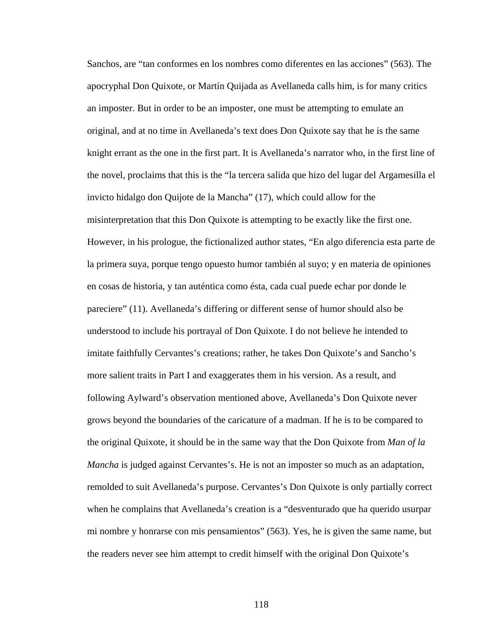Sanchos, are "tan conformes en los nombres como diferentes en las acciones" (563). The apocryphal Don Quixote, or Martín Quijada as Avellaneda calls him, is for many critics an imposter. But in order to be an imposter, one must be attempting to emulate an original, and at no time in Avellaneda's text does Don Quixote say that he is the same knight errant as the one in the first part. It is Avellaneda's narrator who, in the first line of the novel, proclaims that this is the "la tercera salida que hizo del lugar del Argamesilla el invicto hidalgo don Quijote de la Mancha" (17), which could allow for the misinterpretation that this Don Quixote is attempting to be exactly like the first one. However, in his prologue, the fictionalized author states, "En algo diferencia esta parte de la primera suya, porque tengo opuesto humor también al suyo; y en materia de opiniones en cosas de historia, y tan auténtica como ésta, cada cual puede echar por donde le pareciere" (11). Avellaneda's differing or different sense of humor should also be understood to include his portrayal of Don Quixote. I do not believe he intended to imitate faithfully Cervantes's creations; rather, he takes Don Quixote's and Sancho's more salient traits in Part I and exaggerates them in his version. As a result, and following Aylward's observation mentioned above, Avellaneda's Don Quixote never grows beyond the boundaries of the caricature of a madman. If he is to be compared to the original Quixote, it should be in the same way that the Don Quixote from *Man of la Mancha* is judged against Cervantes's. He is not an imposter so much as an adaptation, remolded to suit Avellaneda's purpose. Cervantes's Don Quixote is only partially correct when he complains that Avellaneda's creation is a "desventurado que ha querido usurpar mi nombre y honrarse con mis pensamientos" (563). Yes, he is given the same name, but the readers never see him attempt to credit himself with the original Don Quixote's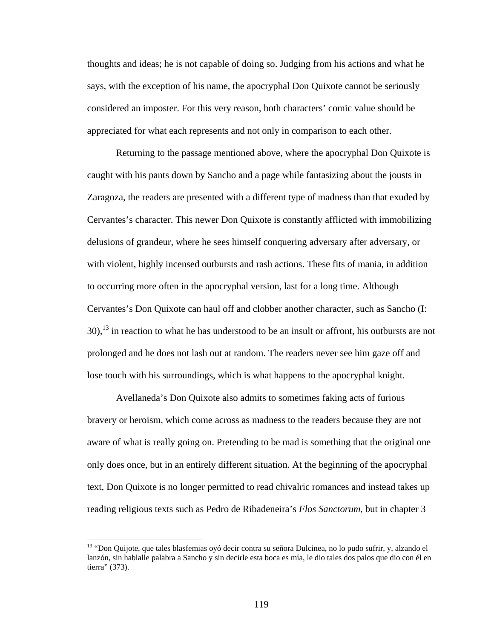thoughts and ideas; he is not capable of doing so. Judging from his actions and what he says, with the exception of his name, the apocryphal Don Quixote cannot be seriously considered an imposter. For this very reason, both characters' comic value should be appreciated for what each represents and not only in comparison to each other.

 Returning to the passage mentioned above, where the apocryphal Don Quixote is caught with his pants down by Sancho and a page while fantasizing about the jousts in Zaragoza, the readers are presented with a different type of madness than that exuded by Cervantes's character. This newer Don Quixote is constantly afflicted with immobilizing delusions of grandeur, where he sees himself conquering adversary after adversary, or with violent, highly incensed outbursts and rash actions. These fits of mania, in addition to occurring more often in the apocryphal version, last for a long time. Although Cervantes's Don Quixote can haul off and clobber another character, such as Sancho (I:  $30$ ,<sup>13</sup> in reaction to what he has understood to be an insult or affront, his outbursts are not prolonged and he does not lash out at random. The readers never see him gaze off and lose touch with his surroundings, which is what happens to the apocryphal knight.

 Avellaneda's Don Quixote also admits to sometimes faking acts of furious bravery or heroism, which come across as madness to the readers because they are not aware of what is really going on. Pretending to be mad is something that the original one only does once, but in an entirely different situation. At the beginning of the apocryphal text, Don Quixote is no longer permitted to read chivalric romances and instead takes up reading religious texts such as Pedro de Ribadeneira's *Flos Sanctorum*, but in chapter 3

 $\overline{a}$ 

<sup>&</sup>lt;sup>13</sup> "Don Quijote, que tales blasfemias oyó decir contra su señora Dulcinea, no lo pudo sufrir, y, alzando el lanzón, sin hablalle palabra a Sancho y sin decirle esta boca es mía, le dio tales dos palos que dio con él en tierra" (373).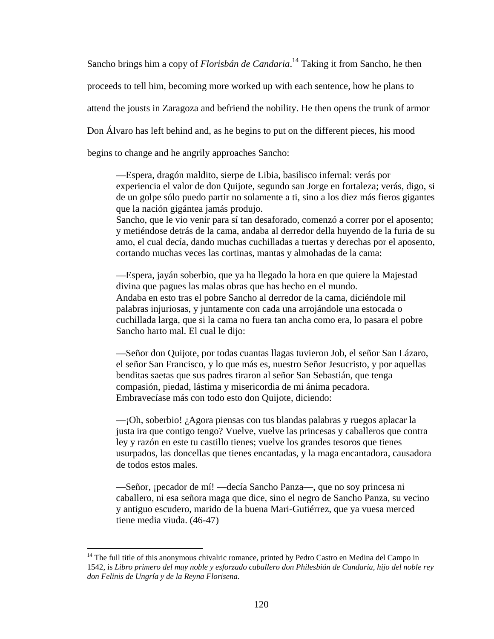Sancho brings him a copy of *Florisbán de Candaria*. 14 Taking it from Sancho, he then

proceeds to tell him, becoming more worked up with each sentence, how he plans to

attend the jousts in Zaragoza and befriend the nobility. He then opens the trunk of armor

Don Álvaro has left behind and, as he begins to put on the different pieces, his mood

begins to change and he angrily approaches Sancho:

—Espera, dragón maldito, sierpe de Libia, basilisco infernal: verás por experiencia el valor de don Quijote, segundo san Jorge en fortaleza; verás, digo, si de un golpe sólo puedo partir no solamente a ti, sino a los diez más fieros gigantes que la nación gigántea jamás produjo.

Sancho, que le vio venir para sí tan desaforado, comenzó a correr por el aposento; y metiéndose detrás de la cama, andaba al derredor della huyendo de la furia de su amo, el cual decía, dando muchas cuchilladas a tuertas y derechas por el aposento, cortando muchas veces las cortinas, mantas y almohadas de la cama:

—Espera, jayán soberbio, que ya ha llegado la hora en que quiere la Majestad divina que pagues las malas obras que has hecho en el mundo. Andaba en esto tras el pobre Sancho al derredor de la cama, diciéndole mil palabras injuriosas, y juntamente con cada una arrojándole una estocada o cuchillada larga, que si la cama no fuera tan ancha como era, lo pasara el pobre Sancho harto mal. El cual le dijo:

—Señor don Quijote, por todas cuantas llagas tuvieron Job, el señor San Lázaro, el señor San Francisco, y lo que más es, nuestro Señor Jesucristo, y por aquellas benditas saetas que sus padres tiraron al señor San Sebastián, que tenga compasión, piedad, lástima y misericordia de mi ánima pecadora. Embravecíase más con todo esto don Quijote, diciendo:

—¡Oh, soberbio! ¿Agora piensas con tus blandas palabras y ruegos aplacar la justa ira que contigo tengo? Vuelve, vuelve las princesas y caballeros que contra ley y razón en este tu castillo tienes; vuelve los grandes tesoros que tienes usurpados, las doncellas que tienes encantadas, y la maga encantadora, causadora de todos estos males.

—Señor, ¡pecador de mí! —decía Sancho Panza—, que no soy princesa ni caballero, ni esa señora maga que dice, sino el negro de Sancho Panza, su vecino y antiguo escudero, marido de la buena Mari-Gutiérrez, que ya vuesa merced tiene media viuda. (46-47)

 $\overline{a}$ 

<sup>&</sup>lt;sup>14</sup> The full title of this anonymous chivalric romance, printed by Pedro Castro en Medina del Campo in 1542, is *Libro primero del muy noble y esforzado caballero don Philesbián de Candaria, hijo del noble rey don Felinis de Ungría y de la Reyna Florisena.*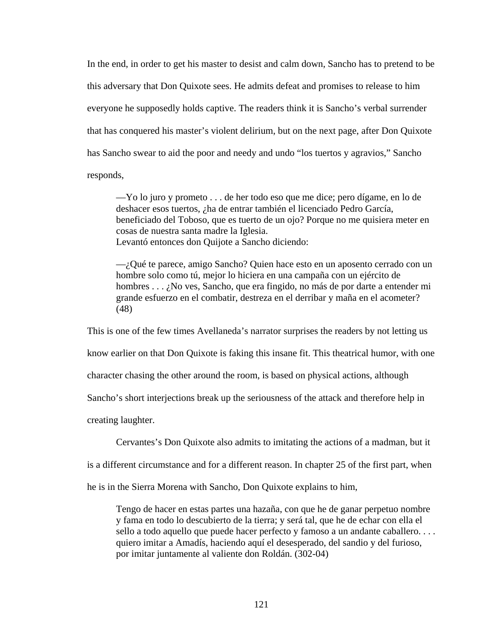In the end, in order to get his master to desist and calm down, Sancho has to pretend to be this adversary that Don Quixote sees. He admits defeat and promises to release to him everyone he supposedly holds captive. The readers think it is Sancho's verbal surrender that has conquered his master's violent delirium, but on the next page, after Don Quixote has Sancho swear to aid the poor and needy and undo "los tuertos y agravios," Sancho responds,

—Yo lo juro y prometo . . . de her todo eso que me dice; pero dígame, en lo de deshacer esos tuertos, ¿ha de entrar también el licenciado Pedro García, beneficiado del Toboso, que es tuerto de un ojo? Porque no me quisiera meter en cosas de nuestra santa madre la Iglesia. Levantó entonces don Quijote a Sancho diciendo:

 $-\lambda$ Qué te parece, amigo Sancho? Quien hace esto en un aposento cerrado con un hombre solo como tú, mejor lo hiciera en una campaña con un ejército de hombres . . . ¿No ves, Sancho, que era fingido, no más de por darte a entender mi grande esfuerzo en el combatir, destreza en el derribar y maña en el acometer? (48)

This is one of the few times Avellaneda's narrator surprises the readers by not letting us

know earlier on that Don Quixote is faking this insane fit. This theatrical humor, with one

character chasing the other around the room, is based on physical actions, although

Sancho's short interjections break up the seriousness of the attack and therefore help in

creating laughter.

Cervantes's Don Quixote also admits to imitating the actions of a madman, but it

is a different circumstance and for a different reason. In chapter 25 of the first part, when

he is in the Sierra Morena with Sancho, Don Quixote explains to him,

Tengo de hacer en estas partes una hazaña, con que he de ganar perpetuo nombre y fama en todo lo descubierto de la tierra; y será tal, que he de echar con ella el sello a todo aquello que puede hacer perfecto y famoso a un andante caballero. . . . quiero imitar a Amadís, haciendo aquí el desesperado, del sandio y del furioso, por imitar juntamente al valiente don Roldán. (302-04)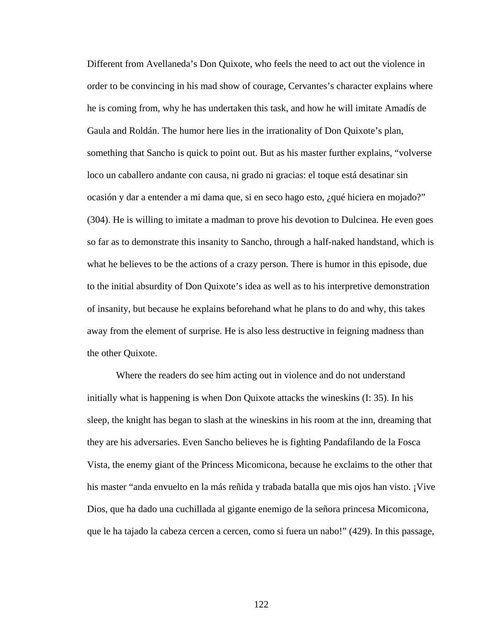Different from Avellaneda's Don Quixote, who feels the need to act out the violence in order to be convincing in his mad show of courage, Cervantes's character explains where he is coming from, why he has undertaken this task, and how he will imitate Amadís de Gaula and Roldán. The humor here lies in the irrationality of Don Quixote's plan, something that Sancho is quick to point out. But as his master further explains, "volverse loco un caballero andante con causa, ni grado ni gracias: el toque está desatinar sin ocasión y dar a entender a mi dama que, si en seco hago esto, ¿qué hiciera en mojado?" (304). He is willing to imitate a madman to prove his devotion to Dulcinea. He even goes so far as to demonstrate this insanity to Sancho, through a half-naked handstand, which is what he believes to be the actions of a crazy person. There is humor in this episode, due to the initial absurdity of Don Quixote's idea as well as to his interpretive demonstration of insanity, but because he explains beforehand what he plans to do and why, this takes away from the element of surprise. He is also less destructive in feigning madness than the other Quixote.

 Where the readers do see him acting out in violence and do not understand initially what is happening is when Don Quixote attacks the wineskins (I: 35). In his sleep, the knight has began to slash at the wineskins in his room at the inn, dreaming that they are his adversaries. Even Sancho believes he is fighting Pandafilando de la Fosca Vista, the enemy giant of the Princess Micomicona, because he exclaims to the other that his master "anda envuelto en la más reñida y trabada batalla que mis ojos han visto. ¡Vive Dios, que ha dado una cuchillada al gigante enemigo de la señora princesa Micomicona, que le ha tajado la cabeza cercen a cercen, como si fuera un nabo!" (429). In this passage,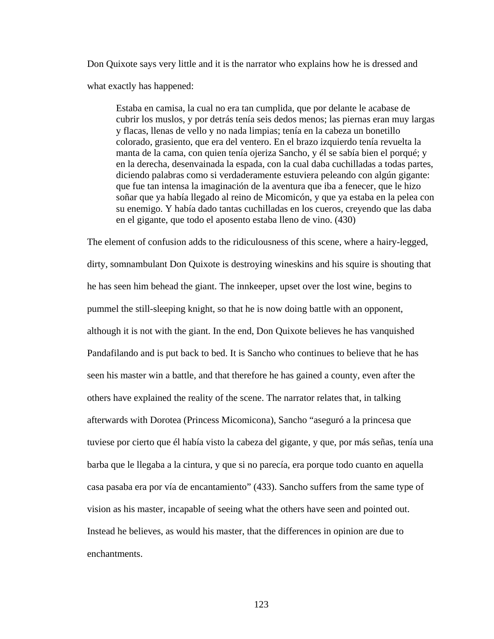Don Quixote says very little and it is the narrator who explains how he is dressed and what exactly has happened:

Estaba en camisa, la cual no era tan cumplida, que por delante le acabase de cubrir los muslos, y por detrás tenía seis dedos menos; las piernas eran muy largas y flacas, llenas de vello y no nada limpias; tenía en la cabeza un bonetillo colorado, grasiento, que era del ventero. En el brazo izquierdo tenía revuelta la manta de la cama, con quien tenía ojeriza Sancho, y él se sabía bien el porqué; y en la derecha, desenvainada la espada, con la cual daba cuchilladas a todas partes, diciendo palabras como si verdaderamente estuviera peleando con algún gigante: que fue tan intensa la imaginación de la aventura que iba a fenecer, que le hizo soñar que ya había llegado al reino de Micomicón, y que ya estaba en la pelea con su enemigo. Y había dado tantas cuchilladas en los cueros, creyendo que las daba en el gigante, que todo el aposento estaba lleno de vino. (430)

The element of confusion adds to the ridiculousness of this scene, where a hairy-legged, dirty, somnambulant Don Quixote is destroying wineskins and his squire is shouting that he has seen him behead the giant. The innkeeper, upset over the lost wine, begins to pummel the still-sleeping knight, so that he is now doing battle with an opponent, although it is not with the giant. In the end, Don Quixote believes he has vanquished Pandafilando and is put back to bed. It is Sancho who continues to believe that he has seen his master win a battle, and that therefore he has gained a county, even after the others have explained the reality of the scene. The narrator relates that, in talking afterwards with Dorotea (Princess Micomicona), Sancho "aseguró a la princesa que tuviese por cierto que él había visto la cabeza del gigante, y que, por más señas, tenía una barba que le llegaba a la cintura, y que si no parecía, era porque todo cuanto en aquella casa pasaba era por vía de encantamiento" (433). Sancho suffers from the same type of vision as his master, incapable of seeing what the others have seen and pointed out. Instead he believes, as would his master, that the differences in opinion are due to enchantments.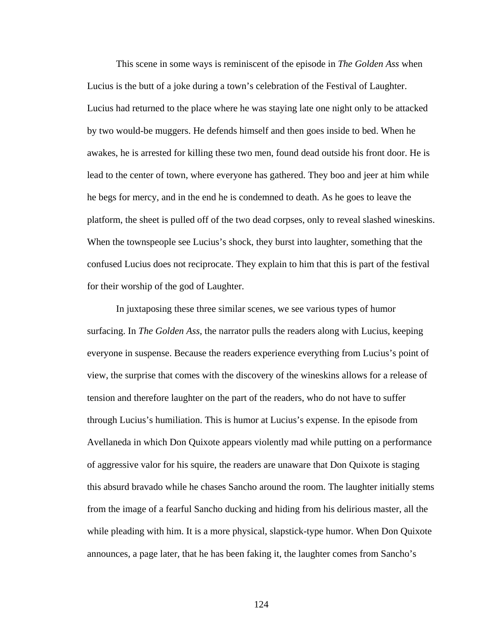This scene in some ways is reminiscent of the episode in *The Golden Ass* when Lucius is the butt of a joke during a town's celebration of the Festival of Laughter. Lucius had returned to the place where he was staying late one night only to be attacked by two would-be muggers. He defends himself and then goes inside to bed. When he awakes, he is arrested for killing these two men, found dead outside his front door. He is lead to the center of town, where everyone has gathered. They boo and jeer at him while he begs for mercy, and in the end he is condemned to death. As he goes to leave the platform, the sheet is pulled off of the two dead corpses, only to reveal slashed wineskins. When the townspeople see Lucius's shock, they burst into laughter, something that the confused Lucius does not reciprocate. They explain to him that this is part of the festival for their worship of the god of Laughter.

 In juxtaposing these three similar scenes, we see various types of humor surfacing. In *The Golden Ass*, the narrator pulls the readers along with Lucius, keeping everyone in suspense. Because the readers experience everything from Lucius's point of view, the surprise that comes with the discovery of the wineskins allows for a release of tension and therefore laughter on the part of the readers, who do not have to suffer through Lucius's humiliation. This is humor at Lucius's expense. In the episode from Avellaneda in which Don Quixote appears violently mad while putting on a performance of aggressive valor for his squire, the readers are unaware that Don Quixote is staging this absurd bravado while he chases Sancho around the room. The laughter initially stems from the image of a fearful Sancho ducking and hiding from his delirious master, all the while pleading with him. It is a more physical, slapstick-type humor. When Don Quixote announces, a page later, that he has been faking it, the laughter comes from Sancho's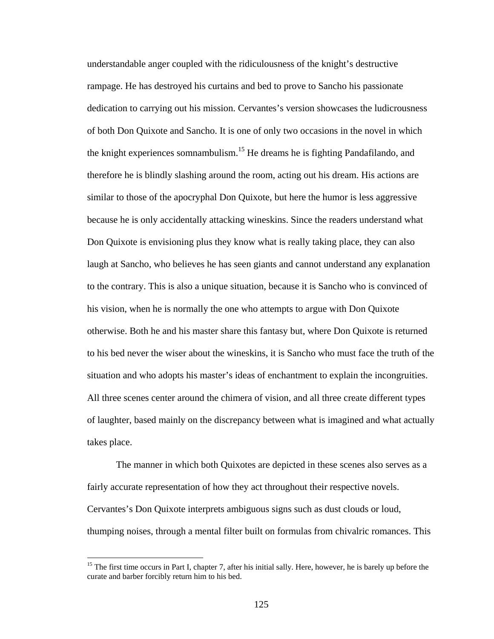understandable anger coupled with the ridiculousness of the knight's destructive rampage. He has destroyed his curtains and bed to prove to Sancho his passionate dedication to carrying out his mission. Cervantes's version showcases the ludicrousness of both Don Quixote and Sancho. It is one of only two occasions in the novel in which the knight experiences somnambulism.<sup>15</sup> He dreams he is fighting Pandafilando, and therefore he is blindly slashing around the room, acting out his dream. His actions are similar to those of the apocryphal Don Quixote, but here the humor is less aggressive because he is only accidentally attacking wineskins. Since the readers understand what Don Quixote is envisioning plus they know what is really taking place, they can also laugh at Sancho, who believes he has seen giants and cannot understand any explanation to the contrary. This is also a unique situation, because it is Sancho who is convinced of his vision, when he is normally the one who attempts to argue with Don Quixote otherwise. Both he and his master share this fantasy but, where Don Quixote is returned to his bed never the wiser about the wineskins, it is Sancho who must face the truth of the situation and who adopts his master's ideas of enchantment to explain the incongruities. All three scenes center around the chimera of vision, and all three create different types of laughter, based mainly on the discrepancy between what is imagined and what actually takes place.

 The manner in which both Quixotes are depicted in these scenes also serves as a fairly accurate representation of how they act throughout their respective novels. Cervantes's Don Quixote interprets ambiguous signs such as dust clouds or loud, thumping noises, through a mental filter built on formulas from chivalric romances. This

<sup>&</sup>lt;sup>15</sup> The first time occurs in Part I, chapter 7, after his initial sally. Here, however, he is barely up before the curate and barber forcibly return him to his bed.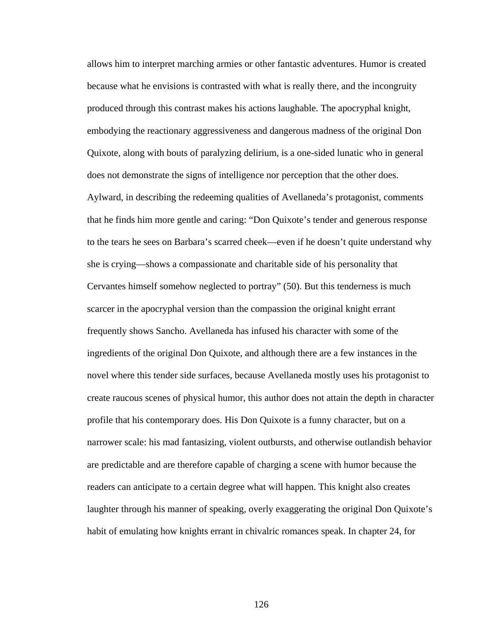allows him to interpret marching armies or other fantastic adventures. Humor is created because what he envisions is contrasted with what is really there, and the incongruity produced through this contrast makes his actions laughable. The apocryphal knight, embodying the reactionary aggressiveness and dangerous madness of the original Don Quixote, along with bouts of paralyzing delirium, is a one-sided lunatic who in general does not demonstrate the signs of intelligence nor perception that the other does. Aylward, in describing the redeeming qualities of Avellaneda's protagonist, comments that he finds him more gentle and caring: "Don Quixote's tender and generous response to the tears he sees on Barbara's scarred cheek—even if he doesn't quite understand why she is crying—shows a compassionate and charitable side of his personality that Cervantes himself somehow neglected to portray" (50). But this tenderness is much scarcer in the apocryphal version than the compassion the original knight errant frequently shows Sancho. Avellaneda has infused his character with some of the ingredients of the original Don Quixote, and although there are a few instances in the novel where this tender side surfaces, because Avellaneda mostly uses his protagonist to create raucous scenes of physical humor, this author does not attain the depth in character profile that his contemporary does. His Don Quixote is a funny character, but on a narrower scale: his mad fantasizing, violent outbursts, and otherwise outlandish behavior are predictable and are therefore capable of charging a scene with humor because the readers can anticipate to a certain degree what will happen. This knight also creates laughter through his manner of speaking, overly exaggerating the original Don Quixote's habit of emulating how knights errant in chivalric romances speak. In chapter 24, for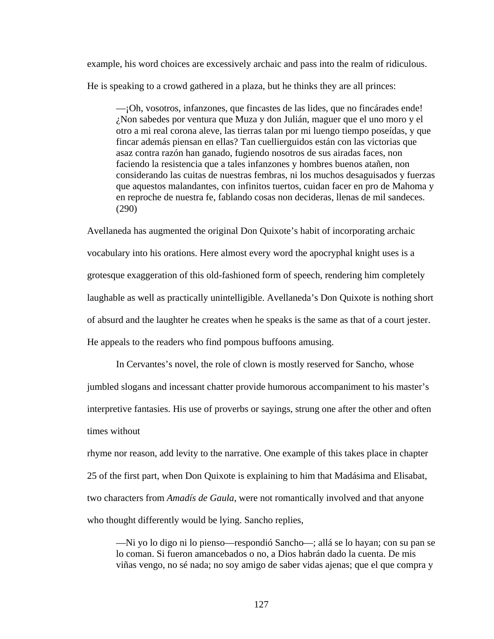example, his word choices are excessively archaic and pass into the realm of ridiculous.

He is speaking to a crowd gathered in a plaza, but he thinks they are all princes:

—¡Oh, vosotros, infanzones, que fincastes de las lides, que no fincárades ende! ¿Non sabedes por ventura que Muza y don Julián, maguer que el uno moro y el otro a mi real corona aleve, las tierras talan por mi luengo tiempo poseídas, y que fincar además piensan en ellas? Tan cuellierguidos están con las victorias que asaz contra razón han ganado, fugiendo nosotros de sus airadas faces, non faciendo la resistencia que a tales infanzones y hombres buenos atañen, non considerando las cuitas de nuestras fembras, ni los muchos desaguisados y fuerzas que aquestos malandantes, con infinitos tuertos, cuidan facer en pro de Mahoma y en reproche de nuestra fe, fablando cosas non decideras, llenas de mil sandeces. (290)

Avellaneda has augmented the original Don Quixote's habit of incorporating archaic vocabulary into his orations. Here almost every word the apocryphal knight uses is a grotesque exaggeration of this old-fashioned form of speech, rendering him completely laughable as well as practically unintelligible. Avellaneda's Don Quixote is nothing short of absurd and the laughter he creates when he speaks is the same as that of a court jester. He appeals to the readers who find pompous buffoons amusing.

 In Cervantes's novel, the role of clown is mostly reserved for Sancho, whose jumbled slogans and incessant chatter provide humorous accompaniment to his master's interpretive fantasies. His use of proverbs or sayings, strung one after the other and often times without

rhyme nor reason, add levity to the narrative. One example of this takes place in chapter 25 of the first part, when Don Quixote is explaining to him that Madásima and Elisabat, two characters from *Amadís de Gaula*, were not romantically involved and that anyone who thought differently would be lying. Sancho replies,

—Ni yo lo digo ni lo pienso—respondió Sancho—; allá se lo hayan; con su pan se lo coman. Si fueron amancebados o no, a Dios habrán dado la cuenta. De mis viñas vengo, no sé nada; no soy amigo de saber vidas ajenas; que el que compra y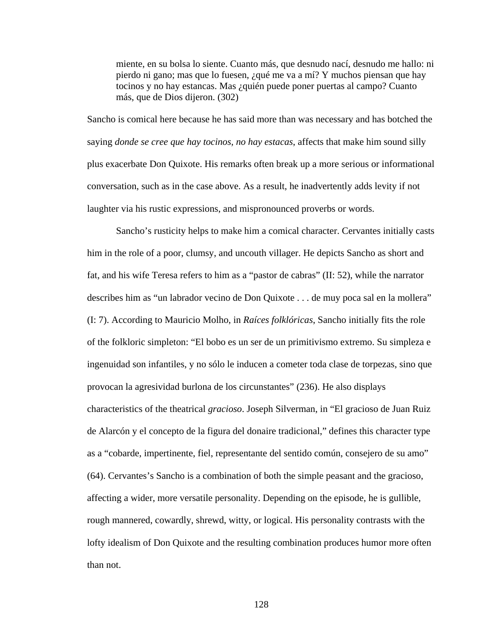miente, en su bolsa lo siente. Cuanto más, que desnudo nací, desnudo me hallo: ni pierdo ni gano; mas que lo fuesen, ¿qué me va a mí? Y muchos piensan que hay tocinos y no hay estancas. Mas ¿quién puede poner puertas al campo? Cuanto más, que de Dios dijeron. (302)

Sancho is comical here because he has said more than was necessary and has botched the saying *donde se cree que hay tocinos, no hay estacas*, affects that make him sound silly plus exacerbate Don Quixote. His remarks often break up a more serious or informational conversation, such as in the case above. As a result, he inadvertently adds levity if not laughter via his rustic expressions, and mispronounced proverbs or words.

Sancho's rusticity helps to make him a comical character. Cervantes initially casts him in the role of a poor, clumsy, and uncouth villager. He depicts Sancho as short and fat, and his wife Teresa refers to him as a "pastor de cabras" (II: 52), while the narrator describes him as "un labrador vecino de Don Quixote . . . de muy poca sal en la mollera" (I: 7). According to Mauricio Molho, in *Raíces folklóricas*, Sancho initially fits the role of the folkloric simpleton: "El bobo es un ser de un primitivismo extremo. Su simpleza e ingenuidad son infantiles, y no sólo le inducen a cometer toda clase de torpezas, sino que provocan la agresividad burlona de los circunstantes" (236). He also displays characteristics of the theatrical *gracioso*. Joseph Silverman, in "El gracioso de Juan Ruiz de Alarcón y el concepto de la figura del donaire tradicional," defines this character type as a "cobarde, impertinente, fiel, representante del sentido común, consejero de su amo" (64). Cervantes's Sancho is a combination of both the simple peasant and the gracioso, affecting a wider, more versatile personality. Depending on the episode, he is gullible, rough mannered, cowardly, shrewd, witty, or logical. His personality contrasts with the lofty idealism of Don Quixote and the resulting combination produces humor more often than not.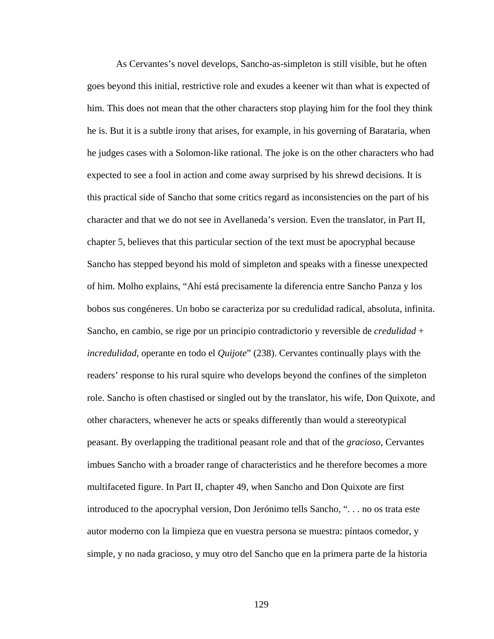As Cervantes's novel develops, Sancho-as-simpleton is still visible, but he often goes beyond this initial, restrictive role and exudes a keener wit than what is expected of him. This does not mean that the other characters stop playing him for the fool they think he is. But it is a subtle irony that arises, for example, in his governing of Barataria, when he judges cases with a Solomon-like rational. The joke is on the other characters who had expected to see a fool in action and come away surprised by his shrewd decisions. It is this practical side of Sancho that some critics regard as inconsistencies on the part of his character and that we do not see in Avellaneda's version. Even the translator, in Part II, chapter 5, believes that this particular section of the text must be apocryphal because Sancho has stepped beyond his mold of simpleton and speaks with a finesse unexpected of him. Molho explains, "Ahí está precisamente la diferencia entre Sancho Panza y los bobos sus congéneres. Un bobo se caracteriza por su credulidad radical, absoluta, infinita. Sancho, en cambio, se rige por un principio contradictorio y reversible de *credulidad* + *incredulidad*, operante en todo el *Quijote*" (238). Cervantes continually plays with the readers' response to his rural squire who develops beyond the confines of the simpleton role. Sancho is often chastised or singled out by the translator, his wife, Don Quixote, and other characters, whenever he acts or speaks differently than would a stereotypical peasant. By overlapping the traditional peasant role and that of the *gracioso*, Cervantes imbues Sancho with a broader range of characteristics and he therefore becomes a more multifaceted figure. In Part II, chapter 49, when Sancho and Don Quixote are first introduced to the apocryphal version, Don Jerónimo tells Sancho, ". . . no os trata este autor moderno con la limpieza que en vuestra persona se muestra: píntaos comedor, y simple, y no nada gracioso, y muy otro del Sancho que en la primera parte de la historia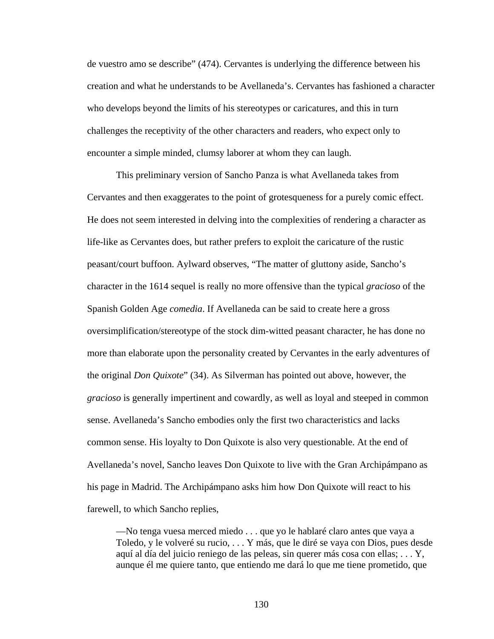de vuestro amo se describe" (474). Cervantes is underlying the difference between his creation and what he understands to be Avellaneda's. Cervantes has fashioned a character who develops beyond the limits of his stereotypes or caricatures, and this in turn challenges the receptivity of the other characters and readers, who expect only to encounter a simple minded, clumsy laborer at whom they can laugh.

This preliminary version of Sancho Panza is what Avellaneda takes from Cervantes and then exaggerates to the point of grotesqueness for a purely comic effect. He does not seem interested in delving into the complexities of rendering a character as life-like as Cervantes does, but rather prefers to exploit the caricature of the rustic peasant/court buffoon. Aylward observes, "The matter of gluttony aside, Sancho's character in the 1614 sequel is really no more offensive than the typical *gracioso* of the Spanish Golden Age *comedia*. If Avellaneda can be said to create here a gross oversimplification/stereotype of the stock dim-witted peasant character, he has done no more than elaborate upon the personality created by Cervantes in the early adventures of the original *Don Quixote*" (34). As Silverman has pointed out above, however, the *gracioso* is generally impertinent and cowardly, as well as loyal and steeped in common sense. Avellaneda's Sancho embodies only the first two characteristics and lacks common sense. His loyalty to Don Quixote is also very questionable. At the end of Avellaneda's novel, Sancho leaves Don Quixote to live with the Gran Archipámpano as his page in Madrid. The Archipámpano asks him how Don Quixote will react to his farewell, to which Sancho replies,

—No tenga vuesa merced miedo . . . que yo le hablaré claro antes que vaya a Toledo, y le volveré su rucio, . . . Y más, que le diré se vaya con Dios, pues desde aquí al día del juicio reniego de las peleas, sin querer más cosa con ellas; . . . Y, aunque él me quiere tanto, que entiendo me dará lo que me tiene prometido, que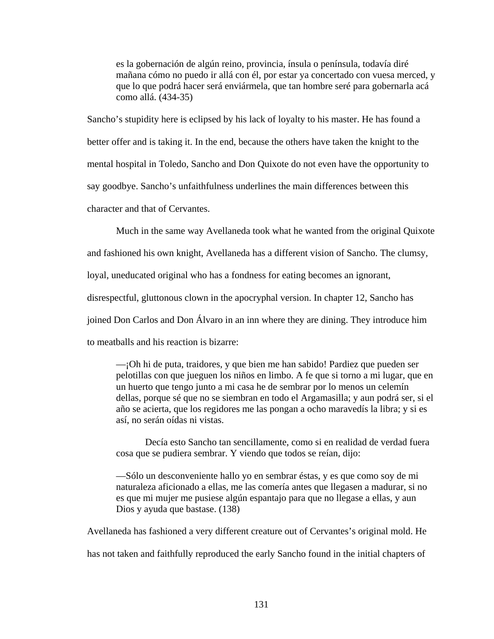es la gobernación de algún reino, provincia, ínsula o península, todavía diré mañana cómo no puedo ir allá con él, por estar ya concertado con vuesa merced, y que lo que podrá hacer será enviármela, que tan hombre seré para gobernarla acá como allá. (434-35)

Sancho's stupidity here is eclipsed by his lack of loyalty to his master. He has found a better offer and is taking it. In the end, because the others have taken the knight to the mental hospital in Toledo, Sancho and Don Quixote do not even have the opportunity to say goodbye. Sancho's unfaithfulness underlines the main differences between this character and that of Cervantes.

Much in the same way Avellaneda took what he wanted from the original Quixote

and fashioned his own knight, Avellaneda has a different vision of Sancho. The clumsy,

loyal, uneducated original who has a fondness for eating becomes an ignorant,

disrespectful, gluttonous clown in the apocryphal version. In chapter 12, Sancho has

joined Don Carlos and Don Álvaro in an inn where they are dining. They introduce him

to meatballs and his reaction is bizarre:

—¡Oh hi de puta, traidores, y que bien me han sabido! Pardiez que pueden ser pelotillas con que jueguen los niños en limbo. A fe que si torno a mi lugar, que en un huerto que tengo junto a mi casa he de sembrar por lo menos un celemín dellas, porque sé que no se siembran en todo el Argamasilla; y aun podrá ser, si el año se acierta, que los regidores me las pongan a ocho maravedís la libra; y si es así, no serán oídas ni vistas.

Decía esto Sancho tan sencillamente, como si en realidad de verdad fuera cosa que se pudiera sembrar. Y viendo que todos se reían, dijo:

—Sólo un desconveniente hallo yo en sembrar éstas, y es que como soy de mi naturaleza aficionado a ellas, me las comería antes que llegasen a madurar, si no es que mi mujer me pusiese algún espantajo para que no llegase a ellas, y aun Dios y ayuda que bastase. (138)

Avellaneda has fashioned a very different creature out of Cervantes's original mold. He

has not taken and faithfully reproduced the early Sancho found in the initial chapters of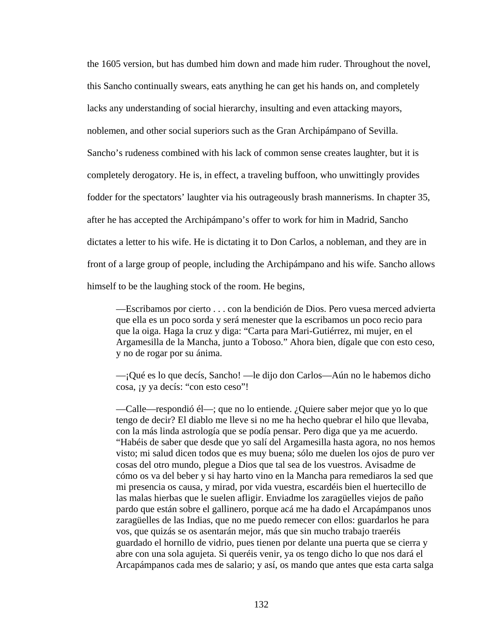the 1605 version, but has dumbed him down and made him ruder. Throughout the novel, this Sancho continually swears, eats anything he can get his hands on, and completely lacks any understanding of social hierarchy, insulting and even attacking mayors, noblemen, and other social superiors such as the Gran Archipámpano of Sevilla. Sancho's rudeness combined with his lack of common sense creates laughter, but it is completely derogatory. He is, in effect, a traveling buffoon, who unwittingly provides fodder for the spectators' laughter via his outrageously brash mannerisms. In chapter 35, after he has accepted the Archipámpano's offer to work for him in Madrid, Sancho dictates a letter to his wife. He is dictating it to Don Carlos, a nobleman, and they are in front of a large group of people, including the Archipámpano and his wife. Sancho allows himself to be the laughing stock of the room. He begins,

—Escribamos por cierto . . . con la bendición de Dios. Pero vuesa merced advierta que ella es un poco sorda y será menester que la escribamos un poco recio para que la oiga. Haga la cruz y diga: "Carta para Mari-Gutiérrez, mi mujer, en el Argamesilla de la Mancha, junto a Toboso." Ahora bien, dígale que con esto ceso, y no de rogar por su ánima.

—¡Qué es lo que decís, Sancho! —le dijo don Carlos—Aún no le habemos dicho cosa, ¡y ya decís: "con esto ceso"!

—Calle—respondió él—; que no lo entiende. ¿Quiere saber mejor que yo lo que tengo de decir? El diablo me lleve si no me ha hecho quebrar el hilo que llevaba, con la más linda astrología que se podía pensar. Pero diga que ya me acuerdo. "Habéis de saber que desde que yo salí del Argamesilla hasta agora, no nos hemos visto; mi salud dicen todos que es muy buena; sólo me duelen los ojos de puro ver cosas del otro mundo, plegue a Dios que tal sea de los vuestros. Avisadme de cómo os va del beber y si hay harto vino en la Mancha para remediaros la sed que mi presencia os causa, y mirad, por vida vuestra, escardéis bien el huertecillo de las malas hierbas que le suelen afligir. Enviadme los zaragüelles viejos de paño pardo que están sobre el gallinero, porque acá me ha dado el Arcapámpanos unos zaragüelles de las Indias, que no me puedo remecer con ellos: guardarlos he para vos, que quizás se os asentarán mejor, más que sin mucho trabajo traeréis guardado el hornillo de vidrio, pues tienen por delante una puerta que se cierra y abre con una sola agujeta. Si queréis venir, ya os tengo dicho lo que nos dará el Arcapámpanos cada mes de salario; y así, os mando que antes que esta carta salga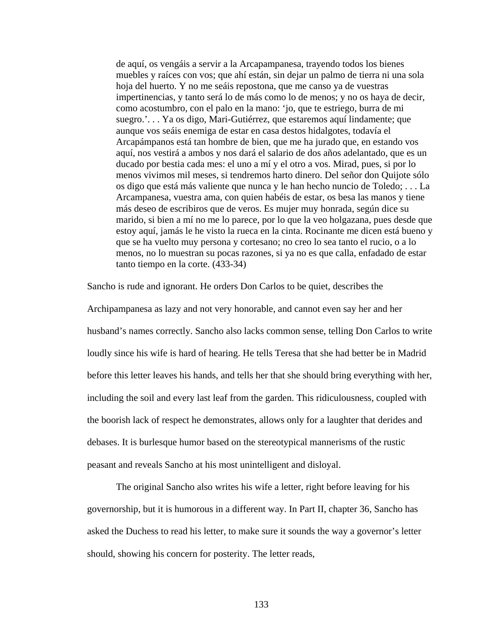de aquí, os vengáis a servir a la Arcapampanesa, trayendo todos los bienes muebles y raíces con vos; que ahí están, sin dejar un palmo de tierra ni una sola hoja del huerto. Y no me seáis repostona, que me canso ya de vuestras impertinencias, y tanto será lo de más como lo de menos; y no os haya de decir, como acostumbro, con el palo en la mano: 'jo, que te estriego, burra de mi suegro.'. . . Ya os digo, Mari-Gutiérrez, que estaremos aquí lindamente; que aunque vos seáis enemiga de estar en casa destos hidalgotes, todavía el Arcapámpanos está tan hombre de bien, que me ha jurado que, en estando vos aquí, nos vestirá a ambos y nos dará el salario de dos años adelantado, que es un ducado por bestia cada mes: el uno a mí y el otro a vos. Mirad, pues, si por lo menos vivimos mil meses, si tendremos harto dinero. Del señor don Quijote sólo os digo que está más valiente que nunca y le han hecho nuncio de Toledo; . . . La Arcampanesa, vuestra ama, con quien habéis de estar, os besa las manos y tiene más deseo de escribiros que de veros. Es mujer muy honrada, según dice su marido, si bien a mí no me lo parece, por lo que la veo holgazana, pues desde que estoy aquí, jamás le he visto la rueca en la cinta. Rocinante me dicen está bueno y que se ha vuelto muy persona y cortesano; no creo lo sea tanto el rucio, o a lo menos, no lo muestran su pocas razones, si ya no es que calla, enfadado de estar tanto tiempo en la corte. (433-34)

Sancho is rude and ignorant. He orders Don Carlos to be quiet, describes the

Archipampanesa as lazy and not very honorable, and cannot even say her and her husband's names correctly. Sancho also lacks common sense, telling Don Carlos to write loudly since his wife is hard of hearing. He tells Teresa that she had better be in Madrid before this letter leaves his hands, and tells her that she should bring everything with her, including the soil and every last leaf from the garden. This ridiculousness, coupled with the boorish lack of respect he demonstrates, allows only for a laughter that derides and debases. It is burlesque humor based on the stereotypical mannerisms of the rustic peasant and reveals Sancho at his most unintelligent and disloyal.

 The original Sancho also writes his wife a letter, right before leaving for his governorship, but it is humorous in a different way. In Part II, chapter 36, Sancho has asked the Duchess to read his letter, to make sure it sounds the way a governor's letter should, showing his concern for posterity. The letter reads,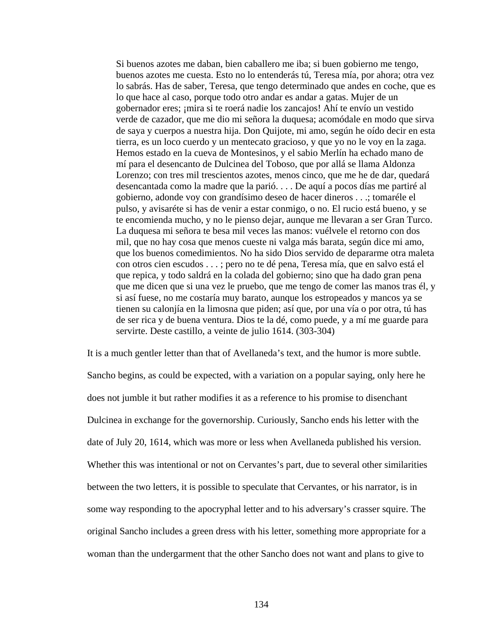Si buenos azotes me daban, bien caballero me iba; si buen gobierno me tengo, buenos azotes me cuesta. Esto no lo entenderás tú, Teresa mía, por ahora; otra vez lo sabrás. Has de saber, Teresa, que tengo determinado que andes en coche, que es lo que hace al caso, porque todo otro andar es andar a gatas. Mujer de un gobernador eres; ¡mira si te roerá nadie los zancajos! Ahí te envío un vestido verde de cazador, que me dio mi señora la duquesa; acomódale en modo que sirva de saya y cuerpos a nuestra hija. Don Quijote, mi amo, según he oído decir en esta tierra, es un loco cuerdo y un mentecato gracioso, y que yo no le voy en la zaga. Hemos estado en la cueva de Montesinos, y el sabio Merlín ha echado mano de mí para el desencanto de Dulcinea del Toboso, que por allá se llama Aldonza Lorenzo; con tres mil trescientos azotes, menos cinco, que me he de dar, quedará desencantada como la madre que la parió. . . . De aquí a pocos días me partiré al gobierno, adonde voy con grandísimo deseo de hacer dineros . . .; tomaréle el pulso, y avisaréte si has de venir a estar conmigo, o no. El rucio está bueno, y se te encomienda mucho, y no le pienso dejar, aunque me llevaran a ser Gran Turco. La duquesa mi señora te besa mil veces las manos: vuélvele el retorno con dos mil, que no hay cosa que menos cueste ni valga más barata, según dice mi amo, que los buenos comedimientos. No ha sido Dios servido de depararme otra maleta con otros cien escudos . . . ; pero no te dé pena, Teresa mía, que en salvo está el que repica, y todo saldrá en la colada del gobierno; sino que ha dado gran pena que me dicen que si una vez le pruebo, que me tengo de comer las manos tras él, y si así fuese, no me costaría muy barato, aunque los estropeados y mancos ya se tienen su calonjía en la limosna que piden; así que, por una vía o por otra, tú has de ser rica y de buena ventura. Dios te la dé, como puede, y a mí me guarde para servirte. Deste castillo, a veinte de julio 1614. (303-304)

It is a much gentler letter than that of Avellaneda's text, and the humor is more subtle. Sancho begins, as could be expected, with a variation on a popular saying, only here he does not jumble it but rather modifies it as a reference to his promise to disenchant Dulcinea in exchange for the governorship. Curiously, Sancho ends his letter with the date of July 20, 1614, which was more or less when Avellaneda published his version. Whether this was intentional or not on Cervantes's part, due to several other similarities between the two letters, it is possible to speculate that Cervantes, or his narrator, is in some way responding to the apocryphal letter and to his adversary's crasser squire. The original Sancho includes a green dress with his letter, something more appropriate for a woman than the undergarment that the other Sancho does not want and plans to give to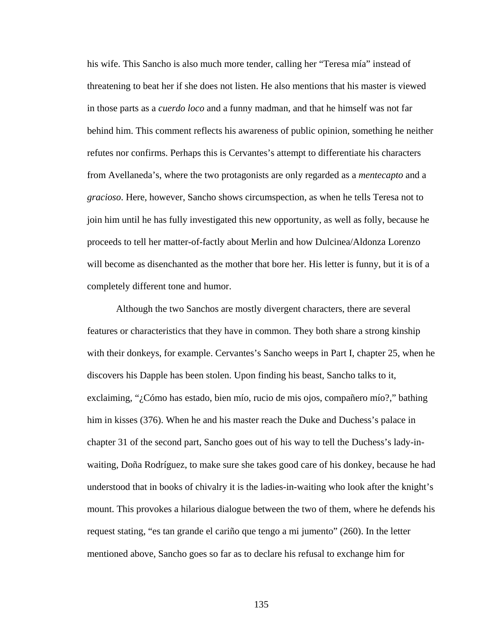his wife. This Sancho is also much more tender, calling her "Teresa mía" instead of threatening to beat her if she does not listen. He also mentions that his master is viewed in those parts as a *cuerdo loco* and a funny madman, and that he himself was not far behind him. This comment reflects his awareness of public opinion, something he neither refutes nor confirms. Perhaps this is Cervantes's attempt to differentiate his characters from Avellaneda's, where the two protagonists are only regarded as a *mentecapto* and a *gracioso*. Here, however, Sancho shows circumspection, as when he tells Teresa not to join him until he has fully investigated this new opportunity, as well as folly, because he proceeds to tell her matter-of-factly about Merlin and how Dulcinea/Aldonza Lorenzo will become as disenchanted as the mother that bore her. His letter is funny, but it is of a completely different tone and humor.

 Although the two Sanchos are mostly divergent characters, there are several features or characteristics that they have in common. They both share a strong kinship with their donkeys, for example. Cervantes's Sancho weeps in Part I, chapter 25, when he discovers his Dapple has been stolen. Upon finding his beast, Sancho talks to it, exclaiming, "¿Cómo has estado, bien mío, rucio de mis ojos, compañero mío?," bathing him in kisses (376). When he and his master reach the Duke and Duchess's palace in chapter 31 of the second part, Sancho goes out of his way to tell the Duchess's lady-inwaiting, Doña Rodríguez, to make sure she takes good care of his donkey, because he had understood that in books of chivalry it is the ladies-in-waiting who look after the knight's mount. This provokes a hilarious dialogue between the two of them, where he defends his request stating, "es tan grande el cariño que tengo a mi jumento" (260). In the letter mentioned above, Sancho goes so far as to declare his refusal to exchange him for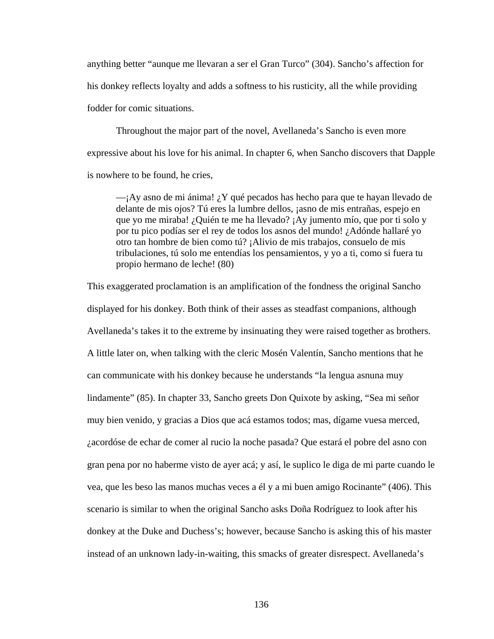anything better "aunque me llevaran a ser el Gran Turco" (304). Sancho's affection for his donkey reflects loyalty and adds a softness to his rusticity, all the while providing fodder for comic situations.

Throughout the major part of the novel, Avellaneda's Sancho is even more expressive about his love for his animal. In chapter 6, when Sancho discovers that Dapple is nowhere to be found, he cries,

 $\rightarrow$ ; Ay asno de mi ánima! ¿Y qué pecados has hecho para que te hayan llevado de delante de mis ojos? Tú eres la lumbre dellos, ¡asno de mis entrañas, espejo en que yo me miraba! ¿Quién te me ha llevado? ¡Ay jumento mío, que por ti solo y por tu pico podías ser el rey de todos los asnos del mundo! ¿Adónde hallaré yo otro tan hombre de bien como tú? ¡Alivio de mis trabajos, consuelo de mis tribulaciones, tú solo me entendías los pensamientos, y yo a ti, como si fuera tu propio hermano de leche! (80)

This exaggerated proclamation is an amplification of the fondness the original Sancho displayed for his donkey. Both think of their asses as steadfast companions, although Avellaneda's takes it to the extreme by insinuating they were raised together as brothers. A little later on, when talking with the cleric Mosén Valentín, Sancho mentions that he can communicate with his donkey because he understands "la lengua asnuna muy lindamente" (85). In chapter 33, Sancho greets Don Quixote by asking, "Sea mi señor muy bien venido, y gracias a Dios que acá estamos todos; mas, dígame vuesa merced, ¿acordóse de echar de comer al rucio la noche pasada? Que estará el pobre del asno con gran pena por no haberme visto de ayer acá; y así, le suplico le diga de mi parte cuando le vea, que les beso las manos muchas veces a él y a mi buen amigo Rocinante" (406). This scenario is similar to when the original Sancho asks Doña Rodríguez to look after his donkey at the Duke and Duchess's; however, because Sancho is asking this of his master instead of an unknown lady-in-waiting, this smacks of greater disrespect. Avellaneda's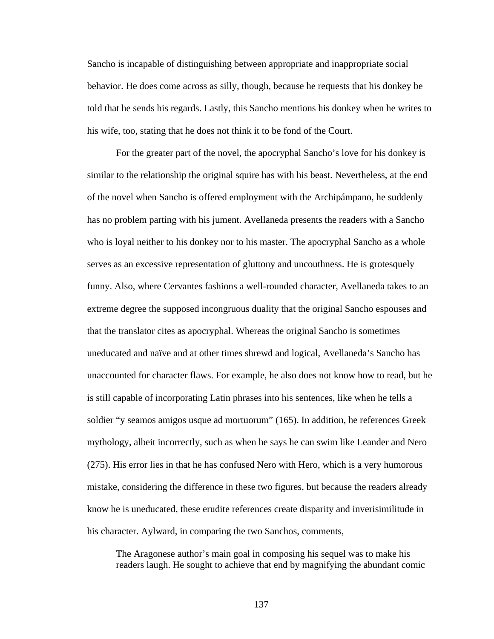Sancho is incapable of distinguishing between appropriate and inappropriate social behavior. He does come across as silly, though, because he requests that his donkey be told that he sends his regards. Lastly, this Sancho mentions his donkey when he writes to his wife, too, stating that he does not think it to be fond of the Court.

For the greater part of the novel, the apocryphal Sancho's love for his donkey is similar to the relationship the original squire has with his beast. Nevertheless, at the end of the novel when Sancho is offered employment with the Archipámpano, he suddenly has no problem parting with his jument. Avellaneda presents the readers with a Sancho who is loyal neither to his donkey nor to his master. The apocryphal Sancho as a whole serves as an excessive representation of gluttony and uncouthness. He is grotesquely funny. Also, where Cervantes fashions a well-rounded character, Avellaneda takes to an extreme degree the supposed incongruous duality that the original Sancho espouses and that the translator cites as apocryphal. Whereas the original Sancho is sometimes uneducated and naïve and at other times shrewd and logical, Avellaneda's Sancho has unaccounted for character flaws. For example, he also does not know how to read, but he is still capable of incorporating Latin phrases into his sentences, like when he tells a soldier "y seamos amigos usque ad mortuorum" (165). In addition, he references Greek mythology, albeit incorrectly, such as when he says he can swim like Leander and Nero (275). His error lies in that he has confused Nero with Hero, which is a very humorous mistake, considering the difference in these two figures, but because the readers already know he is uneducated, these erudite references create disparity and inverisimilitude in his character. Aylward, in comparing the two Sanchos, comments,

The Aragonese author's main goal in composing his sequel was to make his readers laugh. He sought to achieve that end by magnifying the abundant comic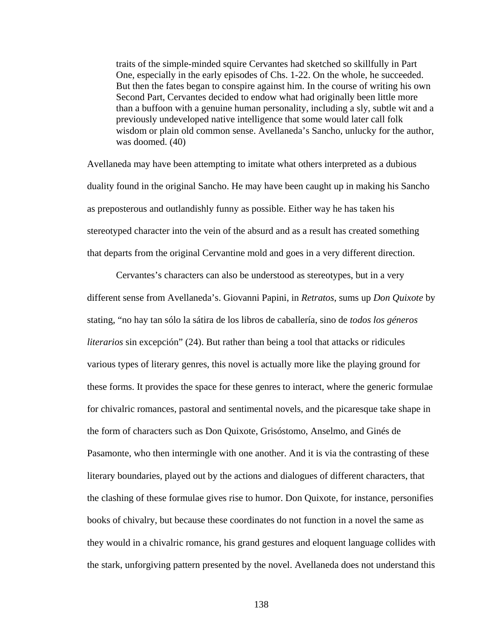traits of the simple-minded squire Cervantes had sketched so skillfully in Part One, especially in the early episodes of Chs. 1-22. On the whole, he succeeded. But then the fates began to conspire against him. In the course of writing his own Second Part, Cervantes decided to endow what had originally been little more than a buffoon with a genuine human personality, including a sly, subtle wit and a previously undeveloped native intelligence that some would later call folk wisdom or plain old common sense. Avellaneda's Sancho, unlucky for the author, was doomed. (40)

Avellaneda may have been attempting to imitate what others interpreted as a dubious duality found in the original Sancho. He may have been caught up in making his Sancho as preposterous and outlandishly funny as possible. Either way he has taken his stereotyped character into the vein of the absurd and as a result has created something that departs from the original Cervantine mold and goes in a very different direction.

 Cervantes's characters can also be understood as stereotypes, but in a very different sense from Avellaneda's. Giovanni Papini, in *Retratos*, sums up *Don Quixote* by stating, "no hay tan sólo la sátira de los libros de caballería, sino de *todos los géneros literarios* sin excepción" (24). But rather than being a tool that attacks or ridicules various types of literary genres, this novel is actually more like the playing ground for these forms. It provides the space for these genres to interact, where the generic formulae for chivalric romances, pastoral and sentimental novels, and the picaresque take shape in the form of characters such as Don Quixote, Grisóstomo, Anselmo, and Ginés de Pasamonte, who then intermingle with one another. And it is via the contrasting of these literary boundaries, played out by the actions and dialogues of different characters, that the clashing of these formulae gives rise to humor. Don Quixote, for instance, personifies books of chivalry, but because these coordinates do not function in a novel the same as they would in a chivalric romance, his grand gestures and eloquent language collides with the stark, unforgiving pattern presented by the novel. Avellaneda does not understand this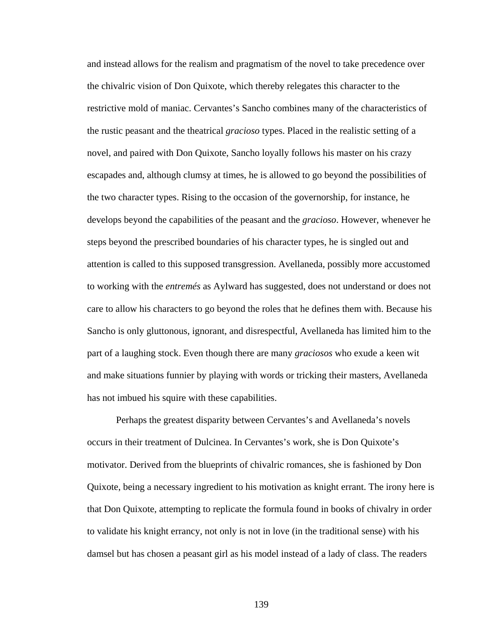and instead allows for the realism and pragmatism of the novel to take precedence over the chivalric vision of Don Quixote, which thereby relegates this character to the restrictive mold of maniac. Cervantes's Sancho combines many of the characteristics of the rustic peasant and the theatrical *gracioso* types. Placed in the realistic setting of a novel, and paired with Don Quixote, Sancho loyally follows his master on his crazy escapades and, although clumsy at times, he is allowed to go beyond the possibilities of the two character types. Rising to the occasion of the governorship, for instance, he develops beyond the capabilities of the peasant and the *gracioso*. However, whenever he steps beyond the prescribed boundaries of his character types, he is singled out and attention is called to this supposed transgression. Avellaneda, possibly more accustomed to working with the *entremés* as Aylward has suggested, does not understand or does not care to allow his characters to go beyond the roles that he defines them with. Because his Sancho is only gluttonous, ignorant, and disrespectful, Avellaneda has limited him to the part of a laughing stock. Even though there are many *graciosos* who exude a keen wit and make situations funnier by playing with words or tricking their masters, Avellaneda has not imbued his squire with these capabilities.

 Perhaps the greatest disparity between Cervantes's and Avellaneda's novels occurs in their treatment of Dulcinea. In Cervantes's work, she is Don Quixote's motivator. Derived from the blueprints of chivalric romances, she is fashioned by Don Quixote, being a necessary ingredient to his motivation as knight errant. The irony here is that Don Quixote, attempting to replicate the formula found in books of chivalry in order to validate his knight errancy, not only is not in love (in the traditional sense) with his damsel but has chosen a peasant girl as his model instead of a lady of class. The readers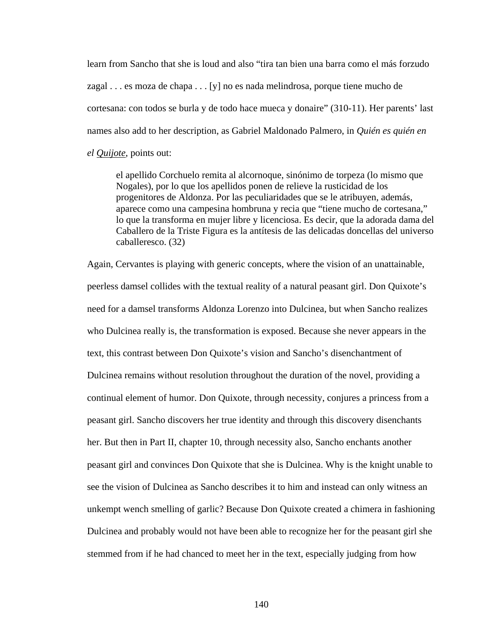learn from Sancho that she is loud and also "tira tan bien una barra como el más forzudo zagal . . . es moza de chapa . . . [y] no es nada melindrosa, porque tiene mucho de cortesana: con todos se burla y de todo hace mueca y donaire" (310-11). Her parents' last names also add to her description, as Gabriel Maldonado Palmero, in *Quién es quién en el Quijote*, points out:

el apellido Corchuelo remita al alcornoque, sinónimo de torpeza (lo mismo que Nogales), por lo que los apellidos ponen de relieve la rusticidad de los progenitores de Aldonza. Por las peculiaridades que se le atribuyen, además, aparece como una campesina hombruna y recia que "tiene mucho de cortesana," lo que la transforma en mujer libre y licenciosa. Es decir, que la adorada dama del Caballero de la Triste Figura es la antítesis de las delicadas doncellas del universo caballeresco. (32)

Again, Cervantes is playing with generic concepts, where the vision of an unattainable, peerless damsel collides with the textual reality of a natural peasant girl. Don Quixote's need for a damsel transforms Aldonza Lorenzo into Dulcinea, but when Sancho realizes who Dulcinea really is, the transformation is exposed. Because she never appears in the text, this contrast between Don Quixote's vision and Sancho's disenchantment of Dulcinea remains without resolution throughout the duration of the novel, providing a continual element of humor. Don Quixote, through necessity, conjures a princess from a peasant girl. Sancho discovers her true identity and through this discovery disenchants her. But then in Part II, chapter 10, through necessity also, Sancho enchants another peasant girl and convinces Don Quixote that she is Dulcinea. Why is the knight unable to see the vision of Dulcinea as Sancho describes it to him and instead can only witness an unkempt wench smelling of garlic? Because Don Quixote created a chimera in fashioning Dulcinea and probably would not have been able to recognize her for the peasant girl she stemmed from if he had chanced to meet her in the text, especially judging from how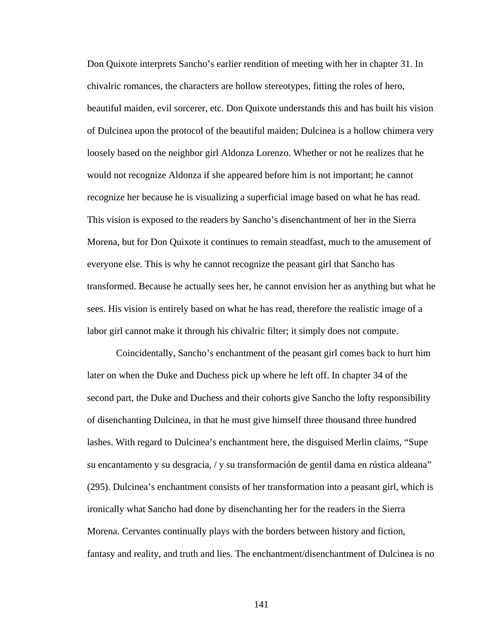Don Quixote interprets Sancho's earlier rendition of meeting with her in chapter 31. In chivalric romances, the characters are hollow stereotypes, fitting the roles of hero, beautiful maiden, evil sorcerer, etc. Don Quixote understands this and has built his vision of Dulcinea upon the protocol of the beautiful maiden; Dulcinea is a hollow chimera very loosely based on the neighbor girl Aldonza Lorenzo. Whether or not he realizes that he would not recognize Aldonza if she appeared before him is not important; he cannot recognize her because he is visualizing a superficial image based on what he has read. This vision is exposed to the readers by Sancho's disenchantment of her in the Sierra Morena, but for Don Quixote it continues to remain steadfast, much to the amusement of everyone else. This is why he cannot recognize the peasant girl that Sancho has transformed. Because he actually sees her, he cannot envision her as anything but what he sees. His vision is entirely based on what he has read, therefore the realistic image of a labor girl cannot make it through his chivalric filter; it simply does not compute.

 Coincidentally, Sancho's enchantment of the peasant girl comes back to hurt him later on when the Duke and Duchess pick up where he left off. In chapter 34 of the second part, the Duke and Duchess and their cohorts give Sancho the lofty responsibility of disenchanting Dulcinea, in that he must give himself three thousand three hundred lashes. With regard to Dulcinea's enchantment here, the disguised Merlin claims, "Supe su encantamento y su desgracia, / y su transformación de gentil dama en rústica aldeana" (295). Dulcinea's enchantment consists of her transformation into a peasant girl, which is ironically what Sancho had done by disenchanting her for the readers in the Sierra Morena. Cervantes continually plays with the borders between history and fiction, fantasy and reality, and truth and lies. The enchantment/disenchantment of Dulcinea is no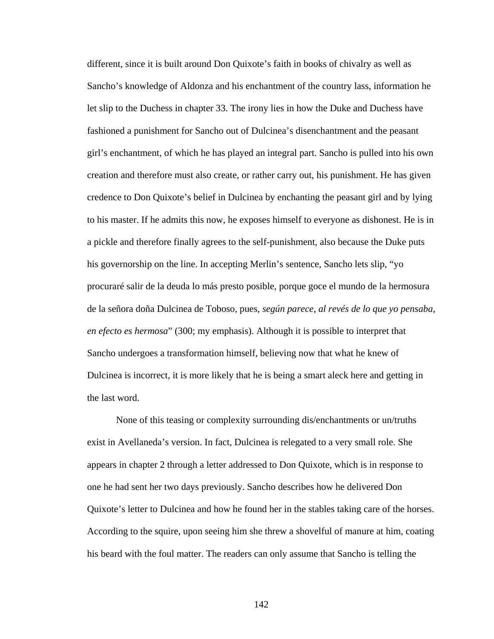different, since it is built around Don Quixote's faith in books of chivalry as well as Sancho's knowledge of Aldonza and his enchantment of the country lass, information he let slip to the Duchess in chapter 33. The irony lies in how the Duke and Duchess have fashioned a punishment for Sancho out of Dulcinea's disenchantment and the peasant girl's enchantment, of which he has played an integral part. Sancho is pulled into his own creation and therefore must also create, or rather carry out, his punishment. He has given credence to Don Quixote's belief in Dulcinea by enchanting the peasant girl and by lying to his master. If he admits this now, he exposes himself to everyone as dishonest. He is in a pickle and therefore finally agrees to the self-punishment, also because the Duke puts his governorship on the line. In accepting Merlin's sentence, Sancho lets slip, "yo procuraré salir de la deuda lo más presto posible, porque goce el mundo de la hermosura de la señora doña Dulcinea de Toboso, pues, *según parece, al revés de lo que yo pensaba, en efecto es hermosa*" (300; my emphasis). Although it is possible to interpret that Sancho undergoes a transformation himself, believing now that what he knew of Dulcinea is incorrect, it is more likely that he is being a smart aleck here and getting in the last word.

 None of this teasing or complexity surrounding dis/enchantments or un/truths exist in Avellaneda's version. In fact, Dulcinea is relegated to a very small role. She appears in chapter 2 through a letter addressed to Don Quixote, which is in response to one he had sent her two days previously. Sancho describes how he delivered Don Quixote's letter to Dulcinea and how he found her in the stables taking care of the horses. According to the squire, upon seeing him she threw a shovelful of manure at him, coating his beard with the foul matter. The readers can only assume that Sancho is telling the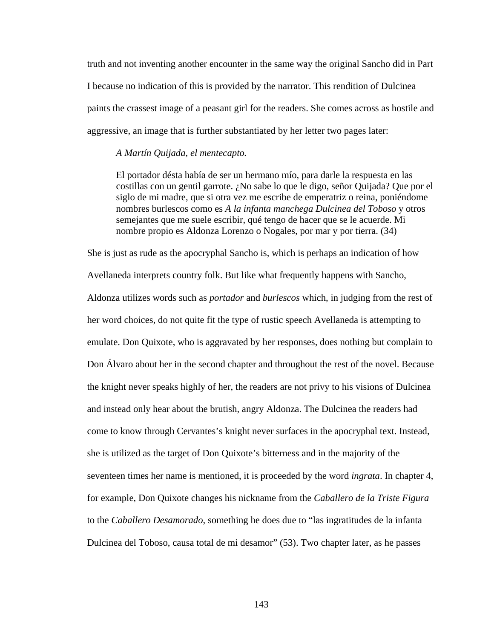truth and not inventing another encounter in the same way the original Sancho did in Part I because no indication of this is provided by the narrator. This rendition of Dulcinea paints the crassest image of a peasant girl for the readers. She comes across as hostile and aggressive, an image that is further substantiated by her letter two pages later:

*A Martín Quijada, el mentecapto.* 

El portador désta había de ser un hermano mío, para darle la respuesta en las costillas con un gentil garrote. ¿No sabe lo que le digo, señor Quijada? Que por el siglo de mi madre, que si otra vez me escribe de emperatriz o reina, poniéndome nombres burlescos como es *A la infanta manchega Dulcinea del Toboso* y otros semejantes que me suele escribir, qué tengo de hacer que se le acuerde. Mi nombre propio es Aldonza Lorenzo o Nogales, por mar y por tierra. (34)

She is just as rude as the apocryphal Sancho is, which is perhaps an indication of how Avellaneda interprets country folk. But like what frequently happens with Sancho, Aldonza utilizes words such as *portador* and *burlescos* which, in judging from the rest of her word choices, do not quite fit the type of rustic speech Avellaneda is attempting to emulate. Don Quixote, who is aggravated by her responses, does nothing but complain to Don Álvaro about her in the second chapter and throughout the rest of the novel. Because the knight never speaks highly of her, the readers are not privy to his visions of Dulcinea and instead only hear about the brutish, angry Aldonza. The Dulcinea the readers had come to know through Cervantes's knight never surfaces in the apocryphal text. Instead, she is utilized as the target of Don Quixote's bitterness and in the majority of the seventeen times her name is mentioned, it is proceeded by the word *ingrata*. In chapter 4, for example, Don Quixote changes his nickname from the *Caballero de la Triste Figura* to the *Caballero Desamorado*, something he does due to "las ingratitudes de la infanta Dulcinea del Toboso, causa total de mi desamor" (53). Two chapter later, as he passes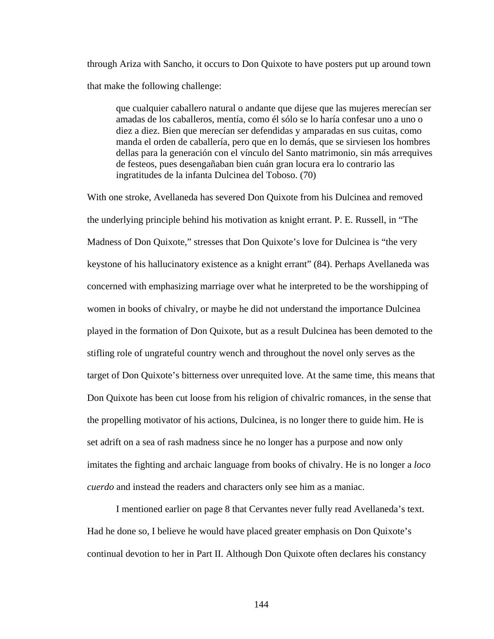through Ariza with Sancho, it occurs to Don Quixote to have posters put up around town that make the following challenge:

que cualquier caballero natural o andante que dijese que las mujeres merecían ser amadas de los caballeros, mentía, como él sólo se lo haría confesar uno a uno o diez a diez. Bien que merecían ser defendidas y amparadas en sus cuitas, como manda el orden de caballería, pero que en lo demás, que se sirviesen los hombres dellas para la generación con el vínculo del Santo matrimonio, sin más arrequives de festeos, pues desengañaban bien cuán gran locura era lo contrario las ingratitudes de la infanta Dulcinea del Toboso. (70)

With one stroke, Avellaneda has severed Don Quixote from his Dulcinea and removed the underlying principle behind his motivation as knight errant. P. E. Russell, in "The Madness of Don Quixote," stresses that Don Quixote's love for Dulcinea is "the very keystone of his hallucinatory existence as a knight errant" (84). Perhaps Avellaneda was concerned with emphasizing marriage over what he interpreted to be the worshipping of women in books of chivalry, or maybe he did not understand the importance Dulcinea played in the formation of Don Quixote, but as a result Dulcinea has been demoted to the stifling role of ungrateful country wench and throughout the novel only serves as the target of Don Quixote's bitterness over unrequited love. At the same time, this means that Don Quixote has been cut loose from his religion of chivalric romances, in the sense that the propelling motivator of his actions, Dulcinea, is no longer there to guide him. He is set adrift on a sea of rash madness since he no longer has a purpose and now only imitates the fighting and archaic language from books of chivalry. He is no longer a *loco cuerdo* and instead the readers and characters only see him as a maniac.

 I mentioned earlier on page 8 that Cervantes never fully read Avellaneda's text. Had he done so, I believe he would have placed greater emphasis on Don Quixote's continual devotion to her in Part II. Although Don Quixote often declares his constancy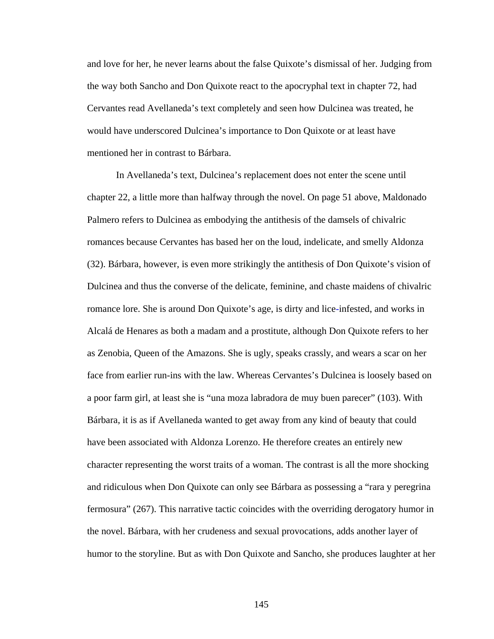and love for her, he never learns about the false Quixote's dismissal of her. Judging from the way both Sancho and Don Quixote react to the apocryphal text in chapter 72, had Cervantes read Avellaneda's text completely and seen how Dulcinea was treated, he would have underscored Dulcinea's importance to Don Quixote or at least have mentioned her in contrast to Bárbara.

In Avellaneda's text, Dulcinea's replacement does not enter the scene until chapter 22, a little more than halfway through the novel. On page 51 above, Maldonado Palmero refers to Dulcinea as embodying the antithesis of the damsels of chivalric romances because Cervantes has based her on the loud, indelicate, and smelly Aldonza (32). Bárbara, however, is even more strikingly the antithesis of Don Quixote's vision of Dulcinea and thus the converse of the delicate, feminine, and chaste maidens of chivalric romance lore. She is around Don Quixote's age, is dirty and lice-infested, and works in Alcalá de Henares as both a madam and a prostitute, although Don Quixote refers to her as Zenobia, Queen of the Amazons. She is ugly, speaks crassly, and wears a scar on her face from earlier run-ins with the law. Whereas Cervantes's Dulcinea is loosely based on a poor farm girl, at least she is "una moza labradora de muy buen parecer" (103). With Bárbara, it is as if Avellaneda wanted to get away from any kind of beauty that could have been associated with Aldonza Lorenzo. He therefore creates an entirely new character representing the worst traits of a woman. The contrast is all the more shocking and ridiculous when Don Quixote can only see Bárbara as possessing a "rara y peregrina fermosura" (267). This narrative tactic coincides with the overriding derogatory humor in the novel. Bárbara, with her crudeness and sexual provocations, adds another layer of humor to the storyline. But as with Don Quixote and Sancho, she produces laughter at her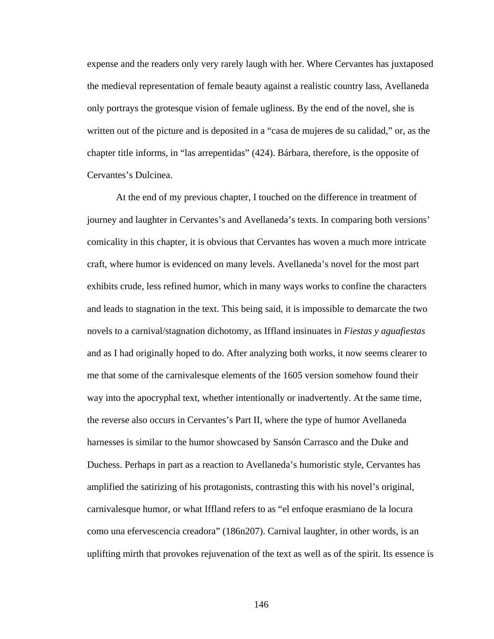expense and the readers only very rarely laugh with her. Where Cervantes has juxtaposed the medieval representation of female beauty against a realistic country lass, Avellaneda only portrays the grotesque vision of female ugliness. By the end of the novel, she is written out of the picture and is deposited in a "casa de mujeres de su calidad," or, as the chapter title informs, in "las arrepentidas" (424). Bárbara, therefore, is the opposite of Cervantes's Dulcinea.

 At the end of my previous chapter, I touched on the difference in treatment of journey and laughter in Cervantes's and Avellaneda's texts. In comparing both versions' comicality in this chapter, it is obvious that Cervantes has woven a much more intricate craft, where humor is evidenced on many levels. Avellaneda's novel for the most part exhibits crude, less refined humor, which in many ways works to confine the characters and leads to stagnation in the text. This being said, it is impossible to demarcate the two novels to a carnival/stagnation dichotomy, as Iffland insinuates in *Fiestas y aguafiestas* and as I had originally hoped to do. After analyzing both works, it now seems clearer to me that some of the carnivalesque elements of the 1605 version somehow found their way into the apocryphal text, whether intentionally or inadvertently. At the same time, the reverse also occurs in Cervantes's Part II, where the type of humor Avellaneda harnesses is similar to the humor showcased by Sansón Carrasco and the Duke and Duchess. Perhaps in part as a reaction to Avellaneda's humoristic style, Cervantes has amplified the satirizing of his protagonists, contrasting this with his novel's original, carnivalesque humor, or what Iffland refers to as "el enfoque erasmiano de la locura como una efervescencia creadora" (186n207). Carnival laughter, in other words, is an uplifting mirth that provokes rejuvenation of the text as well as of the spirit. Its essence is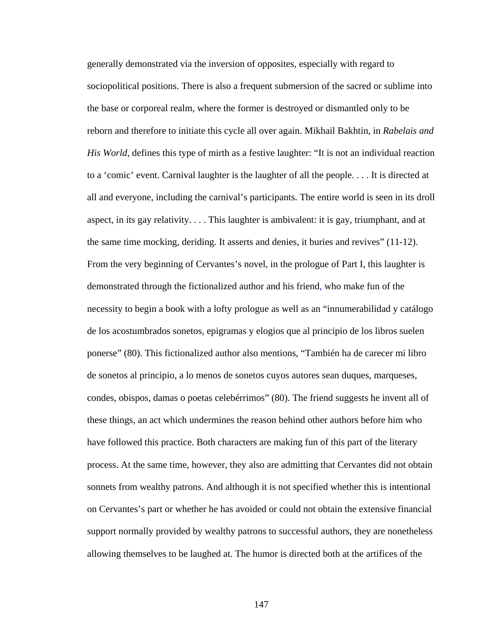generally demonstrated via the inversion of opposites, especially with regard to sociopolitical positions. There is also a frequent submersion of the sacred or sublime into the base or corporeal realm, where the former is destroyed or dismantled only to be reborn and therefore to initiate this cycle all over again. Mikhail Bakhtin, in *Rabelais and His World*, defines this type of mirth as a festive laughter: "It is not an individual reaction to a 'comic' event. Carnival laughter is the laughter of all the people. . . . It is directed at all and everyone, including the carnival's participants. The entire world is seen in its droll aspect, in its gay relativity. . . . This laughter is ambivalent: it is gay, triumphant, and at the same time mocking, deriding. It asserts and denies, it buries and revives" (11-12). From the very beginning of Cervantes's novel, in the prologue of Part I, this laughter is demonstrated through the fictionalized author and his friend, who make fun of the necessity to begin a book with a lofty prologue as well as an "innumerabilidad y catálogo de los acostumbrados sonetos, epigramas y elogios que al principio de los libros suelen ponerse" (80). This fictionalized author also mentions, "También ha de carecer mi libro de sonetos al principio, a lo menos de sonetos cuyos autores sean duques, marqueses, condes, obispos, damas o poetas celebérrimos" (80). The friend suggests he invent all of these things, an act which undermines the reason behind other authors before him who have followed this practice. Both characters are making fun of this part of the literary process. At the same time, however, they also are admitting that Cervantes did not obtain sonnets from wealthy patrons. And although it is not specified whether this is intentional on Cervantes's part or whether he has avoided or could not obtain the extensive financial support normally provided by wealthy patrons to successful authors, they are nonetheless allowing themselves to be laughed at. The humor is directed both at the artifices of the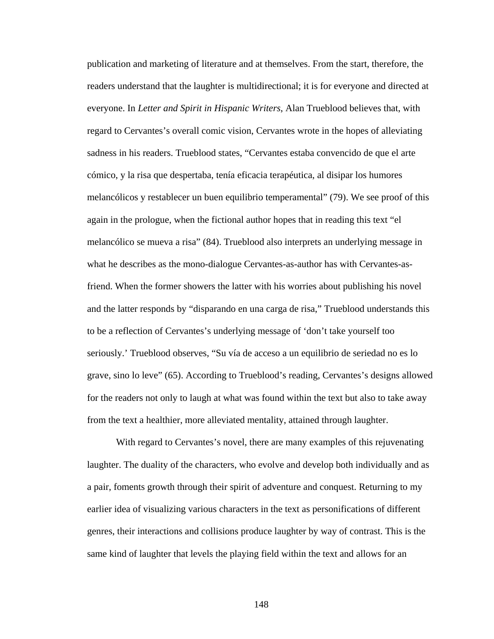publication and marketing of literature and at themselves. From the start, therefore, the readers understand that the laughter is multidirectional; it is for everyone and directed at everyone. In *Letter and Spirit in Hispanic Writers*, Alan Trueblood believes that, with regard to Cervantes's overall comic vision, Cervantes wrote in the hopes of alleviating sadness in his readers. Trueblood states, "Cervantes estaba convencido de que el arte cómico, y la risa que despertaba, tenía eficacia terapéutica, al disipar los humores melancólicos y restablecer un buen equilibrio temperamental" (79). We see proof of this again in the prologue, when the fictional author hopes that in reading this text "el melancólico se mueva a risa" (84). Trueblood also interprets an underlying message in what he describes as the mono-dialogue Cervantes-as-author has with Cervantes-asfriend. When the former showers the latter with his worries about publishing his novel and the latter responds by "disparando en una carga de risa," Trueblood understands this to be a reflection of Cervantes's underlying message of 'don't take yourself too seriously.' Trueblood observes, "Su vía de acceso a un equilibrio de seriedad no es lo grave, sino lo leve" (65). According to Trueblood's reading, Cervantes's designs allowed for the readers not only to laugh at what was found within the text but also to take away from the text a healthier, more alleviated mentality, attained through laughter.

With regard to Cervantes's novel, there are many examples of this rejuvenating laughter. The duality of the characters, who evolve and develop both individually and as a pair, foments growth through their spirit of adventure and conquest. Returning to my earlier idea of visualizing various characters in the text as personifications of different genres, their interactions and collisions produce laughter by way of contrast. This is the same kind of laughter that levels the playing field within the text and allows for an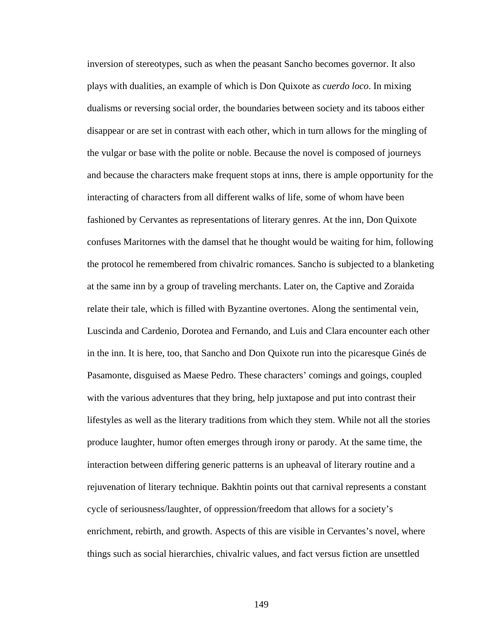inversion of stereotypes, such as when the peasant Sancho becomes governor. It also plays with dualities, an example of which is Don Quixote as *cuerdo loco*. In mixing dualisms or reversing social order, the boundaries between society and its taboos either disappear or are set in contrast with each other, which in turn allows for the mingling of the vulgar or base with the polite or noble. Because the novel is composed of journeys and because the characters make frequent stops at inns, there is ample opportunity for the interacting of characters from all different walks of life, some of whom have been fashioned by Cervantes as representations of literary genres. At the inn, Don Quixote confuses Maritornes with the damsel that he thought would be waiting for him, following the protocol he remembered from chivalric romances. Sancho is subjected to a blanketing at the same inn by a group of traveling merchants. Later on, the Captive and Zoraida relate their tale, which is filled with Byzantine overtones. Along the sentimental vein, Luscinda and Cardenio, Dorotea and Fernando, and Luis and Clara encounter each other in the inn. It is here, too, that Sancho and Don Quixote run into the picaresque Ginés de Pasamonte, disguised as Maese Pedro. These characters' comings and goings, coupled with the various adventures that they bring, help juxtapose and put into contrast their lifestyles as well as the literary traditions from which they stem. While not all the stories produce laughter, humor often emerges through irony or parody. At the same time, the interaction between differing generic patterns is an upheaval of literary routine and a rejuvenation of literary technique. Bakhtin points out that carnival represents a constant cycle of seriousness/laughter, of oppression/freedom that allows for a society's enrichment, rebirth, and growth. Aspects of this are visible in Cervantes's novel, where things such as social hierarchies, chivalric values, and fact versus fiction are unsettled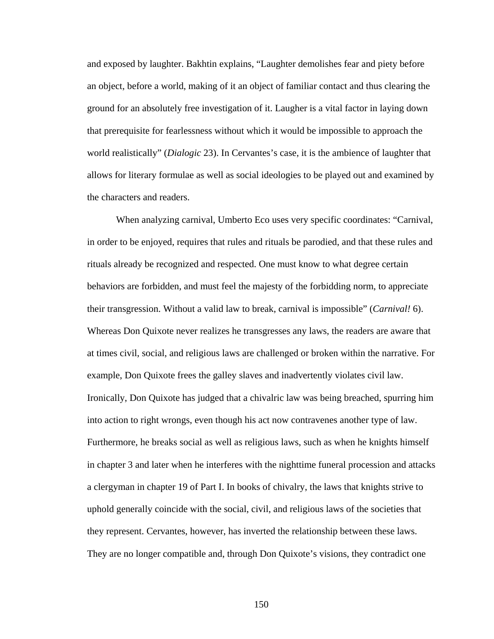and exposed by laughter. Bakhtin explains, "Laughter demolishes fear and piety before an object, before a world, making of it an object of familiar contact and thus clearing the ground for an absolutely free investigation of it. Laugher is a vital factor in laying down that prerequisite for fearlessness without which it would be impossible to approach the world realistically" (*Dialogic* 23). In Cervantes's case, it is the ambience of laughter that allows for literary formulae as well as social ideologies to be played out and examined by the characters and readers.

When analyzing carnival, Umberto Eco uses very specific coordinates: "Carnival, in order to be enjoyed, requires that rules and rituals be parodied, and that these rules and rituals already be recognized and respected. One must know to what degree certain behaviors are forbidden, and must feel the majesty of the forbidding norm, to appreciate their transgression. Without a valid law to break, carnival is impossible" (*Carnival!* 6). Whereas Don Quixote never realizes he transgresses any laws, the readers are aware that at times civil, social, and religious laws are challenged or broken within the narrative. For example, Don Quixote frees the galley slaves and inadvertently violates civil law. Ironically, Don Quixote has judged that a chivalric law was being breached, spurring him into action to right wrongs, even though his act now contravenes another type of law. Furthermore, he breaks social as well as religious laws, such as when he knights himself in chapter 3 and later when he interferes with the nighttime funeral procession and attacks a clergyman in chapter 19 of Part I. In books of chivalry, the laws that knights strive to uphold generally coincide with the social, civil, and religious laws of the societies that they represent. Cervantes, however, has inverted the relationship between these laws. They are no longer compatible and, through Don Quixote's visions, they contradict one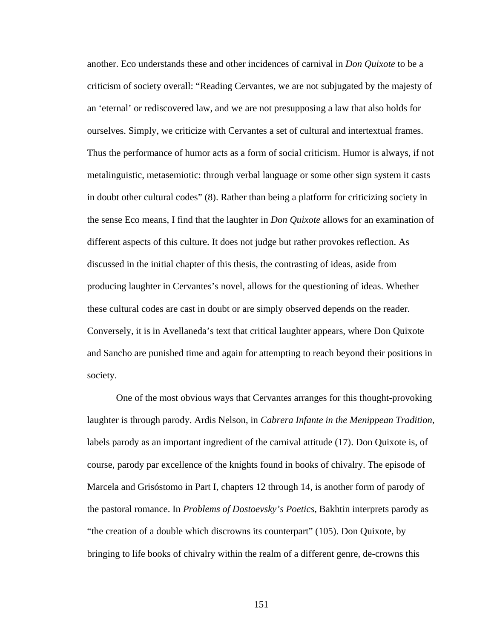another. Eco understands these and other incidences of carnival in *Don Quixote* to be a criticism of society overall: "Reading Cervantes, we are not subjugated by the majesty of an 'eternal' or rediscovered law, and we are not presupposing a law that also holds for ourselves. Simply, we criticize with Cervantes a set of cultural and intertextual frames. Thus the performance of humor acts as a form of social criticism. Humor is always, if not metalinguistic, metasemiotic: through verbal language or some other sign system it casts in doubt other cultural codes" (8). Rather than being a platform for criticizing society in the sense Eco means, I find that the laughter in *Don Quixote* allows for an examination of different aspects of this culture. It does not judge but rather provokes reflection. As discussed in the initial chapter of this thesis, the contrasting of ideas, aside from producing laughter in Cervantes's novel, allows for the questioning of ideas. Whether these cultural codes are cast in doubt or are simply observed depends on the reader. Conversely, it is in Avellaneda's text that critical laughter appears, where Don Quixote and Sancho are punished time and again for attempting to reach beyond their positions in society.

 One of the most obvious ways that Cervantes arranges for this thought-provoking laughter is through parody. Ardis Nelson, in *Cabrera Infante in the Menippean Tradition*, labels parody as an important ingredient of the carnival attitude (17). Don Quixote is, of course, parody par excellence of the knights found in books of chivalry. The episode of Marcela and Grisóstomo in Part I, chapters 12 through 14, is another form of parody of the pastoral romance. In *Problems of Dostoevsky's Poetics*, Bakhtin interprets parody as "the creation of a double which discrowns its counterpart" (105). Don Quixote, by bringing to life books of chivalry within the realm of a different genre, de-crowns this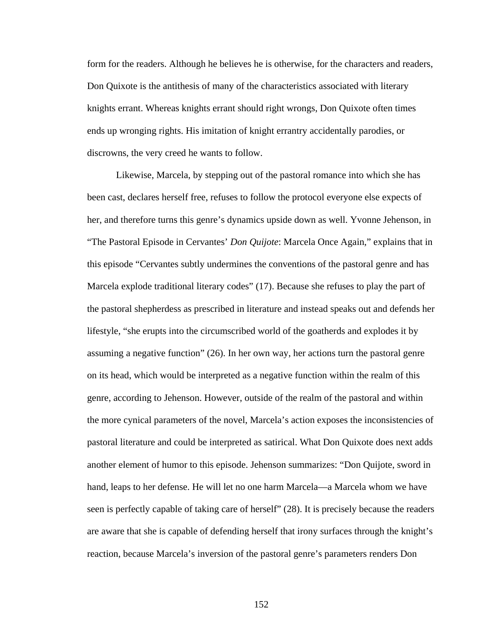form for the readers. Although he believes he is otherwise, for the characters and readers, Don Quixote is the antithesis of many of the characteristics associated with literary knights errant. Whereas knights errant should right wrongs, Don Quixote often times ends up wronging rights. His imitation of knight errantry accidentally parodies, or discrowns, the very creed he wants to follow.

Likewise, Marcela, by stepping out of the pastoral romance into which she has been cast, declares herself free, refuses to follow the protocol everyone else expects of her, and therefore turns this genre's dynamics upside down as well. Yvonne Jehenson, in "The Pastoral Episode in Cervantes' *Don Quijote*: Marcela Once Again," explains that in this episode "Cervantes subtly undermines the conventions of the pastoral genre and has Marcela explode traditional literary codes" (17). Because she refuses to play the part of the pastoral shepherdess as prescribed in literature and instead speaks out and defends her lifestyle, "she erupts into the circumscribed world of the goatherds and explodes it by assuming a negative function" (26). In her own way, her actions turn the pastoral genre on its head, which would be interpreted as a negative function within the realm of this genre, according to Jehenson. However, outside of the realm of the pastoral and within the more cynical parameters of the novel, Marcela's action exposes the inconsistencies of pastoral literature and could be interpreted as satirical. What Don Quixote does next adds another element of humor to this episode. Jehenson summarizes: "Don Quijote, sword in hand, leaps to her defense. He will let no one harm Marcela—a Marcela whom we have seen is perfectly capable of taking care of herself" (28). It is precisely because the readers are aware that she is capable of defending herself that irony surfaces through the knight's reaction, because Marcela's inversion of the pastoral genre's parameters renders Don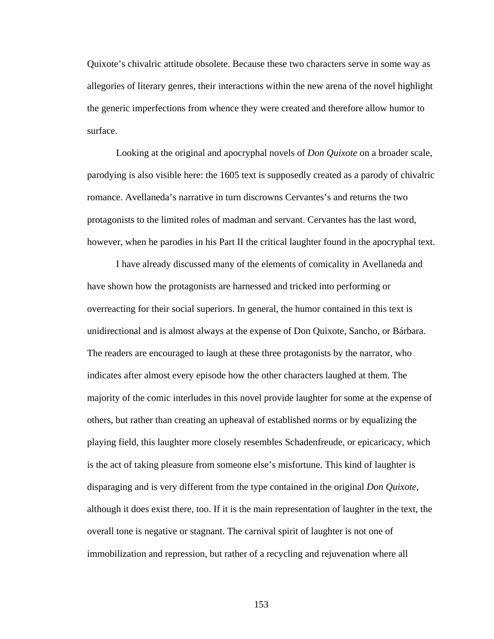Quixote's chivalric attitude obsolete. Because these two characters serve in some way as allegories of literary genres, their interactions within the new arena of the novel highlight the generic imperfections from whence they were created and therefore allow humor to surface.

Looking at the original and apocryphal novels of *Don Quixote* on a broader scale, parodying is also visible here: the 1605 text is supposedly created as a parody of chivalric romance. Avellaneda's narrative in turn discrowns Cervantes's and returns the two protagonists to the limited roles of madman and servant. Cervantes has the last word, however, when he parodies in his Part II the critical laughter found in the apocryphal text.

 I have already discussed many of the elements of comicality in Avellaneda and have shown how the protagonists are harnessed and tricked into performing or overreacting for their social superiors. In general, the humor contained in this text is unidirectional and is almost always at the expense of Don Quixote, Sancho, or Bárbara. The readers are encouraged to laugh at these three protagonists by the narrator, who indicates after almost every episode how the other characters laughed at them. The majority of the comic interludes in this novel provide laughter for some at the expense of others, but rather than creating an upheaval of established norms or by equalizing the playing field, this laughter more closely resembles Schadenfreude, or epicaricacy, which is the act of taking pleasure from someone else's misfortune. This kind of laughter is disparaging and is very different from the type contained in the original *Don Quixote*, although it does exist there, too. If it is the main representation of laughter in the text, the overall tone is negative or stagnant. The carnival spirit of laughter is not one of immobilization and repression, but rather of a recycling and rejuvenation where all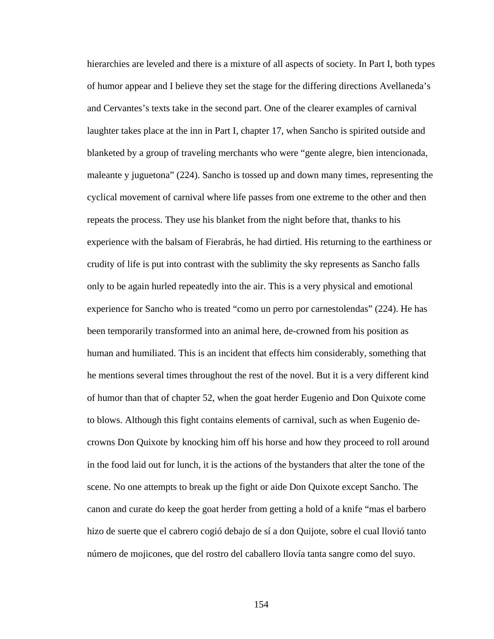hierarchies are leveled and there is a mixture of all aspects of society. In Part I, both types of humor appear and I believe they set the stage for the differing directions Avellaneda's and Cervantes's texts take in the second part. One of the clearer examples of carnival laughter takes place at the inn in Part I, chapter 17, when Sancho is spirited outside and blanketed by a group of traveling merchants who were "gente alegre, bien intencionada, maleante y juguetona" (224). Sancho is tossed up and down many times, representing the cyclical movement of carnival where life passes from one extreme to the other and then repeats the process. They use his blanket from the night before that, thanks to his experience with the balsam of Fierabrás, he had dirtied. His returning to the earthiness or crudity of life is put into contrast with the sublimity the sky represents as Sancho falls only to be again hurled repeatedly into the air. This is a very physical and emotional experience for Sancho who is treated "como un perro por carnestolendas" (224). He has been temporarily transformed into an animal here, de-crowned from his position as human and humiliated. This is an incident that effects him considerably, something that he mentions several times throughout the rest of the novel. But it is a very different kind of humor than that of chapter 52, when the goat herder Eugenio and Don Quixote come to blows. Although this fight contains elements of carnival, such as when Eugenio decrowns Don Quixote by knocking him off his horse and how they proceed to roll around in the food laid out for lunch, it is the actions of the bystanders that alter the tone of the scene. No one attempts to break up the fight or aide Don Quixote except Sancho. The canon and curate do keep the goat herder from getting a hold of a knife "mas el barbero hizo de suerte que el cabrero cogió debajo de sí a don Quijote, sobre el cual llovió tanto número de mojicones, que del rostro del caballero llovía tanta sangre como del suyo.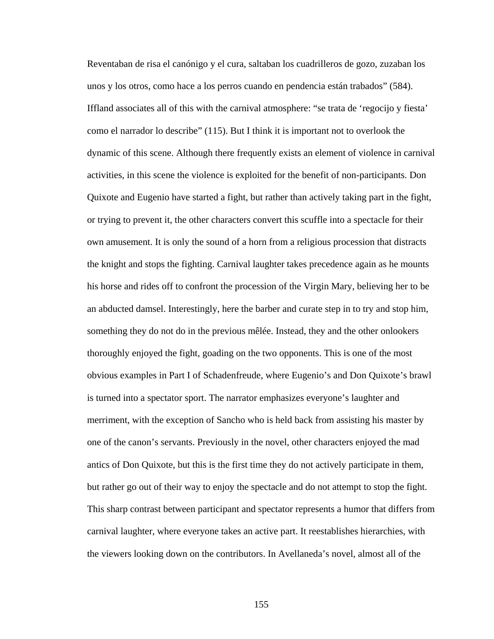Reventaban de risa el canónigo y el cura, saltaban los cuadrilleros de gozo, zuzaban los unos y los otros, como hace a los perros cuando en pendencia están trabados" (584). Iffland associates all of this with the carnival atmosphere: "se trata de 'regocijo y fiesta' como el narrador lo describe" (115). But I think it is important not to overlook the dynamic of this scene. Although there frequently exists an element of violence in carnival activities, in this scene the violence is exploited for the benefit of non-participants. Don Quixote and Eugenio have started a fight, but rather than actively taking part in the fight, or trying to prevent it, the other characters convert this scuffle into a spectacle for their own amusement. It is only the sound of a horn from a religious procession that distracts the knight and stops the fighting. Carnival laughter takes precedence again as he mounts his horse and rides off to confront the procession of the Virgin Mary, believing her to be an abducted damsel. Interestingly, here the barber and curate step in to try and stop him, something they do not do in the previous mêlée. Instead, they and the other onlookers thoroughly enjoyed the fight, goading on the two opponents. This is one of the most obvious examples in Part I of Schadenfreude, where Eugenio's and Don Quixote's brawl is turned into a spectator sport. The narrator emphasizes everyone's laughter and merriment, with the exception of Sancho who is held back from assisting his master by one of the canon's servants. Previously in the novel, other characters enjoyed the mad antics of Don Quixote, but this is the first time they do not actively participate in them, but rather go out of their way to enjoy the spectacle and do not attempt to stop the fight. This sharp contrast between participant and spectator represents a humor that differs from carnival laughter, where everyone takes an active part. It reestablishes hierarchies, with the viewers looking down on the contributors. In Avellaneda's novel, almost all of the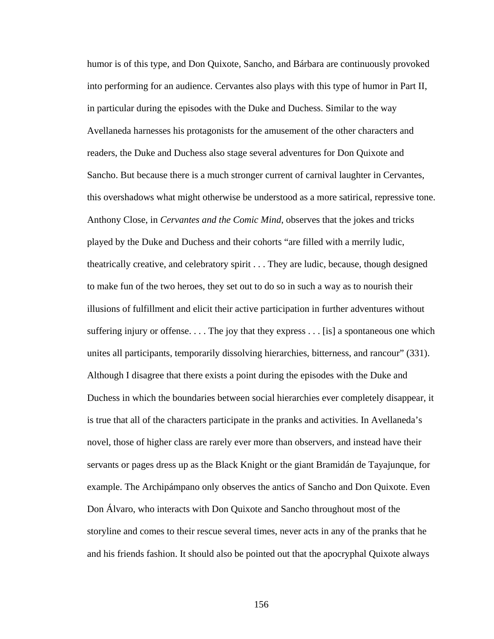humor is of this type, and Don Quixote, Sancho, and Bárbara are continuously provoked into performing for an audience. Cervantes also plays with this type of humor in Part II, in particular during the episodes with the Duke and Duchess. Similar to the way Avellaneda harnesses his protagonists for the amusement of the other characters and readers, the Duke and Duchess also stage several adventures for Don Quixote and Sancho. But because there is a much stronger current of carnival laughter in Cervantes, this overshadows what might otherwise be understood as a more satirical, repressive tone. Anthony Close, in *Cervantes and the Comic Mind*, observes that the jokes and tricks played by the Duke and Duchess and their cohorts "are filled with a merrily ludic, theatrically creative, and celebratory spirit . . . They are ludic, because, though designed to make fun of the two heroes, they set out to do so in such a way as to nourish their illusions of fulfillment and elicit their active participation in further adventures without suffering injury or offense. . . . The joy that they express . . . [is] a spontaneous one which unites all participants, temporarily dissolving hierarchies, bitterness, and rancour" (331). Although I disagree that there exists a point during the episodes with the Duke and Duchess in which the boundaries between social hierarchies ever completely disappear, it is true that all of the characters participate in the pranks and activities. In Avellaneda's novel, those of higher class are rarely ever more than observers, and instead have their servants or pages dress up as the Black Knight or the giant Bramidán de Tayajunque, for example. The Archipámpano only observes the antics of Sancho and Don Quixote. Even Don Álvaro, who interacts with Don Quixote and Sancho throughout most of the storyline and comes to their rescue several times, never acts in any of the pranks that he and his friends fashion. It should also be pointed out that the apocryphal Quixote always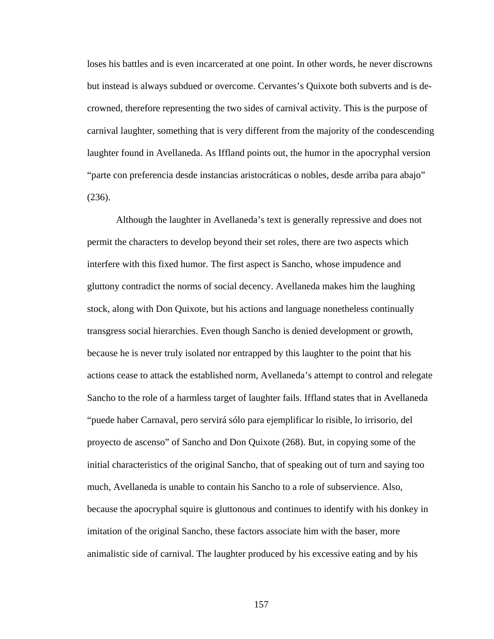loses his battles and is even incarcerated at one point. In other words, he never discrowns but instead is always subdued or overcome. Cervantes's Quixote both subverts and is decrowned, therefore representing the two sides of carnival activity. This is the purpose of carnival laughter, something that is very different from the majority of the condescending laughter found in Avellaneda. As Iffland points out, the humor in the apocryphal version "parte con preferencia desde instancias aristocráticas o nobles, desde arriba para abajo" (236).

Although the laughter in Avellaneda's text is generally repressive and does not permit the characters to develop beyond their set roles, there are two aspects which interfere with this fixed humor. The first aspect is Sancho, whose impudence and gluttony contradict the norms of social decency. Avellaneda makes him the laughing stock, along with Don Quixote, but his actions and language nonetheless continually transgress social hierarchies. Even though Sancho is denied development or growth, because he is never truly isolated nor entrapped by this laughter to the point that his actions cease to attack the established norm, Avellaneda's attempt to control and relegate Sancho to the role of a harmless target of laughter fails. Iffland states that in Avellaneda "puede haber Carnaval, pero servirá sólo para ejemplificar lo risible, lo irrisorio, del proyecto de ascenso" of Sancho and Don Quixote (268). But, in copying some of the initial characteristics of the original Sancho, that of speaking out of turn and saying too much, Avellaneda is unable to contain his Sancho to a role of subservience. Also, because the apocryphal squire is gluttonous and continues to identify with his donkey in imitation of the original Sancho, these factors associate him with the baser, more animalistic side of carnival. The laughter produced by his excessive eating and by his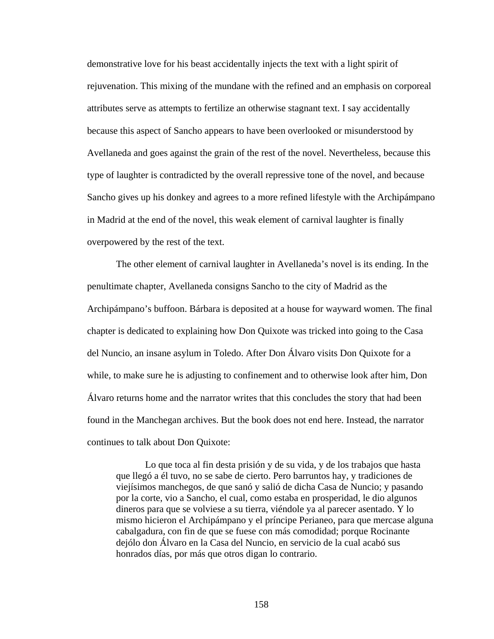demonstrative love for his beast accidentally injects the text with a light spirit of rejuvenation. This mixing of the mundane with the refined and an emphasis on corporeal attributes serve as attempts to fertilize an otherwise stagnant text. I say accidentally because this aspect of Sancho appears to have been overlooked or misunderstood by Avellaneda and goes against the grain of the rest of the novel. Nevertheless, because this type of laughter is contradicted by the overall repressive tone of the novel, and because Sancho gives up his donkey and agrees to a more refined lifestyle with the Archipámpano in Madrid at the end of the novel, this weak element of carnival laughter is finally overpowered by the rest of the text.

The other element of carnival laughter in Avellaneda's novel is its ending. In the penultimate chapter, Avellaneda consigns Sancho to the city of Madrid as the Archipámpano's buffoon. Bárbara is deposited at a house for wayward women. The final chapter is dedicated to explaining how Don Quixote was tricked into going to the Casa del Nuncio, an insane asylum in Toledo. After Don Álvaro visits Don Quixote for a while, to make sure he is adjusting to confinement and to otherwise look after him, Don Álvaro returns home and the narrator writes that this concludes the story that had been found in the Manchegan archives. But the book does not end here. Instead, the narrator continues to talk about Don Quixote:

Lo que toca al fin desta prisión y de su vida, y de los trabajos que hasta que llegó a él tuvo, no se sabe de cierto. Pero barruntos hay, y tradiciones de viejísimos manchegos, de que sanó y salió de dicha Casa de Nuncio; y pasando por la corte, vio a Sancho, el cual, como estaba en prosperidad, le dio algunos dineros para que se volviese a su tierra, viéndole ya al parecer asentado. Y lo mismo hicieron el Archipámpano y el príncipe Perianeo, para que mercase alguna cabalgadura, con fin de que se fuese con más comodidad; porque Rocinante dejólo don Álvaro en la Casa del Nuncio, en servicio de la cual acabó sus honrados días, por más que otros digan lo contrario.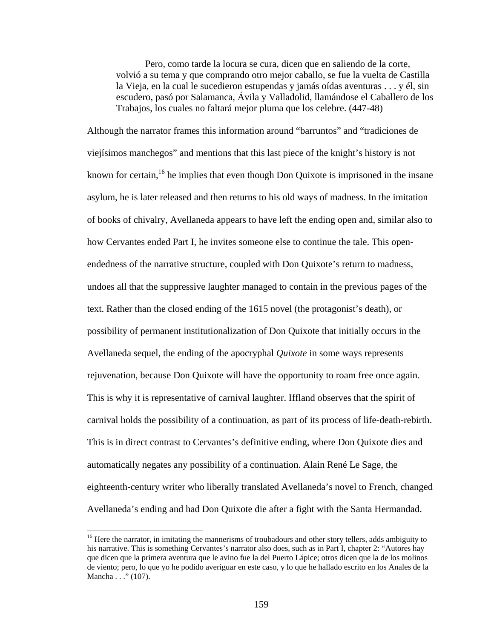Pero, como tarde la locura se cura, dicen que en saliendo de la corte, volvió a su tema y que comprando otro mejor caballo, se fue la vuelta de Castilla la Vieja, en la cual le sucedieron estupendas y jamás oídas aventuras . . . y él, sin escudero, pasó por Salamanca, Ávila y Valladolid, llamándose el Caballero de los Trabajos, los cuales no faltará mejor pluma que los celebre. (447-48)

Although the narrator frames this information around "barruntos" and "tradiciones de viejísimos manchegos" and mentions that this last piece of the knight's history is not known for certain,<sup>16</sup> he implies that even though Don Quixote is imprisoned in the insane asylum, he is later released and then returns to his old ways of madness. In the imitation of books of chivalry, Avellaneda appears to have left the ending open and, similar also to how Cervantes ended Part I, he invites someone else to continue the tale. This openendedness of the narrative structure, coupled with Don Quixote's return to madness, undoes all that the suppressive laughter managed to contain in the previous pages of the text. Rather than the closed ending of the 1615 novel (the protagonist's death), or possibility of permanent institutionalization of Don Quixote that initially occurs in the Avellaneda sequel, the ending of the apocryphal *Quixote* in some ways represents rejuvenation, because Don Quixote will have the opportunity to roam free once again. This is why it is representative of carnival laughter. Iffland observes that the spirit of carnival holds the possibility of a continuation, as part of its process of life-death-rebirth. This is in direct contrast to Cervantes's definitive ending, where Don Quixote dies and automatically negates any possibility of a continuation. Alain René Le Sage, the eighteenth-century writer who liberally translated Avellaneda's novel to French, changed Avellaneda's ending and had Don Quixote die after a fight with the Santa Hermandad.

 $\overline{a}$ 

<sup>&</sup>lt;sup>16</sup> Here the narrator, in imitating the mannerisms of troubadours and other story tellers, adds ambiguity to his narrative. This is something Cervantes's narrator also does, such as in Part I, chapter 2: "Autores hay que dicen que la primera aventura que le avino fue la del Puerto Lápice; otros dicen que la de los molinos de viento; pero, lo que yo he podido averiguar en este caso, y lo que he hallado escrito en los Anales de la Mancha . . ." (107).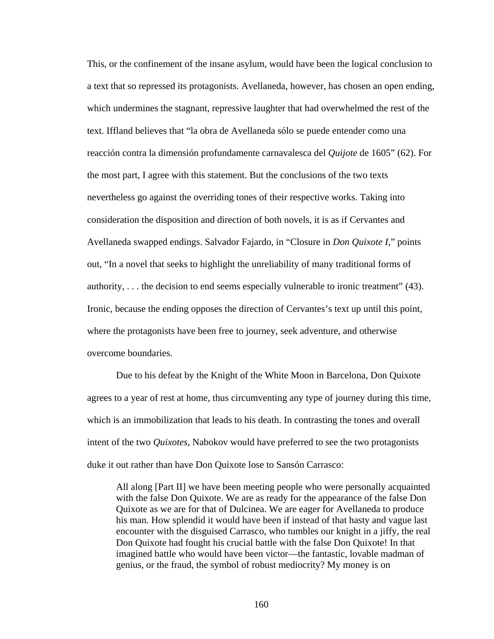This, or the confinement of the insane asylum, would have been the logical conclusion to a text that so repressed its protagonists. Avellaneda, however, has chosen an open ending, which undermines the stagnant, repressive laughter that had overwhelmed the rest of the text. Iffland believes that "la obra de Avellaneda sólo se puede entender como una reacción contra la dimensión profundamente carnavalesca del *Quijote* de 1605" (62). For the most part, I agree with this statement. But the conclusions of the two texts nevertheless go against the overriding tones of their respective works. Taking into consideration the disposition and direction of both novels, it is as if Cervantes and Avellaneda swapped endings. Salvador Fajardo, in "Closure in *Don Quixote I*," points out, "In a novel that seeks to highlight the unreliability of many traditional forms of authority, . . . the decision to end seems especially vulnerable to ironic treatment" (43). Ironic, because the ending opposes the direction of Cervantes's text up until this point, where the protagonists have been free to journey, seek adventure, and otherwise overcome boundaries.

Due to his defeat by the Knight of the White Moon in Barcelona, Don Quixote agrees to a year of rest at home, thus circumventing any type of journey during this time, which is an immobilization that leads to his death. In contrasting the tones and overall intent of the two *Quixotes*, Nabokov would have preferred to see the two protagonists duke it out rather than have Don Quixote lose to Sansón Carrasco:

All along [Part II] we have been meeting people who were personally acquainted with the false Don Quixote. We are as ready for the appearance of the false Don Quixote as we are for that of Dulcinea. We are eager for Avellaneda to produce his man. How splendid it would have been if instead of that hasty and vague last encounter with the disguised Carrasco, who tumbles our knight in a jiffy, the real Don Quixote had fought his crucial battle with the false Don Quixote! In that imagined battle who would have been victor—the fantastic, lovable madman of genius, or the fraud, the symbol of robust mediocrity? My money is on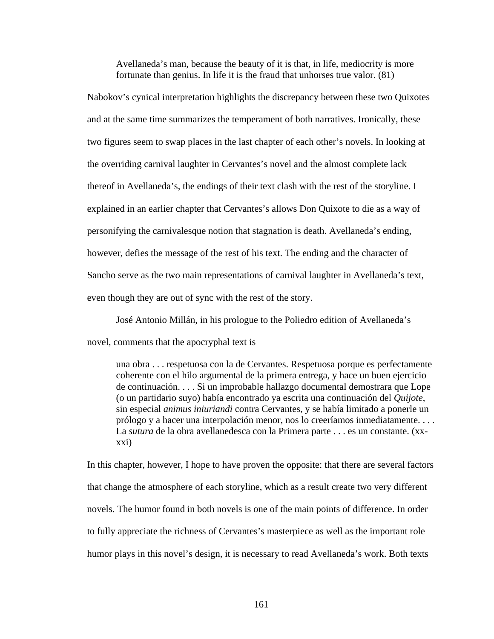Avellaneda's man, because the beauty of it is that, in life, mediocrity is more fortunate than genius. In life it is the fraud that unhorses true valor. (81)

Nabokov's cynical interpretation highlights the discrepancy between these two Quixotes and at the same time summarizes the temperament of both narratives. Ironically, these two figures seem to swap places in the last chapter of each other's novels. In looking at the overriding carnival laughter in Cervantes's novel and the almost complete lack thereof in Avellaneda's, the endings of their text clash with the rest of the storyline. I explained in an earlier chapter that Cervantes's allows Don Quixote to die as a way of personifying the carnivalesque notion that stagnation is death. Avellaneda's ending, however, defies the message of the rest of his text. The ending and the character of Sancho serve as the two main representations of carnival laughter in Avellaneda's text, even though they are out of sync with the rest of the story.

José Antonio Millán, in his prologue to the Poliedro edition of Avellaneda's

novel, comments that the apocryphal text is

una obra . . . respetuosa con la de Cervantes. Respetuosa porque es perfectamente coherente con el hilo argumental de la primera entrega, y hace un buen ejercicio de continuación. . . . Si un improbable hallazgo documental demostrara que Lope (o un partidario suyo) había encontrado ya escrita una continuación del *Quijote*, sin especial *animus iniuriandi* contra Cervantes, y se había limitado a ponerle un prólogo y a hacer una interpolación menor, nos lo creeríamos inmediatamente. . . . La *sutura* de la obra avellanedesca con la Primera parte . . . es un constante. (xxxxi)

In this chapter, however, I hope to have proven the opposite: that there are several factors that change the atmosphere of each storyline, which as a result create two very different novels. The humor found in both novels is one of the main points of difference. In order to fully appreciate the richness of Cervantes's masterpiece as well as the important role humor plays in this novel's design, it is necessary to read Avellaneda's work. Both texts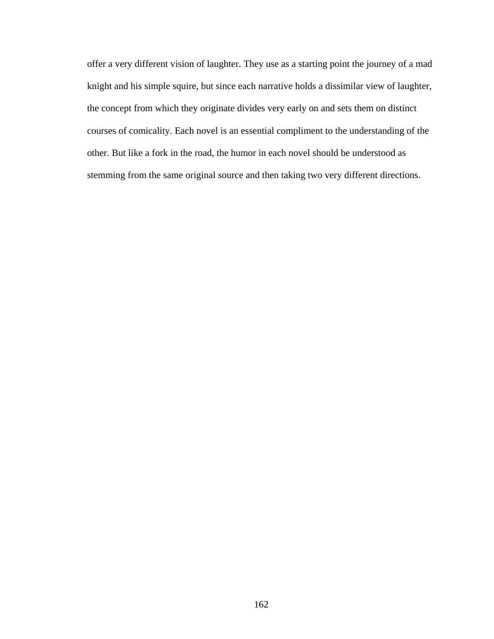offer a very different vision of laughter. They use as a starting point the journey of a mad knight and his simple squire, but since each narrative holds a dissimilar view of laughter, the concept from which they originate divides very early on and sets them on distinct courses of comicality. Each novel is an essential compliment to the understanding of the other. But like a fork in the road, the humor in each novel should be understood as stemming from the same original source and then taking two very different directions.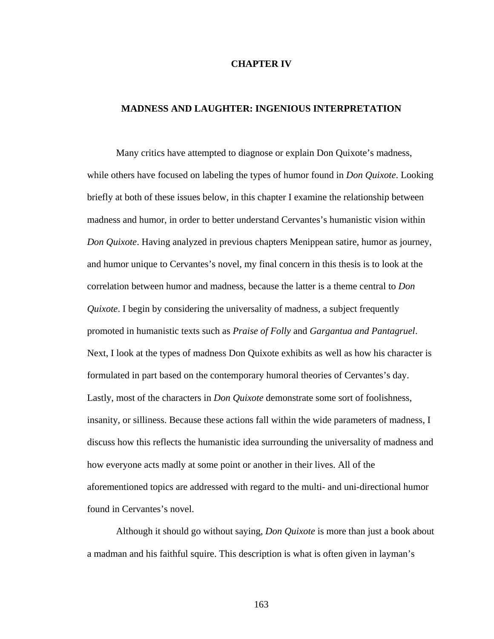## **CHAPTER IV**

## **MADNESS AND LAUGHTER: INGENIOUS INTERPRETATION**

 Many critics have attempted to diagnose or explain Don Quixote's madness, while others have focused on labeling the types of humor found in *Don Quixote*. Looking briefly at both of these issues below, in this chapter I examine the relationship between madness and humor, in order to better understand Cervantes's humanistic vision within *Don Quixote*. Having analyzed in previous chapters Menippean satire, humor as journey, and humor unique to Cervantes's novel, my final concern in this thesis is to look at the correlation between humor and madness, because the latter is a theme central to *Don Quixote*. I begin by considering the universality of madness, a subject frequently promoted in humanistic texts such as *Praise of Folly* and *Gargantua and Pantagruel*. Next, I look at the types of madness Don Quixote exhibits as well as how his character is formulated in part based on the contemporary humoral theories of Cervantes's day. Lastly, most of the characters in *Don Quixote* demonstrate some sort of foolishness, insanity, or silliness. Because these actions fall within the wide parameters of madness, I discuss how this reflects the humanistic idea surrounding the universality of madness and how everyone acts madly at some point or another in their lives. All of the aforementioned topics are addressed with regard to the multi- and uni-directional humor found in Cervantes's novel.

 Although it should go without saying, *Don Quixote* is more than just a book about a madman and his faithful squire. This description is what is often given in layman's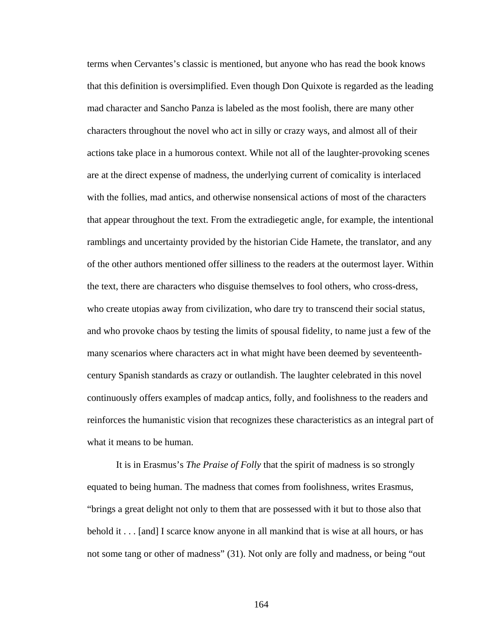terms when Cervantes's classic is mentioned, but anyone who has read the book knows that this definition is oversimplified. Even though Don Quixote is regarded as the leading mad character and Sancho Panza is labeled as the most foolish, there are many other characters throughout the novel who act in silly or crazy ways, and almost all of their actions take place in a humorous context. While not all of the laughter-provoking scenes are at the direct expense of madness, the underlying current of comicality is interlaced with the follies, mad antics, and otherwise nonsensical actions of most of the characters that appear throughout the text. From the extradiegetic angle, for example, the intentional ramblings and uncertainty provided by the historian Cide Hamete, the translator, and any of the other authors mentioned offer silliness to the readers at the outermost layer. Within the text, there are characters who disguise themselves to fool others, who cross-dress, who create utopias away from civilization, who dare try to transcend their social status, and who provoke chaos by testing the limits of spousal fidelity, to name just a few of the many scenarios where characters act in what might have been deemed by seventeenthcentury Spanish standards as crazy or outlandish. The laughter celebrated in this novel continuously offers examples of madcap antics, folly, and foolishness to the readers and reinforces the humanistic vision that recognizes these characteristics as an integral part of what it means to be human.

 It is in Erasmus's *The Praise of Folly* that the spirit of madness is so strongly equated to being human. The madness that comes from foolishness, writes Erasmus, "brings a great delight not only to them that are possessed with it but to those also that behold it . . . [and] I scarce know anyone in all mankind that is wise at all hours, or has not some tang or other of madness" (31). Not only are folly and madness, or being "out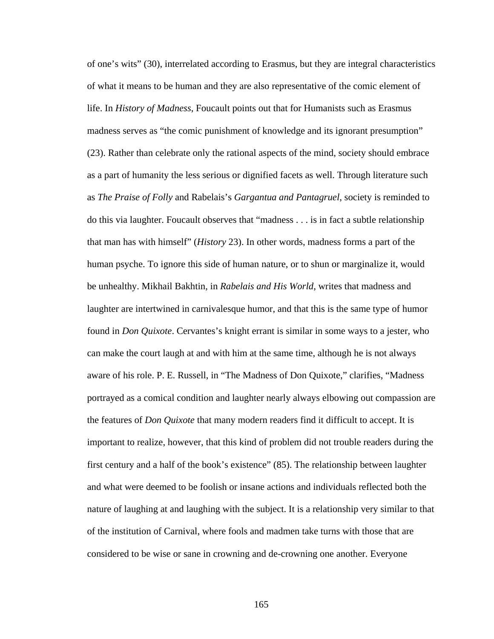of one's wits" (30), interrelated according to Erasmus, but they are integral characteristics of what it means to be human and they are also representative of the comic element of life. In *History of Madness*, Foucault points out that for Humanists such as Erasmus madness serves as "the comic punishment of knowledge and its ignorant presumption" (23). Rather than celebrate only the rational aspects of the mind, society should embrace as a part of humanity the less serious or dignified facets as well. Through literature such as *The Praise of Folly* and Rabelais's *Gargantua and Pantagruel*, society is reminded to do this via laughter. Foucault observes that "madness . . . is in fact a subtle relationship that man has with himself" (*History* 23). In other words, madness forms a part of the human psyche. To ignore this side of human nature, or to shun or marginalize it, would be unhealthy. Mikhail Bakhtin, in *Rabelais and His World*, writes that madness and laughter are intertwined in carnivalesque humor, and that this is the same type of humor found in *Don Quixote*. Cervantes's knight errant is similar in some ways to a jester, who can make the court laugh at and with him at the same time, although he is not always aware of his role. P. E. Russell, in "The Madness of Don Quixote," clarifies, "Madness portrayed as a comical condition and laughter nearly always elbowing out compassion are the features of *Don Quixote* that many modern readers find it difficult to accept. It is important to realize, however, that this kind of problem did not trouble readers during the first century and a half of the book's existence" (85). The relationship between laughter and what were deemed to be foolish or insane actions and individuals reflected both the nature of laughing at and laughing with the subject. It is a relationship very similar to that of the institution of Carnival, where fools and madmen take turns with those that are considered to be wise or sane in crowning and de-crowning one another. Everyone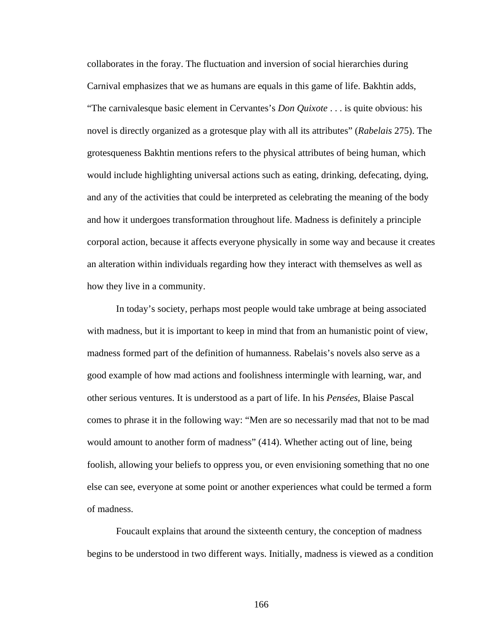collaborates in the foray. The fluctuation and inversion of social hierarchies during Carnival emphasizes that we as humans are equals in this game of life. Bakhtin adds, "The carnivalesque basic element in Cervantes's *Don Quixote* . . . is quite obvious: his novel is directly organized as a grotesque play with all its attributes" (*Rabelais* 275). The grotesqueness Bakhtin mentions refers to the physical attributes of being human, which would include highlighting universal actions such as eating, drinking, defecating, dying, and any of the activities that could be interpreted as celebrating the meaning of the body and how it undergoes transformation throughout life. Madness is definitely a principle corporal action, because it affects everyone physically in some way and because it creates an alteration within individuals regarding how they interact with themselves as well as how they live in a community.

In today's society, perhaps most people would take umbrage at being associated with madness, but it is important to keep in mind that from an humanistic point of view, madness formed part of the definition of humanness. Rabelais's novels also serve as a good example of how mad actions and foolishness intermingle with learning, war, and other serious ventures. It is understood as a part of life. In his *Pensées*, Blaise Pascal comes to phrase it in the following way: "Men are so necessarily mad that not to be mad would amount to another form of madness" (414). Whether acting out of line, being foolish, allowing your beliefs to oppress you, or even envisioning something that no one else can see, everyone at some point or another experiences what could be termed a form of madness.

Foucault explains that around the sixteenth century, the conception of madness begins to be understood in two different ways. Initially, madness is viewed as a condition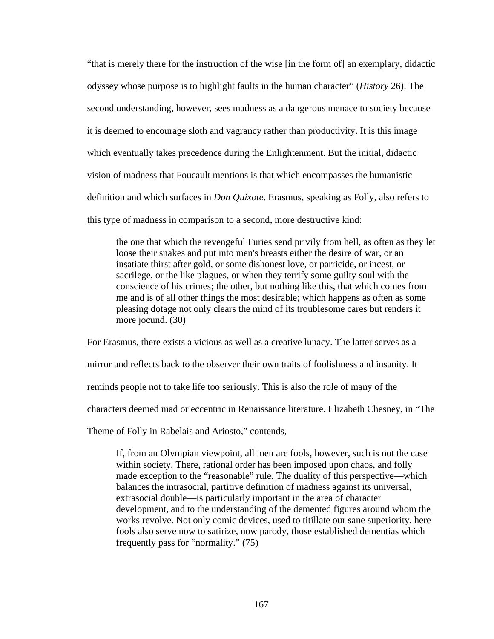"that is merely there for the instruction of the wise [in the form of] an exemplary, didactic odyssey whose purpose is to highlight faults in the human character" (*History* 26). The second understanding, however, sees madness as a dangerous menace to society because it is deemed to encourage sloth and vagrancy rather than productivity. It is this image which eventually takes precedence during the Enlightenment. But the initial, didactic vision of madness that Foucault mentions is that which encompasses the humanistic definition and which surfaces in *Don Quixote*. Erasmus, speaking as Folly, also refers to this type of madness in comparison to a second, more destructive kind:

the one that which the revengeful Furies send privily from hell, as often as they let loose their snakes and put into men's breasts either the desire of war, or an insatiate thirst after gold, or some dishonest love, or parricide, or incest, or sacrilege, or the like plagues, or when they terrify some guilty soul with the conscience of his crimes; the other, but nothing like this, that which comes from me and is of all other things the most desirable; which happens as often as some pleasing dotage not only clears the mind of its troublesome cares but renders it more jocund. (30)

For Erasmus, there exists a vicious as well as a creative lunacy. The latter serves as a mirror and reflects back to the observer their own traits of foolishness and insanity. It reminds people not to take life too seriously. This is also the role of many of the characters deemed mad or eccentric in Renaissance literature. Elizabeth Chesney, in "The

Theme of Folly in Rabelais and Ariosto," contends,

If, from an Olympian viewpoint, all men are fools, however, such is not the case within society. There, rational order has been imposed upon chaos, and folly made exception to the "reasonable" rule. The duality of this perspective—which balances the intrasocial, partitive definition of madness against its universal, extrasocial double—is particularly important in the area of character development, and to the understanding of the demented figures around whom the works revolve. Not only comic devices, used to titillate our sane superiority, here fools also serve now to satirize, now parody, those established dementias which frequently pass for "normality." (75)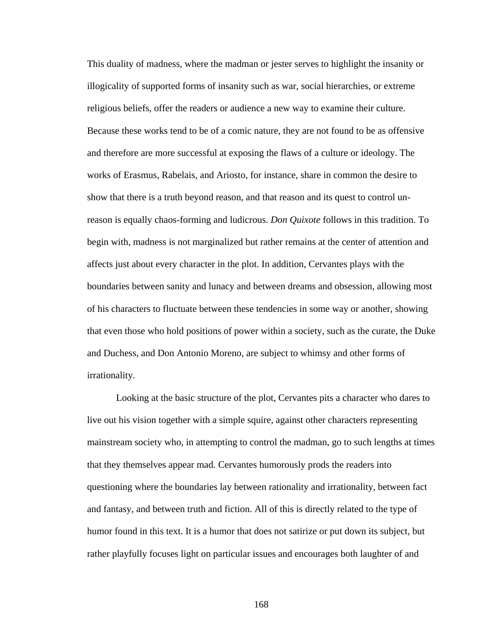This duality of madness, where the madman or jester serves to highlight the insanity or illogicality of supported forms of insanity such as war, social hierarchies, or extreme religious beliefs, offer the readers or audience a new way to examine their culture. Because these works tend to be of a comic nature, they are not found to be as offensive and therefore are more successful at exposing the flaws of a culture or ideology. The works of Erasmus, Rabelais, and Ariosto, for instance, share in common the desire to show that there is a truth beyond reason, and that reason and its quest to control unreason is equally chaos-forming and ludicrous. *Don Quixote* follows in this tradition. To begin with, madness is not marginalized but rather remains at the center of attention and affects just about every character in the plot. In addition, Cervantes plays with the boundaries between sanity and lunacy and between dreams and obsession, allowing most of his characters to fluctuate between these tendencies in some way or another, showing that even those who hold positions of power within a society, such as the curate, the Duke and Duchess, and Don Antonio Moreno, are subject to whimsy and other forms of irrationality.

Looking at the basic structure of the plot, Cervantes pits a character who dares to live out his vision together with a simple squire, against other characters representing mainstream society who, in attempting to control the madman, go to such lengths at times that they themselves appear mad. Cervantes humorously prods the readers into questioning where the boundaries lay between rationality and irrationality, between fact and fantasy, and between truth and fiction. All of this is directly related to the type of humor found in this text. It is a humor that does not satirize or put down its subject, but rather playfully focuses light on particular issues and encourages both laughter of and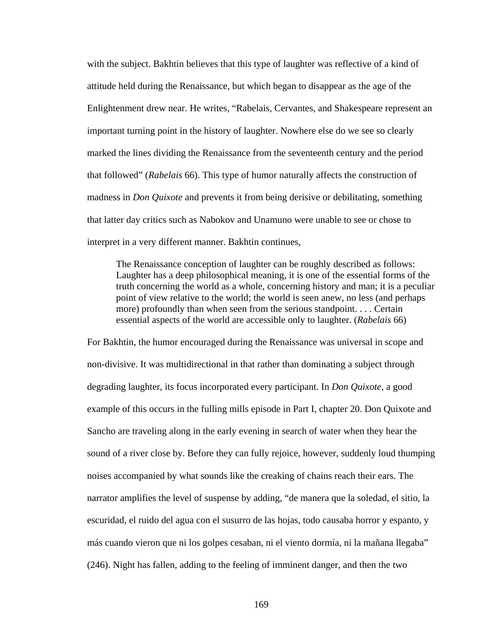with the subject. Bakhtin believes that this type of laughter was reflective of a kind of attitude held during the Renaissance, but which began to disappear as the age of the Enlightenment drew near. He writes, "Rabelais, Cervantes, and Shakespeare represent an important turning point in the history of laughter. Nowhere else do we see so clearly marked the lines dividing the Renaissance from the seventeenth century and the period that followed" (*Rabelais* 66). This type of humor naturally affects the construction of madness in *Don Quixote* and prevents it from being derisive or debilitating, something that latter day critics such as Nabokov and Unamuno were unable to see or chose to interpret in a very different manner. Bakhtin continues,

The Renaissance conception of laughter can be roughly described as follows: Laughter has a deep philosophical meaning, it is one of the essential forms of the truth concerning the world as a whole, concerning history and man; it is a peculiar point of view relative to the world; the world is seen anew, no less (and perhaps more) profoundly than when seen from the serious standpoint. . . . Certain essential aspects of the world are accessible only to laughter. (*Rabelais* 66)

For Bakhtin, the humor encouraged during the Renaissance was universal in scope and non-divisive. It was multidirectional in that rather than dominating a subject through degrading laughter, its focus incorporated every participant. In *Don Quixote*, a good example of this occurs in the fulling mills episode in Part I, chapter 20. Don Quixote and Sancho are traveling along in the early evening in search of water when they hear the sound of a river close by. Before they can fully rejoice, however, suddenly loud thumping noises accompanied by what sounds like the creaking of chains reach their ears. The narrator amplifies the level of suspense by adding, "de manera que la soledad, el sitio, la escuridad, el ruido del agua con el susurro de las hojas, todo causaba horror y espanto, y más cuando vieron que ni los golpes cesaban, ni el viento dormía, ni la mañana llegaba" (246). Night has fallen, adding to the feeling of imminent danger, and then the two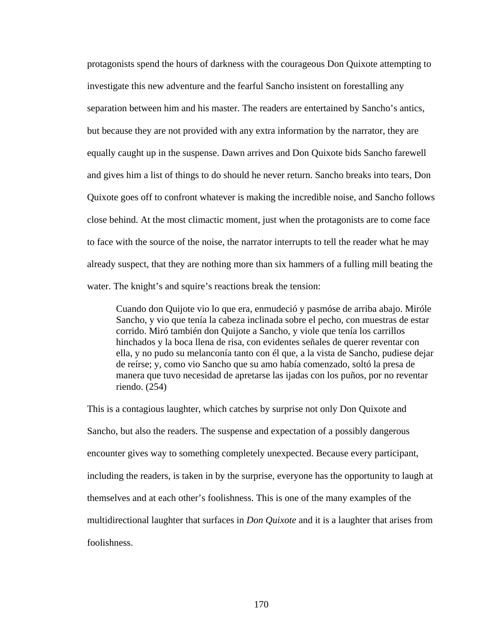protagonists spend the hours of darkness with the courageous Don Quixote attempting to investigate this new adventure and the fearful Sancho insistent on forestalling any separation between him and his master. The readers are entertained by Sancho's antics, but because they are not provided with any extra information by the narrator, they are equally caught up in the suspense. Dawn arrives and Don Quixote bids Sancho farewell and gives him a list of things to do should he never return. Sancho breaks into tears, Don Quixote goes off to confront whatever is making the incredible noise, and Sancho follows close behind. At the most climactic moment, just when the protagonists are to come face to face with the source of the noise, the narrator interrupts to tell the reader what he may already suspect, that they are nothing more than six hammers of a fulling mill beating the water. The knight's and squire's reactions break the tension:

Cuando don Quijote vio lo que era, enmudeció y pasmóse de arriba abajo. Miróle Sancho, y vio que tenía la cabeza inclinada sobre el pecho, con muestras de estar corrido. Miró también don Quijote a Sancho, y viole que tenía los carrillos hinchados y la boca llena de risa, con evidentes señales de querer reventar con ella, y no pudo su melanconía tanto con él que, a la vista de Sancho, pudiese dejar de reírse; y, como vio Sancho que su amo había comenzado, soltó la presa de manera que tuvo necesidad de apretarse las ijadas con los puños, por no reventar riendo. (254)

This is a contagious laughter, which catches by surprise not only Don Quixote and Sancho, but also the readers. The suspense and expectation of a possibly dangerous encounter gives way to something completely unexpected. Because every participant, including the readers, is taken in by the surprise, everyone has the opportunity to laugh at themselves and at each other's foolishness. This is one of the many examples of the multidirectional laughter that surfaces in *Don Quixote* and it is a laughter that arises from foolishness.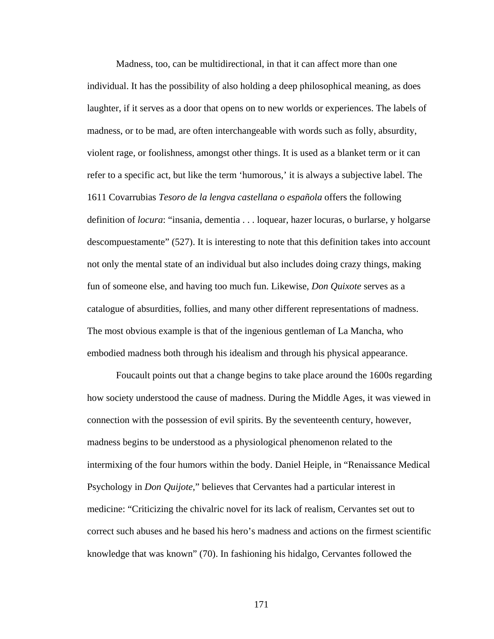Madness, too, can be multidirectional, in that it can affect more than one individual. It has the possibility of also holding a deep philosophical meaning, as does laughter, if it serves as a door that opens on to new worlds or experiences. The labels of madness, or to be mad, are often interchangeable with words such as folly, absurdity, violent rage, or foolishness, amongst other things. It is used as a blanket term or it can refer to a specific act, but like the term 'humorous,' it is always a subjective label. The 1611 Covarrubias *Tesoro de la lengva castellana o española* offers the following definition of *locura*: "insania, dementia . . . loquear, hazer locuras, o burlarse, y holgarse descompuestamente" (527). It is interesting to note that this definition takes into account not only the mental state of an individual but also includes doing crazy things, making fun of someone else, and having too much fun. Likewise, *Don Quixote* serves as a catalogue of absurdities, follies, and many other different representations of madness. The most obvious example is that of the ingenious gentleman of La Mancha, who embodied madness both through his idealism and through his physical appearance.

Foucault points out that a change begins to take place around the 1600s regarding how society understood the cause of madness. During the Middle Ages, it was viewed in connection with the possession of evil spirits. By the seventeenth century, however, madness begins to be understood as a physiological phenomenon related to the intermixing of the four humors within the body. Daniel Heiple, in "Renaissance Medical Psychology in *Don Quijote*," believes that Cervantes had a particular interest in medicine: "Criticizing the chivalric novel for its lack of realism, Cervantes set out to correct such abuses and he based his hero's madness and actions on the firmest scientific knowledge that was known" (70). In fashioning his hidalgo, Cervantes followed the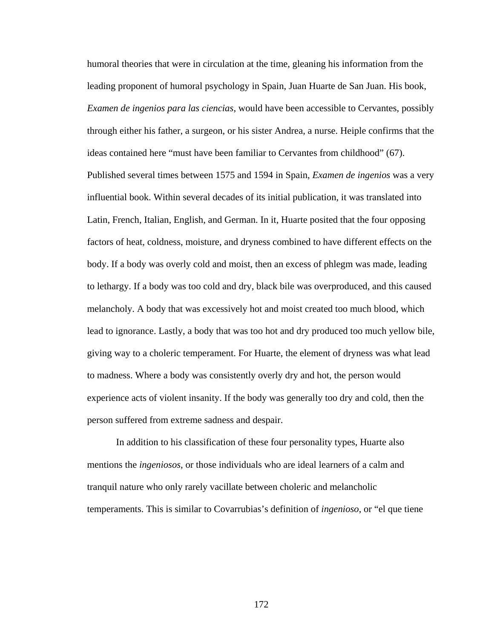humoral theories that were in circulation at the time, gleaning his information from the leading proponent of humoral psychology in Spain, Juan Huarte de San Juan. His book, *Examen de ingenios para las ciencias*, would have been accessible to Cervantes, possibly through either his father, a surgeon, or his sister Andrea, a nurse. Heiple confirms that the ideas contained here "must have been familiar to Cervantes from childhood" (67). Published several times between 1575 and 1594 in Spain, *Examen de ingenios* was a very influential book. Within several decades of its initial publication, it was translated into Latin, French, Italian, English, and German. In it, Huarte posited that the four opposing factors of heat, coldness, moisture, and dryness combined to have different effects on the body. If a body was overly cold and moist, then an excess of phlegm was made, leading to lethargy. If a body was too cold and dry, black bile was overproduced, and this caused melancholy. A body that was excessively hot and moist created too much blood, which lead to ignorance. Lastly, a body that was too hot and dry produced too much yellow bile, giving way to a choleric temperament. For Huarte, the element of dryness was what lead to madness. Where a body was consistently overly dry and hot, the person would experience acts of violent insanity. If the body was generally too dry and cold, then the person suffered from extreme sadness and despair.

In addition to his classification of these four personality types, Huarte also mentions the *ingeniosos*, or those individuals who are ideal learners of a calm and tranquil nature who only rarely vacillate between choleric and melancholic temperaments. This is similar to Covarrubias's definition of *ingenioso*, or "el que tiene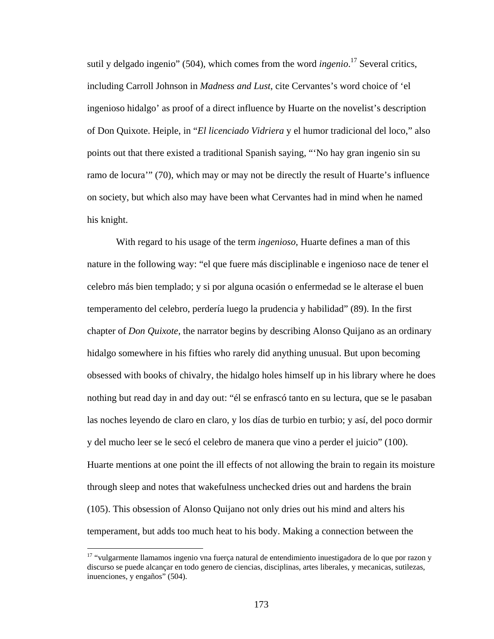sutil y delgado ingenio" (504), which comes from the word *ingenio*. 17 Several critics, including Carroll Johnson in *Madness and Lust*, cite Cervantes's word choice of 'el ingenioso hidalgo' as proof of a direct influence by Huarte on the novelist's description of Don Quixote. Heiple, in "*El licenciado Vidriera* y el humor tradicional del loco," also points out that there existed a traditional Spanish saying, "'No hay gran ingenio sin su ramo de locura'" (70), which may or may not be directly the result of Huarte's influence on society, but which also may have been what Cervantes had in mind when he named his knight.

With regard to his usage of the term *ingenioso*, Huarte defines a man of this nature in the following way: "el que fuere más disciplinable e ingenioso nace de tener el celebro más bien templado; y si por alguna ocasión o enfermedad se le alterase el buen temperamento del celebro, perdería luego la prudencia y habilidad" (89). In the first chapter of *Don Quixote*, the narrator begins by describing Alonso Quijano as an ordinary hidalgo somewhere in his fifties who rarely did anything unusual. But upon becoming obsessed with books of chivalry, the hidalgo holes himself up in his library where he does nothing but read day in and day out: "él se enfrascó tanto en su lectura, que se le pasaban las noches leyendo de claro en claro, y los días de turbio en turbio; y así, del poco dormir y del mucho leer se le secó el celebro de manera que vino a perder el juicio" (100). Huarte mentions at one point the ill effects of not allowing the brain to regain its moisture through sleep and notes that wakefulness unchecked dries out and hardens the brain (105). This obsession of Alonso Quijano not only dries out his mind and alters his temperament, but adds too much heat to his body. Making a connection between the

 $\overline{a}$ 

<sup>&</sup>lt;sup>17</sup> "vulgarmente llamamos ingenio vna fuerça natural de entendimiento inuestigadora de lo que por razon y discurso se puede alcançar en todo genero de ciencias, disciplinas, artes liberales, y mecanicas, sutilezas, inuenciones, y engaños" (504).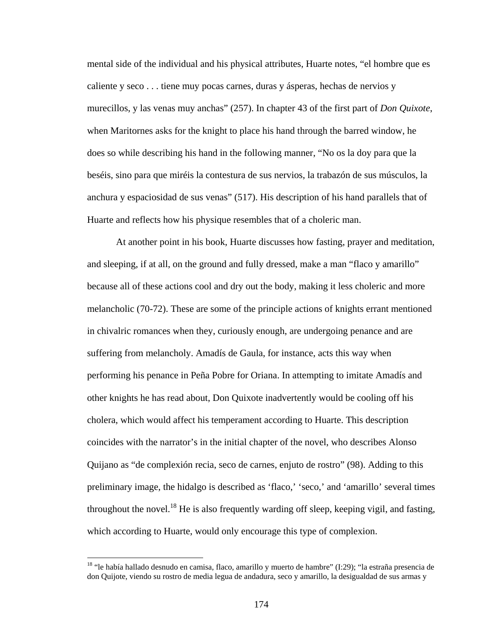mental side of the individual and his physical attributes, Huarte notes, "el hombre que es caliente y seco . . . tiene muy pocas carnes, duras y ásperas, hechas de nervios y murecillos, y las venas muy anchas" (257). In chapter 43 of the first part of *Don Quixote*, when Maritornes asks for the knight to place his hand through the barred window, he does so while describing his hand in the following manner, "No os la doy para que la beséis, sino para que miréis la contestura de sus nervios, la trabazón de sus músculos, la anchura y espaciosidad de sus venas" (517). His description of his hand parallels that of Huarte and reflects how his physique resembles that of a choleric man.

At another point in his book, Huarte discusses how fasting, prayer and meditation, and sleeping, if at all, on the ground and fully dressed, make a man "flaco y amarillo" because all of these actions cool and dry out the body, making it less choleric and more melancholic (70-72). These are some of the principle actions of knights errant mentioned in chivalric romances when they, curiously enough, are undergoing penance and are suffering from melancholy. Amadís de Gaula, for instance, acts this way when performing his penance in Peña Pobre for Oriana. In attempting to imitate Amadís and other knights he has read about, Don Quixote inadvertently would be cooling off his cholera, which would affect his temperament according to Huarte. This description coincides with the narrator's in the initial chapter of the novel, who describes Alonso Quijano as "de complexión recia, seco de carnes, enjuto de rostro" (98). Adding to this preliminary image, the hidalgo is described as 'flaco,' 'seco,' and 'amarillo' several times throughout the novel.<sup>18</sup> He is also frequently warding off sleep, keeping vigil, and fasting, which according to Huarte, would only encourage this type of complexion.

 $\overline{a}$ 

<sup>&</sup>lt;sup>18</sup> "le había hallado desnudo en camisa, flaco, amarillo y muerto de hambre" (I:29); "la estraña presencia de don Quijote, viendo su rostro de media legua de andadura, seco y amarillo, la desigualdad de sus armas y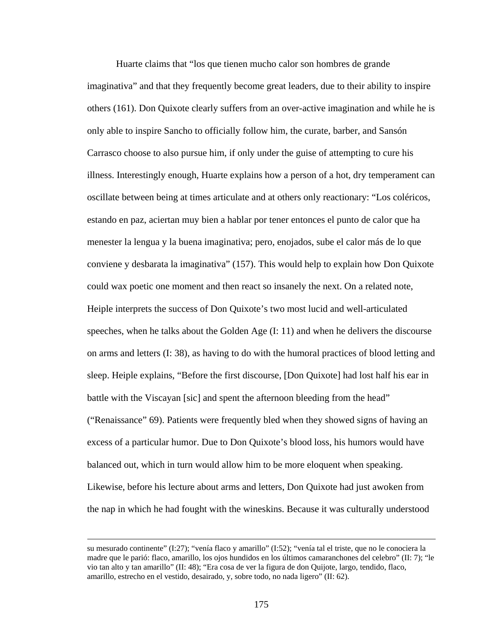Huarte claims that "los que tienen mucho calor son hombres de grande imaginativa" and that they frequently become great leaders, due to their ability to inspire others (161). Don Quixote clearly suffers from an over-active imagination and while he is only able to inspire Sancho to officially follow him, the curate, barber, and Sansón Carrasco choose to also pursue him, if only under the guise of attempting to cure his illness. Interestingly enough, Huarte explains how a person of a hot, dry temperament can oscillate between being at times articulate and at others only reactionary: "Los coléricos, estando en paz, aciertan muy bien a hablar por tener entonces el punto de calor que ha menester la lengua y la buena imaginativa; pero, enojados, sube el calor más de lo que conviene y desbarata la imaginativa" (157). This would help to explain how Don Quixote could wax poetic one moment and then react so insanely the next. On a related note, Heiple interprets the success of Don Quixote's two most lucid and well-articulated speeches, when he talks about the Golden Age (I: 11) and when he delivers the discourse on arms and letters (I: 38), as having to do with the humoral practices of blood letting and sleep. Heiple explains, "Before the first discourse, [Don Quixote] had lost half his ear in battle with the Viscayan [sic] and spent the afternoon bleeding from the head" ("Renaissance" 69). Patients were frequently bled when they showed signs of having an excess of a particular humor. Due to Don Quixote's blood loss, his humors would have balanced out, which in turn would allow him to be more eloquent when speaking. Likewise, before his lecture about arms and letters, Don Quixote had just awoken from the nap in which he had fought with the wineskins. Because it was culturally understood

su mesurado continente" (I:27); "venía flaco y amarillo" (I:52); "venía tal el triste, que no le conociera la madre que le parió: flaco, amarillo, los ojos hundidos en los últimos camaranchones del celebro" (II: 7); "le vio tan alto y tan amarillo" (II: 48); "Era cosa de ver la figura de don Quijote, largo, tendido, flaco, amarillo, estrecho en el vestido, desairado, y, sobre todo, no nada ligero" (II: 62).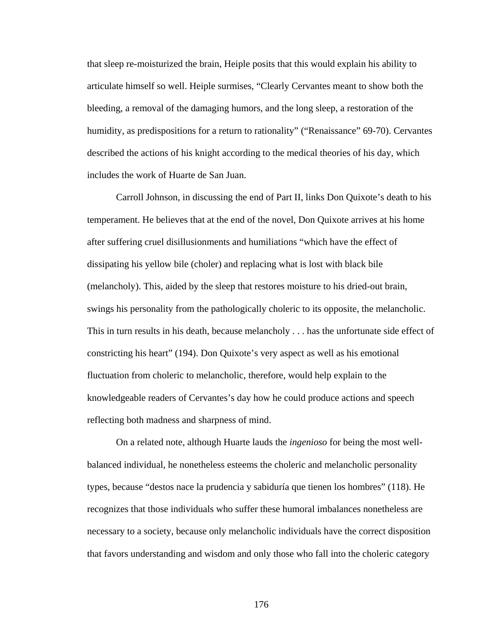that sleep re-moisturized the brain, Heiple posits that this would explain his ability to articulate himself so well. Heiple surmises, "Clearly Cervantes meant to show both the bleeding, a removal of the damaging humors, and the long sleep, a restoration of the humidity, as predispositions for a return to rationality" ("Renaissance" 69-70). Cervantes described the actions of his knight according to the medical theories of his day, which includes the work of Huarte de San Juan.

Carroll Johnson, in discussing the end of Part II, links Don Quixote's death to his temperament. He believes that at the end of the novel, Don Quixote arrives at his home after suffering cruel disillusionments and humiliations "which have the effect of dissipating his yellow bile (choler) and replacing what is lost with black bile (melancholy). This, aided by the sleep that restores moisture to his dried-out brain, swings his personality from the pathologically choleric to its opposite, the melancholic. This in turn results in his death, because melancholy . . . has the unfortunate side effect of constricting his heart" (194). Don Quixote's very aspect as well as his emotional fluctuation from choleric to melancholic, therefore, would help explain to the knowledgeable readers of Cervantes's day how he could produce actions and speech reflecting both madness and sharpness of mind.

 On a related note, although Huarte lauds the *ingenioso* for being the most wellbalanced individual, he nonetheless esteems the choleric and melancholic personality types, because "destos nace la prudencia y sabiduría que tienen los hombres" (118). He recognizes that those individuals who suffer these humoral imbalances nonetheless are necessary to a society, because only melancholic individuals have the correct disposition that favors understanding and wisdom and only those who fall into the choleric category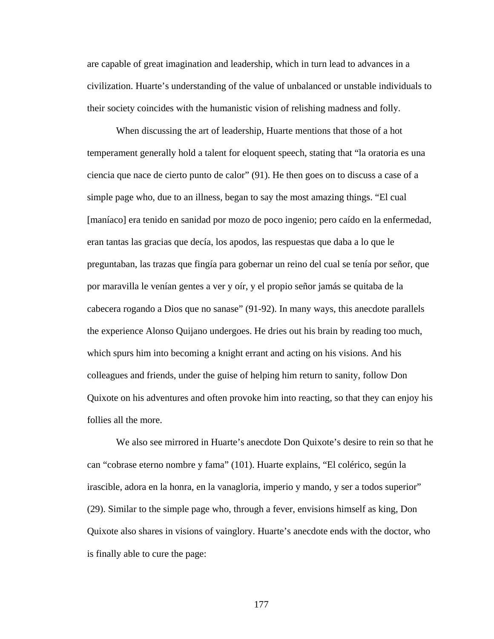are capable of great imagination and leadership, which in turn lead to advances in a civilization. Huarte's understanding of the value of unbalanced or unstable individuals to their society coincides with the humanistic vision of relishing madness and folly.

 When discussing the art of leadership, Huarte mentions that those of a hot temperament generally hold a talent for eloquent speech, stating that "la oratoria es una ciencia que nace de cierto punto de calor" (91). He then goes on to discuss a case of a simple page who, due to an illness, began to say the most amazing things. "El cual [maníaco] era tenido en sanidad por mozo de poco ingenio; pero caído en la enfermedad, eran tantas las gracias que decía, los apodos, las respuestas que daba a lo que le preguntaban, las trazas que fingía para gobernar un reino del cual se tenía por señor, que por maravilla le venían gentes a ver y oír, y el propio señor jamás se quitaba de la cabecera rogando a Dios que no sanase" (91-92). In many ways, this anecdote parallels the experience Alonso Quijano undergoes. He dries out his brain by reading too much, which spurs him into becoming a knight errant and acting on his visions. And his colleagues and friends, under the guise of helping him return to sanity, follow Don Quixote on his adventures and often provoke him into reacting, so that they can enjoy his follies all the more.

We also see mirrored in Huarte's anecdote Don Quixote's desire to rein so that he can "cobrase eterno nombre y fama" (101). Huarte explains, "El colérico, según la irascible, adora en la honra, en la vanagloria, imperio y mando, y ser a todos superior" (29). Similar to the simple page who, through a fever, envisions himself as king, Don Quixote also shares in visions of vainglory. Huarte's anecdote ends with the doctor, who is finally able to cure the page: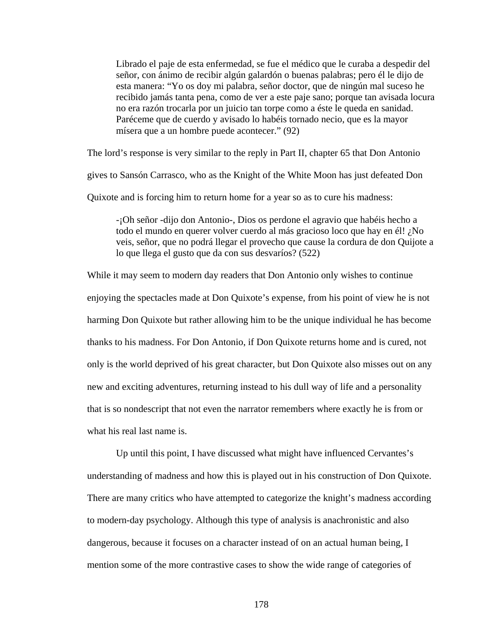Librado el paje de esta enfermedad, se fue el médico que le curaba a despedir del señor, con ánimo de recibir algún galardón o buenas palabras; pero él le dijo de esta manera: "Yo os doy mi palabra, señor doctor, que de ningún mal suceso he recibido jamás tanta pena, como de ver a este paje sano; porque tan avisada locura no era razón trocarla por un juicio tan torpe como a éste le queda en sanidad. Paréceme que de cuerdo y avisado lo habéis tornado necio, que es la mayor mísera que a un hombre puede acontecer." (92)

The lord's response is very similar to the reply in Part II, chapter 65 that Don Antonio

gives to Sansón Carrasco, who as the Knight of the White Moon has just defeated Don

Quixote and is forcing him to return home for a year so as to cure his madness:

-¡Oh señor -dijo don Antonio-, Dios os perdone el agravio que habéis hecho a todo el mundo en querer volver cuerdo al más gracioso loco que hay en él! ¿No veis, señor, que no podrá llegar el provecho que cause la cordura de don Quijote a lo que llega el gusto que da con sus desvaríos? (522)

While it may seem to modern day readers that Don Antonio only wishes to continue enjoying the spectacles made at Don Quixote's expense, from his point of view he is not harming Don Quixote but rather allowing him to be the unique individual he has become thanks to his madness. For Don Antonio, if Don Quixote returns home and is cured, not only is the world deprived of his great character, but Don Quixote also misses out on any new and exciting adventures, returning instead to his dull way of life and a personality that is so nondescript that not even the narrator remembers where exactly he is from or what his real last name is.

 Up until this point, I have discussed what might have influenced Cervantes's understanding of madness and how this is played out in his construction of Don Quixote. There are many critics who have attempted to categorize the knight's madness according to modern-day psychology. Although this type of analysis is anachronistic and also dangerous, because it focuses on a character instead of on an actual human being, I mention some of the more contrastive cases to show the wide range of categories of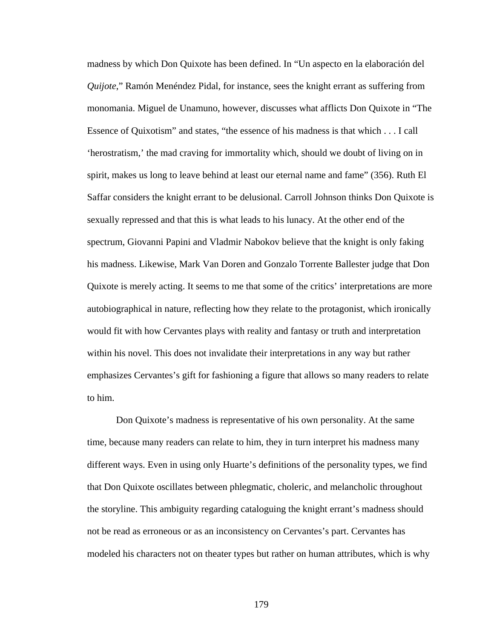madness by which Don Quixote has been defined. In "Un aspecto en la elaboración del *Quijote*," Ramón Menéndez Pidal, for instance, sees the knight errant as suffering from monomania. Miguel de Unamuno, however, discusses what afflicts Don Quixote in "The Essence of Quixotism" and states, "the essence of his madness is that which . . . I call 'herostratism,' the mad craving for immortality which, should we doubt of living on in spirit, makes us long to leave behind at least our eternal name and fame" (356). Ruth El Saffar considers the knight errant to be delusional. Carroll Johnson thinks Don Quixote is sexually repressed and that this is what leads to his lunacy. At the other end of the spectrum, Giovanni Papini and Vladmir Nabokov believe that the knight is only faking his madness. Likewise, Mark Van Doren and Gonzalo Torrente Ballester judge that Don Quixote is merely acting. It seems to me that some of the critics' interpretations are more autobiographical in nature, reflecting how they relate to the protagonist, which ironically would fit with how Cervantes plays with reality and fantasy or truth and interpretation within his novel. This does not invalidate their interpretations in any way but rather emphasizes Cervantes's gift for fashioning a figure that allows so many readers to relate to him.

Don Quixote's madness is representative of his own personality. At the same time, because many readers can relate to him, they in turn interpret his madness many different ways. Even in using only Huarte's definitions of the personality types, we find that Don Quixote oscillates between phlegmatic, choleric, and melancholic throughout the storyline. This ambiguity regarding cataloguing the knight errant's madness should not be read as erroneous or as an inconsistency on Cervantes's part. Cervantes has modeled his characters not on theater types but rather on human attributes, which is why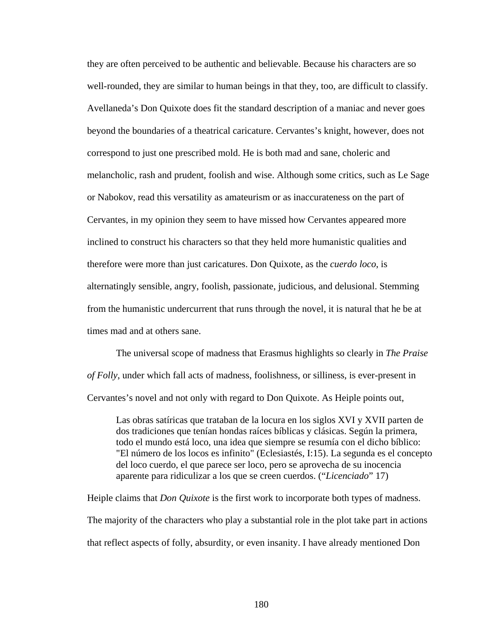they are often perceived to be authentic and believable. Because his characters are so well-rounded, they are similar to human beings in that they, too, are difficult to classify. Avellaneda's Don Quixote does fit the standard description of a maniac and never goes beyond the boundaries of a theatrical caricature. Cervantes's knight, however, does not correspond to just one prescribed mold. He is both mad and sane, choleric and melancholic, rash and prudent, foolish and wise. Although some critics, such as Le Sage or Nabokov, read this versatility as amateurism or as inaccurateness on the part of Cervantes, in my opinion they seem to have missed how Cervantes appeared more inclined to construct his characters so that they held more humanistic qualities and therefore were more than just caricatures. Don Quixote, as the *cuerdo loco*, is alternatingly sensible, angry, foolish, passionate, judicious, and delusional. Stemming from the humanistic undercurrent that runs through the novel, it is natural that he be at times mad and at others sane.

The universal scope of madness that Erasmus highlights so clearly in *The Praise of Folly*, under which fall acts of madness, foolishness, or silliness, is ever-present in Cervantes's novel and not only with regard to Don Quixote. As Heiple points out,

Las obras satíricas que trataban de la locura en los siglos XVI y XVII parten de dos tradiciones que tenían hondas raíces bíblicas y clásicas. Según la primera, todo el mundo está loco, una idea que siempre se resumía con el dicho bíblico: "El número de los locos es infinito" (Eclesiastés, I:15). La segunda es el concepto del loco cuerdo, el que parece ser loco, pero se aprovecha de su inocencia aparente para ridiculizar a los que se creen cuerdos. ("*Licenciado*" 17)

Heiple claims that *Don Quixote* is the first work to incorporate both types of madness. The majority of the characters who play a substantial role in the plot take part in actions that reflect aspects of folly, absurdity, or even insanity. I have already mentioned Don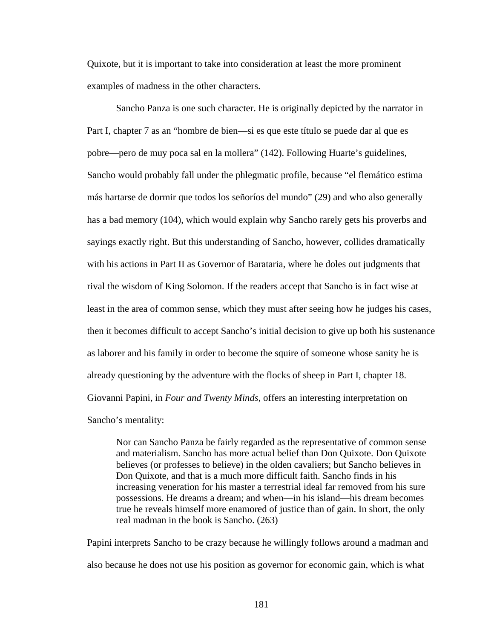Quixote, but it is important to take into consideration at least the more prominent examples of madness in the other characters.

Sancho Panza is one such character. He is originally depicted by the narrator in Part I, chapter 7 as an "hombre de bien—si es que este título se puede dar al que es pobre—pero de muy poca sal en la mollera" (142). Following Huarte's guidelines, Sancho would probably fall under the phlegmatic profile, because "el flemático estima más hartarse de dormir que todos los señoríos del mundo" (29) and who also generally has a bad memory (104), which would explain why Sancho rarely gets his proverbs and sayings exactly right. But this understanding of Sancho, however, collides dramatically with his actions in Part II as Governor of Barataria, where he doles out judgments that rival the wisdom of King Solomon. If the readers accept that Sancho is in fact wise at least in the area of common sense, which they must after seeing how he judges his cases, then it becomes difficult to accept Sancho's initial decision to give up both his sustenance as laborer and his family in order to become the squire of someone whose sanity he is already questioning by the adventure with the flocks of sheep in Part I, chapter 18. Giovanni Papini, in *Four and Twenty Minds*, offers an interesting interpretation on Sancho's mentality:

Nor can Sancho Panza be fairly regarded as the representative of common sense and materialism. Sancho has more actual belief than Don Quixote. Don Quixote believes (or professes to believe) in the olden cavaliers; but Sancho believes in Don Quixote, and that is a much more difficult faith. Sancho finds in his increasing veneration for his master a terrestrial ideal far removed from his sure possessions. He dreams a dream; and when—in his island—his dream becomes true he reveals himself more enamored of justice than of gain. In short, the only real madman in the book is Sancho. (263)

Papini interprets Sancho to be crazy because he willingly follows around a madman and also because he does not use his position as governor for economic gain, which is what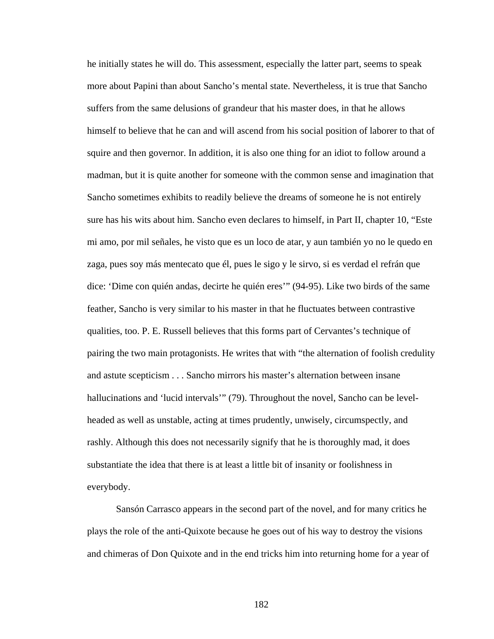he initially states he will do. This assessment, especially the latter part, seems to speak more about Papini than about Sancho's mental state. Nevertheless, it is true that Sancho suffers from the same delusions of grandeur that his master does, in that he allows himself to believe that he can and will ascend from his social position of laborer to that of squire and then governor. In addition, it is also one thing for an idiot to follow around a madman, but it is quite another for someone with the common sense and imagination that Sancho sometimes exhibits to readily believe the dreams of someone he is not entirely sure has his wits about him. Sancho even declares to himself, in Part II, chapter 10, "Este mi amo, por mil señales, he visto que es un loco de atar, y aun también yo no le quedo en zaga, pues soy más mentecato que él, pues le sigo y le sirvo, si es verdad el refrán que dice: 'Dime con quién andas, decirte he quién eres'" (94-95). Like two birds of the same feather, Sancho is very similar to his master in that he fluctuates between contrastive qualities, too. P. E. Russell believes that this forms part of Cervantes's technique of pairing the two main protagonists. He writes that with "the alternation of foolish credulity and astute scepticism . . . Sancho mirrors his master's alternation between insane hallucinations and 'lucid intervals'" (79). Throughout the novel, Sancho can be levelheaded as well as unstable, acting at times prudently, unwisely, circumspectly, and rashly. Although this does not necessarily signify that he is thoroughly mad, it does substantiate the idea that there is at least a little bit of insanity or foolishness in everybody.

 Sansón Carrasco appears in the second part of the novel, and for many critics he plays the role of the anti-Quixote because he goes out of his way to destroy the visions and chimeras of Don Quixote and in the end tricks him into returning home for a year of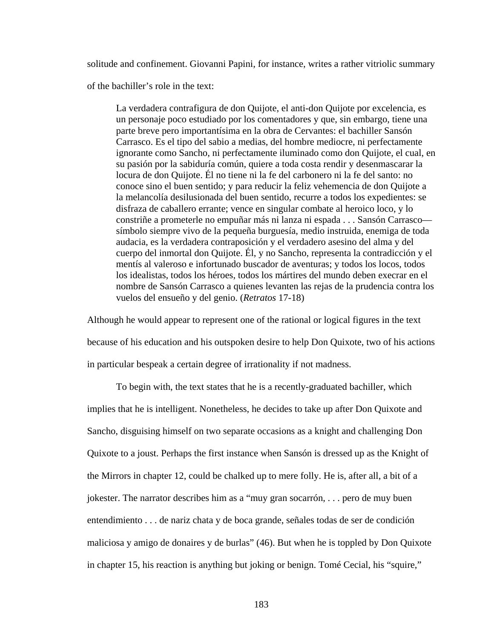solitude and confinement. Giovanni Papini, for instance, writes a rather vitriolic summary of the bachiller's role in the text:

La verdadera contrafigura de don Quijote, el anti-don Quijote por excelencia, es un personaje poco estudiado por los comentadores y que, sin embargo, tiene una parte breve pero importantísima en la obra de Cervantes: el bachiller Sansón Carrasco. Es el tipo del sabio a medias, del hombre mediocre, ni perfectamente ignorante como Sancho, ni perfectamente iluminado como don Quijote, el cual, en su pasión por la sabiduría común, quiere a toda costa rendir y desenmascarar la locura de don Quijote. Él no tiene ni la fe del carbonero ni la fe del santo: no conoce sino el buen sentido; y para reducir la feliz vehemencia de don Quijote a la melancolía desilusionada del buen sentido, recurre a todos los expedientes: se disfraza de caballero errante; vence en singular combate al heroico loco, y lo constriñe a prometerle no empuñar más ni lanza ni espada . . . Sansón Carrasco símbolo siempre vivo de la pequeña burguesía, medio instruida, enemiga de toda audacia, es la verdadera contraposición y el verdadero asesino del alma y del cuerpo del inmortal don Quijote. Él, y no Sancho, representa la contradicción y el mentís al valeroso e infortunado buscador de aventuras; y todos los locos, todos los idealistas, todos los héroes, todos los mártires del mundo deben execrar en el nombre de Sansón Carrasco a quienes levanten las rejas de la prudencia contra los vuelos del ensueño y del genio. (*Retratos* 17-18)

Although he would appear to represent one of the rational or logical figures in the text because of his education and his outspoken desire to help Don Quixote, two of his actions in particular bespeak a certain degree of irrationality if not madness.

To begin with, the text states that he is a recently-graduated bachiller, which implies that he is intelligent. Nonetheless, he decides to take up after Don Quixote and Sancho, disguising himself on two separate occasions as a knight and challenging Don Quixote to a joust. Perhaps the first instance when Sansón is dressed up as the Knight of the Mirrors in chapter 12, could be chalked up to mere folly. He is, after all, a bit of a jokester. The narrator describes him as a "muy gran socarrón, . . . pero de muy buen entendimiento . . . de nariz chata y de boca grande, señales todas de ser de condición maliciosa y amigo de donaires y de burlas" (46). But when he is toppled by Don Quixote in chapter 15, his reaction is anything but joking or benign. Tomé Cecial, his "squire,"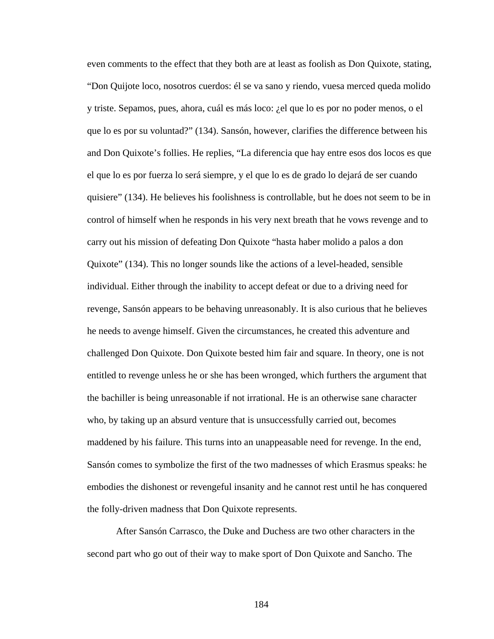even comments to the effect that they both are at least as foolish as Don Quixote, stating, "Don Quijote loco, nosotros cuerdos: él se va sano y riendo, vuesa merced queda molido y triste. Sepamos, pues, ahora, cuál es más loco: ¿el que lo es por no poder menos, o el que lo es por su voluntad?" (134). Sansón, however, clarifies the difference between his and Don Quixote's follies. He replies, "La diferencia que hay entre esos dos locos es que el que lo es por fuerza lo será siempre, y el que lo es de grado lo dejará de ser cuando quisiere" (134). He believes his foolishness is controllable, but he does not seem to be in control of himself when he responds in his very next breath that he vows revenge and to carry out his mission of defeating Don Quixote "hasta haber molido a palos a don Quixote" (134). This no longer sounds like the actions of a level-headed, sensible individual. Either through the inability to accept defeat or due to a driving need for revenge, Sansón appears to be behaving unreasonably. It is also curious that he believes he needs to avenge himself. Given the circumstances, he created this adventure and challenged Don Quixote. Don Quixote bested him fair and square. In theory, one is not entitled to revenge unless he or she has been wronged, which furthers the argument that the bachiller is being unreasonable if not irrational. He is an otherwise sane character who, by taking up an absurd venture that is unsuccessfully carried out, becomes maddened by his failure. This turns into an unappeasable need for revenge. In the end, Sansón comes to symbolize the first of the two madnesses of which Erasmus speaks: he embodies the dishonest or revengeful insanity and he cannot rest until he has conquered the folly-driven madness that Don Quixote represents.

 After Sansón Carrasco, the Duke and Duchess are two other characters in the second part who go out of their way to make sport of Don Quixote and Sancho. The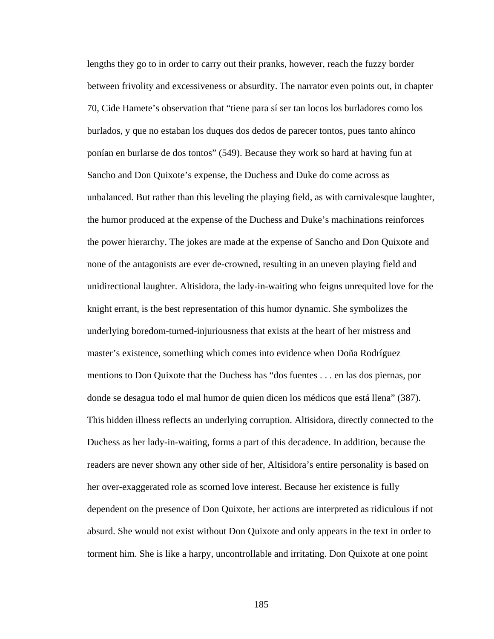lengths they go to in order to carry out their pranks, however, reach the fuzzy border between frivolity and excessiveness or absurdity. The narrator even points out, in chapter 70, Cide Hamete's observation that "tiene para sí ser tan locos los burladores como los burlados, y que no estaban los duques dos dedos de parecer tontos, pues tanto ahínco ponían en burlarse de dos tontos" (549). Because they work so hard at having fun at Sancho and Don Quixote's expense, the Duchess and Duke do come across as unbalanced. But rather than this leveling the playing field, as with carnivalesque laughter, the humor produced at the expense of the Duchess and Duke's machinations reinforces the power hierarchy. The jokes are made at the expense of Sancho and Don Quixote and none of the antagonists are ever de-crowned, resulting in an uneven playing field and unidirectional laughter. Altisidora, the lady-in-waiting who feigns unrequited love for the knight errant, is the best representation of this humor dynamic. She symbolizes the underlying boredom-turned-injuriousness that exists at the heart of her mistress and master's existence, something which comes into evidence when Doña Rodríguez mentions to Don Quixote that the Duchess has "dos fuentes . . . en las dos piernas, por donde se desagua todo el mal humor de quien dicen los médicos que está llena" (387). This hidden illness reflects an underlying corruption. Altisidora, directly connected to the Duchess as her lady-in-waiting, forms a part of this decadence. In addition, because the readers are never shown any other side of her, Altisidora's entire personality is based on her over-exaggerated role as scorned love interest. Because her existence is fully dependent on the presence of Don Quixote, her actions are interpreted as ridiculous if not absurd. She would not exist without Don Quixote and only appears in the text in order to torment him. She is like a harpy, uncontrollable and irritating. Don Quixote at one point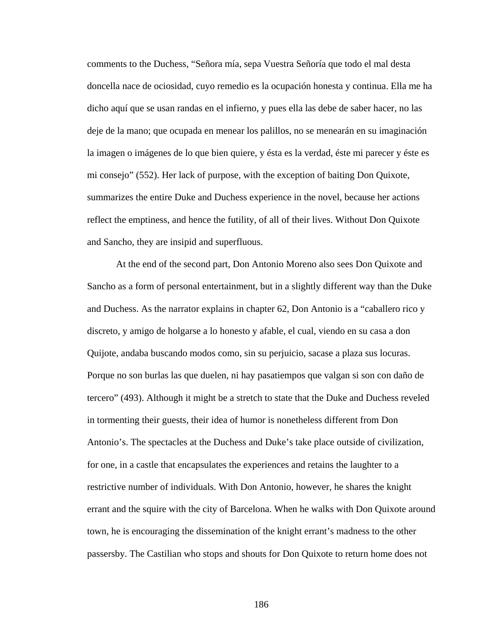comments to the Duchess, "Señora mía, sepa Vuestra Señoría que todo el mal desta doncella nace de ociosidad, cuyo remedio es la ocupación honesta y continua. Ella me ha dicho aquí que se usan randas en el infierno, y pues ella las debe de saber hacer, no las deje de la mano; que ocupada en menear los palillos, no se menearán en su imaginación la imagen o imágenes de lo que bien quiere, y ésta es la verdad, éste mi parecer y éste es mi consejo" (552). Her lack of purpose, with the exception of baiting Don Quixote, summarizes the entire Duke and Duchess experience in the novel, because her actions reflect the emptiness, and hence the futility, of all of their lives. Without Don Quixote and Sancho, they are insipid and superfluous.

 At the end of the second part, Don Antonio Moreno also sees Don Quixote and Sancho as a form of personal entertainment, but in a slightly different way than the Duke and Duchess. As the narrator explains in chapter 62, Don Antonio is a "caballero rico y discreto, y amigo de holgarse a lo honesto y afable, el cual, viendo en su casa a don Quijote, andaba buscando modos como, sin su perjuicio, sacase a plaza sus locuras. Porque no son burlas las que duelen, ni hay pasatiempos que valgan si son con daño de tercero" (493). Although it might be a stretch to state that the Duke and Duchess reveled in tormenting their guests, their idea of humor is nonetheless different from Don Antonio's. The spectacles at the Duchess and Duke's take place outside of civilization, for one, in a castle that encapsulates the experiences and retains the laughter to a restrictive number of individuals. With Don Antonio, however, he shares the knight errant and the squire with the city of Barcelona. When he walks with Don Quixote around town, he is encouraging the dissemination of the knight errant's madness to the other passersby. The Castilian who stops and shouts for Don Quixote to return home does not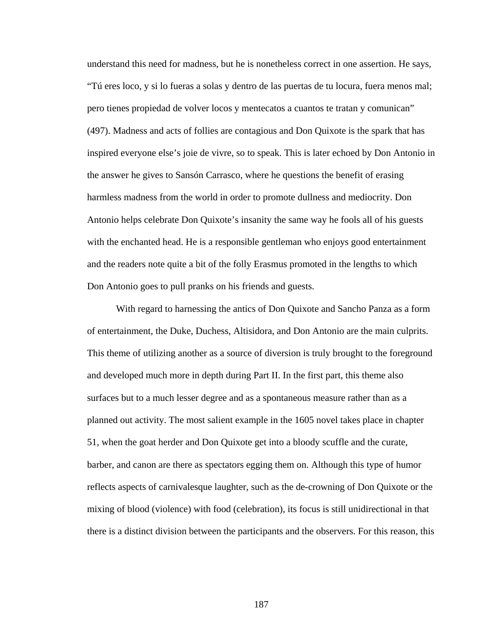understand this need for madness, but he is nonetheless correct in one assertion. He says, "Tú eres loco, y si lo fueras a solas y dentro de las puertas de tu locura, fuera menos mal; pero tienes propiedad de volver locos y mentecatos a cuantos te tratan y comunican" (497). Madness and acts of follies are contagious and Don Quixote is the spark that has inspired everyone else's joie de vivre, so to speak. This is later echoed by Don Antonio in the answer he gives to Sansón Carrasco, where he questions the benefit of erasing harmless madness from the world in order to promote dullness and mediocrity. Don Antonio helps celebrate Don Quixote's insanity the same way he fools all of his guests with the enchanted head. He is a responsible gentleman who enjoys good entertainment and the readers note quite a bit of the folly Erasmus promoted in the lengths to which Don Antonio goes to pull pranks on his friends and guests.

 With regard to harnessing the antics of Don Quixote and Sancho Panza as a form of entertainment, the Duke, Duchess, Altisidora, and Don Antonio are the main culprits. This theme of utilizing another as a source of diversion is truly brought to the foreground and developed much more in depth during Part II. In the first part, this theme also surfaces but to a much lesser degree and as a spontaneous measure rather than as a planned out activity. The most salient example in the 1605 novel takes place in chapter 51, when the goat herder and Don Quixote get into a bloody scuffle and the curate, barber, and canon are there as spectators egging them on. Although this type of humor reflects aspects of carnivalesque laughter, such as the de-crowning of Don Quixote or the mixing of blood (violence) with food (celebration), its focus is still unidirectional in that there is a distinct division between the participants and the observers. For this reason, this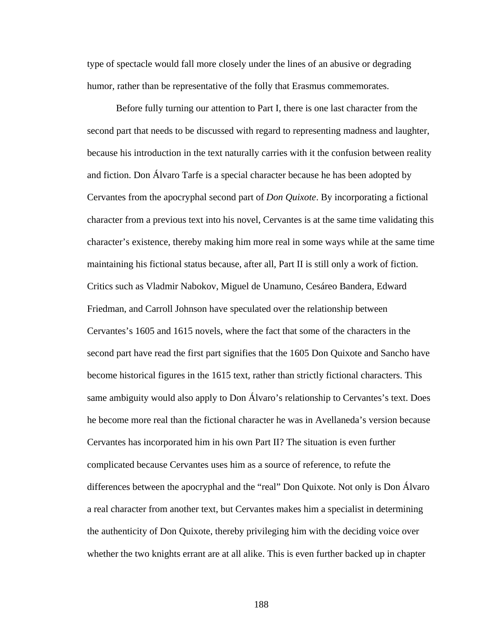type of spectacle would fall more closely under the lines of an abusive or degrading humor, rather than be representative of the folly that Erasmus commemorates.

 Before fully turning our attention to Part I, there is one last character from the second part that needs to be discussed with regard to representing madness and laughter, because his introduction in the text naturally carries with it the confusion between reality and fiction. Don Álvaro Tarfe is a special character because he has been adopted by Cervantes from the apocryphal second part of *Don Quixote*. By incorporating a fictional character from a previous text into his novel, Cervantes is at the same time validating this character's existence, thereby making him more real in some ways while at the same time maintaining his fictional status because, after all, Part II is still only a work of fiction. Critics such as Vladmir Nabokov, Miguel de Unamuno, Cesáreo Bandera, Edward Friedman, and Carroll Johnson have speculated over the relationship between Cervantes's 1605 and 1615 novels, where the fact that some of the characters in the second part have read the first part signifies that the 1605 Don Quixote and Sancho have become historical figures in the 1615 text, rather than strictly fictional characters. This same ambiguity would also apply to Don Álvaro's relationship to Cervantes's text. Does he become more real than the fictional character he was in Avellaneda's version because Cervantes has incorporated him in his own Part II? The situation is even further complicated because Cervantes uses him as a source of reference, to refute the differences between the apocryphal and the "real" Don Quixote. Not only is Don Álvaro a real character from another text, but Cervantes makes him a specialist in determining the authenticity of Don Quixote, thereby privileging him with the deciding voice over whether the two knights errant are at all alike. This is even further backed up in chapter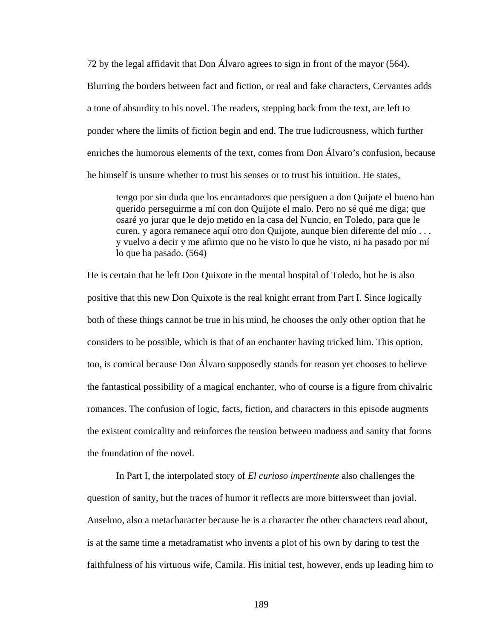72 by the legal affidavit that Don Álvaro agrees to sign in front of the mayor (564). Blurring the borders between fact and fiction, or real and fake characters, Cervantes adds a tone of absurdity to his novel. The readers, stepping back from the text, are left to ponder where the limits of fiction begin and end. The true ludicrousness, which further enriches the humorous elements of the text, comes from Don Álvaro's confusion, because he himself is unsure whether to trust his senses or to trust his intuition. He states,

tengo por sin duda que los encantadores que persiguen a don Quijote el bueno han querido perseguirme a mí con don Quijote el malo. Pero no sé qué me diga; que osaré yo jurar que le dejo metido en la casa del Nuncio, en Toledo, para que le curen, y agora remanece aquí otro don Quijote, aunque bien diferente del mío . . . y vuelvo a decir y me afirmo que no he visto lo que he visto, ni ha pasado por mí lo que ha pasado. (564)

He is certain that he left Don Quixote in the mental hospital of Toledo, but he is also positive that this new Don Quixote is the real knight errant from Part I. Since logically both of these things cannot be true in his mind, he chooses the only other option that he considers to be possible, which is that of an enchanter having tricked him. This option, too, is comical because Don Álvaro supposedly stands for reason yet chooses to believe the fantastical possibility of a magical enchanter, who of course is a figure from chivalric romances. The confusion of logic, facts, fiction, and characters in this episode augments the existent comicality and reinforces the tension between madness and sanity that forms the foundation of the novel.

 In Part I, the interpolated story of *El curioso impertinente* also challenges the question of sanity, but the traces of humor it reflects are more bittersweet than jovial. Anselmo, also a metacharacter because he is a character the other characters read about, is at the same time a metadramatist who invents a plot of his own by daring to test the faithfulness of his virtuous wife, Camila. His initial test, however, ends up leading him to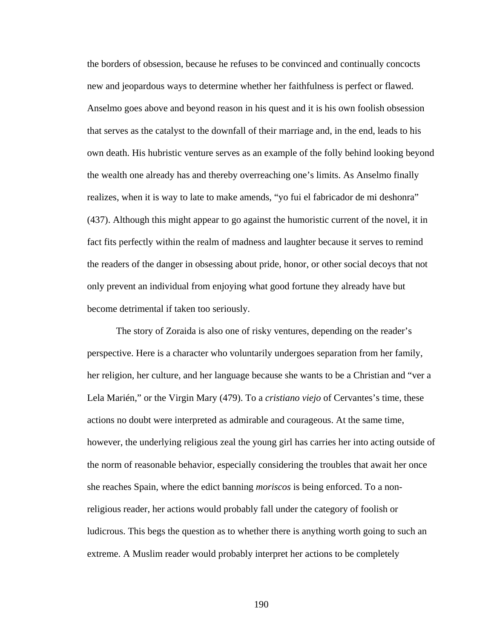the borders of obsession, because he refuses to be convinced and continually concocts new and jeopardous ways to determine whether her faithfulness is perfect or flawed. Anselmo goes above and beyond reason in his quest and it is his own foolish obsession that serves as the catalyst to the downfall of their marriage and, in the end, leads to his own death. His hubristic venture serves as an example of the folly behind looking beyond the wealth one already has and thereby overreaching one's limits. As Anselmo finally realizes, when it is way to late to make amends, "yo fui el fabricador de mi deshonra" (437). Although this might appear to go against the humoristic current of the novel, it in fact fits perfectly within the realm of madness and laughter because it serves to remind the readers of the danger in obsessing about pride, honor, or other social decoys that not only prevent an individual from enjoying what good fortune they already have but become detrimental if taken too seriously.

 The story of Zoraida is also one of risky ventures, depending on the reader's perspective. Here is a character who voluntarily undergoes separation from her family, her religion, her culture, and her language because she wants to be a Christian and "ver a Lela Marién," or the Virgin Mary (479). To a *cristiano viejo* of Cervantes's time, these actions no doubt were interpreted as admirable and courageous. At the same time, however, the underlying religious zeal the young girl has carries her into acting outside of the norm of reasonable behavior, especially considering the troubles that await her once she reaches Spain, where the edict banning *moriscos* is being enforced. To a nonreligious reader, her actions would probably fall under the category of foolish or ludicrous. This begs the question as to whether there is anything worth going to such an extreme. A Muslim reader would probably interpret her actions to be completely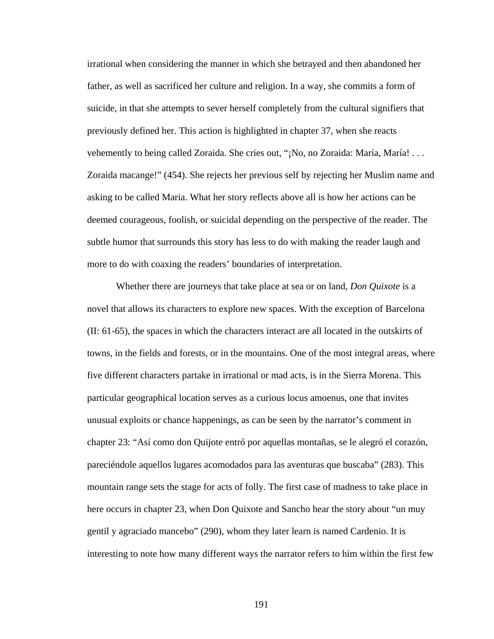irrational when considering the manner in which she betrayed and then abandoned her father, as well as sacrificed her culture and religion. In a way, she commits a form of suicide, in that she attempts to sever herself completely from the cultural signifiers that previously defined her. This action is highlighted in chapter 37, when she reacts vehemently to being called Zoraida. She cries out, "¡No, no Zoraida: María, María! . . . Zoraida macange!" (454). She rejects her previous self by rejecting her Muslim name and asking to be called Maria. What her story reflects above all is how her actions can be deemed courageous, foolish, or suicidal depending on the perspective of the reader. The subtle humor that surrounds this story has less to do with making the reader laugh and more to do with coaxing the readers' boundaries of interpretation.

 Whether there are journeys that take place at sea or on land, *Don Quixote* is a novel that allows its characters to explore new spaces. With the exception of Barcelona (II: 61-65), the spaces in which the characters interact are all located in the outskirts of towns, in the fields and forests, or in the mountains. One of the most integral areas, where five different characters partake in irrational or mad acts, is in the Sierra Morena. This particular geographical location serves as a curious locus amoenus, one that invites unusual exploits or chance happenings, as can be seen by the narrator's comment in chapter 23: "Así como don Quijote entró por aquellas montañas, se le alegró el corazón, pareciéndole aquellos lugares acomodados para las aventuras que buscaba" (283). This mountain range sets the stage for acts of folly. The first case of madness to take place in here occurs in chapter 23, when Don Quixote and Sancho hear the story about "un muy gentil y agraciado mancebo" (290), whom they later learn is named Cardenio. It is interesting to note how many different ways the narrator refers to him within the first few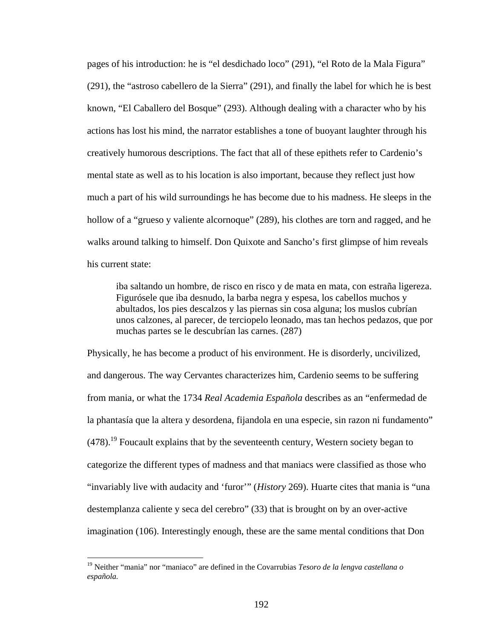pages of his introduction: he is "el desdichado loco" (291), "el Roto de la Mala Figura" (291), the "astroso cabellero de la Sierra" (291), and finally the label for which he is best known, "El Caballero del Bosque" (293). Although dealing with a character who by his actions has lost his mind, the narrator establishes a tone of buoyant laughter through his creatively humorous descriptions. The fact that all of these epithets refer to Cardenio's mental state as well as to his location is also important, because they reflect just how much a part of his wild surroundings he has become due to his madness. He sleeps in the hollow of a "grueso y valiente alcornoque" (289), his clothes are torn and ragged, and he walks around talking to himself. Don Quixote and Sancho's first glimpse of him reveals his current state:

iba saltando un hombre, de risco en risco y de mata en mata, con estraña ligereza. Figurósele que iba desnudo, la barba negra y espesa, los cabellos muchos y abultados, los pies descalzos y las piernas sin cosa alguna; los muslos cubrían unos calzones, al parecer, de terciopelo leonado, mas tan hechos pedazos, que por muchas partes se le descubrían las carnes. (287)

Physically, he has become a product of his environment. He is disorderly, uncivilized, and dangerous. The way Cervantes characterizes him, Cardenio seems to be suffering from mania, or what the 1734 *Real Academia Española* describes as an "enfermedad de la phantasía que la altera y desordena, fijandola en una especie, sin razon ni fundamento"  $(478).$ <sup>19</sup> Foucault explains that by the seventeenth century, Western society began to categorize the different types of madness and that maniacs were classified as those who "invariably live with audacity and 'furor'" (*History* 269). Huarte cites that mania is "una destemplanza caliente y seca del cerebro" (33) that is brought on by an over-active imagination (106). Interestingly enough, these are the same mental conditions that Don

 $\overline{a}$ 

<sup>19</sup> Neither "mania" nor "maniaco" are defined in the Covarrubias *Tesoro de la lengva castellana o española.*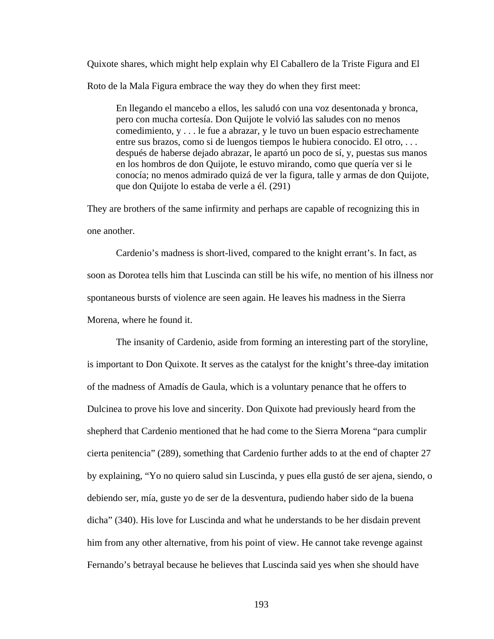Quixote shares, which might help explain why El Caballero de la Triste Figura and El Roto de la Mala Figura embrace the way they do when they first meet:

En llegando el mancebo a ellos, les saludó con una voz desentonada y bronca, pero con mucha cortesía. Don Quijote le volvió las saludes con no menos comedimiento, y . . . le fue a abrazar, y le tuvo un buen espacio estrechamente entre sus brazos, como si de luengos tiempos le hubiera conocido. El otro, . . . después de haberse dejado abrazar, le apartó un poco de sí, y, puestas sus manos en los hombros de don Quijote, le estuvo mirando, como que quería ver si le conocía; no menos admirado quizá de ver la figura, talle y armas de don Quijote, que don Quijote lo estaba de verle a él. (291)

They are brothers of the same infirmity and perhaps are capable of recognizing this in one another.

 Cardenio's madness is short-lived, compared to the knight errant's. In fact, as soon as Dorotea tells him that Luscinda can still be his wife, no mention of his illness nor spontaneous bursts of violence are seen again. He leaves his madness in the Sierra Morena, where he found it.

 The insanity of Cardenio, aside from forming an interesting part of the storyline, is important to Don Quixote. It serves as the catalyst for the knight's three-day imitation of the madness of Amadís de Gaula, which is a voluntary penance that he offers to Dulcinea to prove his love and sincerity. Don Quixote had previously heard from the shepherd that Cardenio mentioned that he had come to the Sierra Morena "para cumplir cierta penitencia" (289), something that Cardenio further adds to at the end of chapter 27 by explaining, "Yo no quiero salud sin Luscinda, y pues ella gustó de ser ajena, siendo, o debiendo ser, mía, guste yo de ser de la desventura, pudiendo haber sido de la buena dicha" (340). His love for Luscinda and what he understands to be her disdain prevent him from any other alternative, from his point of view. He cannot take revenge against Fernando's betrayal because he believes that Luscinda said yes when she should have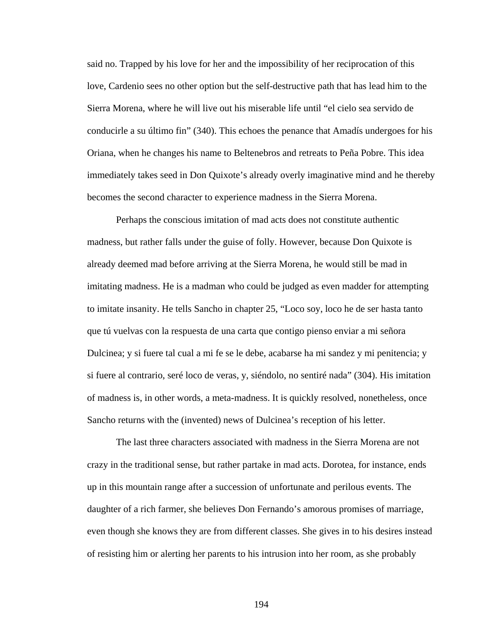said no. Trapped by his love for her and the impossibility of her reciprocation of this love, Cardenio sees no other option but the self-destructive path that has lead him to the Sierra Morena, where he will live out his miserable life until "el cielo sea servido de conducirle a su último fin" (340). This echoes the penance that Amadís undergoes for his Oriana, when he changes his name to Beltenebros and retreats to Peña Pobre. This idea immediately takes seed in Don Quixote's already overly imaginative mind and he thereby becomes the second character to experience madness in the Sierra Morena.

 Perhaps the conscious imitation of mad acts does not constitute authentic madness, but rather falls under the guise of folly. However, because Don Quixote is already deemed mad before arriving at the Sierra Morena, he would still be mad in imitating madness. He is a madman who could be judged as even madder for attempting to imitate insanity. He tells Sancho in chapter 25, "Loco soy, loco he de ser hasta tanto que tú vuelvas con la respuesta de una carta que contigo pienso enviar a mi señora Dulcinea; y si fuere tal cual a mi fe se le debe, acabarse ha mi sandez y mi penitencia; y si fuere al contrario, seré loco de veras, y, siéndolo, no sentiré nada" (304). His imitation of madness is, in other words, a meta-madness. It is quickly resolved, nonetheless, once Sancho returns with the (invented) news of Dulcinea's reception of his letter.

 The last three characters associated with madness in the Sierra Morena are not crazy in the traditional sense, but rather partake in mad acts. Dorotea, for instance, ends up in this mountain range after a succession of unfortunate and perilous events. The daughter of a rich farmer, she believes Don Fernando's amorous promises of marriage, even though she knows they are from different classes. She gives in to his desires instead of resisting him or alerting her parents to his intrusion into her room, as she probably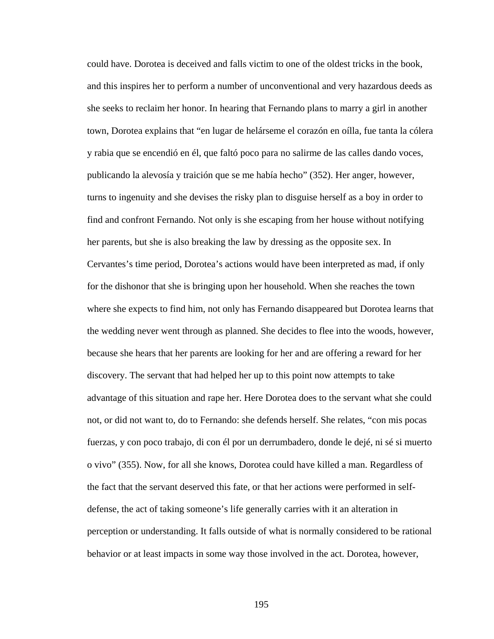could have. Dorotea is deceived and falls victim to one of the oldest tricks in the book, and this inspires her to perform a number of unconventional and very hazardous deeds as she seeks to reclaim her honor. In hearing that Fernando plans to marry a girl in another town, Dorotea explains that "en lugar de helárseme el corazón en oílla, fue tanta la cólera y rabia que se encendió en él, que faltó poco para no salirme de las calles dando voces, publicando la alevosía y traición que se me había hecho" (352). Her anger, however, turns to ingenuity and she devises the risky plan to disguise herself as a boy in order to find and confront Fernando. Not only is she escaping from her house without notifying her parents, but she is also breaking the law by dressing as the opposite sex. In Cervantes's time period, Dorotea's actions would have been interpreted as mad, if only for the dishonor that she is bringing upon her household. When she reaches the town where she expects to find him, not only has Fernando disappeared but Dorotea learns that the wedding never went through as planned. She decides to flee into the woods, however, because she hears that her parents are looking for her and are offering a reward for her discovery. The servant that had helped her up to this point now attempts to take advantage of this situation and rape her. Here Dorotea does to the servant what she could not, or did not want to, do to Fernando: she defends herself. She relates, "con mis pocas fuerzas, y con poco trabajo, di con él por un derrumbadero, donde le dejé, ni sé si muerto o vivo" (355). Now, for all she knows, Dorotea could have killed a man. Regardless of the fact that the servant deserved this fate, or that her actions were performed in selfdefense, the act of taking someone's life generally carries with it an alteration in perception or understanding. It falls outside of what is normally considered to be rational behavior or at least impacts in some way those involved in the act. Dorotea, however,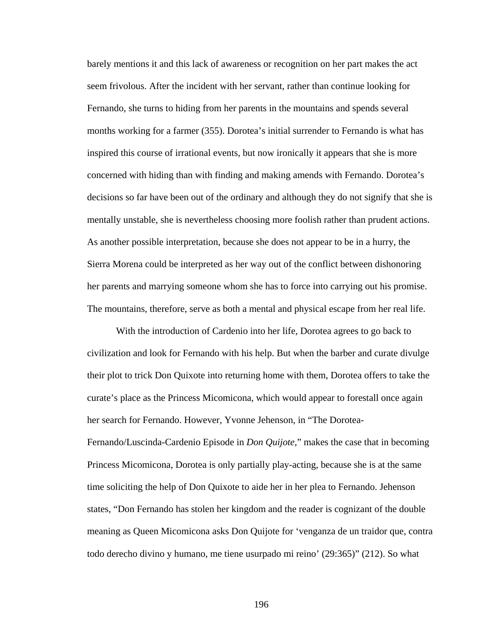barely mentions it and this lack of awareness or recognition on her part makes the act seem frivolous. After the incident with her servant, rather than continue looking for Fernando, she turns to hiding from her parents in the mountains and spends several months working for a farmer (355). Dorotea's initial surrender to Fernando is what has inspired this course of irrational events, but now ironically it appears that she is more concerned with hiding than with finding and making amends with Fernando. Dorotea's decisions so far have been out of the ordinary and although they do not signify that she is mentally unstable, she is nevertheless choosing more foolish rather than prudent actions. As another possible interpretation, because she does not appear to be in a hurry, the Sierra Morena could be interpreted as her way out of the conflict between dishonoring her parents and marrying someone whom she has to force into carrying out his promise. The mountains, therefore, serve as both a mental and physical escape from her real life.

With the introduction of Cardenio into her life, Dorotea agrees to go back to civilization and look for Fernando with his help. But when the barber and curate divulge their plot to trick Don Quixote into returning home with them, Dorotea offers to take the curate's place as the Princess Micomicona, which would appear to forestall once again her search for Fernando. However, Yvonne Jehenson, in "The Dorotea-Fernando/Luscinda-Cardenio Episode in *Don Quijote*," makes the case that in becoming Princess Micomicona, Dorotea is only partially play-acting, because she is at the same time soliciting the help of Don Quixote to aide her in her plea to Fernando. Jehenson states, "Don Fernando has stolen her kingdom and the reader is cognizant of the double meaning as Queen Micomicona asks Don Quijote for 'venganza de un traidor que, contra todo derecho divino y humano, me tiene usurpado mi reino' (29:365)" (212). So what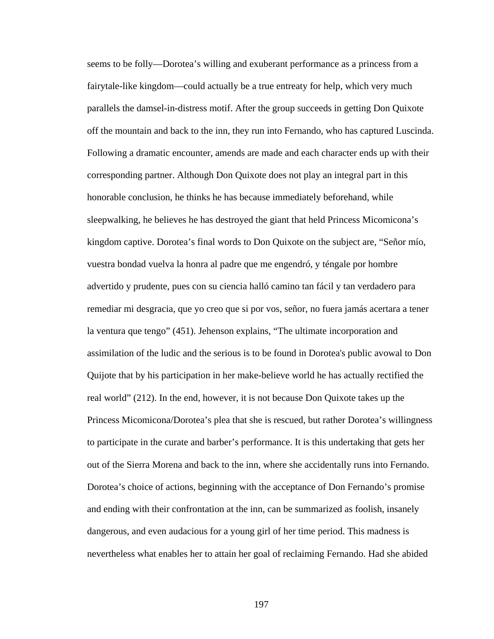seems to be folly—Dorotea's willing and exuberant performance as a princess from a fairytale-like kingdom—could actually be a true entreaty for help, which very much parallels the damsel-in-distress motif. After the group succeeds in getting Don Quixote off the mountain and back to the inn, they run into Fernando, who has captured Luscinda. Following a dramatic encounter, amends are made and each character ends up with their corresponding partner. Although Don Quixote does not play an integral part in this honorable conclusion, he thinks he has because immediately beforehand, while sleepwalking, he believes he has destroyed the giant that held Princess Micomicona's kingdom captive. Dorotea's final words to Don Quixote on the subject are, "Señor mío, vuestra bondad vuelva la honra al padre que me engendró, y téngale por hombre advertido y prudente, pues con su ciencia halló camino tan fácil y tan verdadero para remediar mi desgracia, que yo creo que si por vos, señor, no fuera jamás acertara a tener la ventura que tengo" (451). Jehenson explains, "The ultimate incorporation and assimilation of the ludic and the serious is to be found in Dorotea's public avowal to Don Quijote that by his participation in her make-believe world he has actually rectified the real world" (212). In the end, however, it is not because Don Quixote takes up the Princess Micomicona/Dorotea's plea that she is rescued, but rather Dorotea's willingness to participate in the curate and barber's performance. It is this undertaking that gets her out of the Sierra Morena and back to the inn, where she accidentally runs into Fernando. Dorotea's choice of actions, beginning with the acceptance of Don Fernando's promise and ending with their confrontation at the inn, can be summarized as foolish, insanely dangerous, and even audacious for a young girl of her time period. This madness is nevertheless what enables her to attain her goal of reclaiming Fernando. Had she abided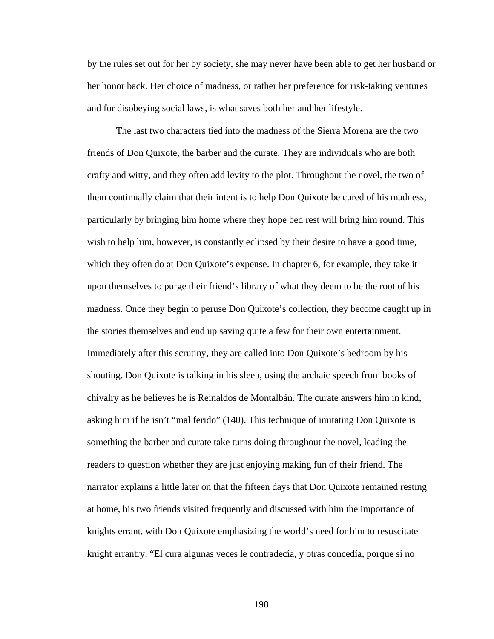by the rules set out for her by society, she may never have been able to get her husband or her honor back. Her choice of madness, or rather her preference for risk-taking ventures and for disobeying social laws, is what saves both her and her lifestyle.

 The last two characters tied into the madness of the Sierra Morena are the two friends of Don Quixote, the barber and the curate. They are individuals who are both crafty and witty, and they often add levity to the plot. Throughout the novel, the two of them continually claim that their intent is to help Don Quixote be cured of his madness, particularly by bringing him home where they hope bed rest will bring him round. This wish to help him, however, is constantly eclipsed by their desire to have a good time, which they often do at Don Quixote's expense. In chapter 6, for example, they take it upon themselves to purge their friend's library of what they deem to be the root of his madness. Once they begin to peruse Don Quixote's collection, they become caught up in the stories themselves and end up saving quite a few for their own entertainment. Immediately after this scrutiny, they are called into Don Quixote's bedroom by his shouting. Don Quixote is talking in his sleep, using the archaic speech from books of chivalry as he believes he is Reinaldos de Montalbán. The curate answers him in kind, asking him if he isn't "mal ferido" (140). This technique of imitating Don Quixote is something the barber and curate take turns doing throughout the novel, leading the readers to question whether they are just enjoying making fun of their friend. The narrator explains a little later on that the fifteen days that Don Quixote remained resting at home, his two friends visited frequently and discussed with him the importance of knights errant, with Don Quixote emphasizing the world's need for him to resuscitate knight errantry. "El cura algunas veces le contradecía, y otras concedía, porque si no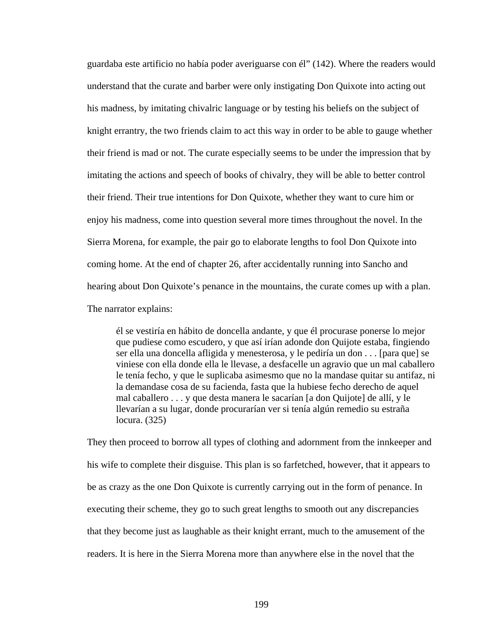guardaba este artificio no había poder averiguarse con él" (142). Where the readers would understand that the curate and barber were only instigating Don Quixote into acting out his madness, by imitating chivalric language or by testing his beliefs on the subject of knight errantry, the two friends claim to act this way in order to be able to gauge whether their friend is mad or not. The curate especially seems to be under the impression that by imitating the actions and speech of books of chivalry, they will be able to better control their friend. Their true intentions for Don Quixote, whether they want to cure him or enjoy his madness, come into question several more times throughout the novel. In the Sierra Morena, for example, the pair go to elaborate lengths to fool Don Quixote into coming home. At the end of chapter 26, after accidentally running into Sancho and hearing about Don Quixote's penance in the mountains, the curate comes up with a plan. The narrator explains:

él se vestiría en hábito de doncella andante, y que él procurase ponerse lo mejor que pudiese como escudero, y que así irían adonde don Quijote estaba, fingiendo ser ella una doncella afligida y menesterosa, y le pediría un don . . . [para que] se viniese con ella donde ella le llevase, a desfacelle un agravio que un mal caballero le tenía fecho, y que le suplicaba asimesmo que no la mandase quitar su antifaz, ni la demandase cosa de su facienda, fasta que la hubiese fecho derecho de aquel mal caballero . . . y que desta manera le sacarían [a don Quijote] de allí, y le llevarían a su lugar, donde procurarían ver si tenía algún remedio su estraña locura. (325)

They then proceed to borrow all types of clothing and adornment from the innkeeper and his wife to complete their disguise. This plan is so farfetched, however, that it appears to be as crazy as the one Don Quixote is currently carrying out in the form of penance. In executing their scheme, they go to such great lengths to smooth out any discrepancies that they become just as laughable as their knight errant, much to the amusement of the readers. It is here in the Sierra Morena more than anywhere else in the novel that the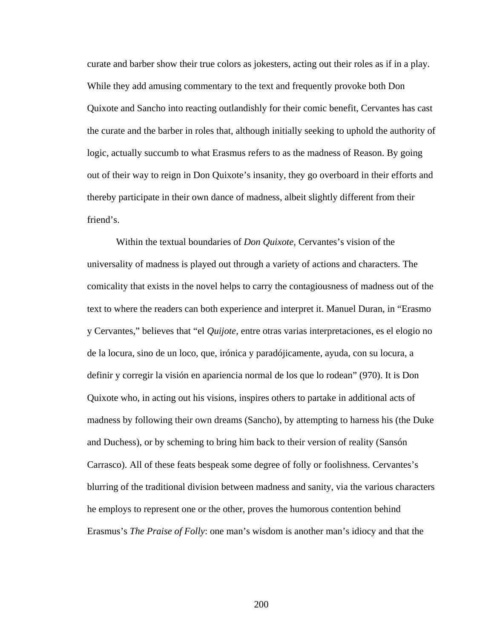curate and barber show their true colors as jokesters, acting out their roles as if in a play. While they add amusing commentary to the text and frequently provoke both Don Quixote and Sancho into reacting outlandishly for their comic benefit, Cervantes has cast the curate and the barber in roles that, although initially seeking to uphold the authority of logic, actually succumb to what Erasmus refers to as the madness of Reason. By going out of their way to reign in Don Quixote's insanity, they go overboard in their efforts and thereby participate in their own dance of madness, albeit slightly different from their friend's.

 Within the textual boundaries of *Don Quixote*, Cervantes's vision of the universality of madness is played out through a variety of actions and characters. The comicality that exists in the novel helps to carry the contagiousness of madness out of the text to where the readers can both experience and interpret it. Manuel Duran, in "Erasmo y Cervantes," believes that "el *Quijote*, entre otras varias interpretaciones, es el elogio no de la locura, sino de un loco, que, irónica y paradójicamente, ayuda, con su locura, a definir y corregir la visión en apariencia normal de los que lo rodean" (970). It is Don Quixote who, in acting out his visions, inspires others to partake in additional acts of madness by following their own dreams (Sancho), by attempting to harness his (the Duke and Duchess), or by scheming to bring him back to their version of reality (Sansón Carrasco). All of these feats bespeak some degree of folly or foolishness. Cervantes's blurring of the traditional division between madness and sanity, via the various characters he employs to represent one or the other, proves the humorous contention behind Erasmus's *The Praise of Folly*: one man's wisdom is another man's idiocy and that the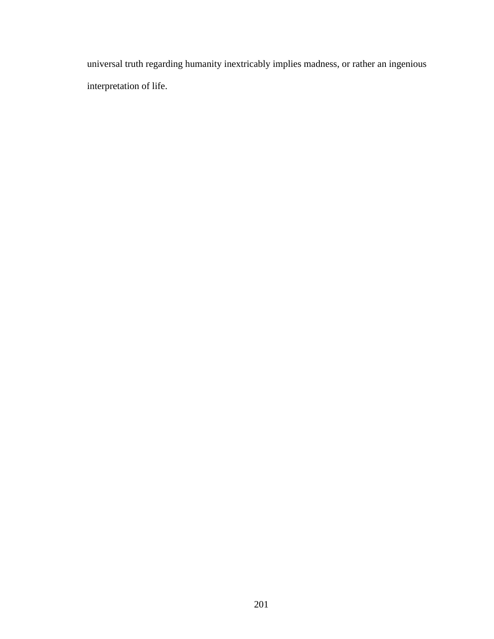universal truth regarding humanity inextricably implies madness, or rather an ingenious interpretation of life.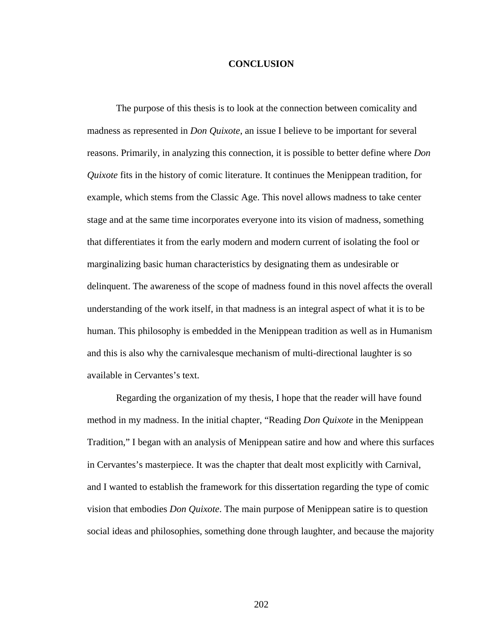## **CONCLUSION**

 The purpose of this thesis is to look at the connection between comicality and madness as represented in *Don Quixote*, an issue I believe to be important for several reasons. Primarily, in analyzing this connection, it is possible to better define where *Don Quixote* fits in the history of comic literature. It continues the Menippean tradition, for example, which stems from the Classic Age. This novel allows madness to take center stage and at the same time incorporates everyone into its vision of madness, something that differentiates it from the early modern and modern current of isolating the fool or marginalizing basic human characteristics by designating them as undesirable or delinquent. The awareness of the scope of madness found in this novel affects the overall understanding of the work itself, in that madness is an integral aspect of what it is to be human. This philosophy is embedded in the Menippean tradition as well as in Humanism and this is also why the carnivalesque mechanism of multi-directional laughter is so available in Cervantes's text.

 Regarding the organization of my thesis, I hope that the reader will have found method in my madness. In the initial chapter, "Reading *Don Quixote* in the Menippean Tradition," I began with an analysis of Menippean satire and how and where this surfaces in Cervantes's masterpiece. It was the chapter that dealt most explicitly with Carnival, and I wanted to establish the framework for this dissertation regarding the type of comic vision that embodies *Don Quixote*. The main purpose of Menippean satire is to question social ideas and philosophies, something done through laughter, and because the majority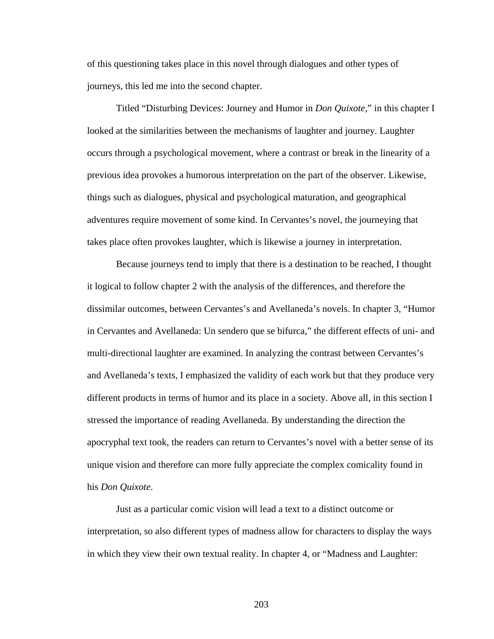of this questioning takes place in this novel through dialogues and other types of journeys, this led me into the second chapter.

 Titled "Disturbing Devices: Journey and Humor in *Don Quixote*," in this chapter I looked at the similarities between the mechanisms of laughter and journey. Laughter occurs through a psychological movement, where a contrast or break in the linearity of a previous idea provokes a humorous interpretation on the part of the observer. Likewise, things such as dialogues, physical and psychological maturation, and geographical adventures require movement of some kind. In Cervantes's novel, the journeying that takes place often provokes laughter, which is likewise a journey in interpretation.

 Because journeys tend to imply that there is a destination to be reached, I thought it logical to follow chapter 2 with the analysis of the differences, and therefore the dissimilar outcomes, between Cervantes's and Avellaneda's novels. In chapter 3, "Humor in Cervantes and Avellaneda: Un sendero que se bifurca," the different effects of uni- and multi-directional laughter are examined. In analyzing the contrast between Cervantes's and Avellaneda's texts, I emphasized the validity of each work but that they produce very different products in terms of humor and its place in a society. Above all, in this section I stressed the importance of reading Avellaneda. By understanding the direction the apocryphal text took, the readers can return to Cervantes's novel with a better sense of its unique vision and therefore can more fully appreciate the complex comicality found in his *Don Quixote*.

 Just as a particular comic vision will lead a text to a distinct outcome or interpretation, so also different types of madness allow for characters to display the ways in which they view their own textual reality. In chapter 4, or "Madness and Laughter: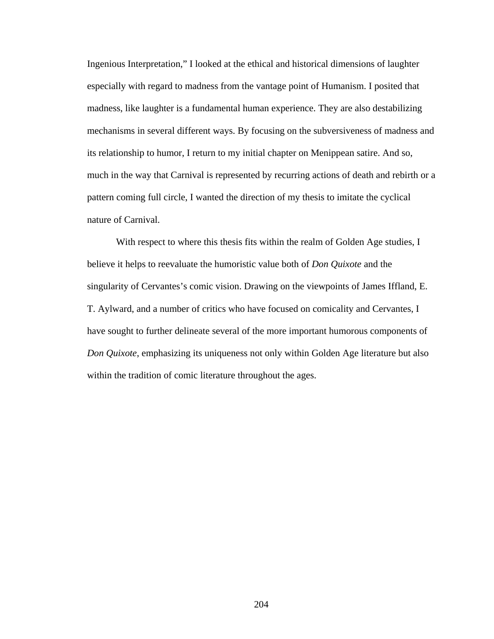Ingenious Interpretation," I looked at the ethical and historical dimensions of laughter especially with regard to madness from the vantage point of Humanism. I posited that madness, like laughter is a fundamental human experience. They are also destabilizing mechanisms in several different ways. By focusing on the subversiveness of madness and its relationship to humor, I return to my initial chapter on Menippean satire. And so, much in the way that Carnival is represented by recurring actions of death and rebirth or a pattern coming full circle, I wanted the direction of my thesis to imitate the cyclical nature of Carnival.

 With respect to where this thesis fits within the realm of Golden Age studies, I believe it helps to reevaluate the humoristic value both of *Don Quixote* and the singularity of Cervantes's comic vision. Drawing on the viewpoints of James Iffland, E. T. Aylward, and a number of critics who have focused on comicality and Cervantes, I have sought to further delineate several of the more important humorous components of *Don Quixote*, emphasizing its uniqueness not only within Golden Age literature but also within the tradition of comic literature throughout the ages.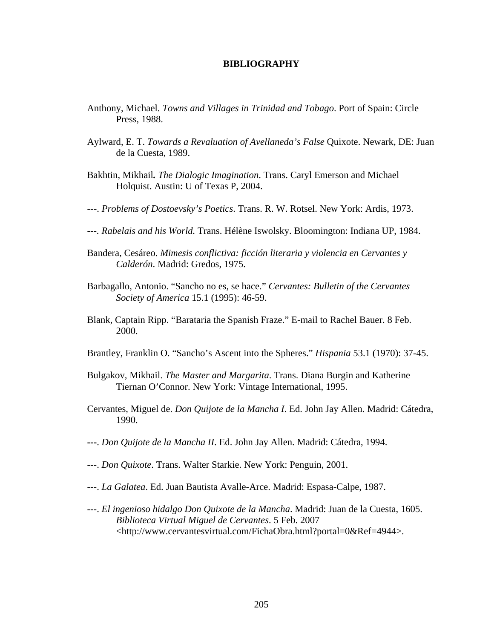## **BIBLIOGRAPHY**

- Anthony, Michael. *Towns and Villages in Trinidad and Tobago*. Port of Spain: Circle Press, 1988.
- Aylward, E. T. *Towards a Revaluation of Avellaneda's False* Quixote. Newark, DE: Juan de la Cuesta, 1989.
- Bakhtin, Mikhail*. The Dialogic Imagination*. Trans. Caryl Emerson and Michael Holquist. Austin: U of Texas P, 2004.
- ---. *Problems of Dostoevsky's Poetics*. Trans. R. W. Rotsel. New York: Ardis, 1973.
- *---. Rabelais and his World.* Trans. Hélène Iswolsky. Bloomington: Indiana UP, 1984.
- Bandera, Cesáreo. *Mimesis conflictiva: ficción literaria y violencia en Cervantes y Calderón*. Madrid: Gredos, 1975.
- Barbagallo, Antonio. "Sancho no es, se hace." *Cervantes: Bulletin of the Cervantes Society of America* 15.1 (1995): 46-59.
- Blank, Captain Ripp. "Barataria the Spanish Fraze." E-mail to Rachel Bauer. 8 Feb. 2000.
- Brantley, Franklin O. "Sancho's Ascent into the Spheres." *Hispania* 53.1 (1970): 37-45.
- Bulgakov, Mikhail. *The Master and Margarita*. Trans. Diana Burgin and Katherine Tiernan O'Connor. New York: Vintage International, 1995.
- Cervantes, Miguel de. *Don Quijote de la Mancha I*. Ed. John Jay Allen. Madrid: Cátedra, 1990.
- **---**. *Don Quijote de la Mancha II*. Ed. John Jay Allen. Madrid: Cátedra, 1994.
- ---. *Don Quixote*. Trans. Walter Starkie. New York: Penguin, 2001.
- ---. *La Galatea*. Ed. Juan Bautista Avalle-Arce. Madrid: Espasa-Calpe, 1987.
- ---. *El ingenioso hidalgo Don Quixote de la Mancha*. Madrid: Juan de la Cuesta, 1605. *Biblioteca Virtual Miguel de Cervantes*. 5 Feb. 2007 <http://www.cervantesvirtual.com/FichaObra.html?portal=0&Ref=4944>.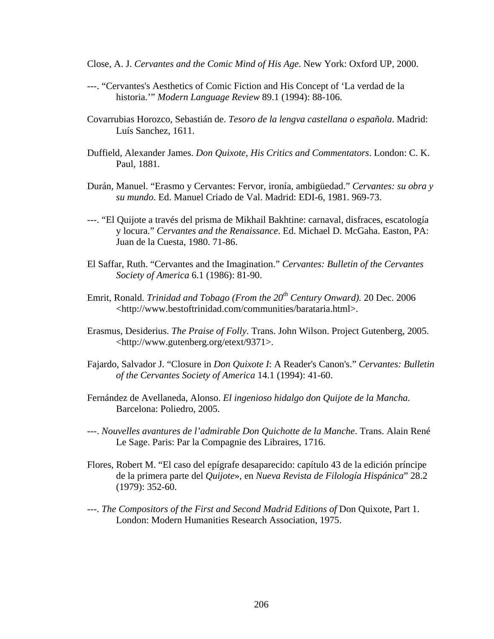- Close, A. J. *Cervantes and the Comic Mind of His Age*. New York: Oxford UP, 2000.
- ---. "Cervantes's Aesthetics of Comic Fiction and His Concept of 'La verdad de la historia.'" *Modern Language Review* 89.1 (1994): 88-106.
- Covarrubias Horozco, Sebastián de. *Tesoro de la lengva castellana o española*. Madrid: Luís Sanchez, 1611.
- Duffield, Alexander James. *Don Quixote, His Critics and Commentators*. London: C. K. Paul, 1881.
- Durán, Manuel. "Erasmo y Cervantes: Fervor, ironía, ambigüedad." *Cervantes: su obra y su mundo*. Ed. Manuel Criado de Val. Madrid: EDI-6, 1981. 969-73.
- ---. "El Quijote a través del prisma de Mikhail Bakhtine: carnaval, disfraces, escatología y locura." *Cervantes and the Renaissance*. Ed. Michael D. McGaha. Easton, PA: Juan de la Cuesta, 1980. 71-86.
- El Saffar, Ruth. "Cervantes and the Imagination." *Cervantes: Bulletin of the Cervantes Society of America* 6.1 (1986): 81-90.
- Emrit, Ronald. *Trinidad and Tobago (From the 20th Century Onward).* 20 Dec. 2006 <http://www.bestoftrinidad.com/communities/barataria.html>.
- Erasmus, Desiderius. *The Praise of Folly*. Trans. John Wilson. Project Gutenberg, 2005. <http://www.gutenberg.org/etext/9371>.
- Fajardo, Salvador J. "Closure in *Don Quixote I*: A Reader's Canon's." *Cervantes: Bulletin of the Cervantes Society of America* 14.1 (1994): 41-60.
- Fernández de Avellaneda, Alonso. *El ingenioso hidalgo don Quijote de la Mancha.*  Barcelona: Poliedro, 2005.
- ---. *Nouvelles avantures de l'admirable Don Quichotte de la Manche*. Trans. Alain René Le Sage. Paris: Par la Compagnie des Libraires, 1716.
- Flores, Robert M. "El caso del epígrafe desaparecido: capítulo 43 de la edición príncipe de la primera parte del *Quijote*», en *Nueva Revista de Filología Hispánica*" 28.2 (1979): 352-60.
- ---. *The Compositors of the First and Second Madrid Editions of* Don Quixote, Part 1. London: Modern Humanities Research Association, 1975.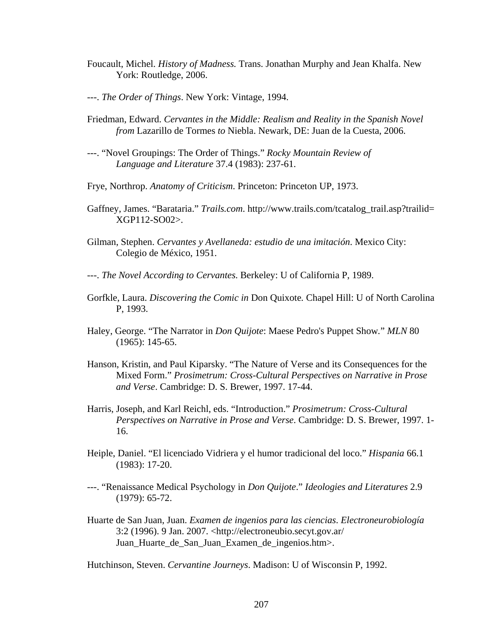- Foucault, Michel. *History of Madness.* Trans. Jonathan Murphy and Jean Khalfa. New York: Routledge, 2006.
- ---. *The Order of Things*. New York: Vintage, 1994.
- Friedman, Edward. *Cervantes in the Middle: Realism and Reality in the Spanish Novel from* Lazarillo de Tormes *to* Niebla. Newark, DE: Juan de la Cuesta, 2006.
- ---. "Novel Groupings: The Order of Things." *Rocky Mountain Review of Language and Literature* 37.4 (1983): 237-61.
- Frye, Northrop. *Anatomy of Criticism*. Princeton: Princeton UP, 1973.
- Gaffney, James. "Barataria." *Trails.com.* http://www.trails.com/tcatalog\_trail.asp?trailid= XGP112-SO02>.
- Gilman, Stephen. *Cervantes y Avellaneda: estudio de una imitación*. Mexico City: Colegio de México, 1951.
- ---. *The Novel According to Cervantes*. Berkeley: U of California P, 1989.
- Gorfkle, Laura. *Discovering the Comic in* Don Quixote*.* Chapel Hill: U of North Carolina P, 1993.
- Haley, George. "The Narrator in *Don Quijote*: Maese Pedro's Puppet Show*.*" *MLN* 80 (1965): 145-65.
- Hanson, Kristin, and Paul Kiparsky. "The Nature of Verse and its Consequences for the Mixed Form." *Prosimetrum: Cross-Cultural Perspectives on Narrative in Prose and Verse*. Cambridge: D. S. Brewer, 1997. 17-44.
- Harris, Joseph, and Karl Reichl, eds. "Introduction." *Prosimetrum: Cross-Cultural Perspectives on Narrative in Prose and Verse*. Cambridge: D. S. Brewer, 1997. 1- 16.
- Heiple, Daniel. "El licenciado Vidriera y el humor tradicional del loco." *Hispania* 66.1 (1983): 17-20.
- ---. "Renaissance Medical Psychology in *Don Quijote*." *Ideologies and Literatures* 2.9 (1979): 65-72.
- Huarte de San Juan, Juan. *Examen de ingenios para las ciencias*. *Electroneurobiología* 3:2 (1996). 9 Jan. 2007. <http://electroneubio.secyt.gov.ar/ Juan Huarte de San Juan Examen de ingenios.htm>.

Hutchinson, Steven. *Cervantine Journeys*. Madison: U of Wisconsin P, 1992.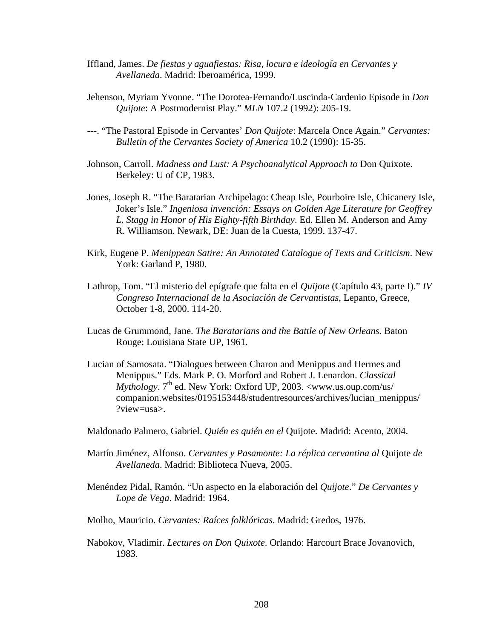- Iffland, James. *De fiestas y aguafiestas: Risa, locura e ideología en Cervantes y Avellaneda*. Madrid: Iberoamérica, 1999.
- Jehenson, Myriam Yvonne. "The Dorotea-Fernando/Luscinda-Cardenio Episode in *Don Quijote*: A Postmodernist Play." *MLN* 107.2 (1992): 205-19.
- ---. "The Pastoral Episode in Cervantes' *Don Quijote*: Marcela Once Again." *Cervantes: Bulletin of the Cervantes Society of America* 10.2 (1990): 15-35.
- Johnson, Carroll. *Madness and Lust: A Psychoanalytical Approach to* Don Quixote. Berkeley: U of CP, 1983.
- Jones, Joseph R. "The Baratarian Archipelago: Cheap Isle, Pourboire Isle, Chicanery Isle, Joker's Isle." *Ingeniosa invención: Essays on Golden Age Literature for Geoffrey L. Stagg in Honor of His Eighty-fifth Birthday*. Ed. Ellen M. Anderson and Amy R. Williamson. Newark, DE: Juan de la Cuesta, 1999. 137-47.
- Kirk, Eugene P. *Menippean Satire: An Annotated Catalogue of Texts and Criticism*. New York: Garland P, 1980.
- Lathrop, Tom. "El misterio del epígrafe que falta en el *Quijote* (Capítulo 43, parte I)." *IV Congreso Internacional de la Asociación de Cervantistas*, Lepanto, Greece, October 1-8, 2000. 114-20.
- Lucas de Grummond, Jane. *The Baratarians and the Battle of New Orleans.* Baton Rouge: Louisiana State UP, 1961.
- Lucian of Samosata. "Dialogues between Charon and Menippus and Hermes and Menippus." Eds. Mark P. O. Morford and Robert J. Lenardon. *Classical Mythology*. 7<sup>th</sup> ed. New York: Oxford UP, 2003. <www.us.oup.com/us/ companion.websites/0195153448/studentresources/archives/lucian\_menippus/ ?view=usa>.
- Maldonado Palmero, Gabriel. *Quién es quién en el* Quijote. Madrid: Acento, 2004.
- Martín Jiménez, Alfonso. *Cervantes y Pasamonte: La réplica cervantina al* Quijote *de Avellaneda*. Madrid: Biblioteca Nueva, 2005.
- Menéndez Pidal, Ramón. "Un aspecto en la elaboración del *Quijote*." *De Cervantes y Lope de Vega*. Madrid: 1964.
- Molho, Mauricio. *Cervantes: Raíces folklóricas*. Madrid: Gredos, 1976.
- Nabokov, Vladimir. *Lectures on Don Quixote*. Orlando: Harcourt Brace Jovanovich, 1983.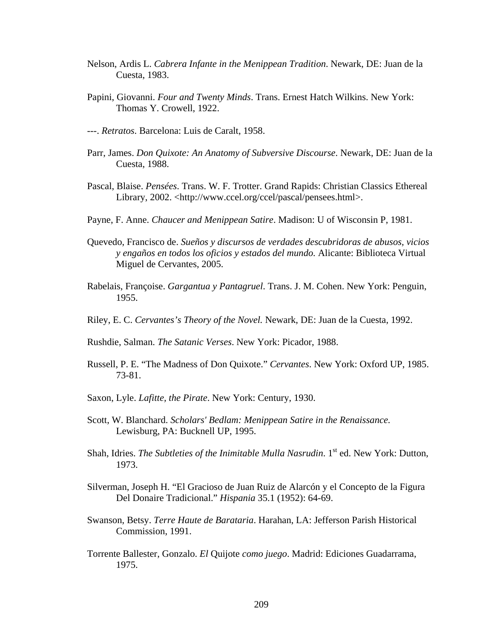- Nelson, Ardis L. *Cabrera Infante in the Menippean Tradition*. Newark, DE: Juan de la Cuesta, 1983.
- Papini, Giovanni. *Four and Twenty Minds*. Trans. Ernest Hatch Wilkins. New York: Thomas Y. Crowell, 1922.
- ---. *Retratos*. Barcelona: Luis de Caralt, 1958.
- Parr, James. *Don Quixote: An Anatomy of Subversive Discourse*. Newark, DE: Juan de la Cuesta, 1988.
- Pascal, Blaise. *Pensées*. Trans. W. F. Trotter. Grand Rapids: Christian Classics Ethereal Library, 2002. <http://www.ccel.org/ccel/pascal/pensees.html>.
- Payne, F. Anne. *Chaucer and Menippean Satire*. Madison: U of Wisconsin P, 1981.
- Quevedo, Francisco de. *Sueños y discursos de verdades descubridoras de abusos, vicios y engaños en todos los oficios y estados del mundo.* Alicante: Biblioteca Virtual Miguel de Cervantes, 2005.
- Rabelais, Françoise. *Gargantua y Pantagruel*. Trans. J. M. Cohen. New York: Penguin, 1955.
- Riley, E. C. *Cervantes's Theory of the Novel.* Newark, DE: Juan de la Cuesta, 1992.
- Rushdie, Salman. *The Satanic Verses*. New York: Picador, 1988.
- Russell, P. E. "The Madness of Don Quixote." *Cervantes*. New York: Oxford UP, 1985. 73-81.
- Saxon, Lyle. *Lafitte, the Pirate*. New York: Century, 1930.
- Scott, W. Blanchard. *Scholars' Bedlam: Menippean Satire in the Renaissance.* Lewisburg, PA: Bucknell UP, 1995.
- Shah, Idries. *The Subtleties of the Inimitable Mulla Nasrudin*. 1<sup>st</sup> ed. New York: Dutton, 1973.
- Silverman, Joseph H. "El Gracioso de Juan Ruiz de Alarcón y el Concepto de la Figura Del Donaire Tradicional." *Hispania* 35.1 (1952): 64-69.
- Swanson, Betsy. *Terre Haute de Barataria*. Harahan, LA: Jefferson Parish Historical Commission, 1991.
- Torrente Ballester, Gonzalo. *El* Quijote *como juego*. Madrid: Ediciones Guadarrama, 1975.